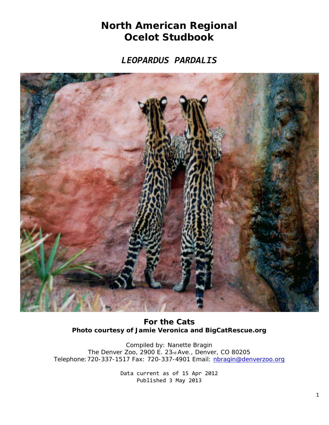## **North American Regional Ocelot Studbook**

*LEOPARDUS PARDALIS*



**For the Cats** *Photo courtesy of Jamie Veronica and BigCatRescue.org*

Compiled by: Nanette Bragin The Denver Zoo, 2900 E. 23rd Ave., Denver, CO 80205 Telephone:720-337-1517 Fax: 720-337-4901 Email: [nbragin@denverzoo.org](mailto:nbragin@denverzoo.org)

> Data current as of 15 Apr 2012 Published 3 May 2013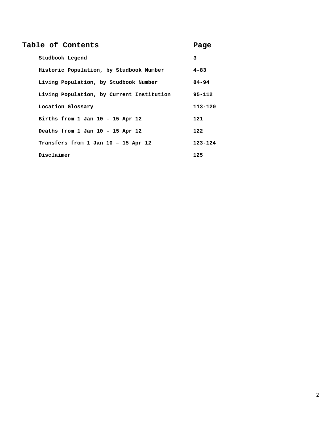## **Table of Contents Page**

| Studbook Legend                           | 3          |
|-------------------------------------------|------------|
| Historic Population, by Studbook Number   | $4 - 83$   |
| Living Population, by Studbook Number     | $84 - 94$  |
| Living Population, by Current Institution | $95 - 112$ |
| Location Glossary                         | 113-120    |
| Births from 1 Jan $10 - 15$ Apr 12        | 121        |
| Deaths from 1 Jan 10 - 15 Apr 12          | 122        |
| Transfers from 1 Jan 10 - 15 Apr 12       | 123-124    |
| Disclaimer                                | 125        |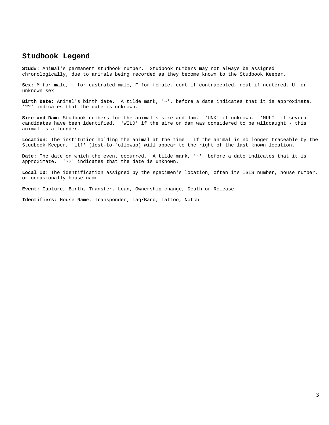## **Studbook Legend**

**Stud#**: Animal's permanent studbook number. Studbook numbers may not always be assigned chronologically, due to animals being recorded as they become known to the Studbook Keeper.

**Sex:** M for male, m for castrated male, F for female, cont if contracepted, neut if neutered, U for unknown sex

**Birth Date**: Animal's birth date. A tilde mark, '~', before a date indicates that it is approximate. '??' indicates that the date is unknown.

**Sire and Dam**: Studbook numbers for the animal's sire and dam. 'UNK' if unknown. 'MULT' if several candidates have been identified. 'WILD' if the sire or dam was considered to be wildcaught - this animal is a founder.

**Location:** The institution holding the animal at the time. If the animal is no longer traceable by the Studbook Keeper, 'ltf' (lost-to-followup) will appear to the right of the last known location.

**Date:** The date on which the event occurred. A tilde mark, '~', before a date indicates that it is approximate. '??' indicates that the date is unknown.

Local ID: The identification assigned by the specimen's location, often its ISIS number, house number, or occasionally house name.

**Event:** Capture, Birth, Transfer, Loan, Ownership change, Death or Release

**Identifiers**: House Name, Transponder, Tag/Band, Tattoo, Notch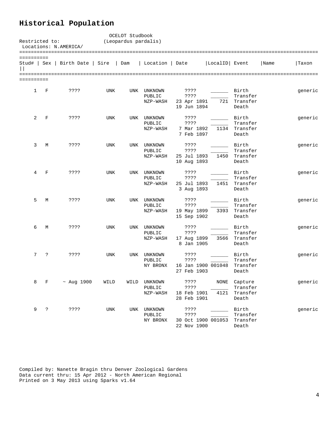## **Historical Population**

| Restricted to:            |   | Locations: N.AMERICA/ |                           | OCELOT Studbook<br>(Leopardus pardalis) |                                      |                                            |                    |                                          |      |         |
|---------------------------|---|-----------------------|---------------------------|-----------------------------------------|--------------------------------------|--------------------------------------------|--------------------|------------------------------------------|------|---------|
| ==========<br>Stud#   Sex |   | Birth Date   Sire     |                           | Dam                                     | Location   Date                      |                                            | LocalID Event      |                                          | Name | Taxon   |
| ==========                |   |                       |                           |                                         |                                      |                                            |                    |                                          |      |         |
| 1                         | F | ????                  | UNK                       | UNK                                     | UNKNOWN<br>PUBLIC<br>NZP-WASH        | ????<br>????<br>23 Apr 1891<br>19 Jun 1894 | 721                | Birth<br>Transfer<br>Transfer<br>Death   |      | generic |
| 2                         | F | ????                  | UNK                       | UNK                                     | UNKNOWN<br>PUBLIC<br>NZP-WASH        | ????<br>????<br>7 Mar 1892<br>7 Feb 1897   | 1134               | Birth<br>Transfer<br>Transfer<br>Death   |      | generic |
| 3                         | М | ????                  | <b>UNK</b>                | UNK                                     | UNKNOWN<br>PUBLIC<br>NZP-WASH        | ????<br>????<br>25 Jul 1893<br>10 Aug 1893 | 1450               | Birth<br>Transfer<br>Transfer<br>Death   |      | generic |
| 4                         | F | ????                  | UNK                       | UNK                                     | UNKNOWN<br>PUBLIC<br>NZP-WASH        | ????<br>????<br>25 Jul 1893<br>3 Aug 1893  | 1451               | Birth<br>Transfer<br>Transfer<br>Death   |      | generic |
| 5                         | M | ????                  | UNK                       | UNK                                     | UNKNOWN<br>PUBLIC<br>NZP-WASH        | ????<br>????<br>19 May 1899<br>15 Sep 1902 | 3393               | Birth<br>Transfer<br>Transfer<br>Death   |      | generic |
| 6                         | М | ????                  | UNK                       | UNK                                     | UNKNOWN<br>PUBLIC<br>NZP-WASH        | ????<br>????<br>17 Aug 1899<br>8 Jan 1905  | 3566               | Birth<br>Transfer<br>Transfer<br>Death   |      | generic |
| 7                         | ? | ????                  | <b>UNK</b>                | UNK                                     | UNKNOWN<br>PUBLIC<br>NY BRONX        | ????<br>????<br>27 Feb 1903                | 16 Jan 1900 001048 | Birth<br>Transfer<br>Transfer<br>Death   |      | generic |
| 8                         | F | $~\sim$ Aug 1900      | WILD                      | WILD                                    | UNKNOWN<br><b>PUBLIC</b><br>NZP-WASH | ????<br>????<br>18 Feb 1901<br>28 Feb 1901 | NONE<br>4121       | Capture<br>Transfer<br>Transfer<br>Death |      | generic |
| 9                         | ? | ????                  | $\ensuremath{\text{UNK}}$ | UNK                                     | <b>UNKNOWN</b><br>PUBLIC<br>NY BRONX | ????<br>? ? ? ?<br>22 Nov 1900             | 30 Oct 1900 001053 | Birth<br>Transfer<br>Transfer<br>Death   |      | generic |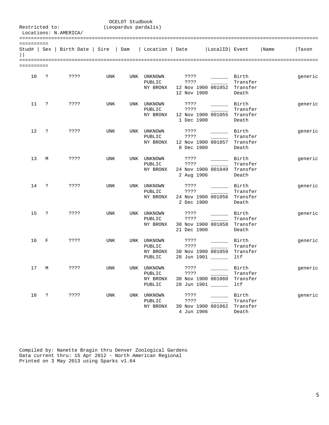|            | OCELOT Studbook<br>Restricted to:<br>(Leopardus pardalis)<br>Locations: N.AMERICA/ |                                                         |            |     |                                             |                               |                                                                                                |                                        |      |         |  |  |
|------------|------------------------------------------------------------------------------------|---------------------------------------------------------|------------|-----|---------------------------------------------|-------------------------------|------------------------------------------------------------------------------------------------|----------------------------------------|------|---------|--|--|
| ========== |                                                                                    | Stud#   Sex   Birth Date   Sire   Dam   Location   Date |            |     |                                             |                               | LocalID Event                                                                                  |                                        | Name | Taxon   |  |  |
| ========== |                                                                                    |                                                         |            |     |                                             |                               |                                                                                                |                                        |      |         |  |  |
| 10         | $\cdot$ ?                                                                          | ????                                                    | UNK        |     | UNK UNKNOWN<br>PUBLIC<br>NY BRONX           | ????<br>????<br>12 Nov 1900   | Birth Birth<br>12 Nov 1900 001052 Transfer                                                     | Transfer<br>Death                      |      | generic |  |  |
| 11         | $\ddot{ }$                                                                         | ????                                                    | UNK        |     | UNK UNKNOWN<br>PUBLIC<br>NY BRONX           | ????<br>7.3.5.5<br>1 Dec 1900 | $\frac{1}{2}$<br>12 Nov 1900 001055 Transfer                                                   | Birth<br>Transfer<br>Death             |      | generic |  |  |
| 12         | $\ddot{ }$                                                                         | ????                                                    | UNK        |     | UNK UNKNOWN<br>PUBLIC<br>NY BRONX           | ????<br>????<br>8 Dec 1900    | 12 Nov 1900 001057 Transfer                                                                    | Birth<br>Transfer<br>Death             |      | generic |  |  |
| 13         | М                                                                                  | ????                                                    | UNK        |     | UNK UNKNOWN<br>PUBLIC<br>NY BRONX           | ????<br>????                  | $\overline{\phantom{a}}$<br>24 Nov 1900 001049 Transfer<br>2 Aug 1906                          | Birth<br>Transfer<br>Death             |      | generic |  |  |
| 14         | $\ddot{ }$                                                                         | ????                                                    | UNK        |     | UNK UNKNOWN<br>PUBLIC<br>NY BRONX           | ????<br>? ? ? ?<br>2 Dec 1900 | Birth Birth<br>24 Nov 1900 001056 Transfer                                                     | Transfer<br>Death                      |      | generic |  |  |
| 15         | $\ddot{ }$                                                                         | ????                                                    | <b>UNK</b> |     | UNK UNKNOWN<br>PUBLIC<br>NY BRONX           | ????<br>????<br>21 Dec 1900   | $\overline{\phantom{a}}$<br>30 Nov 1900 001058 Transfer                                        | Birth<br>Transfer<br>Death             |      | generic |  |  |
| 16         | F                                                                                  | ????                                                    | UNK        |     | UNK UNKNOWN<br>PUBLIC<br>NY BRONX<br>PUBLIC | ????<br>????                  | Birth Birth<br>30 Nov 1900 001059 Transfer<br>28 Jun 1901 _____                                | Transfer<br>ltf                        |      | generic |  |  |
| 17         | М                                                                                  | ????                                                    | UNK        |     | UNK UNKNOWN<br>PUBLIC<br>NY BRONX<br>PUBLIC | ? ? ? ?<br>????               | $\mathcal{L}^{\text{max}}$ and $\mathcal{L}^{\text{max}}$<br>30 Nov 1900 001060<br>28 Jun 1901 | Birth<br>Transfer<br>Transfer<br>ltf   |      | generic |  |  |
| 18         | $\ddot{\cdot}$                                                                     | ????                                                    | <b>UNK</b> | UNK | UNKNOWN<br>PUBLIC<br>NY BRONX               | ????<br>????<br>4 Jun 1906    | 30 Nov 1900 001062                                                                             | Birth<br>Transfer<br>Transfer<br>Death |      | generic |  |  |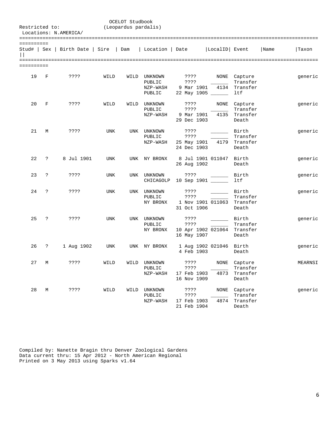| Restricted to:          |              | Locations: N.AMERICA/                 |            | OCELOT Studbook<br>(Leopardus pardalis) |                                              |                                            |                                                                                                                                                 |                                                  |      |         |  |  |  |
|-------------------------|--------------|---------------------------------------|------------|-----------------------------------------|----------------------------------------------|--------------------------------------------|-------------------------------------------------------------------------------------------------------------------------------------------------|--------------------------------------------------|------|---------|--|--|--|
| ==========              |              | Stud#   Sex   Birth Date   Sire   Dam |            |                                         | Location   Date                              |                                            | LocalID  Event                                                                                                                                  |                                                  | Name | Taxon   |  |  |  |
| =========<br>========== |              |                                       |            |                                         |                                              |                                            |                                                                                                                                                 |                                                  |      |         |  |  |  |
| 19                      | F            | ????                                  | WILD       |                                         | WILD UNKNOWN<br>PUBLIC<br>NZP-WASH<br>PUBLIC | ????<br>????<br>9 Mar 1901                 | $\frac{1}{2}$<br>22 May 1905 _____                                                                                                              | NONE Capture<br>Transfer<br>4134 Transfer<br>ltf |      | generic |  |  |  |
| 20                      | F            | ????                                  | WILD       |                                         | WILD UNKNOWN<br>PUBLIC<br>NZP-WASH           | ????<br>????<br>9 Mar 1901<br>29 Dec 1903  | NONE<br>4135                                                                                                                                    | Capture<br>Transfer<br>Transfer<br>Death         |      | generic |  |  |  |
| 21                      | M            | ????                                  | UNK        |                                         | UNK UNKNOWN<br>PUBLIC<br>NZP-WASH            | ????<br>????<br>25 May 1901<br>24 Dec 1903 | <u> 1999 - Jan Jan Jawa</u>                                                                                                                     | Birth<br>Transfer<br>4179 Transfer<br>Death      |      | generic |  |  |  |
| 22                      | $\cdot$ ?    | 8 Jul 1901                            | UNK        |                                         | UNK NY BRONX                                 | 26 Aug 1902                                | 8 Jul 1901 011047 Birth                                                                                                                         | Death                                            |      | generic |  |  |  |
| 23                      | $\cdot$      | ????                                  | UNK        |                                         | UNK UNKNOWN<br>CHICAGOLP                     | ????                                       | $\mathcal{L}^{\mathcal{L}}(\mathcal{L}^{\mathcal{L}})$ . The set of $\mathcal{L}^{\mathcal{L}}(\mathcal{L}^{\mathcal{L}})$<br>10 Sep 1901 _____ | Birth<br>ltf                                     |      | generic |  |  |  |
| 24                      | $\mathbf{P}$ | ????                                  | <b>UNK</b> |                                         | UNK UNKNOWN<br>PUBLIC<br>NY BRONX            | ????<br>????<br>31 Oct 1906                | 1 Nov 1901 011063 Transfer                                                                                                                      | Birth<br>Transfer<br>Death                       |      | generic |  |  |  |
| 25                      | $\ddot{ }$   | ????                                  | UNK        |                                         | UNK UNKNOWN<br>PUBLIC<br>NY BRONX            | ????<br>????<br>16 May 1907                | 10 Apr 1902 021064                                                                                                                              | Birth<br>Transfer<br>Transfer<br>Death           |      | generic |  |  |  |
| 26                      | ?            | 1 Aug 1902                            | UNK        |                                         | UNK NY BRONX                                 | 4 Feb 1903                                 | 1 Aug 1902 021046 Birth                                                                                                                         | Death                                            |      | generic |  |  |  |
| 27                      | М            | ????                                  | WILD       | WILD                                    | UNKNOWN<br>PUBLIC<br>NZP-WASH                | ????<br>????<br>17 Feb 1903<br>16 Nov 1909 | $\rm{NONE}$<br>4873                                                                                                                             | Capture<br>Transfer<br>Transfer<br>Death         |      | MEARNSI |  |  |  |
| 28                      | М            | ????                                  | WILD       | WILD                                    | UNKNOWN<br>PUBLIC<br>NZP-WASH                | ????<br>????<br>17 Feb 1903<br>21 Feb 1904 | NONE<br>4874                                                                                                                                    | Capture<br>Transfer<br>Transfer<br>Death         |      | generic |  |  |  |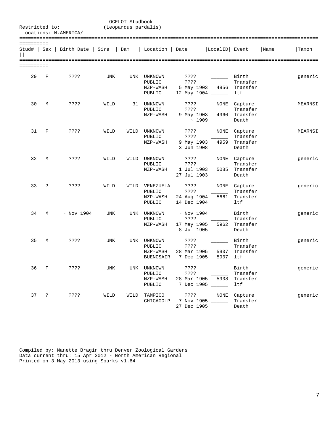| OCELOT Studbook<br>Restricted to:<br>(Leopardus pardalis)<br>Locations: N.AMERICA/ |                |                                 |            |      |                                                   |                                                      |                             |                                          |      |         |
|------------------------------------------------------------------------------------|----------------|---------------------------------|------------|------|---------------------------------------------------|------------------------------------------------------|-----------------------------|------------------------------------------|------|---------|
| ==========                                                                         |                | Stud#   Sex   Birth Date   Sire |            | Dam  | Location   Date                                   |                                                      | LocalID Event               |                                          | Name | Taxon   |
| =========<br>==========                                                            |                |                                 |            |      |                                                   |                                                      |                             |                                          |      |         |
| 29                                                                                 | F              | ????                            | UNK        | UNK  | UNKNOWN<br>PUBLIC<br>NZP-WASH<br>PUBLIC           | ????<br>????<br>5 May 1903                           | 4956<br>12 May 1904         | Birth<br>Transfer<br>Transfer<br>ltf     |      | generic |
| 30                                                                                 | M              | ????                            | WILD       | 31   | UNKNOWN<br>PUBLIC<br>NZP-WASH                     | ????<br>????<br>9 May 1903<br>~1909                  | NONE<br>4960                | Capture<br>Transfer<br>Transfer<br>Death |      | MEARNSI |
| 31                                                                                 | F              | ????                            | WILD       | WILD | UNKNOWN<br>PUBLIC<br>NZP-WASH                     | ????<br>????<br>9 May 1903<br>3 Jun 1908             | NONE<br>4959                | Capture<br>Transfer<br>Transfer<br>Death |      | MEARNSI |
| 32                                                                                 | M              | ????                            | WILD       | WILD | UNKNOWN<br>PUBLIC<br>NZP-WASH                     | ????<br>????<br>1 Jul 1903<br>27 Jul 1903            | NONE<br>5085                | Capture<br>Transfer<br>Transfer<br>Death |      | generic |
| 33                                                                                 | ?              | ????                            | WILD       | WILD | VENEZUELA<br>PUBLIC<br>NZP-WASH<br>PUBLIC         | ????<br>????<br>24 Aug 1904                          | NONE<br>5661<br>14 Dec 1904 | Capture<br>Transfer<br>Transfer<br>ltf   |      | generic |
| 34                                                                                 | M              | $\sim$ Nov 1904                 | UNK        | UNK  | UNKNOWN<br>PUBLIC<br>NZP-WASH                     | $\sim$ Nov 1904<br>????<br>17 May 1905<br>8 Jul 1905 | 5962                        | Birth<br>Transfer<br>Transfer<br>Death   |      | generic |
| 35                                                                                 | М              | ????                            | <b>UNK</b> | UNK  | UNKNOWN<br>PUBLIC<br>NZP-WASH<br><b>BUENOSAIR</b> | ????<br>????<br>28 Mar 1905<br>7 Dec 1905            | 5907<br>5907                | Birth<br>Transfer<br>Transfer<br>ltf     |      | generic |
| 36                                                                                 | $\mathbb{F}$   | ????                            | UNK        |      | UNK UNKNOWN<br>PUBLIC<br>NZP-WASH<br>PUBLIC       | ? ? ? ?<br>????<br>28 Mar 1905                       | 5908<br>7 Dec 1905          | Birth<br>Transfer<br>Transfer<br>ltf     |      | generic |
| 37                                                                                 | $\ddot{\cdot}$ | ? ? ? ?                         | WILD       | WILD | TAMPICO<br>CHICAGOLP                              | ????<br>27 Dec 1905                                  | NONE<br>7 Nov 1905          | Capture<br>Transfer<br>Death             |      | generic |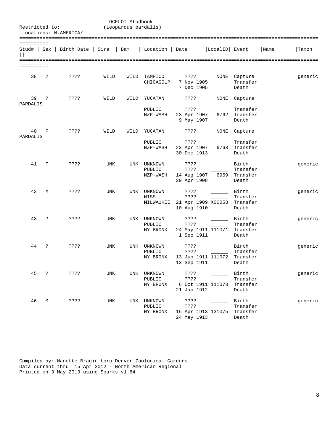|                | OCELOT Studbook<br>Restricted to:<br>(Leopardus pardalis)<br>Locations: N.AMERICA/ |                                       |            |      |                                   |                                            |                                                                                                             |                                        |      |         |  |  |
|----------------|------------------------------------------------------------------------------------|---------------------------------------|------------|------|-----------------------------------|--------------------------------------------|-------------------------------------------------------------------------------------------------------------|----------------------------------------|------|---------|--|--|
| ==========     |                                                                                    | Stud#   Sex   Birth Date   Sire   Dam |            |      | Location   Date                   |                                            | LocalID  Event                                                                                              |                                        | Name | Taxon   |  |  |
| ==========     |                                                                                    |                                       |            |      |                                   |                                            |                                                                                                             |                                        |      |         |  |  |
| 38             | ?                                                                                  | ????                                  | WILD       | WILD | TAMPICO<br>CHICAGOLP              | ????<br>7 Dec 1905                         | 7 Nov 1905 _____                                                                                            | NONE Capture<br>Transfer<br>Death      |      | generic |  |  |
| 39<br>PARDALIS | S.                                                                                 | ????                                  | WILD       | WILD | YUCATAN                           | ????                                       | NONE                                                                                                        | Capture                                |      |         |  |  |
|                |                                                                                    |                                       |            |      | PUBLIC<br>NZP-WASH                | ????<br>23 Apr 1907<br>9 May 1907          | 6762                                                                                                        | Transfer<br>Transfer<br>Death          |      |         |  |  |
| 40             | F                                                                                  | ????                                  | WILD       | WILD | YUCATAN                           | ????                                       | NONE                                                                                                        | Capture                                |      |         |  |  |
| PARDALIS       |                                                                                    |                                       |            |      | PUBLIC<br>NZP-WASH                | ????<br>23 Apr 1907<br>30 Dec 1913         | 6763                                                                                                        | Transfer<br>Transfer<br>Death          |      |         |  |  |
| 41             | F                                                                                  | ????                                  | UNK        |      | UNK UNKNOWN<br>PUBLIC<br>NZP-WASH | ????<br>????<br>14 Aug 1907<br>29 Apr 1908 | 6959                                                                                                        | Birth<br>Transfer<br>Transfer<br>Death |      | generic |  |  |
| 42             | M                                                                                  | ????                                  | <b>UNK</b> | UNK  | UNKNOWN<br>NISS<br>MILWAUKEE      | ????<br>????<br>10 Aug 1910                | $\mathcal{L}^{\text{max}}_{\text{max}}$ , and $\mathcal{L}^{\text{max}}_{\text{max}}$<br>21 Apr 1909 X00058 | Birth<br>Transfer<br>Transfer<br>Death |      | generic |  |  |
| 43             | ?                                                                                  | ????                                  | UNK        |      | UNK UNKNOWN<br>PUBLIC<br>NY BRONX | ????<br>????<br>1 Sep 1911                 | 24 May 1911 111071 Transfer                                                                                 | Birth<br>Transfer<br>Death             |      | generic |  |  |
| 44             | ?                                                                                  | ????                                  | <b>UNK</b> | UNK  | UNKNOWN<br>PUBLIC<br>NY BRONX     | ????<br>????<br>13 Sep 1911                | 13 Jun 1911 111072                                                                                          | Birth<br>Transfer<br>Transfer<br>Death |      | generic |  |  |
| 45             | ?                                                                                  | ????                                  | UNK        |      | UNK UNKNOWN<br>PUBLIC<br>NY BRONX | ????<br>????<br>21 Jan 1912                | 6 Oct 1911 111073                                                                                           | Birth<br>Transfer<br>Transfer<br>Death |      | generic |  |  |
| 46             | М                                                                                  | ????                                  | UNK        | UNK  | UNKNOWN<br>PUBLIC<br>NY BRONX     | ????<br>????<br>24 May 1913                | 16 Apr 1913 131075                                                                                          | Birth<br>Transfer<br>Transfer<br>Death |      | generic |  |  |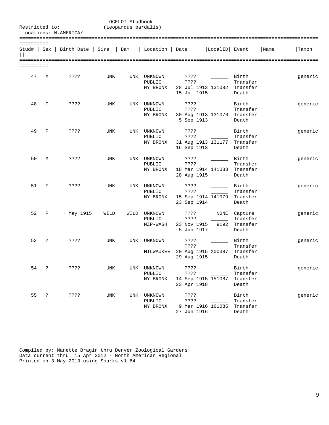|                            | OCELOT Studbook<br>Restricted to:<br>(Leopardus pardalis)<br>Locations: N.AMERICA/ |                                       |            |      |                                   |                                                            |               |                                          |      |         |  |  |  |
|----------------------------|------------------------------------------------------------------------------------|---------------------------------------|------------|------|-----------------------------------|------------------------------------------------------------|---------------|------------------------------------------|------|---------|--|--|--|
| ==========<br>$\mathbf{L}$ |                                                                                    | Stud#   Sex   Birth Date   Sire   Dam |            |      | Location   Date                   |                                                            | LocalID Event |                                          | Name | Taxon   |  |  |  |
| ==========                 |                                                                                    |                                       |            |      |                                   |                                                            |               |                                          |      |         |  |  |  |
| 47                         | М                                                                                  | ????                                  | UNK        | UNK  | UNKNOWN<br>PUBLIC<br>NY BRONX     | ????<br>????<br>28 Jul 1913 131082 Transfer<br>15 Jul 1915 |               | Birth<br>Transfer<br>Death               |      | generic |  |  |  |
| 48                         | F                                                                                  | ????                                  | UNK        | UNK  | UNKNOWN<br>PUBLIC<br>NY BRONX     | ????<br>????<br>30 Aug 1913 131076<br>5 Sep 1913           |               | Birth<br>Transfer<br>Transfer<br>Death   |      | generic |  |  |  |
| 49                         | F                                                                                  | ????                                  | <b>UNK</b> | UNK  | UNKNOWN<br>PUBLIC<br>NY BRONX     | ????<br>????<br>31 Aug 1913 131177<br>16 Sep 1913          |               | Birth<br>Transfer<br>Transfer<br>Death   |      | generic |  |  |  |
| 50                         | M                                                                                  | ????                                  | UNK        | UNK  | UNKNOWN<br>PUBLIC<br>NY BRONX     | ? ? ? ?<br>????<br>18 Mar 1914 141083<br>28 Aug 1915       |               | Birth<br>Transfer<br>Transfer<br>Death   |      | generic |  |  |  |
| 51                         | F                                                                                  | ????                                  | <b>UNK</b> | UNK  | UNKNOWN<br>PUBLIC<br>NY BRONX     | ????<br>????<br>15 Sep 1914 141079<br>23 Sep 1914          |               | Birth<br>Transfer<br>Transfer<br>Death   |      | generic |  |  |  |
| 52                         | F                                                                                  | $~\sim$ May 1915                      | WILD       | WILD | UNKNOWN<br>PUBLIC<br>NZP-WASH     | ????<br>????<br>23 Nov 1915<br>5 Jun 1917                  | NONE<br>9192  | Capture<br>Transfer<br>Transfer<br>Death |      | generic |  |  |  |
| 53                         | ?                                                                                  | ????                                  | <b>UNK</b> | UNK  | UNKNOWN<br>MILWAUKEE              | ????<br>????<br>20 Aug 1915 X00387<br>29 Aug 1915          |               | Birth<br>Transfer<br>Transfer<br>Death   |      | generic |  |  |  |
| 54                         | $\cdot$                                                                            | ????                                  | UNK        |      | UNK UNKNOWN<br>PUBLIC<br>NY BRONX | ????<br>????<br>14 Sep 1915 151087<br>23 Apr 1918          |               | Birth<br>Transfer<br>Transfer<br>Death   |      | generic |  |  |  |
| 55                         | $\ddot{\cdot}$                                                                     | ????                                  | UNK        | UNK  | UNKNOWN<br>PUBLIC<br>NY BRONX     | ????<br>????<br>9 Mar 1916 161085<br>27 Jun 1916           |               | Birth<br>Transfer<br>Transfer<br>Death   |      | generic |  |  |  |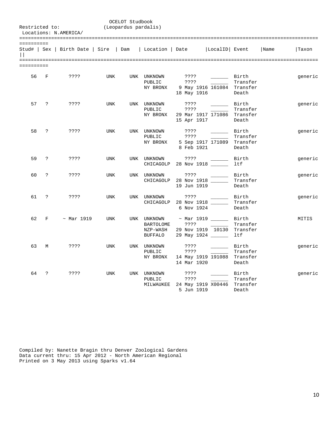| Restricted to:             |                    | Locations: N.AMERICA/                 |            | OCELOT Studbook<br>(Leopardus pardalis) |                                                 |                                                                               |                            |                                        |      |         |
|----------------------------|--------------------|---------------------------------------|------------|-----------------------------------------|-------------------------------------------------|-------------------------------------------------------------------------------|----------------------------|----------------------------------------|------|---------|
|                            |                    |                                       |            |                                         |                                                 |                                                                               |                            |                                        |      |         |
| ==========<br>$\mathbf{L}$ |                    | Stud#   Sex   Birth Date   Sire   Dam |            |                                         | Location   Date                                 |                                                                               | LocalID Event              |                                        | Name | Taxon   |
| ==========                 |                    |                                       |            |                                         |                                                 |                                                                               |                            |                                        |      |         |
| 56                         | $\mathbf F$        | ? ? ? ?                               | <b>UNK</b> |                                         | UNK UNKNOWN<br>PUBLIC<br>NY BRONX               | ????<br>????<br>18 May 1916                                                   | 9 May 1916 161084 Transfer | Birth<br>Transfer<br>Death             |      | generic |
| 57                         | $\cdot$            | ? ? ? ?                               | <b>UNK</b> |                                         | UNK UNKNOWN<br>PUBLIC<br>NY BRONX               | ????<br>????<br>29 Mar 1917 171086 Transfer<br>15 Apr 1917                    |                            | Birth<br>Transfer<br>Death             |      | generic |
| 58                         | ?                  | ????                                  | UNK        |                                         | UNK UNKNOWN<br>PUBLIC<br>NY BRONX               | ????<br>7.3.5.5<br>8 Feb 1921                                                 | 5 Sep 1917 171089          | Birth<br>Transfer<br>Transfer<br>Death |      | generic |
| 59                         | ?                  | ????                                  | UNK        |                                         | UNK UNKNOWN<br>CHICAGOLP                        | ????<br>28 Nov 1918                                                           |                            | Birth<br>ltf                           |      | generic |
| 60                         | $\overline{?}$     | ????                                  | <b>UNK</b> |                                         | UNK UNKNOWN<br>CHICAGOLP                        | ? ? ? ?<br>28 Nov 1918<br>19 Jun 1919                                         |                            | Birth<br>Transfer<br>Death             |      | generic |
| 61                         | $\overline{?}$     | ????                                  | <b>UNK</b> | UNK                                     | UNKNOWN<br>CHICAGOLP                            | ????<br>28 Nov 1918<br>6 Nov 1924                                             |                            | Birth<br>Transfer<br>Death             |      | generic |
| 62                         | $\mathbf{F}% _{0}$ | $~\sim$ Mar 1919                      | <b>UNK</b> |                                         | UNK UNKNOWN<br>BARTOLOME<br>NZP-WASH<br>BUFFALO | $~\sim$ Mar 1919 ______<br>? ? ? ?<br>29 Nov 1919 10130<br>29 May 1924 ______ |                            | Birth<br>Transfer<br>Transfer<br>ltf   |      | MITIS   |
| 63                         | M                  | ????                                  | <b>UNK</b> |                                         | UNK UNKNOWN<br>PUBLIC<br>NY BRONX               | ????<br>????<br>14 May 1919 191088 Transfer<br>14 Mar 1920                    | $\sim$ 100 $\mu$           | Birth<br>Transfer<br>Death             |      | generic |
| 64                         | $\overline{?}$     | ????                                  | UNK        |                                         | UNK UNKNOWN<br>PUBLIC<br>MILWAUKEE              | ????<br>? ? ? ?<br>24 May 1919 X00446 Transfer<br>5 Jun 1919                  | <b>Contract Contract</b>   | Birth<br>Transfer<br>Death             |      | generic |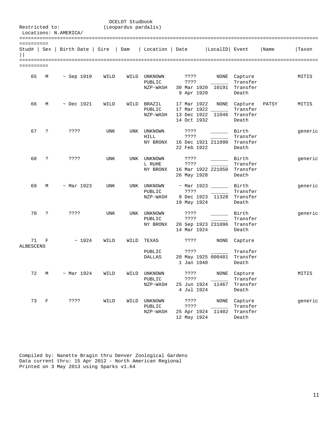|                 |             |                                       |      | OCELOT Studbook      |                        |                           |                             |                          |       |         |
|-----------------|-------------|---------------------------------------|------|----------------------|------------------------|---------------------------|-----------------------------|--------------------------|-------|---------|
| Restricted to:  |             | Locations: N.AMERICA/                 |      | (Leopardus pardalis) |                        |                           |                             |                          |       |         |
|                 |             |                                       |      |                      |                        |                           |                             |                          |       |         |
| ==========      |             | Stud#   Sex   Birth Date   Sire   Dam |      |                      | Location   Date        |                           | LocalID  Event              |                          | Name  | Taxon   |
| ==========      |             |                                       |      |                      |                        |                           |                             |                          |       |         |
|                 |             |                                       |      |                      |                        |                           |                             |                          |       |         |
| 65              | М           | $\sim$ Sep 1919                       | WILD |                      | WILD UNKNOWN<br>PUBLIC | ????<br>????              |                             | NONE Capture<br>Transfer |       | MITIS   |
|                 |             |                                       |      |                      | NZP-WASH               | 9 Apr 1920                | 30 Mar 1920 10191 Transfer  | Death                    |       |         |
| 66              | М           | $~\sim$ Dec 1921                      | WILD |                      | WILD BRAZIL<br>PUBLIC  | 17 Mar 1922               | NONE<br>17 Mar 1922         | Capture<br>Transfer      | PATSY | MITIS   |
|                 |             |                                       |      |                      | NZP-WASH               | 14 Oct 1932               | 13 Dec 1922 11046           | Transfer<br>Death        |       |         |
| 67              | ?           | ????                                  | UNK  | UNK                  | UNKNOWN                | ????                      |                             | Birth                    |       | generic |
|                 |             |                                       |      |                      | <b>HILL</b>            | ????                      |                             | Transfer                 |       |         |
|                 |             |                                       |      |                      | NY BRONX               |                           | 16 Dec 1921 211090 Transfer |                          |       |         |
|                 |             |                                       |      |                      |                        | 22 Feb 1922               |                             | Death                    |       |         |
| 68              | ?           | ????                                  | UNK  |                      | UNK UNKNOWN            | ????                      | <u>and the community</u>    | Birth                    |       | generic |
|                 |             |                                       |      |                      | L RUHE                 | ? ? ? ?                   |                             | Transfer                 |       |         |
|                 |             |                                       |      |                      | NY BRONX               | 26 May 1928               | 16 Mar 1922 221050          | Transfer<br>Death        |       |         |
|                 |             |                                       |      |                      |                        |                           |                             |                          |       |         |
| 69              | М           | $~\sim$ Mar 1923                      | UNK  |                      | UNK UNKNOWN            |                           | $\sim$ Mar 1923 $\sim$      | Birth                    |       | generic |
|                 |             |                                       |      |                      | PUBLIC                 | ????                      |                             | Transfer                 |       |         |
|                 |             |                                       |      |                      | NZP-WASH               | 19 May 1924               | 9 Dec 1923 11328            | Transfer                 |       |         |
|                 |             |                                       |      |                      |                        |                           |                             | Death                    |       |         |
| 70              | ?           | ????                                  | UNK  |                      | UNK UNKNOWN            | ????                      |                             | Birth                    |       | generic |
|                 |             |                                       |      |                      | PUBLIC                 | ? ? ? ?                   |                             | Transfer                 |       |         |
|                 |             |                                       |      |                      | NY BRONX               | 14 Mar 1924               | 20 Sep 1923 231096          | Transfer<br>Death        |       |         |
|                 |             |                                       |      |                      |                        |                           |                             |                          |       |         |
| 71<br>ALBESCENS | F           | ~1924                                 | WILD | WILD                 | TEXAS                  | ????                      |                             | NONE Capture             |       |         |
|                 |             |                                       |      |                      | PUBLIC                 | ????                      | <b>Contract Contract</b>    | Transfer                 |       |         |
|                 |             |                                       |      |                      | DALLAS                 |                           | 20 May 1925 000481          | Transfer                 |       |         |
|                 |             |                                       |      |                      |                        | 1 Jan 1940                |                             | Death                    |       |         |
| 72              | М           | $~\sim$ Mar 1924                      | WILD | WILD                 | UNKNOWN                | ????                      | NONE                        | Capture                  |       | MITIS   |
|                 |             |                                       |      |                      | PUBLIC                 | ????                      |                             | Transfer                 |       |         |
|                 |             |                                       |      |                      | NZP-WASH               | 25 Jun 1924<br>4 Jul 1924 | 11467                       | Transfer<br>Death        |       |         |
|                 |             |                                       |      |                      |                        |                           |                             |                          |       |         |
| 73              | $\mathbf F$ | ????                                  | WILD | WILD                 | UNKNOWN                | ????                      | NONE                        | Capture                  |       | generic |
|                 |             |                                       |      |                      | PUBLIC<br>NZP-WASH     | ????<br>25 Apr 1924       | 11402                       | Transfer<br>Transfer     |       |         |
|                 |             |                                       |      |                      |                        | 12 May 1924               |                             | Death                    |       |         |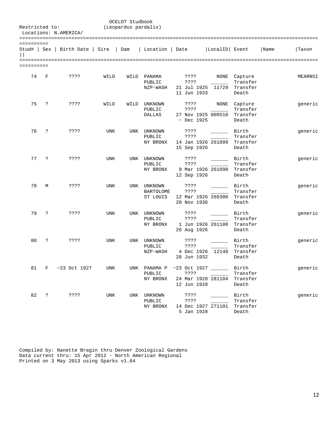| Restricted to:          |            | Locations: N.AMERICA/                 |            | OCELOT Studbook<br>(Leopardus pardalis) |                                                 |                                              |                             |                                               |      |         |
|-------------------------|------------|---------------------------------------|------------|-----------------------------------------|-------------------------------------------------|----------------------------------------------|-----------------------------|-----------------------------------------------|------|---------|
| ==========              |            | Stud#   Sex   Birth Date   Sire   Dam |            |                                         | Location   Date                                 |                                              | LocalID  Event              |                                               | Name | Taxon   |
| =========<br>========== |            |                                       |            |                                         |                                                 |                                              |                             |                                               |      |         |
| 74                      | $_{\rm F}$ | ????                                  | WILD       |                                         | WILD PANAMA<br>PUBLIC<br>NZP-WASH               | ????<br>????<br>11 Jun 1933                  | 21 Jul 1925 11729           | NONE Capture<br>Transfer<br>Transfer<br>Death |      | MEARNSI |
| 75                      | ?          | ????                                  | WILD       | WILD                                    | UNKNOWN<br>PUBLIC<br>DALLAS                     | ????<br>????<br>$~\sim$ Dec 1925             | NONE<br>27 Nov 1925 000510  | Capture<br>Transfer<br>Transfer<br>Death      |      | generic |
| 76                      | ?          | ????                                  | UNK        |                                         | UNK UNKNOWN<br>PUBLIC<br>NY BRONX               | ????<br>????<br>15 Sep 1926                  | 14 Jan 1926 261099          | Birth<br>Transfer<br>Transfer<br>Death        |      | generic |
| 77                      | ?          | ????                                  | UNK        | UNK                                     | UNKNOWN<br>PUBLIC<br>NY BRONX                   | ????<br>????<br>12 Sep 1926                  | 9 Mar 1926 261098           | Birth<br>Transfer<br>Transfer<br>Death        |      | generic |
| 78                      | М          | ????                                  | UNK        |                                         | UNK UNKNOWN<br>BARTOLOME<br>ST LOUIS            | ????<br>????<br>20 Nov 1936                  | 12 Mar 1926 260300          | Birth<br>Transfer<br>Transfer<br>Death        |      | generic |
| 79                      | ?          | ????                                  | <b>UNK</b> | UNK                                     | UNKNOWN<br>PUBLIC<br>NY BRONX                   | ????<br>????<br>26 Aug 1926                  | 1 Jun 1926 261100           | Birth<br>Transfer<br>Transfer<br>Death        |      | generic |
| 80                      | ?          | ????                                  | UNK        |                                         | UNK UNKNOWN<br>PUBLIC<br>NZP-WASH               | ????<br>7.3.5.5<br>4 Dec 1926<br>28 Jun 1932 | 12148                       | Birth<br>Transfer<br>Transfer<br>Death        |      | generic |
|                         |            | 81 F ~23 Oct 1927                     | UNK        |                                         | UNK PANAMA P ~23 Oct 1927<br>PUBLIC<br>NY BRONX | ????<br>12 Jun 1928                          | 24 Mar 1928 281104 Transfer | Birth<br>Transfer<br>Death                    |      | generic |
| 82                      | $\ddot{ }$ | ????                                  | UNK        |                                         | UNK UNKNOWN<br>PUBLIC<br>NY BRONX               | ????<br>? ? ? ?<br>5 Jan 1928                | 14 Dec 1927 271101 Transfer | Birth<br>Transfer<br>Death                    |      | generic |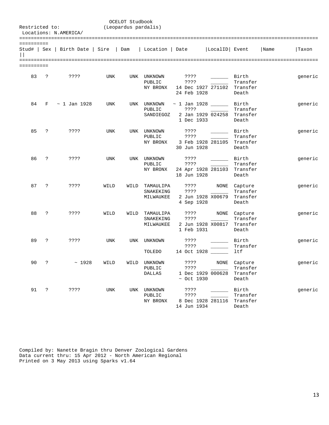| Restricted to:        |                | Locations: N.AMERICA/                 |            | OCELOT Studbook<br>(Leopardus pardalis) |                                          |                                               |                              |                                               |      |         |
|-----------------------|----------------|---------------------------------------|------------|-----------------------------------------|------------------------------------------|-----------------------------------------------|------------------------------|-----------------------------------------------|------|---------|
| ==========            |                | Stud#   Sex   Birth Date   Sire   Dam |            |                                         | Location   Date                          |                                               | LocalID Event                |                                               | Name | Taxon   |
| =======<br>========== |                |                                       |            |                                         |                                          |                                               |                              |                                               |      |         |
| 83                    | $\mathbf{P}$   | ????                                  | UNK        |                                         | UNK UNKNOWN<br>PUBLIC<br>NY BRONX        | ????<br>????<br>24 Feb 1928                   | 14 Dec 1927 271102 Transfer  | Birth<br>Transfer<br>Death                    |      | generic |
| 84                    | F              | $\sim$ 1 Jan 1928                     | UNK        |                                         | UNK UNKNOWN<br>PUBLIC<br>SANDIEGOZ       | $\sim$ 1 Jan 1928 _____<br>????<br>1 Dec 1933 | 2 Jan 1929 024258            | Birth<br>Transfer<br>Transfer<br>Death        |      | generic |
| 85                    | ?              | ????                                  | <b>UNK</b> |                                         | UNK UNKNOWN<br>PUBLIC<br>NY BRONX        | ????<br>? ? ? ?<br>30 Jun 1928                | 3 Feb 1928 281105 Transfer   | Birth<br>Transfer<br>Death                    |      | generic |
| 86                    | $\ddot{ }$     | ????                                  | UNK        |                                         | UNK UNKNOWN<br>PUBLIC<br>NY BRONX        | ????<br>????<br>18 Jun 1928                   | $\sim$<br>24 Apr 1928 281103 | Birth<br>Transfer<br>Transfer<br>Death        |      | generic |
| 87                    | $\ddot{ }$     | ????                                  | WILD       | WILD                                    | TAMAULIPA<br>SNAKEKING<br>MILWAUKEE      | ????<br>????<br>4 Sep 1928                    | 2 Jun 1928 X00679            | NONE Capture<br>Transfer<br>Transfer<br>Death |      | generic |
| 88                    | ?              | ????                                  | WILD       |                                         | WILD TAMAULIPA<br>SNAKEKING<br>MILWAUKEE | ????<br>????<br>1 Feb 1931                    | NONE<br>2 Jun 1928 X00817    | Capture<br>Transfer<br>Transfer<br>Death      |      | generic |
| 89                    | S.             | ????                                  | <b>UNK</b> | UNK                                     | UNKNOWN<br>TOLEDO                        | ????<br>????<br>14 Oct 1928                   |                              | Birth<br>Transfer<br>ltf                      |      | generic |
| 90 ?                  |                | ~1928                                 | WILD       | WILD                                    | UNKNOWN<br>PUBLIC<br><b>DALLAS</b>       | ????<br>????<br>$~\sim$ Oct 1930              | NONE<br>1 Dec 1929 000628    | Capture<br>Transfer<br>Transfer<br>Death      |      | generic |
| 91                    | $\ddot{\cdot}$ | ????                                  | <b>UNK</b> |                                         | UNK UNKNOWN<br>PUBLIC<br>NY BRONX        | ????<br>????<br>14 Jun 1934                   | 8 Dec 1928 281116            | Birth<br>Transfer<br>Transfer<br>Death        |      | generic |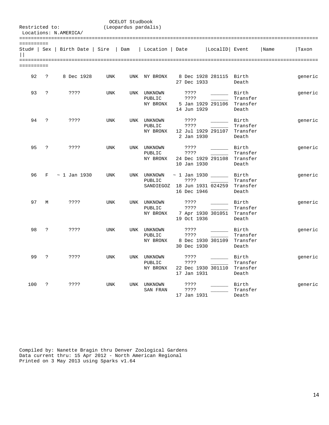| Restricted to: |                      | Locations: N.AMERICA/                                   | OCELOT Studbook<br>(Leopardus pardalis) |     |                                   |                                                                          |                         |                                        |      |         |  |
|----------------|----------------------|---------------------------------------------------------|-----------------------------------------|-----|-----------------------------------|--------------------------------------------------------------------------|-------------------------|----------------------------------------|------|---------|--|
| ==========     |                      |                                                         |                                         |     |                                   |                                                                          |                         |                                        |      |         |  |
|                |                      | Stud#   Sex   Birth Date   Sire   Dam   Location   Date |                                         |     |                                   |                                                                          | LocalID Event           |                                        | Name | Taxon   |  |
| ==========     |                      |                                                         |                                         |     |                                   |                                                                          |                         |                                        |      |         |  |
| 92             | $\ddot{ }$           | 8 Dec 1928                                              | <b>UNK</b>                              |     | UNK NY BRONX                      | 27 Dec 1933                                                              | 8 Dec 1928 281115 Birth | Death                                  |      | generic |  |
| 93             | $\ddot{ }$           | ????                                                    | UNK                                     |     | UNK UNKNOWN<br>PUBLIC<br>NY BRONX | ????<br>????<br>14 Jun 1929                                              | 5 Jan 1929 291106       | Birth<br>Transfer<br>Transfer<br>Death |      | generic |  |
| 94             | ?                    | ????                                                    | UNK                                     |     | UNK UNKNOWN<br>PUBLIC<br>NY BRONX | ????<br>????<br>2 Jan 1930                                               | 12 Jul 1929 291107      | Birth<br>Transfer<br>Transfer<br>Death |      | generic |  |
| 95             | $\ddot{\phantom{0}}$ | ????                                                    | <b>UNK</b>                              |     | UNK UNKNOWN<br>PUBLIC<br>NY BRONX | ????<br>????<br>10 Jan 1930                                              | 24 Dec 1929 291108      | Birth<br>Transfer<br>Transfer<br>Death |      | generic |  |
| 96             |                      | $F \sim 1$ Jan 1930                                     | <b>UNK</b>                              |     | UNK UNKNOWN<br>PUBLIC             | $\sim$ 1 Jan 1930<br>????<br>SANDIEGOZ 18 Jun 1931 024259<br>16 Dec 1946 |                         | Birth<br>Transfer<br>Transfer<br>Death |      | generic |  |
| 97             | М                    | ????                                                    | <b>UNK</b>                              |     | UNK UNKNOWN<br>PUBLIC<br>NY BRONX | ????<br>????<br>19 Oct 1936                                              | 7 Apr 1930 301051       | Birth<br>Transfer<br>Transfer<br>Death |      | generic |  |
| 98             | $\ddot{\phantom{0}}$ | ? ? ? ?                                                 | <b>UNK</b>                              |     | UNK UNKNOWN<br>PUBLIC<br>NY BRONX | ????<br>????<br>30 Dec 1930                                              | 8 Dec 1930 301109       | Birth<br>Transfer<br>Transfer<br>Death |      | generic |  |
| 99             | $\ddot{ }$           | ? ? ? ?                                                 | <b>UNK</b>                              |     | UNK UNKNOWN<br>PUBLIC<br>NY BRONX | ????<br>????<br>17 Jan 1931                                              | 22 Dec 1930 301110      | Birth<br>Transfer<br>Transfer<br>Death |      | generic |  |
| 100            | ?                    | ????                                                    | <b>UNK</b>                              | UNK | UNKNOWN<br>SAN FRAN               | ????<br>????<br>17 Jan 1931                                              |                         | Birth<br>Transfer<br>Death             |      | generic |  |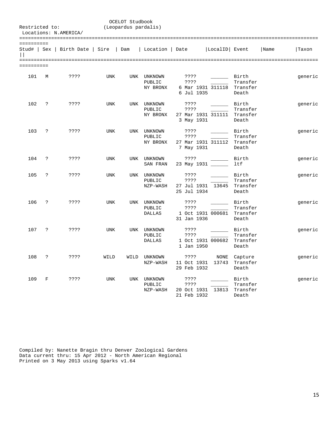| Restricted to: |            | Locations: N.AMERICA/                 |            | OCELOT Studbook<br>(Leopardus pardalis) |                                        |                                                           |                            |                                        |      |         |
|----------------|------------|---------------------------------------|------------|-----------------------------------------|----------------------------------------|-----------------------------------------------------------|----------------------------|----------------------------------------|------|---------|
| ==========     |            | Stud#   Sex   Birth Date   Sire   Dam |            |                                         | Location   Date                        |                                                           | LocalID  Event             |                                        | Name | Taxon   |
| ==========     |            |                                       |            |                                         |                                        |                                                           |                            |                                        |      |         |
| 101            | M          | 3333                                  | UNK        |                                         | UNK UNKNOWN<br>PUBLIC<br>NY BRONX      | ????<br>7.3.5.5<br>6 Jul 1935                             | 6 Mar 1931 311118          | Birth<br>Transfer<br>Transfer<br>Death |      | generic |
| 102            | $\ddot{ }$ | ????                                  | <b>UNK</b> |                                         | UNK UNKNOWN<br>PUBLIC<br>NY BRONX      | ????<br>????<br>27 Mar 1931 311111 Transfer<br>3 May 1931 |                            | Birth<br>Transfer<br>Death             |      | generic |
| 103            | ?          | ????                                  | UNK        |                                         | UNK UNKNOWN<br>PUBLIC<br>NY BRONX      | ????<br>????<br>27 Mar 1931 311112<br>7 May 1931          |                            | Birth<br>Transfer<br>Transfer<br>Death |      | generic |
| 104            | $\ddot{ }$ | ????                                  | <b>UNK</b> | UNK                                     | UNKNOWN<br>SAN FRAN                    | ????<br>23 May 1931 ______                                |                            | Birth<br>ltf                           |      | generic |
| 105            | $\ddot{ }$ | ????                                  | <b>UNK</b> | <b>UNK</b>                              | UNKNOWN<br>PUBLIC<br>NZP-WASH          | 7.3.5.5<br>????<br>27 Jul 1931 13645<br>25 Jul 1934       |                            | Birth<br>Transfer<br>Transfer<br>Death |      | generic |
| 106            | ?          | ????                                  | <b>UNK</b> |                                         | UNK UNKNOWN<br>PUBLIC<br>DALLAS        | ????<br>????<br>31 Jan 1936                               | 1 Oct 1931 000681 Transfer | Birth<br>Transfer<br>Death             |      | generic |
| 107            | $\ddot{ }$ | 3333                                  | <b>UNK</b> |                                         | UNK UNKNOWN<br>PUBLIC<br><b>DALLAS</b> | ????<br>7.3.5.5<br>1 Jan 1950                             | 1 Oct 1931 000682          | Birth<br>Transfer<br>Transfer<br>Death |      | generic |
| 108            | $\ddot{ }$ | ????                                  | WILD       | WILD                                    | UNKNOWN<br>NZP-WASH                    | ????<br>11 Oct 1931 13743<br>29 Feb 1932                  | NONE                       | Capture<br>Transfer<br>Death           |      | generic |
| 109            | F          | ????                                  | UNK        |                                         | UNK UNKNOWN<br>PUBLIC<br>NZP-WASH      | ????<br>????<br>20 Oct 1931<br>21 Feb 1932                | 13813                      | Birth<br>Transfer<br>Transfer<br>Death |      | generic |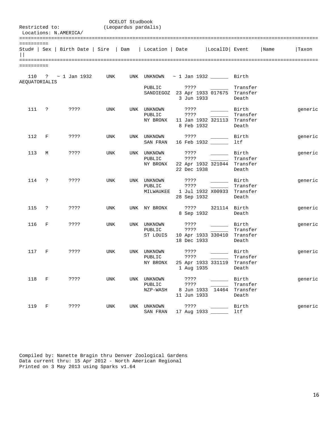|                      |           | Restricted to:<br>Locations: N.AMERICA/                                          | (Leopardus pardalis) | OCELOT Studbook |                                   |                                                                            |                                                                                                                            |                                        |         |
|----------------------|-----------|----------------------------------------------------------------------------------|----------------------|-----------------|-----------------------------------|----------------------------------------------------------------------------|----------------------------------------------------------------------------------------------------------------------------|----------------------------------------|---------|
| ==========           |           |                                                                                  |                      |                 |                                   |                                                                            |                                                                                                                            |                                        |         |
|                      |           | Stud#   Sex   Birth Date   Sire   Dam   Location   Date   LocalID   Event   Name |                      |                 |                                   |                                                                            |                                                                                                                            |                                        | Taxon   |
| ==========           |           |                                                                                  |                      |                 |                                   |                                                                            |                                                                                                                            |                                        |         |
| <b>AEQUATORIALIS</b> |           | 110 ? $\sim$ 1 Jan 1932 UNK UNK UNKNOWN $\sim$ 1 Jan 1932 Birth                  |                      |                 |                                   |                                                                            |                                                                                                                            |                                        |         |
|                      |           |                                                                                  |                      |                 | PUBLIC                            | ????<br>SANDIEGOZ 23 Apr 1933 017675 Transfer                              | 3 Jun 1933                                                                                                                 | Transfer<br>Death                      |         |
|                      |           | 111 ? ????                                                                       | UNK                  |                 | UNK UNKNOWN                       | ? ? ? ?<br>NY BRONX 11 Jan 1932 321113 Transfer<br>8 Feb 1932              | Birth Birth                                                                                                                | Transfer<br>Death                      | generic |
| 112                  | F         | ????                                                                             | UNK                  |                 |                                   | UNK UNKNOWN ????<br>SAN FRAN 16 Feb 1932                                   | Birth                                                                                                                      | ltf                                    | generic |
| 113                  | M         | ????                                                                             | UNK                  |                 | UNK UNKNOWN<br>PUBLIC<br>NY BRONX | ????<br>????                                                               | Birth<br>22 Apr 1932 321044 Transfer<br>22 Dec 1938                                                                        | Transfer<br>Death                      | generic |
|                      | 114 ?     | ????                                                                             | UNK                  |                 | UNK UNKNOWN                       | ????<br>PUBLIC ????<br>MILWAUKEE 1 Jul 1932 X00933 Transfer<br>28 Sep 1932 | Birth Birth                                                                                                                | Transfer<br>Death                      | generic |
| 115                  | $\cdot$ ? | ????                                                                             | UNK                  |                 | UNK NY BRONX                      | 8 Sep 1932                                                                 | ???? 321114 Birth                                                                                                          | Death                                  | generic |
| 116                  | F         | ????                                                                             | UNK                  |                 | UNK UNKNOWN<br>PUBLIC<br>ST LOUIS | ????<br>????<br>18 Dec 1933                                                | Birth<br>10 Apr 1933 330410 Transfer                                                                                       | Transfer<br>Death                      | generic |
| 117                  | F         | ????                                                                             | UNK                  |                 | UNK UNKNOWN<br>PUBLIC<br>NY BRONX | ????<br>????<br>1 Aug 1935                                                 | Birth<br>25 Apr 1933 331119 Transfer                                                                                       | Transfer<br>Death                      | generic |
|                      |           | 118 F ????                                                                       | UNK                  |                 | UNK UNKNOWN<br>PUBLIC<br>NZP-WASH | ????<br>????<br>11 Jun 1933                                                | 8 Jun 1933 14464                                                                                                           | Birth<br>Transfer<br>Transfer<br>Death | generic |
|                      | 119 F     | ????                                                                             | UNK                  |                 | UNK UNKNOWN<br>SAN FRAN           | ? ? ? ?<br>17 Aug 1933 _____                                               | $\mathcal{L}^{\mathcal{L}}(\mathcal{L}^{\mathcal{L}})$ . The set of $\mathcal{L}^{\mathcal{L}}(\mathcal{L}^{\mathcal{L}})$ | Birth<br>ltf                           | generic |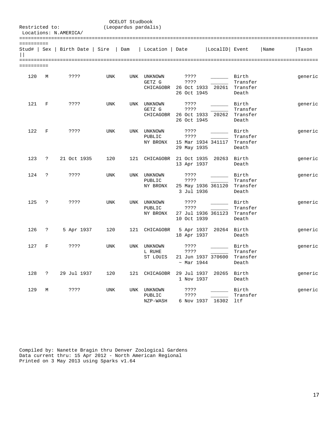| Restricted to:            |            | Locations: N.AMERICA/ |            | OCELOT Studbook<br>(Leopardus pardalis) |                                            |                                            |                        |                                        |      |         |
|---------------------------|------------|-----------------------|------------|-----------------------------------------|--------------------------------------------|--------------------------------------------|------------------------|----------------------------------------|------|---------|
| ==========<br>Stud#   Sex |            | Birth Date   Sire     |            | Dam                                     | Location   Date                            |                                            | LocalID Event          |                                        | Name | Taxon   |
| ==========                |            |                       |            |                                         |                                            |                                            |                        |                                        |      |         |
| 120                       | М          | ????                  | UNK        | UNK                                     | UNKNOWN<br>GETZ G<br>CHICAGOBR 26 Oct 1933 | ????<br>????<br>26 Oct 1945                | 20261                  | Birth<br>Transfer<br>Transfer<br>Death |      | generic |
| 121                       | F          | ????                  | UNK        |                                         | UNK UNKNOWN<br>GETZ G<br>CHICAGOBR         | ????<br>????<br>26 Oct 1933<br>26 Oct 1945 | 20262                  | Birth<br>Transfer<br>Transfer<br>Death |      | generic |
| 122                       | $_{\rm F}$ | ????                  | <b>UNK</b> | UNK                                     | UNKNOWN<br>PUBLIC<br>NY BRONX              | ????<br>????<br>29 May 1935                | 15 Mar 1934 341117     | Birth<br>Transfer<br>Transfer<br>Death |      | generic |
| 123                       | $\ddot{ }$ | 21 Oct 1935           | 120        | 121                                     | CHICAGOBR                                  | 21 Oct 1935<br>13 Apr 1937                 | 20263                  | Birth<br>Death                         |      | generic |
| 124                       | ?          | ????                  | UNK        |                                         | UNK UNKNOWN<br>PUBLIC<br>NY BRONX          | ????<br>????<br>3 Jul 1936                 | 25 May 1936 361120     | Birth<br>Transfer<br>Transfer<br>Death |      | generic |
| 125                       | ?          | ????                  | <b>UNK</b> | UNK                                     | UNKNOWN<br>PUBLIC<br>NY BRONX              | ????<br>????<br>10 Oct 1939                | 27 Jul 1936 361123     | Birth<br>Transfer<br>Transfer<br>Death |      | generic |
| 126                       | ?          | 5 Apr 1937            | 120        |                                         | 121 CHICAGOBR                              | 18 Apr 1937                                | 5 Apr 1937 20264 Birth | Death                                  |      | generic |
| 127                       | F          | ????                  | <b>UNK</b> |                                         | UNK UNKNOWN<br>L RUHE<br>ST LOUIS          | ????<br>????<br>~ Mar 1944                 | 21 Jun 1937 370600     | Birth<br>Transfer<br>Transfer<br>Death |      | generic |
| 128                       | $\ddot{?}$ | 29 Jul 1937           | 120        |                                         | 121 CHICAGOBR 29 Jul 1937 20265 Birth      | 1 Nov 1937                                 |                        | Death                                  |      | generic |
| 129                       | М          | ????                  | UNK        |                                         | UNK UNKNOWN<br>PUBLIC<br>NZP-WASH          | ????<br>? ? ? ?                            | 6 Nov 1937 16302 ltf   | Birth<br>Transfer                      |      | generic |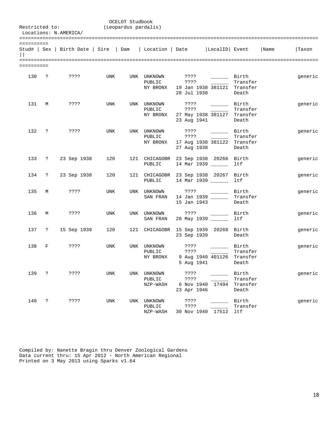|            |                      | Restricted to:<br>Locations: N.AMERICA/                                   | (Leopardus pardalis) | OCELOT Studbook |                                                     |                                                    |                                                                                                                                                                                    |                                        |      |         |
|------------|----------------------|---------------------------------------------------------------------------|----------------------|-----------------|-----------------------------------------------------|----------------------------------------------------|------------------------------------------------------------------------------------------------------------------------------------------------------------------------------------|----------------------------------------|------|---------|
| ========== |                      | Stud#   Sex   Birth Date   Sire   Dam   Location   Date   LocalID   Event |                      |                 |                                                     |                                                    |                                                                                                                                                                                    |                                        | Name | Taxon   |
| ========== |                      |                                                                           |                      |                 |                                                     |                                                    |                                                                                                                                                                                    |                                        |      |         |
|            |                      | 130 ? ????                                                                | UNK                  |                 | UNK UNKNOWN<br>NY BRONX 19 Jan 1938 381121 Transfer | $??\ ??$<br>28 Jul 1938                            | Birth Birth                                                                                                                                                                        | Transfer<br>Death                      |      | generic |
| 131        | M                    | ????                                                                      | UNK                  |                 | UNK UNKNOWN<br>PUBLIC<br>NY BRONX                   | 777?<br>????<br>23 Aug 1941                        | $\rule{1em}{0.15mm}$ Birth<br>$\mathcal{L}^{\mathcal{L}}(\mathcal{L}^{\mathcal{L}})$ , where $\mathcal{L}^{\mathcal{L}}(\mathcal{L}^{\mathcal{L}})$<br>27 May 1938 381127 Transfer | Transfer<br>Death                      |      | generic |
| 132 ?      |                      | ? ? ? ?                                                                   | UNK                  |                 | UNK UNKNOWN<br>PUBLIC<br>NY BRONX                   | ????<br>17 Aug 1938 381122 Transfer<br>27 Aug 1938 | Birth                                                                                                                                                                              | Transfer<br>Death                      |      | generic |
|            |                      | 133 ? 23 Sep 1938                                                         | 120                  |                 | 121 CHICAGOBR<br>PUBLIC                             |                                                    | 23 Sep 1938 20266 Birth<br>14 Mar 1939 ______                                                                                                                                      | ltf                                    |      | generic |
|            | 134 ?                | 23 Sep 1938                                                               | 120                  |                 | 121 CHICAGOBR 23 Sep 1938 20267 Birth<br>PUBLIC     | 14 Mar 1939 ______                                 |                                                                                                                                                                                    | ltf                                    |      | generic |
|            | 135 M                | ????                                                                      | <b>UNK</b>           | UNK             | UNKNOWN<br>SAN FRAN                                 | ? ? ? ?<br>14 Jan 1939 ______<br>15 Jan 1943       |                                                                                                                                                                                    | Birth<br>Transfer<br>Death             |      | generic |
| 136        | M                    | ????                                                                      | <b>UNK</b>           |                 | UNK UNKNOWN<br>SAN FRAN                             | ????<br>28 May 1939 ______                         | $\mathcal{L}(\mathcal{L})$                                                                                                                                                         | Birth<br>ltf                           |      | generic |
|            | 137 ?                | 15 Sep 1939                                                               | 120                  |                 | 121 CHICAGOBR 15 Sep 1939 20268 Birth               | 23 Sep 1939                                        |                                                                                                                                                                                    | Death                                  |      | generic |
| 138        | F                    | ????                                                                      | <b>UNK</b>           |                 | UNK UNKNOWN<br>PUBLIC<br>NY BRONX                   | ????<br>????<br>5 Aug 1941                         | Birth<br>9 Aug 1940 401126 Transfer                                                                                                                                                | Transfer<br>Death                      |      | generic |
| 139        | $\ddot{\phantom{0}}$ | ????                                                                      | UNK                  |                 | UNK UNKNOWN<br>PUBLIC<br>NZP-WASH                   | ????<br>????<br>23 Apr 1946                        | 6 Nov 1940 17494                                                                                                                                                                   | Birth<br>Transfer<br>Transfer<br>Death |      | generic |
| 140        | $\mathbf{P}$         | ????                                                                      | UNK                  | UNK             | UNKNOWN<br>PUBLIC<br>NZP-WASH                       | ????<br>????<br>30 Nov 1940 17512                  |                                                                                                                                                                                    | Birth<br>Transfer<br>ltf               |      | generic |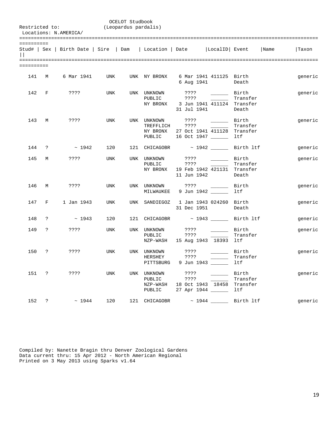|            |              | Restricted to:<br>Locations: N.AMERICA/ | (Leopardus pardalis) | OCELOT Studbook |                                             |                                                                                                                                                                                                                                                                                           |                                             |                                                                                          |
|------------|--------------|-----------------------------------------|----------------------|-----------------|---------------------------------------------|-------------------------------------------------------------------------------------------------------------------------------------------------------------------------------------------------------------------------------------------------------------------------------------------|---------------------------------------------|------------------------------------------------------------------------------------------|
| ========== |              |                                         |                      |                 |                                             |                                                                                                                                                                                                                                                                                           |                                             |                                                                                          |
|            |              |                                         |                      |                 |                                             |                                                                                                                                                                                                                                                                                           |                                             | Stud#   Sex   Birth Date   Sire   Dam   Location   Date   LocalID   Event   Name   Taxon |
| ========== |              |                                         |                      |                 |                                             |                                                                                                                                                                                                                                                                                           |                                             |                                                                                          |
|            |              | 141 M 6 Mar 1941                        | <b>UNK</b>           |                 | UNK NY BRONX                                | 6 Mar 1941 411125 Birth<br>6 Aug 1941                                                                                                                                                                                                                                                     | Death                                       | generic                                                                                  |
|            |              | 142 F ????                              | UNK                  |                 | UNK UNKNOWN                                 | ? ? ? ?<br>PUBLIC ????<br>NY BRONX 3 Jun 1941 411124 Transfer<br>31 Jul 1941                                                                                                                                                                                                              | <b>Example 1</b> Birth<br>Transfer<br>Death | generic                                                                                  |
|            |              | 143 M ????                              | UNK                  |                 |                                             | TREFFLICH ???? 2000<br>NY BRONX 27 Oct 1941 411128 Transfer<br>PUBLIC 16 Oct 1947 _______ ltf                                                                                                                                                                                             | Transfer                                    | generic                                                                                  |
|            | 144 ?        | $\sim 1942$                             |                      |                 |                                             | $120$ 121 CHICAGOBR $\sim$ 1942 Birth ltf                                                                                                                                                                                                                                                 |                                             | generic                                                                                  |
| 145        |              | M ????                                  | UNK                  |                 | UNK UNKNOWN<br>PUBLIC                       | ? ? ? ?<br>????<br>NY BRONX 19 Feb 1942 421131 Transfer<br>11 Jun 1942                                                                                                                                                                                                                    | Birth<br>Transfer<br>Death                  | generic                                                                                  |
|            |              | 146 M ????                              | UNK                  |                 | MILWAUKEE                                   | UNK UNKNOWN ????<br>9 Jun 1942 1tf                                                                                                                                                                                                                                                        | Birth Birth                                 | generic                                                                                  |
|            | 147 F        | 1 Jan 1943                              | UNK                  |                 |                                             | UNK SANDIEGOZ 1 Jan 1943 024260 Birth<br>31 Dec 1951                                                                                                                                                                                                                                      | Death                                       | generic                                                                                  |
|            | 148 ?        | $\sim 1943$                             | 120                  |                 |                                             | 121 CHICAGOBR ~ 1943 ______ Birth ltf                                                                                                                                                                                                                                                     |                                             | generic                                                                                  |
| 149        |              | $? \t????$                              | UNK                  |                 | UNK UNKNOWN<br>PUBLIC                       | 7777<br>? ? ? ?<br><u>and the company of the company of the company of the company of the company of the company of the company of the company of the company of the company of the company of the company of the company of the company of the com</u><br>NZP-WASH 15 Aug 1943 18393 ltf | Birth<br>Transfer                           | generic                                                                                  |
| 150        | $\mathbb{R}$ | ? ? ? ?                                 | UNK                  |                 | UNK UNKNOWN ????<br>HERSHEY<br>PITTSBURG    | ????<br>9 Jun 1943 _____                                                                                                                                                                                                                                                                  | Birth<br>Transfer<br>ltf                    | generic                                                                                  |
|            | 151 ?        | ? ? ? ?                                 | UNK                  |                 | UNK UNKNOWN<br>PUBLIC<br>NZP-WASH<br>PUBLIC | ????<br>? ? ? ?<br>18 Oct 1943 18458<br>27 Apr 1944 _____                                                                                                                                                                                                                                 | Birth<br>Transfer<br>Transfer<br>ltf        | generic                                                                                  |
| 152        | $\ddot{?}$   | ~1944                                   | 120                  | 121             | CHICAGOBR                                   |                                                                                                                                                                                                                                                                                           | $\sim$ 1944 ________ Birth ltf              | generic                                                                                  |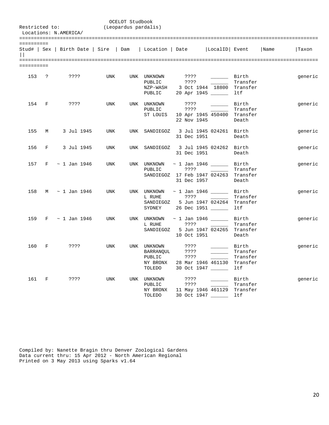| Restricted to:        |             | Locations: N.AMERICA/                                   |            | OCELOT Studbook<br>(Leopardus pardalis) |                                                                |                                                                           |                          |                                  |      |         |
|-----------------------|-------------|---------------------------------------------------------|------------|-----------------------------------------|----------------------------------------------------------------|---------------------------------------------------------------------------|--------------------------|----------------------------------|------|---------|
| ==========<br>$\perp$ |             | Stud#   Sex   Birth Date   Sire   Dam   Location   Date |            |                                         |                                                                |                                                                           | LocalID  Event           |                                  | Name | Taxon   |
| ==========            |             |                                                         |            |                                         |                                                                |                                                                           |                          |                                  |      |         |
|                       | 153 ?       | ????                                                    | UNK        |                                         | UNK UNKNOWN<br>PUBLIC<br>NZP-WASH<br>PUBLIC                    | ????<br>????<br>3 Oct 1944 18800 Transfer<br>20 Apr 1945                  | $\overline{\phantom{a}}$ | Birth<br>Transfer<br>ltf         |      | generic |
| 154                   | $\mathbf F$ | ? ? ? ?                                                 | <b>UNK</b> |                                         | UNK UNKNOWN<br>PUBLIC<br>ST LOUIS                              | ????<br>????<br>10 Apr 1945 450400 Transfer<br>22 Nov 1945                |                          | Birth Birth<br>Transfer<br>Death |      | generic |
| 155                   | М           | 3 Jul 1945                                              | UNK        |                                         | UNK SANDIEGOZ                                                  | 3 Jul 1945 024261 Birth<br>31 Dec 1951                                    |                          | Death                            |      | generic |
| 156                   | F           | 3 Jul 1945                                              | UNK        | UNK                                     | SANDIEGOZ 3 Jul 1945 024262 Birth                              | 31 Dec 1951                                                               |                          | Death                            |      | generic |
| 157                   |             | $F \sim 1$ Jan 1946                                     | UNK        |                                         | UNK UNKNOWN $\sim$ 1 Jan 1946 $\sim$ Birth<br>PUBLIC           | ????<br>SANDIEGOZ 17 Feb 1947 024263 Transfer<br>31 Dec 1957              |                          | Transfer<br>Death                |      | generic |
| 158                   |             | M ~ 1 Jan 1946                                          | UNK        |                                         | UNK UNKNOWN $\sim$ 1 Jan 1946 $\sim$ Birth<br>L RUHE<br>SYDNEY | ????<br>SANDIEGOZ 5 Jun 1947 024264 Transfer<br>26 Dec 1951 ______        |                          | Transfer<br>ltf                  |      | generic |
| 159                   |             | F ~ 1 Jan 1946                                          | UNK        |                                         | UNK UNKNOWN $\sim$ 1 Jan 1946 $\_\_\_\_\_\_\_$ Birth<br>L RUHE | ????<br>SANDIEGOZ 5 Jun 1947 024265 Transfer<br>10 Oct 1951               | <b>Contract Contract</b> | Transfer<br>Death                |      | generic |
| 160                   | F           | ? ? ? ?                                                 | <b>UNK</b> |                                         | UNK UNKNOWN<br>BARRANQUL<br>PUBLIC<br>NY BRONX<br>TOLEDO       | ????<br>????<br>????<br>28 Mar 1946 461130 Transfer<br>30 Oct 1947 ______ | Birth                    | Transfer<br>Transfer<br>ltf      |      | generic |
| 161                   | $\mathbf F$ | 7.3.5.5                                                 | <b>UNK</b> |                                         | UNK UNKNOWN<br>PUBLIC<br>NY BRONX<br>TOLEDO                    | ????<br>????<br>11 May 1946 461129 Transfer<br>30 Oct 1947 _______ ltf    |                          | Birth<br>Transfer                |      | generic |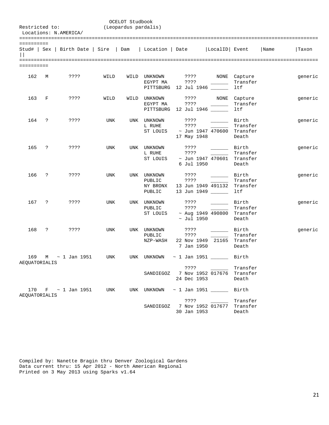| Restricted to:<br>Locations: N.AMERICA/ |            |                         |      | OCELOT Studbook<br>(Leopardus pardalis) |                                                                           |                                   |                                                                                                      |                                                               |      |         |
|-----------------------------------------|------------|-------------------------|------|-----------------------------------------|---------------------------------------------------------------------------|-----------------------------------|------------------------------------------------------------------------------------------------------|---------------------------------------------------------------|------|---------|
| ==========                              |            |                         |      |                                         | Stud#   Sex   Birth Date   Sire   Dam   Location   Date   LocalID   Event |                                   |                                                                                                      |                                                               | Name | Taxon   |
| ==========                              |            |                         |      |                                         |                                                                           |                                   |                                                                                                      |                                                               |      |         |
| 162                                     | М          | ????                    | WILD |                                         | WILD UNKNOWN<br>EGYPT MA<br>PITTSBURG 12 Jul 1946 ______                  | ? ? ? ?                           | $\frac{1}{2} \left( \frac{1}{2} \right)^2 \left( \frac{1}{2} \right)^2 \left( \frac{1}{2} \right)^2$ | ???? NONE Capture<br>Transfer<br>ltf                          |      | generic |
| 163                                     | F          | ????                    | WILD | WILD                                    | UNKNOWN<br>EGYPT MA<br>PITTSBURG 12 Jul 1946 ______                       | ? ? ? ?                           | ???? NONE                                                                                            | Capture<br>Transfer<br>ltf                                    |      | generic |
| 164                                     | $\cdot$    | ????                    | UNK  |                                         | UNK UNKNOWN<br>L RUHE<br>ST LOUIS                                         | ????<br>????<br>17 May 1948       | <u>and the state</u>                                                                                 | Birth<br>Transfer<br>~ Jun 1947 470600 Transfer<br>Death      |      | generic |
| 165                                     | $\cdot$    | ????                    | UNK  |                                         | UNK UNKNOWN<br>L RUHE<br>ST LOUIS                                         | ????<br>????<br>6 Jul 1950        | <b>Contract</b>                                                                                      | Birth<br>Transfer<br>$\sim$ Jun 1947 470601 Transfer<br>Death |      | generic |
| 166                                     | $\ddot{ }$ | ????                    | UNK  |                                         | UNK UNKNOWN<br>PUBLIC<br>NY BRONX<br>PUBLIC                               | ????<br>????<br>13 Jun 1949 _____ | <b>Contract Contract</b><br>13 Jun 1949 491132                                                       | Birth<br>Transfer<br>Transfer<br>ltf                          |      | generic |
| 167                                     | $\cdot$    | ????                    | UNK  |                                         | UNK UNKNOWN<br>PUBLIC<br>ST LOUIS                                         | ????<br>????<br>$\sim$ Jul 1950   | <b>Birth</b><br><b>Contract Contract</b>                                                             | Transfer<br>$~\sim$ Aug 1949 490800 Transfer<br>Death         |      | generic |
| 168                                     | $\ddot{ }$ | ????                    | UNK  |                                         | UNK UNKNOWN<br>PUBLIC<br>NZP-WASH                                         | ????<br>????<br>7 Jan 1950        | <u> 1999 - Jan Jan Jawa</u><br>22 Nov 1949 21165                                                     | Birth<br>Transfer<br>Transfer<br>Death                        |      | generic |
| 169<br>AEQUATORIALIS                    | M          | $\sim$ 1 Jan 1951       | UNK  |                                         | UNK UNKNOWN                                                               |                                   | $\sim$ 1 Jan 1951 ________ Birth<br>????                                                             | Transfer                                                      |      |         |
|                                         |            |                         |      |                                         | SANDIEGOZ 7 Nov 1952 017676 Transfer                                      | 24 Dec 1953                       |                                                                                                      | Death                                                         |      |         |
| AEQUATORIALIS                           |            | 170 $F \sim 1$ Jan 1951 | UNK  |                                         | UNK UNKNOWN                                                               |                                   |                                                                                                      | Birth                                                         |      |         |
|                                         |            |                         |      |                                         | SANDIEGOZ 7 Nov 1952 017677 Transfer                                      | 30 Jan 1953                       |                                                                                                      | Transfer<br>Death                                             |      |         |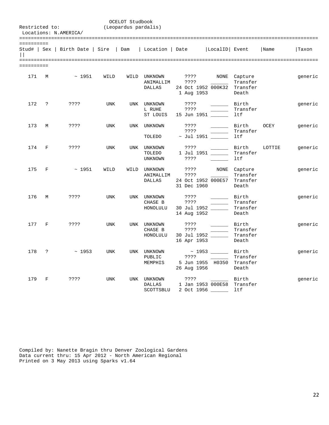| Restricted to: |              | Locations: N.AMERICA/                                                     |            | OCELOT Studbook<br>(Leopardus pardalis) |                                            |                                                           |                                                                                                                                                                                                                                                                                                                                                                                                                                                                            |                                               |        |         |
|----------------|--------------|---------------------------------------------------------------------------|------------|-----------------------------------------|--------------------------------------------|-----------------------------------------------------------|----------------------------------------------------------------------------------------------------------------------------------------------------------------------------------------------------------------------------------------------------------------------------------------------------------------------------------------------------------------------------------------------------------------------------------------------------------------------------|-----------------------------------------------|--------|---------|
| ==========     |              | Stud#   Sex   Birth Date   Sire   Dam   Location   Date   LocalID   Event |            |                                         |                                            |                                                           |                                                                                                                                                                                                                                                                                                                                                                                                                                                                            |                                               | Name   | Taxon   |
| ==========     |              |                                                                           |            |                                         |                                            |                                                           |                                                                                                                                                                                                                                                                                                                                                                                                                                                                            |                                               |        |         |
| 171            | М            | $~\sim~1951$                                                              | WILD       |                                         | WILD UNKNOWN<br>ANIMALLIM<br><b>DALLAS</b> | ????<br>????<br>24 Oct 1952 000K32 Transfer<br>1 Aug 1953 |                                                                                                                                                                                                                                                                                                                                                                                                                                                                            | NONE Capture<br>Transfer<br>Death             |        | generic |
| 172            | $\cdot$ ?    | ????                                                                      | <b>UNK</b> |                                         | UNK UNKNOWN<br>L RUHE<br>ST LOUIS          | ????<br>? ? ? ?<br>15 Jun 1951                            | $\sim$ 100 $\sim$ 100 $\sim$                                                                                                                                                                                                                                                                                                                                                                                                                                               | Birth<br>Transfer<br>ltf                      |        | generic |
| 173            | M            | ????                                                                      | <b>UNK</b> | <b>UNK</b>                              | UNKNOWN<br>TOLEDO                          | ????<br>? ? ? ?<br>$\sim$ Jul 1951 $\_\_$                 |                                                                                                                                                                                                                                                                                                                                                                                                                                                                            | Birth<br>Transfer<br>ltf                      | OCEY   | generic |
| 174            | $\mathbf{F}$ | ????                                                                      | <b>UNK</b> | UNK                                     | UNKNOWN<br>TOLEDO<br>UNKNOWN               | ????<br>1 Jul 1951 ______<br>????                         | $\frac{1}{1}$                                                                                                                                                                                                                                                                                                                                                                                                                                                              | Birth<br>Transfer<br>ltf                      | LOTTIE | generic |
| 175            | $\mathbf{F}$ | $~\sim~1951$                                                              | WILD       | WILD                                    | UNKNOWN<br>ANIMALLIM<br><b>DALLAS</b>      | ????<br>????<br>24 Oct 1952 000E57<br>31 Dec 1960         |                                                                                                                                                                                                                                                                                                                                                                                                                                                                            | NONE Capture<br>Transfer<br>Transfer<br>Death |        | generic |
| 176            | M            | ????                                                                      | <b>UNK</b> |                                         | UNK UNKNOWN<br>CHASE B<br>HONOLULU         | ????<br>????<br>30 Jul 1952 ______<br>14 Aug 1952         | $\frac{1}{1}$                                                                                                                                                                                                                                                                                                                                                                                                                                                              | Birth<br>Transfer<br>Transfer<br>Death        |        | generic |
| 177            | $\mathbf F$  | ? ? ? ?                                                                   | <b>UNK</b> |                                         | UNK UNKNOWN<br>CHASE B<br>HONOLULU         | ????<br>????<br>30 Jul 1952 _____<br>16 Apr 1953          | $\frac{1}{2} \left( \frac{1}{2} \right) \left( \frac{1}{2} \right) \left( \frac{1}{2} \right) \left( \frac{1}{2} \right) \left( \frac{1}{2} \right) \left( \frac{1}{2} \right) \left( \frac{1}{2} \right) \left( \frac{1}{2} \right) \left( \frac{1}{2} \right) \left( \frac{1}{2} \right) \left( \frac{1}{2} \right) \left( \frac{1}{2} \right) \left( \frac{1}{2} \right) \left( \frac{1}{2} \right) \left( \frac{1}{2} \right) \left( \frac{1}{2} \right) \left( \frac$ | Birth<br>Transfer<br>Transfer<br>Death        |        | generic |
| 178            | $\ddot{ }$   | ~1953                                                                     | <b>UNK</b> | UNK                                     | UNKNOWN<br>PUBLIC<br>MEMPHIS               | ? ? ? ?<br>26 Aug 1956                                    | 5 Jun 1955 H0350 Transfer                                                                                                                                                                                                                                                                                                                                                                                                                                                  | Birth<br>Transfer<br>Death                    |        | generic |
| 179            | F            | ????                                                                      | <b>UNK</b> |                                         | UNK UNKNOWN<br><b>DALLAS</b><br>SCOTTSBLU  | ????                                                      | Birth Birth<br>1 Jan 1953 000E58 Transfer<br>2 Oct 1956 _____                                                                                                                                                                                                                                                                                                                                                                                                              | ltf                                           |        | generic |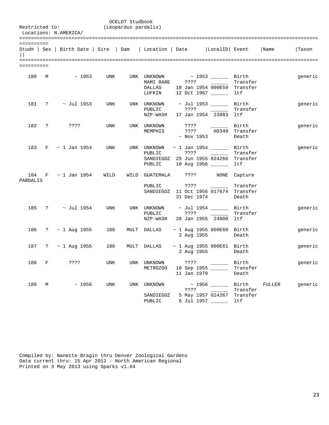|                         |              |                                                                           |            | OCELOT Studbook      |                                                     |                                  |                                                                                                         |                                          |        |         |
|-------------------------|--------------|---------------------------------------------------------------------------|------------|----------------------|-----------------------------------------------------|----------------------------------|---------------------------------------------------------------------------------------------------------|------------------------------------------|--------|---------|
|                         |              | Restricted to:<br>Locations: N.AMERICA/                                   |            | (Leopardus pardalis) |                                                     |                                  |                                                                                                         |                                          |        |         |
|                         |              |                                                                           |            |                      |                                                     |                                  |                                                                                                         |                                          |        |         |
| ==========              |              | Stud#   Sex   Birth Date   Sire   Dam   Location   Date   LocalID   Event |            |                      |                                                     |                                  |                                                                                                         |                                          | Name   | Taxon   |
| =========<br>========== |              |                                                                           |            |                      |                                                     |                                  |                                                                                                         |                                          |        |         |
| 180                     | М            | $\sim$ 1953                                                               | UNK        |                      | UNK UNKNOWN<br>MAMI RARE<br><b>DALLAS</b><br>LUFKIN | ????                             | ~ 1953 _______ Birth<br>the company of the company<br>18 Jan 1954 000E59 Transfer<br>12 Oct 1967 ______ | Transfer<br>ltf                          |        | generic |
| 181                     | ?            | $\sim$ Jul 1953                                                           | UNK        |                      | UNK UNKNOWN<br>PUBLIC<br>NZP-WASH                   | ????                             | $\sim$ Jul 1953 ______<br>17 Jan 1954 23983                                                             | Birth<br>Transfer<br>ltf                 |        | generic |
| 182                     | $\ddot{?}$   | ????                                                                      | UNK        |                      | UNK UNKNOWN<br>MEMPHIS                              | ????<br>????<br>$~\sim$ Nov 1953 | H0349                                                                                                   | Birth<br>Transfer<br>Death               |        | generic |
| 183                     | F            | ~ 1 Jan 1954                                                              | UNK        |                      | UNK UNKNOWN<br>PUBLIC<br>PUBLIC                     | ????                             | $\sim$ 1 Jan 1954 ________ Birth<br>SANDIEGOZ 29 Jun 1955 024266<br>10 Aug 1956                         | Transfer<br>Transfer<br>ltf              |        | generic |
| 184<br>PARDALIS         | F            | $\sim$ 1 Jan 1954                                                         | WILD       | WILD                 | GUATEMALA ????<br>PUBLIC                            | ????<br>31 Dec 1974              | NONE<br>SANDIEGOZ 11 Oct 1956 017674                                                                    | Capture<br>Transfer<br>Transfer<br>Death |        |         |
| 185                     | ?            | ~ Jul 1954                                                                | <b>UNK</b> |                      | UNK UNKNOWN<br>PUBLIC<br>NZP-WASH                   | ????                             | $\sim$ Jul 1954 ______<br>28 Jan 1955 24900                                                             | Birth<br>Transfer<br>ltf                 |        | generic |
| 186                     |              | $? \sim 1$ Aug 1955                                                       | 180        |                      | MULT DALLAS                                         | 2 Aug 1955                       | $\sim$ 1 Aug 1955 000E60 Birth                                                                          | Death                                    |        | generic |
| 187                     | $\mathbb{R}$ | ~ 1 Aug 1955                                                              | 180        | MULT                 | DALLAS                                              | 2 Aug 1955                       | $\sim$ 1 Aug 1955 000E61 Birth                                                                          | Death                                    |        | generic |
|                         | 188 F        | ????                                                                      | UNK        |                      | UNK UNKNOWN<br>METROZOO                             | ????<br>11 Jan 1970              | 10 Sep 1955 _____                                                                                       | Birth<br>Transfer<br>Death               |        | generic |
| 189                     | M            | $\sim 1956$                                                               | UNK        | UNK                  | UNKNOWN<br>SANDIEGOZ<br>PUBLIC                      |                                  | $\sim$ 1956 ______<br>????<br>5 May 1957 024267<br>6 Jul 1957 _____                                     | Birth<br>Transfer<br>Transfer<br>ltf     | FULLER | generic |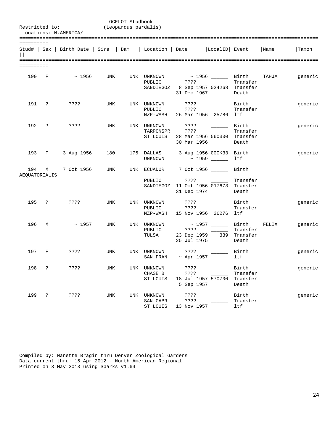|                      |            | Restricted to:<br>Locations: N.AMERICA/                                   |            | OCELOT Studbook<br>(Leopardus pardalis) |                                      |                            |                                                                                 |                                             |       |         |
|----------------------|------------|---------------------------------------------------------------------------|------------|-----------------------------------------|--------------------------------------|----------------------------|---------------------------------------------------------------------------------|---------------------------------------------|-------|---------|
| ==========           |            | Stud#   Sex   Birth Date   Sire   Dam   Location   Date   LocalID   Event |            |                                         |                                      |                            |                                                                                 |                                             | Name  | Taxon   |
| ==========           |            |                                                                           |            |                                         |                                      |                            |                                                                                 |                                             |       |         |
| 190 F                |            | $\sim$ 1956                                                               | UNK        |                                         | UNK UNKNOWN<br>PUBLIC                |                            | $\sim$ 1956 $\_\_$ Birth<br>SANDIEGOZ 8 Sep 1957 024268 Transfer<br>31 Dec 1967 | Transfer<br>Death                           | TAHJA | generic |
| 191 ?                |            | ????                                                                      | UNK        |                                         | UNK UNKNOWN<br>PUBLIC<br>NZP-WASH    | ????<br>????               | Birth Birth<br>26 Mar 1956 25786 ltf                                            | Transfer                                    |       | generic |
| 192                  | $\ddot{?}$ | ????                                                                      | UNK        |                                         | UNK UNKNOWN<br>TARPONSPR<br>ST LOUIS | ? ? ? ?<br>30 Mar 1956     | 28 Mar 1956 560300 Transfer                                                     | <b>Example 1</b> Birth<br>Transfer<br>Death |       | generic |
|                      | 193 F      | 3 Aug 1956                                                                | 180        |                                         | 175 DALLAS<br>UNKNOWN                |                            | 3 Aug 1956 000K33 Birth<br>$\sim$ 1959 ______                                   | ltf                                         |       | generic |
| 194<br>AEQUATORIALIS |            | M 7 Oct 1956                                                              | UNK        |                                         | UNK ECUADOR<br>PUBLIC                | 31 Dec 1974                | 7 Oct 1956 ________ Birth<br>????<br>SANDIEGOZ 11 Oct 1956 017673 Transfer      | Transfer<br>Death                           |       |         |
| 195                  | $\ddot{?}$ | ????                                                                      | UNK        |                                         | UNK UNKNOWN<br>PUBLIC                | ? ? ? ?                    | Birth<br>NZP-WASH 15 Nov 1956 26276                                             | Transfer<br>ltf                             |       | generic |
| 196                  | M          | $\sim 1957$                                                               | UNK        |                                         | UNK UNKNOWN<br>PUBLIC<br>TULSA       | ????<br>23 Dec 1959        | ~ 1957 ________ Birth<br>25 Jul 1975                                            | Transfer<br>339 Transfer<br>Death           | FELIX | generic |
| 197                  | $_{\rm F}$ | ????                                                                      | UNK        |                                         | UNK UNKNOWN                          | ? ? ? ?                    | Birth<br>SAN FRAN ~ Apr 1957 ________ 1tf                                       |                                             |       | generic |
| 198                  | ?          | ????                                                                      | UNK        | UNK                                     | UNKNOWN<br>CHASE B<br>ST LOUIS       | ????<br>????<br>5 Sep 1957 | 18 Jul 1957 570700                                                              | Birth<br>Transfer<br>Transfer<br>Death      |       | generic |
| 199                  | ?          | ????                                                                      | <b>UNK</b> | UNK                                     | UNKNOWN<br>SAN GABR<br>ST LOUIS      | ? ? ? ?<br>????            | 13 Nov 1957                                                                     | Birth<br>Transfer<br>ltf                    |       | generic |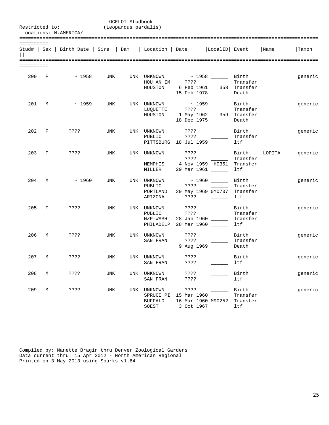| Restricted to:          |              | Locations: N.AMERICA/                                                            |            | OCELOT Studbook<br>(Leopardus pardalis) |                                              |                                                                                           |                                                                                                                                                                                                                                                                                                                                                                                                                                                             |                                      |              |         |
|-------------------------|--------------|----------------------------------------------------------------------------------|------------|-----------------------------------------|----------------------------------------------|-------------------------------------------------------------------------------------------|-------------------------------------------------------------------------------------------------------------------------------------------------------------------------------------------------------------------------------------------------------------------------------------------------------------------------------------------------------------------------------------------------------------------------------------------------------------|--------------------------------------|--------------|---------|
| ==========              |              | Stud#   Sex   Birth Date   Sire   Dam   Location   Date   LocalID   Event   Name |            |                                         |                                              |                                                                                           |                                                                                                                                                                                                                                                                                                                                                                                                                                                             |                                      |              | Taxon   |
| =========<br>========== |              |                                                                                  |            |                                         |                                              |                                                                                           |                                                                                                                                                                                                                                                                                                                                                                                                                                                             |                                      |              |         |
| 200 F                   |              | $\sim$ 1958                                                                      | UNK        |                                         | HOUSTON                                      | UNK UNKNOWN ~ 1958 ______ Birth<br>HOU AN IM ????<br>6 Feb 1961<br>15 Feb 1978            |                                                                                                                                                                                                                                                                                                                                                                                                                                                             | Transfer<br>358 Transfer<br>Death    |              | generic |
| 201                     | M            | $\sim$ 1959                                                                      | UNK        |                                         | UNK UNKNOWN<br>LUQUETTE<br>HOUSTON           | 1 May 1962 359 Transfer<br>18 Dec 1975                                                    | ~ 1959 ________ Birth                                                                                                                                                                                                                                                                                                                                                                                                                                       | Transfer<br>Death                    |              | generic |
| 202                     | $\mathbf{F}$ | ????                                                                             | <b>UNK</b> |                                         | UNK UNKNOWN<br>PUBLIC                        | ????<br>? ? ? ?<br>PITTSBURG 18 Jul 1959                                                  | $\overline{\phantom{a}}$                                                                                                                                                                                                                                                                                                                                                                                                                                    | Birth<br>Transfer<br>ltf             |              | generic |
| 203 F                   |              | ????                                                                             | UNK        |                                         | UNK UNKNOWN<br>MILLER                        | ????<br>????<br>MEMPHIS 4 Nov 1959 H0351<br>29 Mar 1961                                   | $\frac{1}{1-\frac{1}{1-\frac{1}{1-\frac{1}{1-\frac{1}{1-\frac{1}{1-\frac{1}{1-\frac{1}{1-\frac{1}{1-\frac{1}{1-\frac{1}{1-\frac{1}{1-\frac{1}{1-\frac{1}{1-\frac{1}{1-\frac{1}{1-\frac{1}{1-\frac{1}{1-\frac{1}{1-\frac{1}{1-\frac{1}{1-\frac{1}{1-\frac{1}{1-\frac{1}{1-\frac{1}{1-\frac{1}{1-\frac{1}{1-\frac{1}{1-\frac{1}{1-\frac{1}{1-\frac{1}{1-\frac{1}{1-\frac{1}{1-\frac{1}{1-\frac{1}{1-\frac{1}{1-\frac{1$                                       | Transfer<br>Transfer<br>ltf          | Birth LOPITA | generic |
| 204                     | M            | $~\sim~1960$                                                                     | UNK        |                                         | UNK UNKNOWN<br>PUBLIC<br>PORTLAND<br>ARIZONA | ????<br>29 May 1969 0Y0707 Transfer                                                       | $\sim$ 1960 $\qquad$ Birth<br>$\mathcal{L}^{\mathcal{L}}$ and $\mathcal{L}^{\mathcal{L}}$ and $\mathcal{L}^{\mathcal{L}}$<br>????                                                                                                                                                                                                                                                                                                                           | Transfer<br>ltf                      |              | generic |
| 205                     | $\mathbf{F}$ | ????                                                                             | UNK        |                                         | UNK UNKNOWN<br>PUBLIC<br>NZP-WASH            | $??\ ??$<br>????<br>28 Jan 1960 ______<br>PHILADELP 28 Mar 1960 ______                    | <u>and the company of the company of the company of the company of the company of the company of the company of the company of the company of the company of the company of the company of the company of the company of the com</u>                                                                                                                                                                                                                        | Birth<br>Transfer<br>Transfer<br>ltf |              | generic |
| 206                     | M            | ????                                                                             | UNK        |                                         | UNK UNKNOWN<br>SAN FRAN                      | ????<br>? ? ? ?<br>9 Aug 1969                                                             | Birth<br>$\begin{tabular}{ccccc} \multicolumn{2}{c }{\textbf{1} & \textbf{2} & \textbf{3} & \textbf{4} & \textbf{5} & \textbf{5} & \textbf{6} & \textbf{6} & \textbf{7} & \textbf{8} & \textbf{8} & \textbf{9} & \textbf{10} & \textbf{10} & \textbf{10} & \textbf{10} & \textbf{10} & \textbf{10} & \textbf{10} & \textbf{10} & \textbf{10} & \textbf{10} & \textbf{10} & \textbf{10} & \textbf{10} & \textbf{10} & \textbf{1$                             | Transfer<br>Death                    |              | generic |
| 207 M                   |              | ????                                                                             | UNK        |                                         | UNK UNKNOWN<br>SAN FRAN                      | ????                                                                                      | $????$ Birth                                                                                                                                                                                                                                                                                                                                                                                                                                                | ltf                                  |              | generic |
| 208                     | M            | ????                                                                             | UNK        |                                         | UNK UNKNOWN                                  | ????<br>SAN FRAN ????                                                                     | $\begin{tabular}{ccccc} \multicolumn{2}{c }{\textbf{1} & \textbf{2} & \textbf{3} & \textbf{4} & \textbf{5} & \textbf{5} & \textbf{6} & \textbf{6} & \textbf{7} & \textbf{8} & \textbf{8} & \textbf{9} & \textbf{10} & \textbf{10} & \textbf{10} & \textbf{10} & \textbf{10} & \textbf{10} & \textbf{10} & \textbf{10} & \textbf{10} & \textbf{10} & \textbf{10} & \textbf{10} & \textbf{10} & \textbf{10} & \textbf{1$<br>$\sim 10^{11}$ and $\sim 10^{11}$ | Birth<br>ltf                         |              | generic |
| 209                     | М            | ????                                                                             | UNK        |                                         | SPRUCE PI<br><b>BUFFALO</b><br>SOEST         | UNK UNKNOWN ????<br>15 Mar 1960 ______<br>16 Mar 1960 M90252 Transfer<br>3 Oct 1967 _____ |                                                                                                                                                                                                                                                                                                                                                                                                                                                             | Birth<br>Transfer<br>ltf             |              | generic |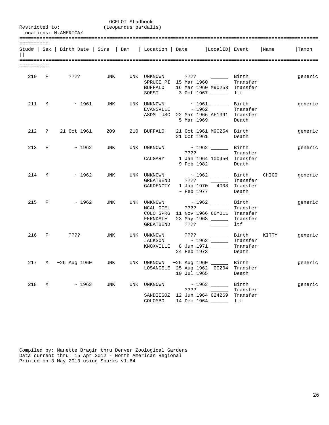|            |       | Restricted to:<br>Locations: N.AMERICA/                                          | (Leopardus pardalis) | OCELOT Studbook |                                         |             |                                                                                                                                                                                                                           |                                      |         |
|------------|-------|----------------------------------------------------------------------------------|----------------------|-----------------|-----------------------------------------|-------------|---------------------------------------------------------------------------------------------------------------------------------------------------------------------------------------------------------------------------|--------------------------------------|---------|
| ========== |       | Stud#   Sex   Birth Date   Sire   Dam   Location   Date   LocalID   Event   Name |                      |                 |                                         |             |                                                                                                                                                                                                                           |                                      | Taxon   |
| ========== |       |                                                                                  |                      |                 |                                         |             |                                                                                                                                                                                                                           |                                      |         |
|            |       | 210 F ????                                                                       | UNK                  |                 | <b>BUFFALO</b>                          |             | UNK UNKNOWN ???? 2000 Birth<br>SPRUCE PI 15 Mar 1960 ______<br>16 Mar 1960 M90253 Transfer<br>SOEST 3 Oct 1967 ________ ltf                                                                                               | Transfer                             | generic |
| 211        | M     | $\sim$ 1961                                                                      | UNK                  |                 |                                         | 5 Mar 1969  | UNK UNKNOWN $\sim$ 1961 _______ Birth<br>EVANSVLLE $\sim$ 1962 ______ Transfer<br>ASDM TUSC 22 Mar 1966 AF1391 Transfer                                                                                                   | Death                                | generic |
|            |       | 212 ? 21 Oct 1961 209                                                            |                      |                 |                                         |             | 210 BUFFALO 21 Oct 1961 M90254 Birth<br>21 Oct 1961                                                                                                                                                                       | Death                                | generic |
|            |       | 213 F $\sim$ 1962                                                                |                      |                 | UNK UNK UNKNOWN<br>CALGARY              |             | ~ 1962 ________ Birth<br>$????$ ______<br>1 Jan 1964 100450 Transfer<br>9 Feb 1982                                                                                                                                        | Transfer<br>Death                    | generic |
|            | 214 M | $\sim$ 1962                                                                      | UNK                  |                 | GREATBEND ????<br>GARDENCTY             |             | UNK UNKNOWN $\sim$ 1962 $\_\_\_\_\_\$ Birth CHICO<br>$\mathcal{L}^{\mathcal{L}}(\mathcal{L}^{\mathcal{L}})$ . The set of $\mathcal{L}^{\mathcal{L}}(\mathcal{L}^{\mathcal{L}})$<br>1 Jan 1970 4008 Transfer<br>~ Feb 1977 | Transfer<br>Death                    | generic |
| 215 F      |       | $\sim$ 1962                                                                      | UNK                  |                 | NCAL OCEL<br>FERNDALE<br>GREATBEND ???? |             | UNK UNKNOWN $\sim$ 1962 $\_\_\_\_\_\_$ Birth<br>COLO SPRG 11 Nov 1966 66M011 Transfer<br>23 May 1968 ______                                                                                                               | Transfer<br>Transfer<br>ltf          | generic |
| 216 F      |       | ????                                                                             | UNK                  |                 | UNK UNKNOWN ????<br>JACKSON             | 24 Feb 1973 | $\sim$ 1962 ________ Transfer<br>KNOXVILLE 8 Jun 1971 ______                                                                                                                                                              | Birth KITTY<br>Transfer<br>Death     | generic |
|            |       | 217 M ~25 Aug 1960                                                               | UNK                  |                 | UNK UNKNOWN                             | 10 Jul 1965 | $\sim$ 25 Aug 1960 ______<br>LOSANGELE 25 Aug 1962 00204 Transfer                                                                                                                                                         | Birth<br>Death                       | generic |
|            |       | $218$ M ~ 1963                                                                   | UNK                  |                 | UNK UNKNOWN<br>SANDIEGOZ<br>COLOMBO     |             | ????<br>12 Jun 1964 024269<br>14 Dec 1964 ______                                                                                                                                                                          | Birth<br>Transfer<br>Transfer<br>ltf | generic |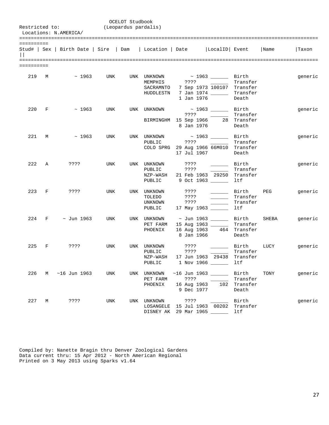|            |               | Restricted to:<br>Locations: N.AMERICA/                                            |     | OCELOT Studbook<br>(Leopardus pardalis) |                                                                 |              |                                                                                                                                                                                                                                                                                                                                                                                                                                                                                                                                                            |                                          |       |         |  |  |
|------------|---------------|------------------------------------------------------------------------------------|-----|-----------------------------------------|-----------------------------------------------------------------|--------------|------------------------------------------------------------------------------------------------------------------------------------------------------------------------------------------------------------------------------------------------------------------------------------------------------------------------------------------------------------------------------------------------------------------------------------------------------------------------------------------------------------------------------------------------------------|------------------------------------------|-------|---------|--|--|
| ========== |               | Stud#   Sex   Birth Date   Sire   Dam   Location   Date     LocalID   Event   Name |     |                                         |                                                                 |              |                                                                                                                                                                                                                                                                                                                                                                                                                                                                                                                                                            |                                          |       | Taxon   |  |  |
| ========== |               |                                                                                    |     |                                         |                                                                 |              |                                                                                                                                                                                                                                                                                                                                                                                                                                                                                                                                                            |                                          |       |         |  |  |
|            |               | 219 M ~ 1963 UNK                                                                   |     |                                         | UNK UNKNOWN<br>SACRAMNTO<br>HUDDLESTN                           |              | ~ 1963 ________ Birth<br>7 Sep 1973 100107 Transfer<br>7 Jan 1974 _________ Transfer<br>1 Jan 1976                                                                                                                                                                                                                                                                                                                                                                                                                                                         | Transfer<br>Death                        |       | generic |  |  |
|            | 220 F         | $\sim$ 1963                                                                        |     |                                         | UNK UNK UNKNOWN                                                 | 8 Jan 1976   | $\sim$ 1963 _________ Birth<br>BIRMINGHM 15 Sep 1966 28 Transfer                                                                                                                                                                                                                                                                                                                                                                                                                                                                                           | Transfer<br>Death                        |       | generic |  |  |
| 221        | M             | $\sim$ 1963                                                                        | UNK |                                         | UNK UNKNOWN<br>PUBLIC                                           | ????         | COLO SPRG 29 Aug 1966 66M010 Transfer<br>17 Jul 1967                                                                                                                                                                                                                                                                                                                                                                                                                                                                                                       | Transfer<br>Death                        |       | generic |  |  |
|            | $222 \quad A$ | ????                                                                               | UNK |                                         | UNK UNKNOWN ????<br>PUBLIC<br>PUBLIC                            | ? ? ? ?      | $\begin{tabular}{ll} \toprule \end{tabular} \vspace{0.08cm} \begin{tabular}{ll} \multicolumn{3}{l}{} & \multicolumn{3}{l}{} & \multicolumn{3}{l}{} \\ \multicolumn{3}{l}{} & \multicolumn{3}{l}{} & \multicolumn{3}{l}{} \\ \multicolumn{3}{l}{} & \multicolumn{3}{l}{} & \multicolumn{3}{l}{} \\ \multicolumn{3}{l}{} & \multicolumn{3}{l}{} \\ \multicolumn{3}{l}{} & \multicolumn{3}{l}{} \\ \multicolumn{3}{l}{} & \multicolumn{3}{l}{} \\ \multicolumn{3}{l}{} & \multicolumn{3}{l}$<br>NZP-WASH 21 Feb 1963 29250 Transfer<br>9 Oct 1963 _______ ltf | Birth<br>Transfer                        |       | generic |  |  |
|            |               | 223 F ????                                                                         | UNK |                                         | UNK UNKNOWN<br>TOLEDO<br>UNKNOWN<br>PUBLIC 17 May 1963          | ????<br>???? | $\overline{\phantom{a}}$                                                                                                                                                                                                                                                                                                                                                                                                                                                                                                                                   | Birth PEG<br>Transfer<br>Transfer<br>ltf |       | generic |  |  |
|            |               | 224 F ~ Jun 1963 UNK                                                               |     |                                         | UNK UNKNOWN $\sim$ Jun 1963 $\sim$ Birth<br>PET FARM<br>PHOENIX | 8 Jan 1966   | 15 Aug 1963<br>16 Aug 1963 464 Transfer                                                                                                                                                                                                                                                                                                                                                                                                                                                                                                                    | Transfer<br>Death                        | SHEBA | generic |  |  |
| 225        | F             | ????                                                                               | UNK |                                         | UNK UNKNOWN<br>PUBLIC<br>NZP-WASH<br>PUBLIC                     | ????<br>???? | 17 Jun 1963 29438 Transfer<br>1 Nov 1966                                                                                                                                                                                                                                                                                                                                                                                                                                                                                                                   | Birth LUCY<br>Transfer<br>ltf            |       | generic |  |  |
|            |               | 226 M ~16 Jun 1963                                                                 | UNK |                                         | UNK UNKNOWN<br>PET FARM<br>PHOENIX                              |              | $\sim$ 16 Jun 1963 ________ Birth $_{\rm TONY}$                                                                                                                                                                                                                                                                                                                                                                                                                                                                                                            | Transfer                                 |       | generic |  |  |
|            | 227 M         | ? ? ? ?                                                                            | UNK |                                         | UNK UNKNOWN ????<br>DISNEY AK 29 Mar 1965                       |              | LOSANGELE 15 Jul 1963 00202 Transfer                                                                                                                                                                                                                                                                                                                                                                                                                                                                                                                       | Birth<br>ltf                             |       | generic |  |  |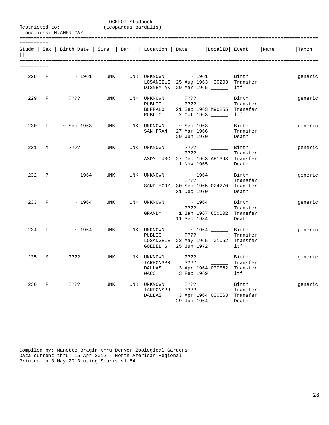|            |       | Restricted to:<br>Locations: N.AMERICA/                                   |     | OCELOT Studbook<br>(Leopardus pardalis) |                                                                                                |                                  |                                                               |                                        |      |         |  |  |
|------------|-------|---------------------------------------------------------------------------|-----|-----------------------------------------|------------------------------------------------------------------------------------------------|----------------------------------|---------------------------------------------------------------|----------------------------------------|------|---------|--|--|
| ========== |       | Stud#   Sex   Birth Date   Sire   Dam   Location   Date   LocalID   Event |     |                                         |                                                                                                |                                  |                                                               |                                        | Name | Taxon   |  |  |
| ========== |       |                                                                           |     |                                         |                                                                                                |                                  |                                                               |                                        |      |         |  |  |
|            | 228 F | $\sim$ 1961                                                               | UNK |                                         | UNK UNKNOWN $\sim$ 1961 Birth<br>LOSANGELE 25 Aug 1963 00203 Transfer<br>DISNEY AK 29 Mar 1965 |                                  |                                                               | ltf                                    |      | generic |  |  |
|            | 229 F | ????                                                                      | UNK |                                         | UNK UNKNOWN<br>PUBLIC<br>BUFFALO 21 Sep 1963 M90255 Transfer<br>PUBLIC                         | $??\ ??$<br>2 Oct 1963 _____     |                                                               | <b>Birth</b><br>Transfer<br>ltf        |      | generic |  |  |
|            |       | 230 F ~ Sep 1963                                                          | UNK |                                         | UNK UNKNOWN $\sim$ Sep 1963 $\sim$ Birth<br>SAN FRAN                                           | 27 Mar 1966 _____<br>29 Jun 1970 |                                                               | Transfer<br>Death                      |      | generic |  |  |
| 231        | М     | ????                                                                      | UNK |                                         | UNK UNKNOWN<br>ASDM TUSC 27 Dec 1963 AF1393 Transfer                                           | $??\ ??$<br>????<br>1 Nov 1965   |                                                               | Birth<br>Transfer<br>Death             |      | generic |  |  |
|            | 232 ? | $~\sim~1964$                                                              | UNK |                                         | UNK UNKNOWN $\sim$ 1964 _______ Birth<br>SANDIEGOZ 30 Sep 1965 024270 Transfer                 | 31 Dec 1970                      |                                                               | Transfer<br>Death                      |      | generic |  |  |
|            | 233 F | ~1964                                                                     | UNK |                                         | UNK UNKNOWN<br>GRANBY                                                                          | 11 Sep 1984                      | $\sim$ 1964 $\qquad$ Birth<br>1 Jan 1967 650002 Transfer      | Transfer<br>Death                      |      | generic |  |  |
|            | 234 F | $~\sim~1964$                                                              | UNK |                                         | UNK UNKNOWN<br>PUBLIC<br>LOSANGELE 23 May 1965 01052 Transfer<br>GOEBEL G                      |                                  | $\sim$ 1964 $\_\_\_\_\_\_\$ Birth<br>25 Jun 1972 ________ 1tf | Transfer                               |      | generic |  |  |
| 235        | М     | ? ? ? ?                                                                   | UNK |                                         | UNK UNKNOWN<br>TARPONSPR<br>DALLAS<br>WACO                                                     | ????                             | 3 Apr 1964 000E62<br>3 Feb 1969 ______                        | Birth<br>Transfer<br>Transfer<br>ltf   |      | generic |  |  |
|            | 236 F | ????                                                                      | UNK | UNK                                     | UNKNOWN<br>TARPONSPR<br>DALLAS                                                                 | ????<br>? ? ? ?<br>29 Jun 1964   | 3 Apr 1964 000E63                                             | Birth<br>Transfer<br>Transfer<br>Death |      | generic |  |  |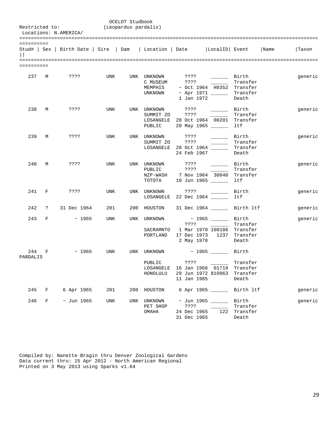| Restricted to:  |            | Locations: N.AMERICA/                                                            |     | OCELOT Studbook<br>(Leopardus pardalis) |                                                |                                                                                                 |                                                                                                                                                                                                                                               |                                           |         |
|-----------------|------------|----------------------------------------------------------------------------------|-----|-----------------------------------------|------------------------------------------------|-------------------------------------------------------------------------------------------------|-----------------------------------------------------------------------------------------------------------------------------------------------------------------------------------------------------------------------------------------------|-------------------------------------------|---------|
| ==========      |            | Stud#   Sex   Birth Date   Sire   Dam   Location   Date   LocalID   Event   Name |     |                                         |                                                |                                                                                                 |                                                                                                                                                                                                                                               |                                           | Taxon   |
| ==========      |            |                                                                                  |     |                                         |                                                |                                                                                                 |                                                                                                                                                                                                                                               |                                           |         |
| 237 M           |            | 7.777                                                                            | UNK |                                         | UNK UNKNOWN<br>C MUSEUM<br>MEMPHIS<br>UNKNOWN  | ???? __________ Birth<br>? ? ? ?<br>1 Jan 1972                                                  | <u> 1999 - Jan Jan Jawa</u><br>$\sim$ Oct 1964 H0352 Transfer<br>~ Apr 1971 ________ Transfer                                                                                                                                                 | Transfer<br>Death                         | generic |
| 238             | M          | ????                                                                             | UNK |                                         | UNK UNKNOWN ????<br>SUMMIT ZO<br>PUBLIC        | ????<br>LOSANGELE 28 Oct 1964 00201 Transfer<br>20 May 1965 ______                              | Birth<br><u>and the company of the company of the company of the company of the company of the company of the company of the company of the company of the company of the company of the company of the company of the company of the com</u> | Transfer<br>ltf                           | generic |
| 239             | M          | ????                                                                             | UNK |                                         | UNK UNKNOWN ????<br>SUMMIT ZO                  | ????<br>LOSANGELE 28 Oct 1964<br>24 Feb 1967                                                    |                                                                                                                                                                                                                                               | Birth<br>Transfer<br>Transfer<br>Death    | generic |
| 240             | M          | ????                                                                             | UNK |                                         | UNK UNKNOWN<br>PUBLIC<br>ТОТОТА                | ? ? ? ?<br>? ? ? ?<br>NZP-WASH 7 Nov 1964 30040<br>10 Jun 1965                                  | Birth                                                                                                                                                                                                                                         | Transfer<br>Transfer<br>ltf               | generic |
| 241 F           |            | ????                                                                             | UNK |                                         | UNK UNKNOWN                                    | ? ? ? ?<br>LOSANGELE 22 Dec 1964                                                                |                                                                                                                                                                                                                                               | Birth<br>ltf                              | generic |
| 242             | $\ddot{?}$ | 31 Dec 1964                                                                      | 201 |                                         | 200 HOUSTON                                    | 31 Dec 1964 _______ Birth ltf                                                                   |                                                                                                                                                                                                                                               |                                           | generic |
| 243             | F          | $\sim 1965$                                                                      | UNK |                                         | UNK UNKNOWN<br>SACRAMNTO<br>PORTLAND           | ????<br>17 Dec 1973 1237 Transfer<br>2 May 1978                                                 | ~ 1965 _______ Birth<br>1 Mar 1970 100106 Transfer                                                                                                                                                                                            | Transfer<br>Death                         | generic |
| 244<br>PARDALIS | F          | ~1965                                                                            | UNK |                                         | UNK UNKNOWN<br>PUBLIC<br>LOSANGELE<br>HONOLULU | $\sim$ 1965 ________ Birth<br>? ? ? ?<br>16 Jan 1966 01719<br>29 Jun 1972 810963<br>11 Jan 1985 |                                                                                                                                                                                                                                               | Transfer<br>Transfer<br>Transfer<br>Death |         |
| 245             | F          | 6 Apr 1965                                                                       | 201 | 200                                     | HOUSTON                                        |                                                                                                 | 6 Apr 1965 ______                                                                                                                                                                                                                             | Birth 1tf                                 | generic |
| 246             | F          | $\sim$ Jun 1965                                                                  | UNK | UNK                                     | UNKNOWN<br>PET SHOP<br>OMAHA                   | $\sim$ Jun 1965 ______<br>????<br>24 Dec 1965<br>31 Dec 1965                                    | 122                                                                                                                                                                                                                                           | Birth<br>Transfer<br>Transfer<br>Death    | generic |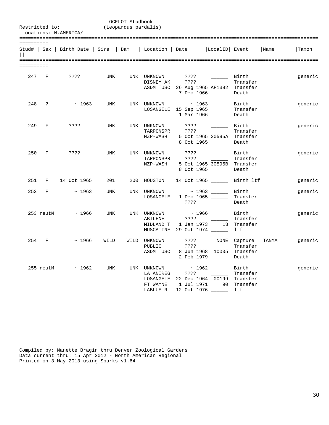|                       |             | Restricted to:<br>Locations: N.AMERICA/ |            | OCELOT Studbook<br>(Leopardus pardalis) |                                                  |                                                                                          |                                     |                                         |       |         |  |
|-----------------------|-------------|-----------------------------------------|------------|-----------------------------------------|--------------------------------------------------|------------------------------------------------------------------------------------------|-------------------------------------|-----------------------------------------|-------|---------|--|
| ==========<br>$\perp$ |             | Stud#   Sex   Birth Date   Sire   Dam   |            |                                         | Location   Date                                  |                                                                                          | LocalID  Event                      |                                         | Name  | Taxon   |  |
| ==========            |             |                                         |            |                                         |                                                  |                                                                                          |                                     |                                         |       |         |  |
|                       | 247 F       | ????                                    | UNK        |                                         | UNK UNKNOWN<br>DISNEY AK                         | ????<br>????<br>ASDM TUSC 26 Aug 1965 AF1392 Transfer<br>7 Dec 1966                      | <b>Contract Contract</b>            | Birth Birth<br>Transfer<br>Death        |       | generic |  |
|                       | 248 ?       | $\sim 1963$                             | <b>UNK</b> |                                         | UNK UNKNOWN                                      | $\sim$ 1963 ________ Birth<br>LOSANGELE 15 Sep 1965 ______<br>1 Mar 1966                 |                                     | Transfer<br>Death                       |       | generic |  |
| 249                   | $_{\rm F}$  | ????                                    | <b>UNK</b> |                                         | UNK UNKNOWN<br>TARPONSPR<br>NZP-WASH             | ????<br>????<br>8 Oct 1965                                                               | Birth<br>5 Oct 1965 30595A Transfer | Transfer<br>Death                       |       | generic |  |
| 250                   | F           | ? ? ? ?                                 | <b>UNK</b> |                                         | UNK UNKNOWN ????<br>TARPONSPR<br>NZP-WASH        | ????<br>8 Oct 1965                                                                       | 5 Oct 1965 30595B Transfer          | ________ Birth<br>Transfer<br>Death     |       | generic |  |
| 251                   | F           | 14 Oct 1965                             | 201        | 200                                     |                                                  | HOUSTON 14 Oct 1965 _______ Birth ltf                                                    |                                     |                                         |       | generic |  |
| 252                   | F           | $\sim 1963$                             | <b>UNK</b> |                                         | UNK UNKNOWN<br>LOSANGELE                         | 1 Dec 1965 _________ Transfer<br>????                                                    |                                     | Death                                   |       | generic |  |
|                       | 253 neutM   | $\sim 1966$                             | <b>UNK</b> |                                         | UNK UNKNOWN<br>ABILENE                           |                                                                                          | ~ 1966 _______ Birth                | Transfer                                |       | generic |  |
| 254                   | $\mathbf F$ | ~1966                                   | WILD       |                                         | WILD UNKNOWN<br>PUBLIC<br>ASDM TUSC              | ???? NONE Capture<br>????<br>2 Feb 1979                                                  | 8 Jun 1968 10005 Transfer           | Transfer<br>Death                       | TANYA | generic |  |
|                       | 255 neutM   | ~1962                                   | UNK        |                                         | UNK UNKNOWN<br>LA ANIREG<br>FT WAYNE<br>LABLUE R | ????<br>LOSANGELE 22 Dec 1964 00199 Transfer<br>1 Jul 1971 90 Transfer<br>12 Oct 1976 __ |                                     | ~ 1962 _______ Birth<br>Transfer<br>ltf |       | generic |  |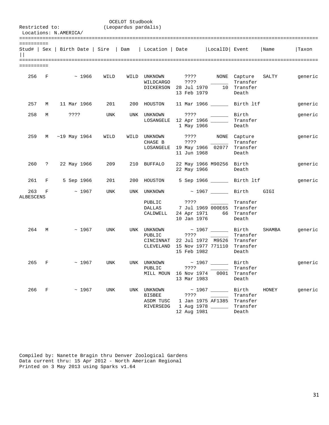| Restricted to:<br>Locations: N.AMERICA/ |       |                |              |            | OCELOT Studbook<br>(Leopardus pardalis) |                                                                                                        |                     |         |                                 |                                                                                                    |        |         |
|-----------------------------------------|-------|----------------|--------------|------------|-----------------------------------------|--------------------------------------------------------------------------------------------------------|---------------------|---------|---------------------------------|----------------------------------------------------------------------------------------------------|--------|---------|
| ==========                              |       |                |              |            |                                         |                                                                                                        |                     |         |                                 |                                                                                                    |        |         |
|                                         |       |                |              |            |                                         | Stud#   Sex   Birth Date   Sire   Dam   Location   Date   LocalID   Event                              |                     |         |                                 |                                                                                                    | Name   | Taxon   |
|                                         |       |                |              |            |                                         |                                                                                                        |                     |         |                                 |                                                                                                    |        |         |
| ==========                              |       |                |              |            |                                         |                                                                                                        |                     |         |                                 |                                                                                                    |        |         |
| 256 F                                   |       |                | $~\sim~1966$ | WILD       |                                         | WILD UNKNOWN . ???? NONE Capture<br>WILDCARGO<br>DICKERSON 28 Jul 1970 10 Transfer                     | ????<br>13 Feb 1979 |         |                                 | Transfer<br>Death                                                                                  | SALTY  | generic |
| 257                                     | М     |                | 11 Mar 1966  | 201        |                                         | 200 HOUSTON                                                                                            |                     |         |                                 | 11 Mar 1966 ________ Birth ltf                                                                     |        | generic |
| 258                                     | M     | ? ? ? ?        |              | UNK        |                                         | UNK UNKNOWN<br>LOSANGELE                                                                               | 1 May 1966          | 7777    | Birth<br>12 Apr 1966 _____      | Transfer<br>Death                                                                                  |        | generic |
| 259                                     |       | M ~19 May 1964 |              | WILD       |                                         | WILD UNKNOWN ???? NONE Capture<br>CHASE B<br>LOSANGELE 19 May 1966 02077 Transfer                      | ????<br>11 Jun 1968 |         |                                 | Transfer<br>Death                                                                                  |        | generic |
| 260                                     |       | ? 22 May 1966  |              | 209        |                                         | 210 BUFFALO                                                                                            | 22 May 1966         |         | 22 May 1966 M90256 Birth        | Death                                                                                              |        | generic |
| 261                                     | F     |                | 5 Sep 1966   | 201        |                                         | 200 HOUSTON                                                                                            |                     |         |                                 | 5 Sep 1966 _______ Birth ltf                                                                       |        | generic |
| 263<br><b>ALBESCENS</b>                 | F     |                | $~\sim~1967$ | <b>UNK</b> |                                         | UNK UNKNOWN<br>PUBLIC<br>DALLAS<br>CALDWELL                                                            | 10 Jan 1976         |         | ????                            | ~ 1967 _______ Birth<br>Transfer<br>7 Jul 1969 000E65 Transfer<br>24 Apr 1971 66 Transfer<br>Death | GIGI   |         |
| 264                                     | M     |                | $~\sim~1967$ | UNK        |                                         | UNK UNKNOWN<br>PUBLIC<br>CINCINNAT 22 Jul 1972 M9526 Transfer<br>CLEVELAND 15 Nov 1977 771110 Transfer | ????<br>15 Feb 1982 |         |                                 | $\sim$ 1967 _________ Birth<br>Transfer<br>Death                                                   | SHAMBA | generic |
| 265 F                                   |       |                | ~1967        | UNK        |                                         | UNK UNKNOWN<br>PUBLIC<br>MILL MOUN 16 Nov 1974                                                         | 13 Mar 1983         | ? ? ? ? | $\sim$ 1967 _____               | Birth<br>Transfer<br>0001 Transfer<br>Death                                                        |        | generic |
|                                         | 266 F |                | $\sim 1967$  | UNK        |                                         | UNK UNKNOWN<br>BISBEE<br>ASDM TUSC<br>RIVERSEDG                                                        | 12 Aug 1981         |         | 1 Jan 1975 AF1385<br>1 Aug 1978 | Birth<br>Transfer<br>Transfer<br>Transfer<br>Death                                                 | HONEY  | generic |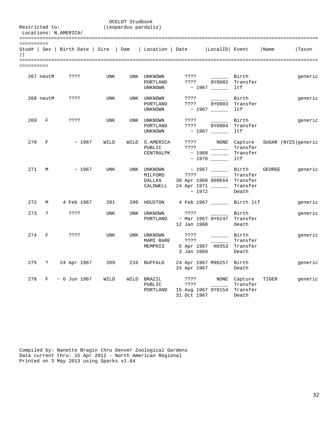|            | OCELOT Studbook<br>(Leopardus pardalis)<br>Restricted to:<br>Locations: N.AMERICA/ |                                       |            |     |                                              |                             |                                                                          |                                        |        |                      |  |  |  |
|------------|------------------------------------------------------------------------------------|---------------------------------------|------------|-----|----------------------------------------------|-----------------------------|--------------------------------------------------------------------------|----------------------------------------|--------|----------------------|--|--|--|
| ========== |                                                                                    | Stud#   Sex   Birth Date   Sire   Dam |            |     | Location   Date                              |                             | LocalID  Event                                                           |                                        | Name   | Taxon                |  |  |  |
| ========== |                                                                                    |                                       |            |     |                                              |                             |                                                                          |                                        |        |                      |  |  |  |
|            | 267 neutM                                                                          | ????                                  | <b>UNK</b> |     | UNK UNKNOWN<br>PORTLAND<br>UNKNOWN           | ????<br>????                | $\sim 10^{11}$ m $^{-1}$                                                 | Birth<br>0Y0002 Transfer<br>ltf        |        | generic              |  |  |  |
|            | 268 neutM                                                                          | ????                                  | UNK        |     | UNK UNKNOWN<br>PORTLAND<br>UNKNOWN           | ????<br>? ? ? ?             | $\sim$ 1967 _____                                                        | Birth<br>0Y0003 Transfer<br>ltf        |        | generic              |  |  |  |
| 269        | F                                                                                  | 7.3.5.5                               | <b>UNK</b> |     | UNK UNKNOWN<br>PORTLAND<br>UNKNOWN           | ? ? ? ?<br>????             |                                                                          | Birth<br>0Y0004 Transfer<br>ltf        |        | generic              |  |  |  |
| 270        | F                                                                                  | ~1967                                 | WILD       |     | WILD S.AMERICA<br>PUBLIC<br>CENTRALPK        | ????<br>????                | NONE                                                                     | Capture<br>Transfer<br>Transfer<br>ltf |        | SUGAR (NYZS) generic |  |  |  |
| 271        | M                                                                                  | ~1967                                 | <b>UNK</b> |     | UNK UNKNOWN<br>MILFORD<br>DALLAS<br>CALDWELL | ????<br>~1972               | ~ 1967 _______ Birth<br>30 Apr 1968 000E64 Transfer<br>24 Apr 1971 _____ | Transfer<br>Transfer<br>Death          | GEORGE | generic              |  |  |  |
| 272        | M                                                                                  | 4 Feb 1967                            | 201        |     | 200 HOUSTON                                  |                             | 4 Feb 1967 _______ Birth ltf                                             |                                        |        | generic              |  |  |  |
| 273        | $\tilde{ }$ ?                                                                      | ????                                  | <b>UNK</b> | UNK | UNKNOWN<br>PORTLAND                          | ????<br>12 Jan 1968         | $\sim$ Mar 1967 0Y0247 Transfer                                          | Birth<br>Death                         |        | generic              |  |  |  |
| 274        | $\mathbf F$                                                                        | 3333                                  | <b>UNK</b> |     | UNK UNKNOWN<br>MAMI RARE<br>MEMPHIS          | ????<br>????<br>3 Jan 1969  | 5 Apr 1967 H0353 Transfer                                                | Birth<br>Transfer<br>Death             |        | generic              |  |  |  |
| 275        | $\ddot{?}$                                                                         | 24 Apr 1967                           | 209        |     | 210 BUFFALO                                  | 24 Apr 1967                 | 24 Apr 1967 M90257 Birth                                                 | Death                                  |        | generic              |  |  |  |
| 276        | F                                                                                  | $~\sim$ 6 Jun 1967                    | WILD       |     | WILD BRAZIL<br>PUBLIC<br>PORTLAND            | ????<br>????<br>31 Oct 1967 | 15 Aug 1967 0Y0154 Transfer                                              | NONE Capture<br>Transfer<br>Death      | TIGER  | generic              |  |  |  |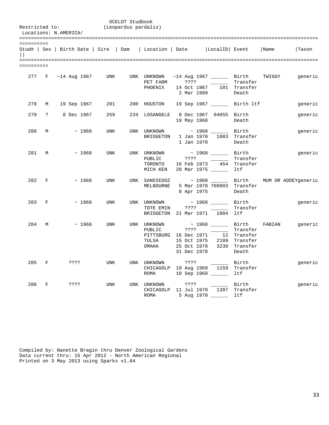| Restricted to:<br>Locations: N.AMERICA/ |   |              |         |              |                        | OCELOT Studbook<br>(Leopardus pardalis) |                                                                                     |      |                     |                                        |                                                                                                                 |      |                                         |
|-----------------------------------------|---|--------------|---------|--------------|------------------------|-----------------------------------------|-------------------------------------------------------------------------------------|------|---------------------|----------------------------------------|-----------------------------------------------------------------------------------------------------------------|------|-----------------------------------------|
| ==========<br>$\Box$                    |   |              |         |              |                        |                                         | Stud#   Sex   Birth Date   Sire   Dam   Location   Date   LocalID   Event           |      |                     |                                        |                                                                                                                 | Name | Taxon                                   |
| ==========                              |   |              |         |              |                        |                                         |                                                                                     |      |                     |                                        |                                                                                                                 |      |                                         |
|                                         |   |              |         |              | 277 F ~14 Aug 1967 UNK |                                         | UNK UNKNOWN<br>PET FARM<br>PHOENIX                                                  |      |                     | 2 Mar 1989                             | ~14 Aug 1967 ________ Birth TWIGGY<br>???? _________ Transfer<br>14 Oct 1967   101 Transfer<br>Death            |      | generic                                 |
| 278                                     | M |              |         | 19 Sep 1967  | 201                    |                                         | 200 HOUSTON                                                                         |      |                     |                                        | 19 Sep 1967 ________ Birth ltf                                                                                  |      | generic                                 |
| 279                                     |   | ? 8 Dec 1967 |         |              | 259                    |                                         | 234 LOSANGELE 8 Dec 1967 04055 Birth                                                |      |                     | 19 May 1968                            | Death                                                                                                           |      | generic                                 |
| 280                                     | M |              |         | $\sim 1968$  | UNK                    |                                         | UNK UNKNOWN<br>BRIDGETON 1 Jan 1970 1003 Transfer                                   |      |                     | $\sim$ 1968 $\sim$ Birth<br>1 Jan 1970 | Death                                                                                                           |      | generic                                 |
| 281 M                                   |   |              |         | $\sim 1968$  | UNK                    |                                         | UNK UNKNOWN<br>PUBLIC<br>TORONTO<br>MICH KEN                                        |      | 7777                | 20 Mar 1975                            | $\sim$ 1968 $\sim$ Birth<br>Transfer<br>16 Feb 1973 454 Transfer<br>ltf                                         |      | generic                                 |
| 282 F                                   |   |              |         | $~\sim~1968$ | UNK                    |                                         | UNK SANDIEGOZ<br>MELBOURNE                                                          |      | 8 Apr 1975          |                                        | 5 Mar 1970 700003 Transfer<br>Death                                                                             |      | ~ 1968 ______ Birth MUM OR ADDEYgeneric |
| 283 F                                   |   |              |         | ~1968        | UNK                    |                                         | UNK UNKNOWN<br>TOTE EMIN<br>BRIDGETON 21 Mar 1971 1004 ltf                          |      |                     |                                        | ~ 1968 _______ Birth<br>Transfer                                                                                |      | generic                                 |
| 284                                     | M |              |         | ~1968        | UNK                    |                                         | UNK UNKNOWN<br>PUBLIC<br>PITTSBURG 16 Dec 1971 12 Transfer<br>TULSA<br>OMAHA        |      | ????<br>31 Dec 1978 |                                        | $\sim$ 1968 _______ Birth FABIAN<br>Transfer<br>15 Oct 1975 2189 Transfer<br>25 Oct 1978 3230 Transfer<br>Death |      | generic                                 |
| 285 F                                   |   |              | ????    |              | UNK                    |                                         | UNK UNKNOWN<br>CHICAGOLP 19 Aug 1969 1159 Transfer<br>ROMA                          |      | ????                | 10 Sep 1969 ________ ltf               | Birth                                                                                                           |      | generic                                 |
| 286                                     | F |              | ? ? ? ? |              | UNK                    |                                         | UNK UNKNOWN<br>CHICAGOLP 11 Jul 1970 1397 Transfer<br>ROMA 5 Aug 1970 _________ 1tf | ???? |                     | ________ Birth                         |                                                                                                                 |      | generic                                 |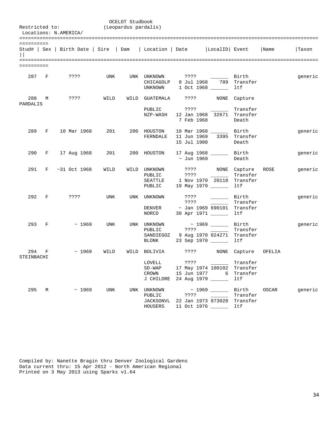| Restricted to:    |              | Locations: N.AMERICA/ |      | OCELOT Studbook<br>(Leopardus pardalis) |                                                                           |                            |                                                                                  |                                         |        |         |  |  |
|-------------------|--------------|-----------------------|------|-----------------------------------------|---------------------------------------------------------------------------|----------------------------|----------------------------------------------------------------------------------|-----------------------------------------|--------|---------|--|--|
| ==========        |              |                       |      |                                         | Stud#   Sex   Birth Date   Sire   Dam   Location   Date   LocalID   Event |                            |                                                                                  | Name                                    | Taxon  |         |  |  |
| ==========        |              |                       |      |                                         |                                                                           |                            |                                                                                  |                                         |        |         |  |  |
| 287               | $\mathbf{F}$ | ????                  | UNK  |                                         | UNK UNKNOWN<br>CHICAGOLP<br>UNKNOWN                                       | ????<br>8 Jul 1968         | 789<br>1 Oct 1968 _____                                                          | Birth<br>Transfer<br>ltf                |        | generic |  |  |
| 288               | М            | ????                  | WILD | WILD                                    | GUATEMALA                                                                 | ? ? ? ?                    | NONE                                                                             | Capture                                 |        |         |  |  |
| PARDALIS          |              |                       |      |                                         | PUBLIC<br>NZP-WASH                                                        | ????<br>7 Feb 1968         | 12 Jan 1968 32671 Transfer                                                       | Transfer<br>Death                       |        |         |  |  |
| 289               | F            | 10 Mar 1968           | 201  |                                         | 200 HOUSTON<br>FERNDALE                                                   | 11 Jun 1969<br>15 Jul 1980 | 10 Mar 1968<br>3395                                                              | Birth<br>Transfer<br>Death              |        | generic |  |  |
| 290               | F            | 17 Aug 1968           | 201  |                                         | 200 HOUSTON                                                               | ~ Jun 1969                 | 17 Aug 1968 ______                                                               | Birth<br>Death                          |        | generic |  |  |
| 291               | F            | ~1968                 | WILD |                                         | WILD UNKNOWN<br>PUBLIC<br>SEATTLE<br>PUBLIC                               | ????                       | ???? NONE Capture<br>1 Nov 1970 20118<br>19 May 1979 ______                      | Transfer<br>Transfer<br>ltf             | ROSE   | generic |  |  |
| 292               | F            | ????                  | UNK  | UNK                                     | UNKNOWN<br>DENVER<br>NORCO                                                | ????<br>????               | $\sim 10^{11}$ m $^{-1}$<br>$\sim$ Jan 1969 690101 Transfer<br>30 Apr 1971 _____ | Birth<br>Transfer<br>ltf                |        | generic |  |  |
| 293               | F            | ~1969                 | UNK  | UNK                                     | UNKNOWN<br>PUBLIC<br>SANDIEGOZ<br>BLONK                                   | ????                       | $\sim$ 1969 $\sim$<br>9 Aug 1970 024271 Transfer<br>23 Sep 1970 _____            | Birth<br>Transfer<br>ltf                |        | generic |  |  |
| 294<br>STEINBACHI | F            | ~1969                 | WILD | WILD                                    | BOLIVIA                                                                   | ????                       | <b>NONE</b>                                                                      | Capture                                 | OFELIA |         |  |  |
|                   |              |                       |      |                                         | LOVELL<br>$SD-WAP$<br>CROWN<br>J CHILDRE                                  |                            | $????$ _____<br>17 May 1974 100102<br>15 Jun 1977 6<br>24 Aug 1979               | Transfer<br>Transfer<br>Transfer<br>ltf |        |         |  |  |
| 295               |              | $M \sim 1969$         | UNK  | UNK                                     | UNKNOWN<br>PUBLIC<br>JACKSONVL<br>HOUSERS                                 |                            | $\sim$ 1969 ______<br>????<br>22 Jan 1973 873028<br>11 Oct 1976 ______           | Birth<br>Transfer<br>Transfer<br>ltf    | OSCAR  | generic |  |  |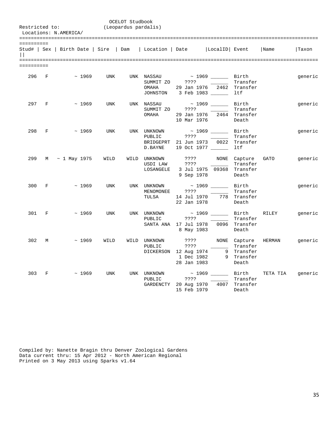|                      |              | Restricted to:<br>Locations: N.AMERICA/ |              |      | OCELOT Studbook<br>(Leopardus pardalis) |                                                         |                                                                                                      |                           |                                        |          |         |
|----------------------|--------------|-----------------------------------------|--------------|------|-----------------------------------------|---------------------------------------------------------|------------------------------------------------------------------------------------------------------|---------------------------|----------------------------------------|----------|---------|
| ==========<br>$\Box$ |              |                                         |              |      |                                         | Stud#   Sex   Birth Date   Sire   Dam   Location   Date |                                                                                                      | LocalID Event             |                                        | Name     | Taxon   |
| ==========           |              |                                         |              |      |                                         |                                                         |                                                                                                      |                           |                                        |          |         |
| 296 F                |              |                                         | $~\sim~1969$ | UNK  |                                         | UNK NASSAU<br>OMAHA                                     | $\sim$ 1969 $\qquad$ Birth<br>SUMMIT ZO ????<br>29 Jan 1976 2462 Transfer<br>JOHNSTON 3 Feb 1983 1tf |                           | Transfer                               |          | generic |
|                      | 297 F        |                                         | ~1969        | UNK  |                                         | UNK NASSAU<br>SUMMIT ZO<br>OMAHA                        | ????<br>29 Jan 1976 2464 Transfer<br>10 Mar 1976                                                     | ~ 1969 _________ Birth    | Transfer<br>Death                      |          | generic |
| 298                  | $\mathbf{F}$ |                                         | ~1969        | UNK  |                                         | UNK UNKNOWN<br>PUBLIC<br>BRIDGEPRT<br>D.BAYNE           | $\sim$ 1969 $\qquad$ Birth<br>? ? ? ?<br>21 Jun 1973 0022 Transfer<br>19 Oct 1977 _____              |                           | Transfer<br>ltf                        |          | generic |
| 299                  |              | M ~ 1 May 1975                          |              | WILD |                                         | WILD UNKNOWN<br>USDI LAW<br>LOSANGELE                   | ? ? ? ?<br>7777<br>9 Sep 1978                                                                        | 3 Jul 1975 09368 Transfer | NONE Capture GATO<br>Transfer<br>Death |          | generic |
| 300 F                |              |                                         | $\sim 1969$  | UNK  |                                         | UNK UNKNOWN<br>MENOMONEE<br>TULSA                       | $\sim$ 1969 $\qquad$ Birth<br>????<br>14 Jul 1970<br>22 Jan 1978                                     |                           | Transfer<br>778 Transfer<br>Death      |          | generic |
| 301 F                |              |                                         | ~1969        | UNK  |                                         | UNK UNKNOWN<br>PUBLIC                                   | ????<br>SANTA ANA 17 Jul 1978 0096 Transfer<br>8 May 1983                                            | ~ 1969 _______ Birth      | Transfer<br>Death                      | RILEY    | generic |
| 302                  | М            |                                         | ~1969        | WILD |                                         | WILD UNKNOWN<br>PUBLIC                                  | ? ? ? ?<br>????<br>DICKERSON 12 Aug 1974 9 Transfer<br>28 Jan 1983                                   | 1 Dec 1982 9 Transfer     | NONE Capture<br>Transfer<br>Death      | HERMAN   | generic |
| 303                  | $\mathbf{F}$ |                                         | ~1969        | UNK  |                                         | UNK UNKNOWN<br>PUBLIC                                   | $\sim$ 1969 $\qquad$ Birth<br>????<br>GARDENCTY 20 Aug 1970<br>15 Feb 1979                           |                           | Transfer<br>4007 Transfer<br>Death     | TETA TIA | generic |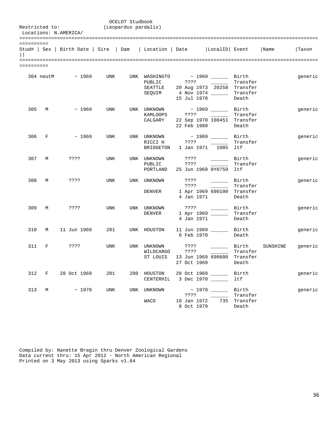OCELOT Studbook<br>(Leopardus pardalis) Restricted to: Locations: N.AMERICA/ ======================================================================================================= ========== Stud# | Sex | Birth Date | Sire | Dam | Location | Date |LocalID| Event |Name |Taxon  $|||$ ======================================================================================================= ========== 304 neutM ~ 1969 UNK UNK WASHINGTO ~ 1969 \_\_\_\_\_\_ Birth generic PUBLIC ???? \_\_\_\_\_\_ Transfer  $\begin{tabular}{lllllll} \texttt{WASHINGTO} & $\sim$ 1969 & \texttt{MISH} & \texttt{Birth} \\\texttt{PUBLIC} & $\texttt{??}? & $\texttt{--} \texttt{--} \texttt{Transfer} \\\texttt{SEQUIM} & $\texttt{4 Nov 1974} \texttt{---}$ & \texttt{Transfer} \end{tabular}$ SEQUIM 4 Nov 1974 \_\_\_\_\_\_ Transfer 15 Jul 1978 Death 305 M ~ 1969 UNK UNK UNKNOWN ~ 1969 \_\_\_\_\_\_ Birth generic<br>KAMLOOPS ???? \_\_\_\_\_\_ Transfer KAMLOOPS ???? \_\_\_\_\_\_ Transfer 22 Sep 1970 100451 Transfer<br>22 Feb 1980 Death 22 Feb 1980 306 F  $\sim$  1969 UNK UNKNOWN  $\sim$  1969 Birth generic RICCI H ???? RICCI H ???? \_\_\_\_\_\_ Transfer BRIDGETON 1 Jan 1971 1005 ltf 307 M ???? UNK UNK UNKNOWN ???? \_\_\_\_\_\_ Birth generic<br>PUBLIC ???? \_\_\_\_\_\_ Transfer PUBLIC ???? \_\_\_\_\_\_ Transfer PORTLAND 25 Jun 1969 0Y0759 ltf 308 M ???? UNK UNK UNKNOWN ???? \_\_\_\_\_\_ Birth generic ???? \_\_\_\_\_\_ Transfer DENVER 1 Apr 1969 690100 Transfer 4 Jan 1971 309 M ???? UNK UNK UNKNOWN ???? \_\_\_\_\_\_ Birth generic DENVER 1 Apr 1969 \_\_\_\_\_\_ Transfer 4 Jan 1971 Death 310 M 11 Jun 1969 201 UNK HOUSTON 11 Jun 1969 \_\_\_\_\_\_ Birth generic 6 Feb 1970 Death 311 F ???? UNK UNK UNKNOWN ???? \_\_\_\_\_\_ Birth SUNSHINE generic WILDCARGO ???? \_\_\_\_\_\_ Transfer  $ST$  LOUIS 13 Jun 1969  $\overline{690600}$  Transfer 27 Oct 1969 Death 312 F 28 Oct 1969 201 200 HOUSTON 28 Oct 1969 \_\_\_\_\_\_ Birth generic CENTERHIL 3 Dec 1970 \_\_\_\_\_\_ ltf 313 M ~ 1970 UNK UNK UNKNOWN ~ 1970 \_\_\_\_\_\_ Birth generic

8 Oct 1979 Death

Compiled by: Nanette Bragin thru Denver Zoological Gardens Data current thru: 15 Apr 2012 - North American Regional Printed on 3 May 2013 using Sparks v1.64

 ???? \_\_\_\_\_\_ Transfer WACO 10 Jan 1972 735 Transfer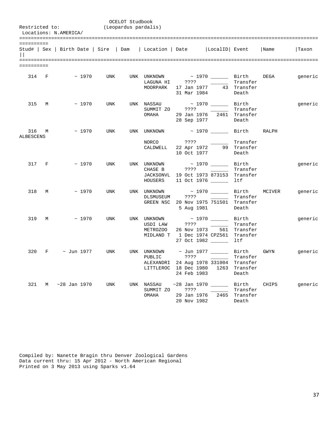|            |       | Restricted to:<br>Locations: N.AMERICA/                                          |            | OCELOT Studbook<br>(Leopardus pardalis) |                                                                 |                            |                                                                                              |                               |             |                                                       |  |
|------------|-------|----------------------------------------------------------------------------------|------------|-----------------------------------------|-----------------------------------------------------------------|----------------------------|----------------------------------------------------------------------------------------------|-------------------------------|-------------|-------------------------------------------------------|--|
| ========== |       | Stud#   Sex   Birth Date   Sire   Dam   Location   Date   LocalID   Event   Name |            |                                         |                                                                 |                            |                                                                                              |                               |             | Taxon                                                 |  |
| ========== |       |                                                                                  |            |                                         |                                                                 |                            |                                                                                              |                               |             |                                                       |  |
|            |       | 314 F $\sim$ 1970 UNK UNK UNKNOWN $\sim$ 1970 ________ Birth DEGA                |            |                                         | LAGUNA HI ???? 2001                                             | 31 Mar 1984                | MOORPARK 17 Jan 1977 43 Transfer                                                             | Transfer<br>Death             |             | generic                                               |  |
|            | 315 M | $\sim$ 1970                                                                      |            |                                         | UNK UNK NASSAU ~ 1970 _______ Birth<br>SUMMIT ZO ????<br>OMAHA  |                            | 29 Jan 1976   2461  Transfer<br>28 Sep 1977                                                  | Transfer<br>Death             |             | generic                                               |  |
| ALBESCENS  |       | $316$ M $\sim$ 1970                                                              | UNK        |                                         | UNK UNKNOWN $\sim$ 1970 $\sim$ Birth RALPH<br>NORCO ????        |                            | CALDWELL 22 Apr 1972 99 Transfer<br>10 Oct 1977                                              | Transfer<br>Death             |             |                                                       |  |
|            | 317 F | $\sim 1970$                                                                      | <b>UNK</b> |                                         | UNK UNKNOWN $\sim$ 1970 $\_\_\_\_\_$ Birth<br>CHASE B ???? 2001 |                            | JACKSONVL 19 Oct 1973 873153 Transfer<br>HOUSERS 11 Oct 1976 Ltf                             | Transfer                      |             | generic                                               |  |
|            | 318 M | $\sim 1970$                                                                      |            |                                         | UNK UNK UNKNOWN ~ 1970 _______ Birth MCIVER<br>DLSMUSEUM ????   |                            | GREEN NSC 20 Nov 1975 751501 Transfer<br>5 Aug 1981                                          | Transfer<br>Death             |             | generic                                               |  |
|            |       | $319$ M $\sim$ 1970                                                              |            |                                         | UNK UNK UNKNOWN<br>USDI LAW<br>METROZOO                         | 26 Nov 1973                | $\sim$ 1970 _______ Birth<br>MIDLAND T 1 Dec 1974 CPZ561 Transfer<br>27 Oct 1982 _______ ltf | Transfer<br>561 Transfer      |             | generic                                               |  |
| 320        |       | F ~ Jun 1977                                                                     | UNK        |                                         | PUBLIC                                                          | ????<br>24 Feb 1983        | ________ Transfer<br>ALEXANDRI 24 Aug 1978 331004 Transfer<br>LITTLEROC 18 Dec 1980 1263     | Transfer<br>Death             |             | UNK UNKNOWN $\sim$ Jun 1977 ______ Birth GWYN generic |  |
|            |       | 321 M ~28 Jan 1970                                                               | UNK        |                                         | UNK NASSAU<br>SUMMIT ZO<br>OMAHA                                | 29 Jan 1976<br>20 Nov 1982 | $~28$ Jan 1970 ______<br>????<br>2465                                                        | Transfer<br>Transfer<br>Death | Birth CHIPS | generic                                               |  |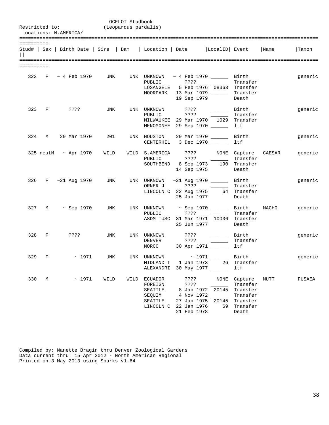|            |       | Restricted to:<br>Locations: N.AMERICA/ |       | (Leopardus pardalis)   | OCELOT Studbook |                                                                                                       |                                                                         |                                                                         |                                                                              |        |         |
|------------|-------|-----------------------------------------|-------|------------------------|-----------------|-------------------------------------------------------------------------------------------------------|-------------------------------------------------------------------------|-------------------------------------------------------------------------|------------------------------------------------------------------------------|--------|---------|
| ========== |       |                                         |       |                        |                 | Stud#   Sex   Birth Date   Sire   Dam   Location   Date     LocalID   Event   Name                    |                                                                         |                                                                         |                                                                              |        | Taxon   |
| ========== |       |                                         |       |                        |                 |                                                                                                       |                                                                         |                                                                         |                                                                              |        |         |
|            |       | 322 F ~ 4 Feb 1970 UNK                  |       |                        |                 | UNK UNKNOWN<br>PUBLIC<br>LOSANGELE 5 Feb 1976 08363 Transfer<br>MOORPARK 13 Mar 1979 _______ Transfer | ? ? ? ?                                                                 | ~ 4 Feb 1970 ________ Birth<br>$\sim 100$ and $\sim 100$<br>19 Sep 1979 | Transfer<br>Death                                                            |        | generic |
|            |       | 323 F ????                              |       | UNK                    |                 | UNK UNKNOWN<br>PUBLIC<br>MILWAUKEE 29 Mar 1970 1029 Transfer<br>MENOMONEE 29 Sep 1970 ______          | ????                                                                    | Birth Birth                                                             | Transfer<br>ltf                                                              |        | generic |
| 324        | M     | 29 Mar 1970                             |       | 201                    |                 | UNK HOUSTON<br>CENTERHIL 3 Dec 1970 ______                                                            |                                                                         | 29 Mar 1970 ______                                                      | Birth<br>ltf                                                                 |        | generic |
|            |       | $325$ neutM $\sim$ Apr 1970             |       | WILD                   |                 | WILD S.AMERICA<br>PUBLIC<br>SOUTHBEND 8 Sep 1973 190 Transfer                                         | ? ? ? ?                                                                 | ???? NONE Capture<br>14 Sep 1975                                        | Transfer<br>Death                                                            | CAESAR | generic |
|            |       |                                         |       | 326 F ~21 Aug 1970 UNK |                 | UNK UNKNOWN<br>ORNER J<br>LINCOLN C 22 Aug 1975 64 Transfer                                           | 25 Jan 1977                                                             | $~1970$ $~1970$ $~1970$ Birth                                           | Transfer<br>Death                                                            |        | generic |
|            |       | 327 M ~ Sep 1970                        |       | UNK                    |                 | UNK UNKNOWN ~ Sep 1970 _______ Birth MACHO<br>PUBLIC ????<br>ASDM TUSC 31 Mar 1971 10006 Transfer     | 25 Jun 1977                                                             |                                                                         | Transfer<br>Death                                                            |        | generic |
|            | 328 F | ????                                    |       | UNK                    |                 | UNK UNKNOWN<br><b>DENVER</b><br>NORCO 30 Apr 1971 ________ 1tf                                        |                                                                         | ???? ________ Transfer                                                  |                                                                              |        | generic |
|            |       | 329 F $\sim$ 1971                       |       | UNK                    |                 | UNK UNKNOWN<br>MIDLAND T<br>ALEXANDRI 30 May 1977                                                     |                                                                         | ~ 1971 _______ Birth<br>1 Jan 1973 26                                   | Transfer<br>ltf                                                              |        | generic |
| 330        | М     |                                         | ~1971 | WILD                   | WILD            | ECUADOR<br>FOREIGN<br>SEATTLE<br>SEQUIM<br>SEATTLE<br>LINCOLN C                                       | ????<br>????<br>8 Jan 1972<br>27 Jan 1975<br>22 Jan 1976<br>21 Feb 1978 | NONE<br>20145<br>4 Nov 1972<br>20145<br>69                              | Capture<br>Transfer<br>Transfer<br>Transfer<br>Transfer<br>Transfer<br>Death | MUTT   | PUSAEA  |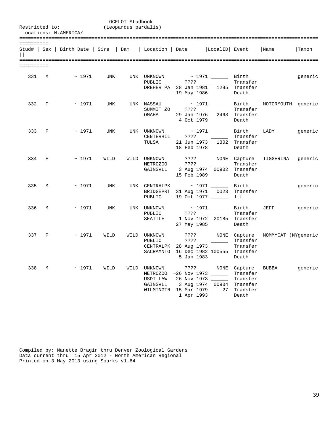|            |              | Restricted to:<br>Locations: N.AMERICA/                                   |            | OCELOT Studbook<br>(Leopardus pardalis) |                                      |                            |                                                                                                                                 |                                               |                                                 |         |
|------------|--------------|---------------------------------------------------------------------------|------------|-----------------------------------------|--------------------------------------|----------------------------|---------------------------------------------------------------------------------------------------------------------------------|-----------------------------------------------|-------------------------------------------------|---------|
| ========== |              | Stud#   Sex   Birth Date   Sire   Dam   Location   Date   LocalID   Event |            |                                         |                                      |                            |                                                                                                                                 |                                               | Name                                            | Taxon   |
| ========== |              |                                                                           |            |                                         |                                      |                            |                                                                                                                                 |                                               |                                                 |         |
|            | 331 M        | ~ 1971 UNK                                                                |            |                                         | UNK UNKNOWN<br>PUBLIC                | 19 May 1986                | $\sim$ 1971 $\qquad$ Birth<br>DREHER PA 28 Jan 1981 1295 Transfer                                                               | Transfer<br>Death                             |                                                 | generic |
| 332        | $\mathbf{F}$ | ~1971                                                                     | <b>UNK</b> |                                         | SUMMIT ZO ????<br>OMAHA              | 4 Oct 1979                 | 29 Jan 1976   2463  Transfer                                                                                                    | Transfer<br>Death                             | UNK NASSAU $\sim 1971$ Birth MOTORMOUTH generic |         |
| 333 F      |              | ~1971                                                                     | UNK        |                                         | CENTERHIL ????<br>TULSA              | 18 Feb 1978                | UNK UNKNOWN ~ 1971 _______ Birth<br>21 Jun 1973 1802 Transfer                                                                   | Transfer<br>Death                             | LADY                                            | generic |
| 334 F      |              | $~\sim~1971$                                                              | WILD       |                                         | WILD UNKNOWN<br>METROZOO             | ????<br>15 Feb 1989        | $\mathcal{L}^{\text{max}}_{\text{max}}$ , and $\mathcal{L}^{\text{max}}_{\text{max}}$<br>GAINSVLL 3 Aug 1974 00902 Transfer     | Transfer<br>Death                             | ???? NONE Capture TIGGERINA generic             |         |
| 335        | $M_{\odot}$  | ~1971                                                                     | UNK        |                                         | PUBLIC                               |                            | UNK CENTRALPK $\sim$ 1971 $\sim$<br>BRIDGEPRT 31 Aug 1971 0023 Transfer<br>19 Oct 1977 _____                                    | Birth<br>ltf                                  |                                                 | generic |
| 336        | M            | $~\sim~1971$                                                              | UNK        |                                         | UNK UNKNOWN<br>PUBLIC<br>SEATTLE     | ????<br>27 May 1985        | 1 Nov 1972 20185 Transfer                                                                                                       | Transfer<br>Death                             | ~ 1971 ________ Birth JEFF                      | generic |
| 337 F      |              | ~1971                                                                     | WILD       |                                         | WILD UNKNOWN<br>PUBLIC               | ????<br>????<br>5 Jan 1983 | CENTRALPK 28 Aug 1973<br>SACRAMNTO 16 Dec 1982 100555 Transfer                                                                  | NONE Capture<br>Transfer<br>Transfer<br>Death | MOMMYCAT (NYgeneric                             |         |
| 338        | М            | $~\sim~1971$                                                              | WILD       |                                         | WILD UNKNOWN<br>USDI LAW<br>GAINSVLL | 1 Apr 1993                 | METROZOO ~26 Nov 1973 ________ Transfer<br>26 Nov 1973 ______<br>3 Aug 1974 00904 Transfer<br>WILMINGTN 15 Mar 1979 27 Transfer | Transfer<br>Death                             | ???? NONE Capture BUBBA                         | generic |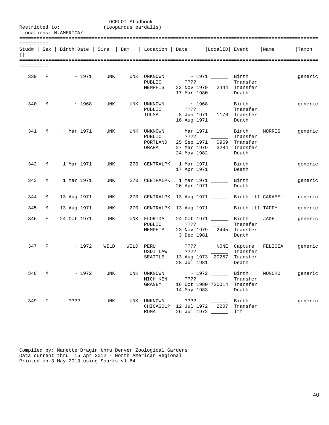|            |   | Restricted to:<br>Locations: N.AMERICA/ |                  |      | OCELOT Studbook<br>(Leopardus pardalis) |                                            |                                |                                                                                                    |                                               |         |         |  |  |
|------------|---|-----------------------------------------|------------------|------|-----------------------------------------|--------------------------------------------|--------------------------------|----------------------------------------------------------------------------------------------------|-----------------------------------------------|---------|---------|--|--|
| ========== |   |                                         |                  |      |                                         |                                            |                                | Stud#   Sex   Birth Date   Sire   Dam   Location   Date   LocalID   Event   Name                   |                                               |         | Taxon   |  |  |
| ========== |   |                                         |                  |      |                                         |                                            |                                |                                                                                                    |                                               |         |         |  |  |
| 339 F      |   |                                         | $\sim$ 1971      | UNK  |                                         | UNK UNKNOWN<br>PUBLIC<br>MEMPHIS           | 17 Mar 1980                    | ~ 1971 ________ Birth<br>23 Nov 1979 2444 Transfer                                                 | Transfer<br>Death                             |         | generic |  |  |
| 340        | M |                                         | ~1968            | UNK  |                                         | UNK UNKNOWN<br>PUBLIC<br>TULSA             | ????<br>16 Aug 1971            | ~ 1968 _______ Birth<br>8 Jun 1971 - 1176 Transfer                                                 | Transfer<br>Death                             |         | generic |  |  |
| 341        | M |                                         | $~\sim$ Mar 1971 | UNK  |                                         | UNK UNKNOWN<br>PUBLIC<br>PORTLAND<br>OMAHA | ????                           | ~ Mar 1971 ________ Birth<br>25 Sep 1971 0969 Transfer<br>27 Mar 1979 3284 Transfer<br>24 May 1982 | Transfer<br>Death                             | MORRIS  | generic |  |  |
| 342        | M |                                         | 1 Mar 1971       | UNK  |                                         |                                            |                                | 270 CENTRALPK 1 Mar 1971 Birth<br>17 Apr 1971                                                      | Death                                         |         | generic |  |  |
| 343        | M |                                         | 1 Mar 1971       | UNK  |                                         | 270 CENTRALPK                              |                                | 1 Mar 1971 _______ Birth<br>26 Apr 1971                                                            | Death                                         |         | generic |  |  |
| 344        | M | 13 Aug 1971                             |                  | UNK  |                                         |                                            |                                | 270 CENTRALPK 13 Aug 1971 _______ Birth ltf CARAMEL                                                |                                               |         | generic |  |  |
| 345        | M | 13 Aug 1971                             |                  | UNK  |                                         |                                            |                                | 270 CENTRALPK 13 Aug 1971 ________ Birth ltf TAFFY                                                 |                                               |         | generic |  |  |
| 346        | F | 24 Oct 1971                             |                  | UNK  |                                         | UNK FLORIDA<br>PUBLIC<br>MEMPHIS           | ????<br>3 Dec 1981             | 24 Oct 1971 ________ Birth<br>23 Nov 1979 2445 Transfer                                            | Transfer<br>Death                             | JADE    | generic |  |  |
| 347        | F |                                         | ~1972            | WILD | WILD PERU                               | USDI LAW<br>SEATTLE                        | ? ? ? ?<br>????<br>28 Jul 1981 | 13 Aug 1973 20257                                                                                  | NONE Capture<br>Transfer<br>Transfer<br>Death | FELICIA | generic |  |  |
| 348        |   | $M \sim 1972$                           |                  | UNK  |                                         | UNK UNKNOWN<br>MICH KEN<br>GRANBY          | ????<br>14 May 1983            | ~ 1972 _______ Birth<br><b>Contract Contract Contract</b><br>16 Oct 1980 720014 Transfer           | Transfer<br>Death                             | MONCHO  | generic |  |  |
| 349 F      |   |                                         | ? ? ? ?          | UNK  |                                         | UNK UNKNOWN<br>CHICAGOLP<br>ROMA           | ? ? ? ?                        | 12 Jul 1972 2207<br>26 Jul 1972 _____                                                              | Birth<br>Transfer<br>ltf                      |         | generic |  |  |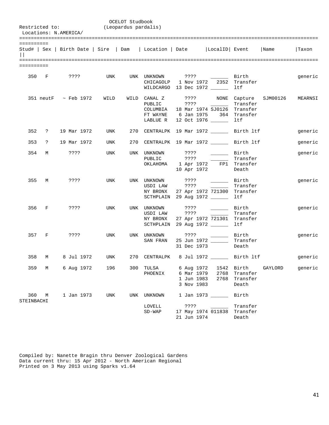|                   |            | Restricted to:                                                            |      | OCELOT Studbook<br>(Leopardus pardalis) |                                      |                                                      |                                                                                                                                                                                                                                                                                                                                                                                                                                                                                                                                                                                                                                                                                                                                 |                                        |         |         |
|-------------------|------------|---------------------------------------------------------------------------|------|-----------------------------------------|--------------------------------------|------------------------------------------------------|---------------------------------------------------------------------------------------------------------------------------------------------------------------------------------------------------------------------------------------------------------------------------------------------------------------------------------------------------------------------------------------------------------------------------------------------------------------------------------------------------------------------------------------------------------------------------------------------------------------------------------------------------------------------------------------------------------------------------------|----------------------------------------|---------|---------|
|                   |            | Locations: N.AMERICA/                                                     |      |                                         |                                      |                                                      |                                                                                                                                                                                                                                                                                                                                                                                                                                                                                                                                                                                                                                                                                                                                 |                                        |         |         |
| ==========        |            |                                                                           |      |                                         |                                      |                                                      |                                                                                                                                                                                                                                                                                                                                                                                                                                                                                                                                                                                                                                                                                                                                 |                                        |         |         |
|                   |            | Stud#   Sex   Birth Date   Sire   Dam   Location   Date   LocalID   Event |      |                                         |                                      |                                                      |                                                                                                                                                                                                                                                                                                                                                                                                                                                                                                                                                                                                                                                                                                                                 |                                        | Name    | Taxon   |
|                   |            |                                                                           |      |                                         |                                      |                                                      |                                                                                                                                                                                                                                                                                                                                                                                                                                                                                                                                                                                                                                                                                                                                 |                                        |         |         |
| ==========        |            |                                                                           |      |                                         |                                      |                                                      |                                                                                                                                                                                                                                                                                                                                                                                                                                                                                                                                                                                                                                                                                                                                 |                                        |         |         |
|                   | 350 F      | ? ? ? ?                                                                   | UNK  |                                         | UNK UNKNOWN<br>CHICAGOLP             |                                                      | 1 Nov 1972 2352<br>WILDCARGO 13 Dec 1972 ______                                                                                                                                                                                                                                                                                                                                                                                                                                                                                                                                                                                                                                                                                 | Transfer<br>ltf                        |         | generic |
|                   |            | $351$ neutF $\sim$ Feb 1972                                               | WILD |                                         | WILD CANAL Z<br>PUBLIC<br>LABLUE R   | ? ? ? ?                                              | ???? NONE Capture SJM00126<br>$\sim 10^{11}$ and $\sim 10^{11}$<br>COLUMBIA 18 Mar 1974 SJ0126 Transfer<br>FT WAYNE 6 Jan 1975 364 Transfer<br>12 Oct 1976 _____                                                                                                                                                                                                                                                                                                                                                                                                                                                                                                                                                                | Transfer<br>ltf                        |         | MEARNSI |
| 352               | $\ddot{?}$ | 19 Mar 1972                                                               | UNK  |                                         |                                      |                                                      | 270 CENTRALPK 19 Mar 1972 Birth ltf                                                                                                                                                                                                                                                                                                                                                                                                                                                                                                                                                                                                                                                                                             |                                        |         | generic |
| 353               | $\ddot{?}$ | 19 Mar 1972                                                               | UNK  |                                         |                                      |                                                      | 270 CENTRALPK 19 Mar 1972 _______ Birth ltf                                                                                                                                                                                                                                                                                                                                                                                                                                                                                                                                                                                                                                                                                     |                                        |         | generic |
| 354               | M          | ? ? ? ?                                                                   | UNK  |                                         | UNK UNKNOWN<br>PUBLIC<br>OKLAHOMA    | ? ? ? ?                                              | $\frac{1}{\sqrt{1-\frac{1}{2}}}\frac{1}{\sqrt{1-\frac{1}{2}}}\frac{1}{\sqrt{1-\frac{1}{2}}}\frac{1}{\sqrt{1-\frac{1}{2}}}\frac{1}{\sqrt{1-\frac{1}{2}}}\frac{1}{\sqrt{1-\frac{1}{2}}}\frac{1}{\sqrt{1-\frac{1}{2}}}\frac{1}{\sqrt{1-\frac{1}{2}}}\frac{1}{\sqrt{1-\frac{1}{2}}}\frac{1}{\sqrt{1-\frac{1}{2}}}\frac{1}{\sqrt{1-\frac{1}{2}}}\frac{1}{\sqrt{1-\frac{1}{2}}}\frac{1}{\sqrt{1-\frac{1}{2}}}\frac{1}{\sqrt{1-\frac{$<br>1 Apr 1972 FP1 Transfer<br>10 Apr 1972                                                                                                                                                                                                                                                       | Transfer<br>Death                      |         | generic |
| 355               | M          | ????                                                                      | UNK  |                                         | UNK UNKNOWN<br>USDI LAW<br>NY BRONX  | ? ? ? ?<br>????                                      | <u> 1999 - Jan Ja</u><br>27 Apr 1972 721300<br>SCTHPLAIN 29 Aug 1972                                                                                                                                                                                                                                                                                                                                                                                                                                                                                                                                                                                                                                                            | Birth<br>Transfer<br>Transfer<br>ltf   |         | generic |
| 356               | F          | ????                                                                      | UNK  |                                         | UNK UNKNOWN<br>USDI LAW<br>NY BRONX  | ? ? ? ?<br>? ? ? ?                                   | $\frac{1}{\sqrt{1-\frac{1}{2}}}\frac{1}{\sqrt{1-\frac{1}{2}}}\frac{1}{\sqrt{1-\frac{1}{2}}}\frac{1}{\sqrt{1-\frac{1}{2}}}\frac{1}{\sqrt{1-\frac{1}{2}}}\frac{1}{\sqrt{1-\frac{1}{2}}}\frac{1}{\sqrt{1-\frac{1}{2}}}\frac{1}{\sqrt{1-\frac{1}{2}}}\frac{1}{\sqrt{1-\frac{1}{2}}}\frac{1}{\sqrt{1-\frac{1}{2}}}\frac{1}{\sqrt{1-\frac{1}{2}}}\frac{1}{\sqrt{1-\frac{1}{2}}}\frac{1}{\sqrt{1-\frac{1}{2}}}\frac{1}{\sqrt{1-\frac{$<br><u>and the company of the company of the company of the company of the company of the company of the company of the company of the company of the company of the company of the company of the company of the company of the com</u><br>27 Apr 1972 721301 Transfer<br>SCTHPLAIN 29 Aug 1972 | Transfer<br>ltf                        |         | generic |
| 357               | F          | ????                                                                      | UNK  |                                         | UNK UNKNOWN<br>SAN FRAN              | ????                                                 | 25 Jun 1972<br>31 Dec 1973                                                                                                                                                                                                                                                                                                                                                                                                                                                                                                                                                                                                                                                                                                      | Birth<br>Transfer<br>Death             |         | generic |
| 358               | М          | 8 Jul 1972                                                                | UNK  |                                         | 270 CENTRALPK                        |                                                      | 8 Jul 1972 _______ Birth ltf                                                                                                                                                                                                                                                                                                                                                                                                                                                                                                                                                                                                                                                                                                    |                                        |         | generic |
| 359               | М          | 6 Aug 1972                                                                | 196  | 300                                     | TULSA<br>PHOENIX                     | 6 Aug 1972<br>6 Mar 1979<br>1 Jun 1983<br>3 Nov 1983 | 1542<br>2768<br>2768                                                                                                                                                                                                                                                                                                                                                                                                                                                                                                                                                                                                                                                                                                            | Birth<br>Transfer<br>Transfer<br>Death | GAYLORD | generic |
| 360<br>STEINBACHI | М          | 1 Jan 1973                                                                | UNK  | UNK                                     | <b>UNKNOWN</b><br>LOVELL<br>$SD-WAP$ | ????<br>21 Jun 1974                                  | 1 Jan 1973 ______<br>17 May 1974 011838                                                                                                                                                                                                                                                                                                                                                                                                                                                                                                                                                                                                                                                                                         | Birth<br>Transfer<br>Transfer<br>Death |         |         |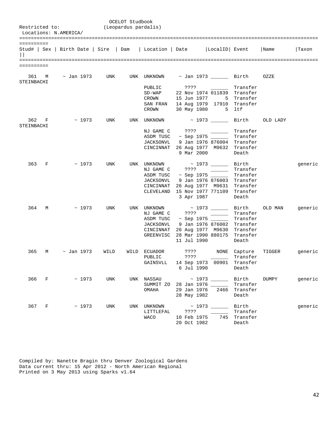|                   |       | Restricted to:<br>Locations: N.AMERICA/                                                |     | OCELOT Studbook<br>(Leopardus pardalis) |                                          |                                                                                                                                                      |                                          |                                            |                                                   |         |
|-------------------|-------|----------------------------------------------------------------------------------------|-----|-----------------------------------------|------------------------------------------|------------------------------------------------------------------------------------------------------------------------------------------------------|------------------------------------------|--------------------------------------------|---------------------------------------------------|---------|
| ==========        |       | Stud#   Sex   Birth Date   Sire   Dam   Location   Date   LocalID   Event   Name       |     |                                         |                                          |                                                                                                                                                      |                                          |                                            |                                                   | Taxon   |
| ==========        |       |                                                                                        |     |                                         |                                          |                                                                                                                                                      |                                          |                                            |                                                   |         |
| 361<br>STEINBACHI | M     | $\sim$ Jan 1973      UNK     UNK   UNKNOWN $\sim$ Jan 1973 ________   Birth       OZZE |     |                                         |                                          |                                                                                                                                                      |                                          |                                            |                                                   |         |
|                   |       |                                                                                        |     |                                         | PUBLIC<br>$SD-WAP$<br>CROWN<br>CROWN     | 22 Nov 1974 011839 Transfer<br>15 Jun 1977 5 Transfer<br>SAN FRAN 14 Aug 1979 17910 Transfer<br>30 May 1980 5 ltf                                    |                                          |                                            |                                                   |         |
|                   | 362 F | $\sim$ 1973                                                                            | UNK |                                         | UNK UNKNOWN ~ 1973 ______ Birth OLD LADY |                                                                                                                                                      |                                          |                                            |                                                   |         |
| STEINBACHI        |       |                                                                                        |     |                                         | JACKSONVL                                | NJ GAME C ????<br>ASDM TUSC ~ Sep 1975 _______ Transfer<br>CINCINNAT 26 Aug 1977 M9632 Transfer                                                      | 9 Jan 1976 876004 Transfer<br>9 Mar 2000 | Transfer<br>Death                          |                                                   |         |
| 363               | F     | $\sim$ 1973                                                                            | UNK |                                         | UNK UNKNOWN ~ 1973 _______<br>JACKSONVL  | NJ GAME C ???? ________<br>ASDM TUSC ~ Sep 1975 _____<br>CINCINNAT 26 Aug 1977 M9631 Transfer<br>CLEVELAND 15 Nov 1977 771109 Transfer<br>3 Apr 1987 | 9 Jan 1976 876003 Transfer               | Birth<br>Transfer<br>Transfer<br>Death     |                                                   | generic |
| 364               | M     | $~\sim~1973$                                                                           | UNK |                                         | NJ GAME C<br>ASDM TUSC                   | ? ? ? ?<br>JACKSONVL 9 Jan 1976 876002 Transfer<br>CINCINNAT 26 Aug 1977 M9630 Transfer<br>GREENVISC 28 Mar 1990 880175 Transfer<br>11 Jul 1990      | $\sim$ Sep 1975 $\_\_\_\_\_\_\$ Transfer | Transfer<br>Death                          | UNK UNKNOWN $\sim$ 1973 $\_\_\_\_\$ Birth OLD MAN | generic |
| 365               | M     | ~ Jan 1973     WILD                                                                    |     |                                         | WILD ECUADOR<br>PUBLIC                   | ????<br>GAINSVLL 14 Sep 1973 00901 Transfer<br>6 Jul 1990                                                                                            | ???? NONE Capture                        | Transfer<br>Death                          | TIGGER generic                                    |         |
|                   | 366 F | ~1973                                                                                  | UNK |                                         | UNK NASSAU<br>SUMMIT ZO<br>OMAHA         | 28 Jan 1976 _____<br>29 Jan 1976<br>28 May 1982                                                                                                      | 2466                                     | Transfer<br>Transfer<br>Death              | Birth DUMPY                                       | generic |
|                   | 367 F | ~1973                                                                                  | UNK |                                         | UNK UNKNOWN<br>LITTLEFAL<br><b>WACO</b>  | ????<br>10 Feb 1975<br>20 Oct 1982                                                                                                                   |                                          | Birth<br>Transfer<br>745 Transfer<br>Death |                                                   | generic |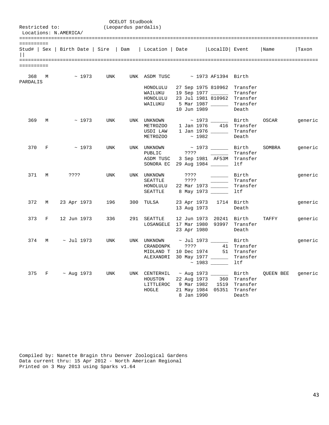|                            |   |                                       |            | OCELOT Studbook      |                                      |                         |       |                          |                                |           |         |
|----------------------------|---|---------------------------------------|------------|----------------------|--------------------------------------|-------------------------|-------|--------------------------|--------------------------------|-----------|---------|
| Restricted to:             |   | Locations: N.AMERICA/                 |            | (Leopardus pardalis) |                                      |                         |       |                          |                                |           |         |
|                            |   |                                       |            |                      |                                      |                         |       |                          |                                |           |         |
| ==========<br>$\mathbf{L}$ |   | Stud#   Sex   Birth Date   Sire   Dam |            |                      | Location   Date                      |                         |       | LocalID Event            |                                | Name      | Taxon   |
|                            |   |                                       |            |                      |                                      |                         |       |                          |                                |           |         |
| ==========                 |   |                                       |            |                      |                                      |                         |       |                          |                                |           |         |
| 368<br>PARDALIS            | M | ~1973                                 | UNK        |                      | UNK ASDM TUSC                        | ~ 1973 AF1394 Birth     |       |                          |                                |           |         |
|                            |   |                                       |            |                      | HONOLULU                             |                         |       |                          | 27 Sep 1975 810962 Transfer    |           |         |
|                            |   |                                       |            |                      | WAILUKU                              |                         |       |                          | 19 Sep 1977 _________ Transfer |           |         |
|                            |   |                                       |            |                      | HONOLULU                             |                         |       |                          | 23 Jul 1981 810962 Transfer    |           |         |
|                            |   |                                       |            |                      | WAILUKU                              | 5 Mar 1987 ______       |       |                          | Transfer                       |           |         |
|                            |   |                                       |            |                      |                                      | 10 Jun 1989             |       |                          | Death                          |           |         |
| 369                        | M | ~1973                                 | UNK        |                      | UNK UNKNOWN                          |                         |       |                          | ~ 1973 _______ Birth           | OSCAR     | generic |
|                            |   |                                       |            |                      | METROZOO                             | 1 Jan 1976              |       |                          | 416 Transfer                   |           |         |
|                            |   |                                       |            |                      | USDI LAW                             | $1$ Jan 1976 _______    |       |                          | Transfer                       |           |         |
|                            |   |                                       |            |                      | METROZOO                             |                         | ~1982 |                          | Death                          |           |         |
| 370                        | F | ~1973                                 | <b>UNK</b> |                      | UNK UNKNOWN                          |                         |       | ~ 1973 _______ Birth     |                                | SOMBRA    | generic |
|                            |   |                                       |            |                      | PUBLIC                               | ????                    |       |                          | Transfer                       |           |         |
|                            |   |                                       |            |                      | ASDM TUSC                            |                         |       |                          | 3 Sep 1981 AF53M Transfer      |           |         |
|                            |   |                                       |            |                      | SONORA EC 29 Aug 1984 ______         |                         |       |                          | ltf                            |           |         |
| 371                        | М | 3333                                  | <b>UNK</b> |                      | UNK UNKNOWN                          | ????                    |       | $\overline{\phantom{a}}$ | Birth                          |           | generic |
|                            |   |                                       |            |                      | SEATTLE                              | 3333                    |       |                          | Transfer                       |           |         |
|                            |   |                                       |            |                      | HONOLULU                             | 22 Mar 1973             |       |                          | Transfer                       |           |         |
|                            |   |                                       |            |                      | SEATTLE                              | 8 May 1973 ______       |       |                          | ltf                            |           |         |
| 372                        | M | 23 Apr 1973                           | 196        |                      | 300 TULSA                            | 23 Apr 1973 1714 Birth  |       |                          |                                |           | generic |
|                            |   |                                       |            |                      |                                      | 13 Aug 1973             |       |                          | Death                          |           |         |
| 373                        | F | 12 Jun 1973                           | 336        | 291                  | SEATTLE                              | 12 Jun 1973 20241 Birth |       |                          |                                | TAFFY     | generic |
|                            |   |                                       |            |                      | LOSANGELE 17 Mar 1980 93997 Transfer |                         |       |                          |                                |           |         |
|                            |   |                                       |            |                      |                                      | 23 Apr 1980             |       |                          | Death                          |           |         |
| 374                        | М | $\sim$ Jul 1973                       | <b>UNK</b> |                      | UNK UNKNOWN                          |                         |       | $\sim$ Jul 1973 ______   | Birth                          |           | generic |
|                            |   |                                       |            |                      | CRANDONPK                            | ????                    |       |                          | 41 Transfer                    |           |         |
|                            |   |                                       |            |                      | MIDLAND T                            | 10 Dec 1974             |       |                          | 51 Transfer                    |           |         |
|                            |   |                                       |            |                      | ALEXANDRI                            | 30 May 1977 ______      |       |                          | Transfer                       |           |         |
|                            |   |                                       |            |                      |                                      |                         |       | $\sim$ 1983 _____        | ltf                            |           |         |
| 375                        | F | $~\sim$ Aug 1973                      | UNK        |                      | UNK CENTERHIL                        | ~ Aug 1973 ______       |       |                          | Birth                          | OUEEN BEE | generic |
|                            |   |                                       |            |                      | HOUSTON                              | 22 Aug 1973             |       |                          | 360 Transfer                   |           |         |
|                            |   |                                       |            |                      | LITTLEROC                            | 9 Mar 1982              |       |                          | 1519 Transfer                  |           |         |
|                            |   |                                       |            |                      | HOGLE                                |                         |       |                          | 21 May 1984 05351 Transfer     |           |         |
|                            |   |                                       |            |                      |                                      | 8 Jan 1990              |       |                          | Death                          |           |         |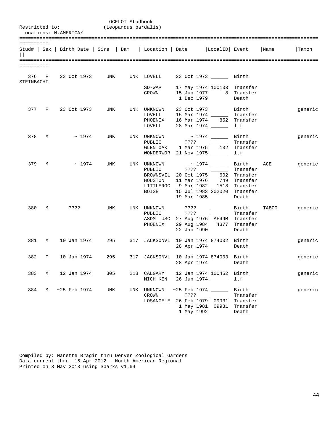|                   |       | Restricted to:<br>Locations: N.AMERICA/                                   |            | OCELOT Studbook<br>(Leopardus pardalis) |                                                                                            |                                    |                                                                                             |                                                                           |       |         |
|-------------------|-------|---------------------------------------------------------------------------|------------|-----------------------------------------|--------------------------------------------------------------------------------------------|------------------------------------|---------------------------------------------------------------------------------------------|---------------------------------------------------------------------------|-------|---------|
| ==========        |       | Stud#   Sex   Birth Date   Sire   Dam   Location   Date   LocalID   Event |            |                                         |                                                                                            |                                    |                                                                                             |                                                                           | Name  | Taxon   |
| ==========        |       |                                                                           |            |                                         |                                                                                            |                                    |                                                                                             |                                                                           |       |         |
| 376<br>STEINBACHI | F     | 23 Oct 1973 UNK UNK LOVELL 23 Oct 1973 ________ Birth                     |            |                                         |                                                                                            |                                    |                                                                                             |                                                                           |       |         |
|                   |       |                                                                           |            |                                         | $SD-WAP$<br>CROWN                                                                          | 1 Dec 1979                         | 17 May 1974 100103 Transfer<br>15 Jun 1977 8 Transfer                                       | Death                                                                     |       |         |
|                   | 377 F | 23 Oct 1973                                                               | UNK        |                                         | UNK UNKNOWN<br>LOVELL<br>PHOENIX<br>LOVELL                                                 |                                    | 23 Oct 1973 ________ Birth<br>15 Mar 1974 ______<br>16 Mar 1974 852 Transfer<br>28 Mar 1974 | Transfer<br>ltf                                                           |       | generic |
| 378               | M     | ~1974                                                                     | UNK        |                                         | UNK UNKNOWN<br>PUBLIC<br>GLEN OAK                                                          | 7777<br>1 Mar 1975                 | ~ 1974 ________ Birth<br>132<br>WONDERWOR 21 Nov 1975                                       | Transfer<br>Transfer<br>ltf                                               |       | generic |
| 379               | M     | $~\sim~1974$                                                              | UNK        |                                         | UNK UNKNOWN<br>PUBLIC<br>BROWNSVIL 20 Oct 1975<br>HOUSTON<br>LITTLEROC 9 Mar 1982<br>BOISE | ????<br>11 Mar 1976<br>19 Mar 1985 | $\sim$ 1974 Birth<br>the company of the company of<br>1518<br>15 Jul 1983 202020            | Transfer<br>602 Transfer<br>749 Transfer<br>Transfer<br>Transfer<br>Death | ACE   | generic |
| 380               | M     | ????                                                                      | <b>UNK</b> |                                         | UNK UNKNOWN ????<br>PUBLIC<br>PHOENIX                                                      | ? ? ? ?<br>22 Jan 1990             | Birth<br>ASDM TUSC 27 Aug 1976 AF49M Transfer<br>29 Aug 1984 4377 Transfer                  | Transfer<br>Death                                                         | TABOO | generic |
| 381               | М     | 10 Jan 1974                                                               | 295        |                                         |                                                                                            |                                    | 317 JACKSONVL 10 Jan 1974 874002 Birth<br>28 Apr 1974                                       | Death                                                                     |       | generic |
| 382               | F     | 10 Jan 1974                                                               | 295        |                                         |                                                                                            | 28 Apr 1974                        | 317 JACKSONVL 10 Jan 1974 874003 Birth                                                      | Death                                                                     |       | generic |
| 383               | M     | 12 Jan 1974                                                               | 305        |                                         | 213 CALGARY<br>MICH KEN                                                                    |                                    | 12 Jan 1974 100452 Birth<br>26 Jun 1974 ______                                              | ltf                                                                       |       | generic |
| 384               | M     | $~25$ Feb 1974                                                            | UNK        | UNK                                     | UNKNOWN<br>CROWN<br>LOSANGELE                                                              | ????<br>1 May 1992                 | $~25$ Feb 1974<br>26 Feb 1979 09931<br>1 May 1981 09931                                     | Birth<br>Transfer<br>Transfer<br>Transfer<br>Death                        |       | generic |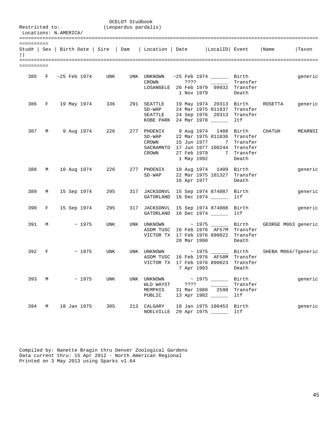|            |       | Restricted to:<br>Locations: N.AMERICA/ |             | (Leopardus pardalis)  | OCELOT Studbook |                                                          |                    |                                                                                                                                                                               |                                      |         |
|------------|-------|-----------------------------------------|-------------|-----------------------|-----------------|----------------------------------------------------------|--------------------|-------------------------------------------------------------------------------------------------------------------------------------------------------------------------------|--------------------------------------|---------|
| ========== |       |                                         |             |                       |                 |                                                          |                    | Stud#   Sex   Birth Date   Sire   Dam   Location   Date   LocalID   Event   Name                                                                                              |                                      | Taxon   |
| ========== |       |                                         |             |                       |                 |                                                          |                    |                                                                                                                                                                               |                                      |         |
|            |       |                                         |             |                       |                 | CROWN                                                    | ????<br>1 Nov 1979 | 385 F $\sim$ 25 Feb 1974 UNK UNK UNKNOWN $\sim$ 25 Feb 1974 ________ Birth<br>the company of the company<br>LOSANGELE 26 Feb 1979 09932 Transfer                              | Transfer<br>Death                    | generic |
|            |       |                                         |             |                       |                 | 386 F 19 May 1974 236 291 SEATTLE<br>$SD-WAP$<br>SEATTLE |                    | 19 May 1974 20313 Birth ROSETTA<br>24 Mar 1975 011837 Transfer<br>24 Sep 1976 20313 Transfer<br>KOBE PARK 24 Mar 1978                                                         | ltf                                  | generic |
|            |       |                                         |             |                       |                 | $SD-WAP$<br>CROWN<br>CROWN                               | 27 Feb 1979        | 387 M 9 Aug 1974 226 277 PHOENIX 9 Aug 1974 1408 Birth CHATUH<br>22 Mar 1975 011836 Transfer<br>15 Jun 1977 7 Transfer<br>SACRAMNTO 17 Jun 1977 100244 Transfer<br>1 May 1992 | 7 Transfer<br>Death                  | MEARNSI |
|            | 388 M |                                         |             | 10 Aug 1974 226       |                 | 277 PHOENIX<br>$SD-WAP$                                  | 16 Apr 1977        | 10 Aug 1974 1409 Birth<br>22 Mar 1975 101327 Transfer                                                                                                                         | Death                                | generic |
|            |       |                                         |             | 389 M 15 Sep 1974 295 |                 |                                                          |                    | 317 JACKSONVL 15 Sep 1974 874087 Birth<br>GATORLAND 16 Dec 1974                                                                                                               | ltf                                  | generic |
|            | 390 F | 15 Sep 1974                             |             | 295 — 1               |                 |                                                          |                    | 317 JACKSONVL 15 Sep 1974 874088 Birth<br>GATORLAND 16 Dec 1974 ______                                                                                                        | ltf                                  | generic |
|            |       | $391 \t M \t \sim 1975$                 |             | UNK                   |                 |                                                          | 28 Mar 1990        | UNK UNKNOWN $\sim$ 1975 Birth GEORGE M063 generic<br>ASDM TUSC 16 Feb 1976 AF57M Transfer<br>VICTOR TX 17 Feb 1976 890022 Transfer                                            | Death                                |         |
| 392        | F     |                                         | $\sim$ 1975 | UNK                   |                 |                                                          | 7 Apr 1993         | UNK UNKNOWN $\sim$ 1975 Birth SHEBA M064/7 qeneric<br>ASDM TUSC 16 Feb 1976 AF58M Transfer<br>VICTOR TX 17 Feb 1976 890023                                                    | Transfer<br>Death                    |         |
|            |       | 393 M                                   | ~1975       | UNK                   | UNK             | UNKNOWN<br>WLD WAYST<br>MEMPHIS<br>PUBLIC                |                    | $\sim$ 1975 _______<br>31 Mar 1980 2598<br>13 Apr 1982 ______                                                                                                                 | Birth<br>Transfer<br>Transfer<br>ltf | generic |
| 394        | M     | 18 Jan 1975                             |             | 305                   |                 | 213 CALGARY                                              |                    | 18 Jan 1975 100453<br>NOELVILLE 29 Apr 1975                                                                                                                                   | Birth<br>ltf                         | generic |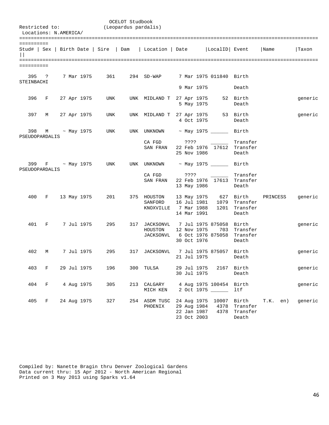| Restricted to:        | Locations: N.AMERICA/ |  |                 |                                       | OCELOT Studbook<br>(Leopardus pardalis) |                             |             |                           |                            |            |         |
|-----------------------|-----------------------|--|-----------------|---------------------------------------|-----------------------------------------|-----------------------------|-------------|---------------------------|----------------------------|------------|---------|
|                       |                       |  |                 |                                       |                                         |                             |             |                           |                            |            |         |
| ==========            |                       |  |                 | Stud#   Sex   Birth Date   Sire   Dam |                                         | Location   Date             |             | LocalID Event             |                            | Name       | Taxon   |
|                       |                       |  |                 |                                       |                                         |                             |             |                           |                            |            |         |
| ==========            |                       |  |                 |                                       |                                         |                             |             |                           |                            |            |         |
| 395<br>STEINBACHI     | ?                     |  | 7 Mar 1975      | 361                                   |                                         | 294 SD-WAP                  |             | 7 Mar 1975 011840 Birth   |                            |            |         |
|                       |                       |  |                 |                                       |                                         |                             | 9 Mar 1975  |                           | Death                      |            |         |
| 396                   | F                     |  | 27 Apr 1975     | UNK                                   |                                         | UNK MIDLAND T 27 Apr 1975   | 5 May 1975  |                           | 52 Birth<br>Death          |            | generic |
| 397                   | М                     |  | 27 Apr 1975     | UNK                                   | UNK                                     | MIDLAND T 27 Apr 1975       | 4 Oct 1975  |                           | 53 Birth<br>Death          |            | generic |
| 398<br>PSEUDOPARDALIS | M                     |  | $\sim$ May 1975 | UNK                                   | UNK                                     | UNKNOWN                     |             | $\sim$ May 1975 ______    | Birth                      |            |         |
|                       |                       |  |                 |                                       |                                         | CA FGD                      | ????        |                           | Transfer                   |            |         |
|                       |                       |  |                 |                                       |                                         | SAN FRAN                    |             |                           | 22 Feb 1976 17612 Transfer |            |         |
|                       |                       |  |                 |                                       |                                         |                             | 25 Nov 1986 |                           | Death                      |            |         |
| 399<br>PSEUDOPARDALIS |                       |  | F ~ May 1975    | UNK                                   | UNK                                     | UNKNOWN                     |             | ~ May 1975 ________ Birth |                            |            |         |
|                       |                       |  |                 |                                       |                                         | CA FGD                      | ????        |                           | Transfer                   |            |         |
|                       |                       |  |                 |                                       |                                         | SAN FRAN                    |             |                           | 22 Feb 1976 17613 Transfer |            |         |
|                       |                       |  |                 |                                       |                                         |                             | 13 May 1986 |                           | Death                      |            |         |
| 400                   | F                     |  | 13 May 1975     | 201                                   |                                         | 375 HOUSTON                 |             | 13 May 1975 627 Birth     |                            | PRINCESS   | generic |
|                       |                       |  |                 |                                       |                                         | SANFORD                     | 16 Jul 1981 | 1079                      | Transfer                   |            |         |
|                       |                       |  |                 |                                       |                                         | KNOXVILLE                   | 7 Mar 1988  | 1201                      | Transfer                   |            |         |
|                       |                       |  |                 |                                       |                                         |                             | 14 Mar 1991 |                           | Death                      |            |         |
|                       |                       |  |                 |                                       |                                         |                             |             |                           |                            |            |         |
| 401                   | F                     |  | 7 Jul 1975      | 295                                   |                                         | 317 JACKSONVL<br>HOUSTON    | 12 Nov 1975 | 7 Jul 1975 875058<br>703  | Birth<br>Transfer          |            | generic |
|                       |                       |  |                 |                                       |                                         | JACKSONVL 6 Oct 1976 875058 |             |                           | Transfer                   |            |         |
|                       |                       |  |                 |                                       |                                         |                             | 30 Oct 1976 |                           | Death                      |            |         |
|                       |                       |  |                 |                                       |                                         |                             |             |                           |                            |            |         |
| 402                   | M                     |  | 7 Jul 1975      | 295                                   | 317                                     | JACKSONVL                   |             | 7 Jul 1975 875057 Birth   |                            |            | generic |
|                       |                       |  |                 |                                       |                                         |                             | 21 Jul 1975 |                           | Death                      |            |         |
| 403                   | $\mathbf{F}$          |  | 29 Jul 1975     | 196                                   |                                         | 300 TULSA                   | 29 Jul 1975 |                           | 2167 Birth                 |            | generic |
|                       |                       |  |                 |                                       |                                         |                             | 30 Jul 1975 |                           | Death                      |            |         |
|                       |                       |  |                 |                                       |                                         |                             |             |                           |                            |            |         |
| 404                   | $\mathbf{F}$          |  | 4 Aug 1975      | 305                                   |                                         | 213 CALGARY                 |             | 4 Aug 1975 100454 Birth   |                            |            | generic |
|                       |                       |  |                 |                                       |                                         | MICH KEN                    |             | 2 Oct 1975 _____          | ltf                        |            |         |
| 405                   | F                     |  | 24 Aug 1975     | 327                                   |                                         | 254 ASDM TUSC               |             | 24 Aug 1975 10007 Birth   |                            | $T.K.$ en) | generic |
|                       |                       |  |                 |                                       |                                         | PHOENIX                     | 29 Aug 1984 | 4378                      | Transfer                   |            |         |
|                       |                       |  |                 |                                       |                                         |                             | 22 Jan 1987 | 4378                      | Transfer                   |            |         |
|                       |                       |  |                 |                                       |                                         |                             | 23 Oct 2003 |                           | Death                      |            |         |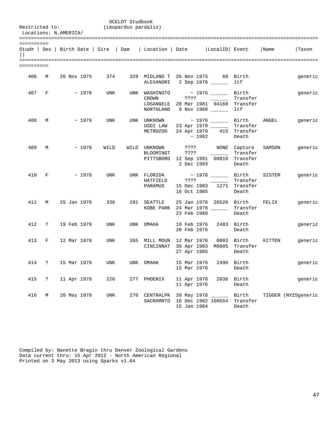|            |                | Restricted to:<br>Locations: N.AMERICA/ |             | (Leopardus pardalis) | OCELOT Studbook |                                     |                                                                                                |             |                                                                  |        |                     |
|------------|----------------|-----------------------------------------|-------------|----------------------|-----------------|-------------------------------------|------------------------------------------------------------------------------------------------|-------------|------------------------------------------------------------------|--------|---------------------|
| ========== |                |                                         |             |                      |                 |                                     | Stud#   Sex   Birth Date   Sire   Dam   Location   Date   LocalID   Event   Name               |             |                                                                  |        | Taxon               |
| ========== |                |                                         |             |                      |                 |                                     |                                                                                                |             |                                                                  |        |                     |
| 406 M      |                |                                         |             | 26 Nov 1975 374      |                 |                                     | 329 MIDLAND T 26 Nov 1975 69 Birth<br>ALEXANDRI 2 Sep 1976 ______                              |             | ltf                                                              |        | generic             |
|            | 407 F          |                                         | $\sim$ 1976 | UNK                  |                 | UNK WASHINGTO<br>CROWN              | $\sim$ 1976 $\_\_\_\_\_$ Birth<br>LOSANGELE 28 Mar 1981 94169 Transfer<br>NORTHLAND 9 Nov 1988 |             | Transfer<br>ltf                                                  |        | generic             |
| 408        | M              |                                         | $\sim 1976$ | UNK                  |                 | UNK UNKNOWN<br>USDI LAW<br>METROZOO | 23 Apr 1979 _____<br>24 Apr 1979                                                               | $\sim$ 1982 | ~ 1976 ________ Birth ANGEL<br>Transfer<br>415 Transfer<br>Death |        | generic             |
| 409        | M              |                                         | ~1976       | WILD                 |                 | WILD UNKNOWN<br><b>BLOOMINGT</b>    | ????<br>PITTSBORO 12 Sep 1991 00810 Transfer<br>2 Dec 1993                                     |             | ???? NONE Capture<br>Transfer<br>Death                           | SAMSON | generic             |
| 410        | $\mathbf{F}$ . |                                         | $\sim$ 1976 | UNK                  |                 | UNK FLORIDA<br>HATFIELD<br>PARAMUS  | $\sim$ 1976 ________ Birth SISTER<br>? ? ? ?<br>15 Dec 1983 1271 Transfer<br>16 Oct 1985       |             | Transfer<br>Death                                                |        | generic             |
| 411        | M              | 25 Jan 1976                             |             | 336                  |                 | 291 SEATTLE                         | 25 Jan 1976 20526 Birth FELIX<br>KOBE PARK 24 Mar 1978 _______ Transfer<br>23 Feb 1989         |             | Death                                                            |        | generic             |
|            | 412 ?          | 19 Feb 1976                             |             | UNK                  |                 | UNK OMAHA                           | 19 Feb 1976<br>20 Feb 1976                                                                     |             | 2483 Birth<br>Death                                              |        | generic             |
| 413        | F              | 12 Mar 1976                             |             | UNK                  |                 |                                     | 265 MILL MOUN 12 Mar 1976 0003 Birth<br>CINCINNAT 30 Apr 1983 M9805 Transfer<br>27 Apr 1985    |             | Death                                                            | KITTEN | generic             |
| 414        | ?              | 15 Mar 1976                             |             | <b>UNK</b>           |                 | UNK OMAHA                           | 15 Mar 1976<br>15 Mar 1976                                                                     | 2496        | Birth<br>Death                                                   |        | generic             |
| 415        | ?              | 11 Apr 1976                             |             | 226                  | 277             | PHOENIX                             | 11 Apr 1976<br>11 Apr 1976                                                                     | 2036        | Birth<br>Death                                                   |        | generic             |
| 416        | М              | 20 May 1976                             |             | <b>UNK</b>           | 270             | CENTRALPK<br>SACRAMNTO              | 20 May 1976 ______<br>16 Dec 1982 100554<br>15 Jan 1984                                        |             | Birth<br>Transfer<br>Death                                       |        | TIGGER (NYZSgeneric |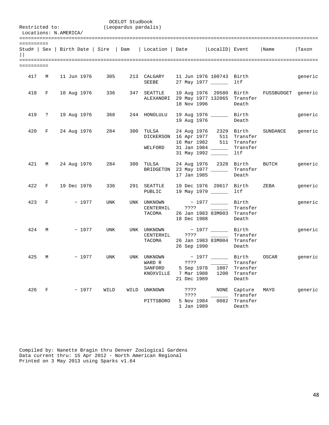| Restricted to:<br>Locations: N.AMERICA/ |       |  |                         |        | OCELOT Studbook<br>(Leopardus pardalis) |                                                                                  |                                                 |  |              |                                                                                       |                                               |         |
|-----------------------------------------|-------|--|-------------------------|--------|-----------------------------------------|----------------------------------------------------------------------------------|-------------------------------------------------|--|--------------|---------------------------------------------------------------------------------------|-----------------------------------------------|---------|
| ==========                              |       |  |                         |        |                                         | Stud#   Sex   Birth Date   Sire   Dam   Location   Date   LocalID   Event   Name |                                                 |  |              |                                                                                       |                                               | Taxon   |
| ==========                              |       |  |                         |        |                                         |                                                                                  |                                                 |  |              |                                                                                       |                                               |         |
| 417 M                                   |       |  | 11 Jun 1976             | 305    |                                         | 213 CALGARY<br>SEEBE                                                             | 11 Jun 1976 100743 Birth<br>27 May 1977 _______ |  |              | ltf                                                                                   |                                               | generic |
|                                         |       |  | 418 F 10 Aug 1976       | 336 11 |                                         | 347 SEATTLE<br>ALEXANDRI 29 May 1977 132065 Transfer                             | 18 Nov 1996                                     |  |              | Death                                                                                 | 10 Aug 1976 20580 Birth FUSSBUDGET generic    |         |
|                                         |       |  | 419 ? 19 Aug 1976       | 368    |                                         | 244 HONOLULU                                                                     | 19 Aug 1976 _________ Birth<br>19 Aug 1976      |  |              | Death                                                                                 |                                               | generic |
|                                         |       |  | 420 F 24 Aug 1976       | 284    |                                         | 300 TULSA<br>DICKERSON<br>WELFORD                                                | 16 Mar 1982<br>31 Jan 1984<br>31 May 1992       |  |              | 24 Aug 1976 2329 Birth<br>16 Apr 1977 511 Transfer<br>511 Transfer<br>Transfer<br>ltf | SUNDANCE                                      | generic |
|                                         |       |  | 421 M 24 Aug 1976       | 284    |                                         | 300 TULSA<br>BRIDGETON 23 May 1977 ______                                        | 17 Jan 1985                                     |  |              | Transfer<br>Death                                                                     | 24 Aug 1976 2328 Birth BUTCH                  | generic |
|                                         | 422 F |  | 19 Dec 1976             | 336    |                                         | 291 SEATTLE<br>PUBLIC 19 May 1979 ______                                         |                                                 |  |              | 19 Dec 1976 20617 Birth<br>ltf                                                        | ZEBA                                          | generic |
| 423 F                                   |       |  | ~1977                   | UNK    |                                         | UNK UNKNOWN<br>CENTERHIL ???? [10001]<br>TACOMA 26 Jan 1983 83M003 Transfer      | 18 Dec 1988                                     |  |              | ~ 1977 ________ Birth<br>Transfer<br>Death                                            |                                               | generic |
|                                         |       |  | $424 \t M \t \sim 1977$ | UNK    |                                         | UNK UNKNOWN $\sim$ 1977 $\_\_\_\_\_$ Birth<br>CENTERHIL<br>TACOMA                | ????<br>26 Sep 1990                             |  |              | Transfer<br>26 Jan 1983 83M004 Transfer<br>Death                                      |                                               | generic |
|                                         | 425 M |  | $~\sim~1977$            | UNK    |                                         | UNK UNKNOWN<br>WARD R<br>SANFORD<br>KNOXVILLE                                    | ????<br>5 Sep 1978<br>7 Mar 1988<br>21 Dec 1989 |  | 1007<br>1200 | Transfer<br>Transfer<br>Transfer<br>Death                                             | ~ 1977 _______ Birth ___ OSCAR ______ generic |         |
| 426                                     | F     |  | ~1977                   | WILD   | WILD                                    | UNKNOWN<br>PITTSBORO                                                             | ????<br>????<br>5 Nov 1984<br>1 Jan 1989        |  | NONE<br>0082 | Capture<br>Transfer<br>Transfer<br>Death                                              | MAYO                                          | generic |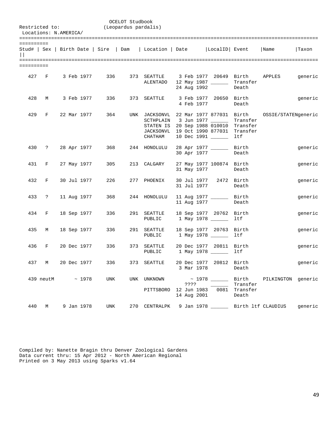| Restricted to:<br>Locations: N.AMERICA/ |       |  |                   | (Leopardus pardalis) | OCELOT Studbook |                                      |            |                                                                                                                                                                                            |                                    |         |
|-----------------------------------------|-------|--|-------------------|----------------------|-----------------|--------------------------------------|------------|--------------------------------------------------------------------------------------------------------------------------------------------------------------------------------------------|------------------------------------|---------|
| ==========                              |       |  |                   |                      |                 |                                      |            | Stud#   Sex   Birth Date   Sire   Dam   Location   Date   LocalID   Event   Name                                                                                                           |                                    | Taxon   |
| ==========                              |       |  |                   |                      |                 |                                      |            |                                                                                                                                                                                            |                                    |         |
|                                         |       |  | 427 F 3 Feb 1977  | 336 11               |                 | ALENTADO                             |            | 373 SEATTLE 3 Feb 1977 20649 Birth APPLES<br>12 May 1987 _________ Transfer<br>24 Aug 1992                                                                                                 | Death                              | generic |
| 428                                     | M     |  | 3 Feb 1977        | 336                  |                 | 373 SEATTLE                          | 4 Feb 1977 | 3 Feb 1977 20650 Birth                                                                                                                                                                     | Death                              | generic |
|                                         |       |  | 429 F 22 Mar 1977 | 364                  |                 | CHATHAM                              |            | UNK JACKSONVL 22 Mar 1977 877031 Birth OSSIE/STATENgeneric<br>SCTHPLAIN 3 Jun 1977<br>STATEN IS 20 Sep 1988 010010 Transfer<br>JACKSONVL 19 Oct 1990 877031 Transfer<br>10 Dec 1991 ______ | Transfer<br>ltf                    |         |
|                                         |       |  | 430 ? 28 Apr 1977 | 368                  |                 | 244 HONOLULU                         |            | 28 Apr 1977 _______ Birth<br>30 Apr 1977                                                                                                                                                   | Death                              | generic |
|                                         | 431 F |  | 27 May 1977       | 305                  |                 | 213 CALGARY                          |            | 27 May 1977 100874 Birth<br>31 May 1977                                                                                                                                                    | Death                              | generic |
|                                         | 432 F |  | 30 Jul 1977       | 226                  |                 | 277 PHOENIX                          |            | 30 Jul 1977 2472 Birth<br>31 Jul 1977                                                                                                                                                      | Death                              | generic |
|                                         | 433 ? |  | 11 Aug 1977       | 368                  |                 | 244 HONOLULU                         |            | 11 Aug 1977 ________ Birth<br>11 Aug 1977                                                                                                                                                  | Death                              | generic |
|                                         | 434 F |  | 18 Sep 1977       | 336                  |                 | 291 SEATTLE<br>PUBLIC                |            | 18 Sep 1977 20762 Birth<br>1 May 1978 _______ 1tf                                                                                                                                          |                                    | generic |
|                                         | 435 M |  | 18 Sep 1977       | 336                  |                 | 291 SEATTLE<br>PUBLIC                |            | 18 Sep 1977 20763 Birth<br>1 May 1978 _______ 1tf                                                                                                                                          |                                    | generic |
| 436                                     | F     |  | 20 Dec 1977       | 336                  |                 | 373 SEATTLE                          |            | 20 Dec 1977 20811 Birth<br>PUBLIC 1 May 1978 _______ 1tf                                                                                                                                   |                                    | generic |
|                                         | 437 M |  | 20 Dec 1977       | 336                  |                 | 373 SEATTLE                          | 3 Mar 1978 | 20 Dec 1977 20812 Birth                                                                                                                                                                    | Death                              | generic |
|                                         |       |  | 439 neutM ~ 1978  | UNK                  |                 | UNK UNKNOWN<br>PITTSBORO 12 Jun 1983 |            | ~ 1978 _______ Birth PILKINGTON generic<br>14 Aug 2001                                                                                                                                     | Transfer<br>0081 Transfer<br>Death |         |
| 440                                     | M     |  | 9 Jan 1978        | UNK                  |                 |                                      |            | 270 CENTRALPK 9 Jan 1978 _______ Birth ltf CLAUDIUS                                                                                                                                        |                                    | generic |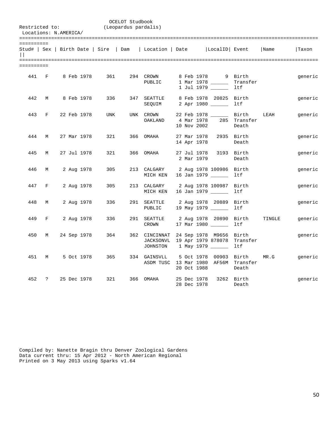| Restricted to:       |                               | Locations: N.AMERICA/ |             |            | OCELOT Studbook<br>(Leopardus pardalis) |                                                           |                                               |                                                      |                          |        |         |
|----------------------|-------------------------------|-----------------------|-------------|------------|-----------------------------------------|-----------------------------------------------------------|-----------------------------------------------|------------------------------------------------------|--------------------------|--------|---------|
| ==========<br>$\Box$ |                               |                       |             |            |                                         | Stud#   Sex   Birth Date   Sire   Dam   Location   Date   |                                               | LocalID  Event                                       |                          | Name   | Taxon   |
| ==========           |                               |                       |             |            |                                         |                                                           |                                               |                                                      |                          |        |         |
| 441 F                |                               |                       | 8 Feb 1978  | 361        |                                         | 294 CROWN<br>PUBLIC                                       |                                               | 8 Feb 1978 9 Birth<br>1 Mar 1978 _____<br>1 Jul 1979 | Transfer<br>ltf          |        | generic |
| 442                  | M                             |                       | 8 Feb 1978  | 336        |                                         | 347 SEATTLE<br>SEQUIM                                     |                                               | 8 Feb 1978 20825 Birth<br>2 Apr 1980                 | ltf                      |        | generic |
| 443                  | F                             |                       | 22 Feb 1978 | <b>UNK</b> |                                         | UNK CROWN<br>OAKLAND                                      | 4 Mar 1978<br>10 Nov 2002                     | 22 Feb 1978 ________ Birth                           | 285 Transfer<br>Death    | LEAH   | generic |
| 444                  | M                             |                       | 27 Mar 1978 | 321        | 366                                     | OMAHA                                                     | 27 Mar 1978<br>14 Apr 1978                    |                                                      | 2935 Birth<br>Death      |        | generic |
| 445                  | М                             |                       | 27 Jul 1978 | 321        |                                         | 366 OMAHA                                                 | 27 Jul 1978<br>2 Mar 1979                     |                                                      | 3193 Birth<br>Death      |        | generic |
| 446                  | M                             |                       | 2 Aug 1978  | 305        |                                         | 213 CALGARY<br>MICH KEN                                   | 16 Jan 1979                                   | 2 Aug 1978 100986 Birth                              | ltf                      |        | generic |
| 447                  | $\mathbf{F}$ and $\mathbf{F}$ |                       | 2 Aug 1978  | 305        |                                         | 213 CALGARY<br>MICH KEN                                   | 2 Aug 1978 100987 Birth<br>16 Jan 1979 ______ |                                                      | ltf                      |        | generic |
| 448                  | M                             |                       | 2 Aug 1978  | 336        |                                         | 291 SEATTLE<br>PUBLIC                                     | 2 Aug 1978 20889 Birth<br>19 May 1979         |                                                      | ltf                      |        | generic |
| 449                  | $F \sim$                      |                       | 2 Aug 1978  | 336        |                                         | 291 SEATTLE<br>CROWN                                      | 17 Mar 1980                                   | 2 Aug 1978 20890                                     | Birth<br>ltf             | TINGLE | generic |
| 450                  | М                             |                       | 24 Sep 1978 | 364        |                                         | 362 CINCINNAT<br>JACKSONVL 19 Apr 1979 878078<br>JOHNSTON | 1 May 1979 ______                             | 24 Sep 1978 M9656                                    | Birth<br>Transfer<br>ltf |        | generic |
| 451                  | M                             |                       | 5 Oct 1978  | 365        |                                         | 334 GAINSVLL<br>ASDM TUSC 13 Mar 1980 AF56M Transfer      | 5 Oct 1978 00903 Birth<br>20 Oct 1988         |                                                      | Death                    | MR.G   | generic |
| 452                  | $\ddot{ }$                    |                       | 25 Dec 1978 | 321        | 366                                     | OMAHA                                                     | 25 Dec 1978<br>28 Dec 1978                    |                                                      | 3262 Birth<br>Death      |        | generic |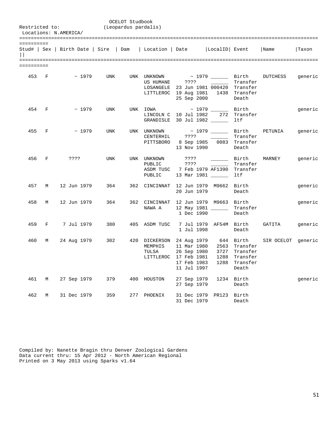|            | OCELOT Studbook<br>Restricted to:<br>(Leopardus pardalis)<br>Locations: N.AMERICA/ |                                                                                  |     |     |                                                |                                                                         |                                                                                                                                                   |                                                                      |                                           |         |  |  |
|------------|------------------------------------------------------------------------------------|----------------------------------------------------------------------------------|-----|-----|------------------------------------------------|-------------------------------------------------------------------------|---------------------------------------------------------------------------------------------------------------------------------------------------|----------------------------------------------------------------------|-------------------------------------------|---------|--|--|
| ========== |                                                                                    | Stud#   Sex   Birth Date   Sire   Dam   Location   Date   LocalID   Event   Name |     |     |                                                |                                                                         |                                                                                                                                                   |                                                                      |                                           | Taxon   |  |  |
| ========== |                                                                                    |                                                                                  |     |     |                                                |                                                                         |                                                                                                                                                   |                                                                      |                                           |         |  |  |
| 453 F      |                                                                                    | $\sim$ 1979                                                                      | UNK |     | UNK UNKNOWN<br>US HUMANE ????                  |                                                                         | ~ 1979 ________ Birth<br><u> 1999 - Andrea Sta</u><br>LOSANGELE 23 Jun 1981 000420 Transfer<br>LITTLEROC 19 Aug 1981 1438 Transfer<br>25 Sep 2000 | Transfer<br>Death                                                    | DUTCHESS                                  | generic |  |  |
| 454 F      |                                                                                    | ~1979                                                                            | UNK |     | UNK IOWA<br>LINCOLN C 10 Jul 1982              |                                                                         | $\sim$ 1979 $\sim$<br>272<br>GRANDISLE 30 Jul 1982                                                                                                | Birth<br>Transfer<br>ltf                                             |                                           | generic |  |  |
| 455        | F                                                                                  | ~1979                                                                            | UNK |     | UNK UNKNOWN<br>CENTERHIL                       | 7777                                                                    | PITTSBORO 8 Sep 1985 0083 Transfer<br>13 Nov 1990                                                                                                 | Transfer<br>Death                                                    | $\sim$ 1979 $\qquad \qquad$ Birth PETUNIA | generic |  |  |
| 456        | F                                                                                  | ????                                                                             | UNK |     | UNK UNKNOWN<br>PUBLIC<br>PUBLIC                | ????<br>????                                                            | ASDM TUSC 7 Feb 1979 AF1390 Transfer<br>13 Mar 1981                                                                                               | Birth<br>Transfer<br>ltf                                             | MARNEY                                    | generic |  |  |
| 457        | M                                                                                  | 12 Jun 1979                                                                      | 364 |     | 362 CINCINNAT                                  | 20 Jun 1979                                                             | 12 Jun 1979 M9662 Birth                                                                                                                           | Death                                                                |                                           | generic |  |  |
| 458        | M                                                                                  | 12 Jun 1979                                                                      | 364 |     | 362 CINCINNAT<br>NAWA A                        | 1 Dec 1990                                                              | 12 Jun 1979 M9663 Birth<br>12 May 1981 _____                                                                                                      | Transfer<br>Death                                                    |                                           | generic |  |  |
| 459        | $F = 1$                                                                            | 7 Jul 1979                                                                       | 380 |     | 405 ASDM TUSC                                  | 1 Jul 1998                                                              | 7 Jul 1979 AF54M Birth                                                                                                                            | Death                                                                | GATITA                                    | generic |  |  |
| 460        | М                                                                                  | 24 Aug 1979                                                                      | 302 |     | 420 DICKERSON<br>MEMPHIS<br>TULSA<br>LITTLEROC | 11 Mar 1980<br>26 Sep 1980<br>17 Feb 1981<br>17 Feb 1983<br>11 Jul 1997 | 24 Aug 1979 644 Birth<br>1288                                                                                                                     | 2563 Transfer<br>3727 Transfer<br>1288 Transfer<br>Transfer<br>Death | SIR OCELOT generic                        |         |  |  |
| 461        | М                                                                                  | 27 Sep 1979                                                                      | 379 |     | 400 HOUSTON                                    | 27 Sep 1979<br>27 Sep 1979                                              | 1234                                                                                                                                              | Birth<br>Death                                                       |                                           | generic |  |  |
| 462        | М                                                                                  | 31 Dec 1979                                                                      | 359 | 277 | PHOENIX                                        | 31 Dec 1979<br>31 Dec 1979                                              | PR123                                                                                                                                             | Birth<br>Death                                                       |                                           |         |  |  |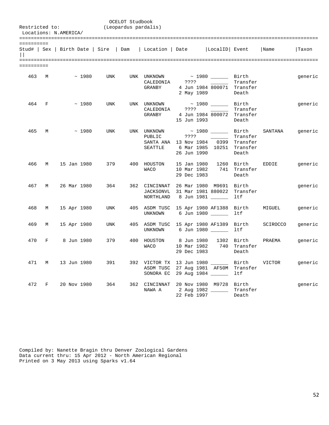|            |             | Restricted to:<br>Locations: N.AMERICA/ |             |            | OCELOT Studbook<br>(Leopardus pardalis) |                                                                           |                     |                                                                                                          |                   |                               |         |
|------------|-------------|-----------------------------------------|-------------|------------|-----------------------------------------|---------------------------------------------------------------------------|---------------------|----------------------------------------------------------------------------------------------------------|-------------------|-------------------------------|---------|
| ========== |             |                                         |             |            |                                         | Stud#   Sex   Birth Date   Sire   Dam   Location   Date   LocalID   Event |                     |                                                                                                          |                   | Name                          | l Taxon |
| ========== |             | 463 M ~ 1980 UNK                        |             |            |                                         | UNK UNKNOWN<br>GRANBY                                                     |                     | $\sim$ 1980 $\_\_\_\_\_\_\$ Birth<br>CALEDONIA ???? Transfer<br>4 Jun 1984 800071 Transfer<br>2 May 1989 | Death             |                               | generic |
| 464 F      |             |                                         | ~1980       | <b>UNK</b> |                                         | UNK UNKNOWN $\sim$ 1980 $\_\_\_\_\_\_$ Birth<br>CALEDONIA<br>GRANBY       | ????<br>15 Jun 1993 | 4 Jun 1984 800072 Transfer                                                                               | Transfer<br>Death |                               | generic |
| 465        | M           |                                         | $\sim 1980$ | UNK        |                                         | UNK UNKNOWN<br>PUBLIC ????<br>SEATTLE                                     | 26 Jun 1990         | SANTA ANA 13 Nov 1984 0399 Transfer<br>6 Mar 1985 10251 Transfer                                         | Transfer<br>Death | ~ 1980 ________ Birth SANTANA | generic |
| 466 M      |             | 15 Jan 1980                             |             | 379        |                                         | 400 HOUSTON<br>WACO                                                       | 29 Dec 1983         | 15 Jan 1980 1260 Birth EDDIE<br>10 Mar 1982 741 Transfer                                                 | Death             |                               | generic |
| 467 M      |             |                                         | 26 Mar 1980 | 364        |                                         | 362 CINCINNAT 26 Mar 1980 M9691 Birth                                     |                     | JACKSONVL 31 Mar 1981 880022 Transfer<br>NORTHLAND 8 Jun 1981 _______ ltf                                |                   |                               | generic |
| 468        | M           |                                         | 15 Apr 1980 | UNK        |                                         | 405 ASDM TUSC 15 Apr 1980 AF1388 Birth MIGUEL                             |                     | UNKNOWN 6 Jun 1980 _______ ltf                                                                           |                   |                               | generic |
| 469        | M           | 15 Apr 1980                             |             | UNK        |                                         | 405 ASDM TUSC 15 Apr 1980 AF1389 Birth SCIROCCO                           |                     | UNKNOWN 6 Jun 1980                                                                                       | ltf               |                               | generic |
|            |             | 470 F 8 Jun 1980                        |             | 379        |                                         | 400 HOUSTON<br>WACO                                                       |                     | 8 Jun 1980 - 1302 - Birth<br>10 Mar 1982 740 Transfer<br>29 Dec 1983                                     | Death             | PRAEMA                        | generic |
| 471        | M           | 13 Jun 1980                             |             | 391        |                                         |                                                                           |                     | ASDM TUSC 27 Aug 1981 AF50M Transfer<br>SONORA EC 29 Aug 1984                                            | ltf               |                               | generic |
| 472        | $\mathbb F$ |                                         | 20 Nov 1980 | 364        |                                         | 362 CINCINNAT 20 Nov 1980 M9728 Birth<br>NAWA A                           | 22 Feb 1997         | 2 Aug 1982 _______ Transfer                                                                              | Death             |                               | generic |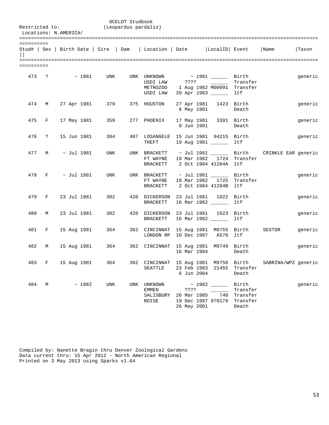|            |            | Restricted to:<br>Locations: N.AMERICA/ |             |                       | OCELOT Studbook<br>(Leopardus pardalis) |                                            |                                                                                                                              |     |                                        |                                                            |         |
|------------|------------|-----------------------------------------|-------------|-----------------------|-----------------------------------------|--------------------------------------------|------------------------------------------------------------------------------------------------------------------------------|-----|----------------------------------------|------------------------------------------------------------|---------|
| ========== |            |                                         |             |                       |                                         |                                            | Stud#   Sex   Birth Date   Sire   Dam   Location   Date     LocalID   Event   Name                                           |     |                                        |                                                            | Taxon   |
| ========== |            |                                         |             |                       |                                         |                                            |                                                                                                                              |     |                                        |                                                            |         |
|            |            | $473 \t? \t \t \sim 1981$               |             | UNK                   |                                         | UNK UNKNOWN<br>USDI LAW                    | $\sim$ 1981 _________ Birth<br>USDI LAW ???? 2000 Transfer<br>METROZOO 1 Aug 1982 M00091 Transfer<br>20 Apr 1983 _______ ltf |     |                                        |                                                            | generic |
|            | 474 M      | 27 Apr 1981                             |             | 379 — 1               |                                         | 375 HOUSTON                                | 27 Apr 1981 1423 Birth<br>6 May 1981                                                                                         |     | Death                                  |                                                            | generic |
|            |            |                                         |             | 475 F 17 May 1981 359 |                                         | 277 PHOENIX                                | 17 May 1981 3391 Birth<br>9 Jun 1981                                                                                         |     | Death                                  |                                                            | generic |
| 476        | $\ddot{?}$ | 15 Jun 1981                             |             | 384                   |                                         | THEFT                                      | 407 LOSANGELE 15 Jun 1981 94215 Birth<br>19 Aug 1981 ________ ltf                                                            |     |                                        |                                                            | generic |
|            |            | $477$ M $\sim$ Jul 1981                 |             | UNK                   |                                         | FT WAYNE<br>BRACKETT                       | 19 Mar 1982 1724 Transfer<br>2 Oct 1984 41284A ltf                                                                           |     |                                        | UNK BRACKETT ~ Jul 1981 ________ Birth CRINKLE EAR generic |         |
| 478        |            | $F \sim$ Jul 1981                       |             | UNK                   |                                         | FT WAYNE<br><b>BRACKETT</b>                | UNK BRACKETT $\sim$ Jul 1981 _______ Birth<br>19 Mar 1982 1725 Transfer<br>2 Oct 1984 41284B ltf                             |     |                                        |                                                            | generic |
|            | 479 F      |                                         | 23 Jul 1981 | 302                   |                                         | BRACKETT                                   | 420 DICKERSON 23 Jul 1981 1022 Birth<br>16 Mar 1982 _______ 1tf                                                              |     |                                        |                                                            | generic |
| 480        | M          |                                         | 23 Jul 1981 | 302                   |                                         | BRACKETT                                   | 420 DICKERSON 23 Jul 1981 1023 Birth<br>16 Mar 1982 ______ ltf                                                               |     |                                        |                                                            | generic |
|            | 481 F      | 15 Aug 1981                             |             | 364                   |                                         |                                            | 362 CINCINNAT 15 Aug 1981 M9755 Birth<br>LONDON RP 10 Dec 1987 A576 ltf                                                      |     |                                        | SESTOR                                                     | generic |
| 482        | M          |                                         |             | 15 Aug 1981 364       |                                         |                                            | 362 CINCINNAT 15 Aug 1981 M9749 Birth<br>16 Mar 1984 Death                                                                   |     |                                        |                                                            | generic |
|            | 483 F      | 15 Aug 1981                             |             | 364                   |                                         | SEATTLE                                    | 23 Feb 1983 21455 Transfer<br>6 Jun 2004                                                                                     |     | Death                                  | 362 CINCINNAT 15 Aug 1981 M9750 Birth SABRINA/WPZ generic  |         |
| 484        |            | $M \sim 1982$                           |             | UNK                   |                                         | UNK UNKNOWN<br>EMMEN<br>SALISBURY<br>BOISE | $\sim$ 1982 _____<br>26 Mar 1985<br>19 Dec 1997 970179 Transfer<br>26 May 2001                                               | 740 | Birth<br>Transfer<br>Transfer<br>Death |                                                            | generic |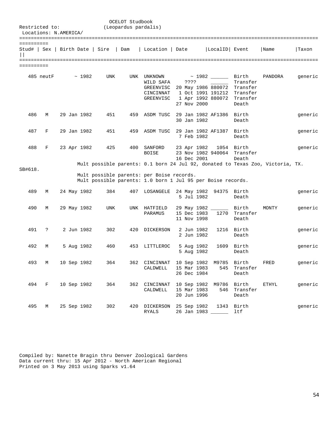| Restricted to: |           | Locations: N.AMERICA/           |             |            | OCELOT Studbook<br>(Leopardus pardalis) |                                                                                                          |                            |                                                                                   |                                                                |                                                                                |         |
|----------------|-----------|---------------------------------|-------------|------------|-----------------------------------------|----------------------------------------------------------------------------------------------------------|----------------------------|-----------------------------------------------------------------------------------|----------------------------------------------------------------|--------------------------------------------------------------------------------|---------|
| ==========     |           |                                 |             |            |                                         |                                                                                                          |                            |                                                                                   |                                                                |                                                                                |         |
|                |           | Stud#   Sex   Birth Date   Sire |             |            | Dam                                     | Location   Date                                                                                          |                            | LocalID Event                                                                     |                                                                | Name                                                                           | Taxon   |
| ==========     |           |                                 |             |            |                                         |                                                                                                          |                            |                                                                                   |                                                                |                                                                                |         |
|                | 485 neutF |                                 | ~1982       | <b>UNK</b> | UNK                                     | UNKNOWN<br>WILD SAFA<br>GREENVISC<br>CINCINNAT<br>GREENVISC                                              | ????<br>27 Nov 2000        | $\sim$ 1982 _____<br>20 May 1986 880072<br>1 Oct 1991 191212<br>1 Apr 1992 880072 | Birth<br>Transfer<br>Transfer<br>Transfer<br>Transfer<br>Death | PANDORA                                                                        | generic |
| 486            | M         |                                 | 29 Jan 1982 | 451        | 459                                     | ASDM TUSC                                                                                                | 30 Jan 1982                | 29 Jan 1982 AF1386                                                                | Birth<br>Death                                                 |                                                                                | generic |
| 487            | F         |                                 | 29 Jan 1982 | 451        | 459                                     | ASDM TUSC                                                                                                | 7 Feb 1982                 | 29 Jan 1982 AF1387                                                                | Birth<br>Death                                                 |                                                                                | generic |
| 488            | F         | 23 Apr 1982                     |             | 425        | 400                                     | SANFORD<br><b>BOISE</b>                                                                                  | 23 Apr 1982<br>16 Dec 2001 | 23 Nov 1982 940064                                                                | 1054 Birth<br>Transfer<br>Death                                |                                                                                | generic |
| SB#618.        |           |                                 |             |            |                                         | Mult possible parents: per Boise records.<br>Mult possible parents: 1.0 born 1 Jul 95 per Boise records. |                            |                                                                                   |                                                                | Mult possible parents: 0.1 born 24 Jul 92, donated to Texas Zoo, Victoria, TX. |         |
| 489            | М         |                                 | 24 May 1982 | 384        | 407                                     | LOSANGELE                                                                                                | 24 May 1982<br>5 Jul 1982  | 94375                                                                             | Birth<br>Death                                                 |                                                                                | generic |
| 490            | M         |                                 | 29 May 1982 | <b>UNK</b> |                                         | UNK HATFIELD<br>PARAMUS                                                                                  | 15 Dec 1983<br>11 Nov 1998 | 29 May 1982 ______<br>1270                                                        | Birth<br>Transfer<br>Death                                     | MONTY                                                                          | generic |
| 491            | ?         |                                 | 2 Jun 1982  | 302        | 420                                     | DICKERSON                                                                                                | 2 Jun 1982<br>2 Jun 1982   |                                                                                   | 1216 Birth<br>Death                                            |                                                                                | generic |
| 492            | М         |                                 | 5 Aug 1982  | 460        | 453                                     | LITTLEROC                                                                                                | 5 Aug 1982<br>5 Aug 1982   | 1609                                                                              | Birth<br>Death                                                 |                                                                                | generic |
|                | 493 M     | 10 Sep 1982                     |             | 364        |                                         | 362 CINCINNAT<br>CALDWELL                                                                                | 15 Mar 1983<br>26 Dec 1984 | 10 Sep 1982 M9785                                                                 | Birth<br>545 Transfer<br>Death                                 | FRED                                                                           | generic |
|                | 494 F     | 10 Sep 1982                     |             | 364        |                                         | CALDWELL                                                                                                 | 15 Mar 1983                | 20 Jun 1996                                                                       | 546 Transfer<br>Death                                          | 362 CINCINNAT 10 Sep 1982 M9786 Birth ETHYL                                    | generic |
| 495            | M         | 25 Sep 1982                     |             | 302        |                                         | 420 DICKERSON 25 Sep 1982 1343 Birth<br>RYALS                                                            |                            | 26 Jan 1983 ______                                                                | ltf                                                            |                                                                                | generic |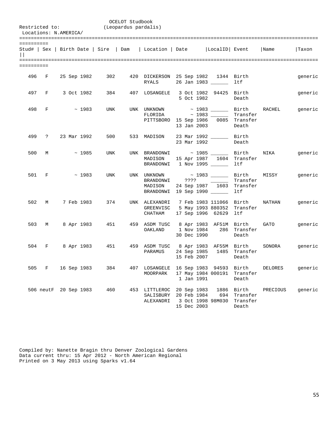|                       | OCELOT Studbook<br>(Leopardus pardalis)<br>Restricted to:<br>Locations: N.AMERICA/ |  |  |                       |     |  |                                                                                                                    |                                           |  |                          |                                              |                           |         |
|-----------------------|------------------------------------------------------------------------------------|--|--|-----------------------|-----|--|--------------------------------------------------------------------------------------------------------------------|-------------------------------------------|--|--------------------------|----------------------------------------------|---------------------------|---------|
| ==========<br>$\prod$ |                                                                                    |  |  |                       |     |  | Stud#   Sex   Birth Date   Sire   Dam   Location   Date   LocalID   Event   Name                                   |                                           |  |                          |                                              |                           | Taxon   |
| ==========            |                                                                                    |  |  |                       |     |  |                                                                                                                    |                                           |  |                          |                                              |                           |         |
|                       |                                                                                    |  |  | 496 F 25 Sep 1982     | 302 |  | 420 DICKERSON 25 Sep 1982 1344 Birth<br>RYALS                                                                      |                                           |  | 26 Jan 1983 ______       | ltf                                          |                           | generic |
|                       |                                                                                    |  |  | 497 F 3 Oct 1982      | 384 |  | 407 LOSANGELE  3 Oct 1982  94425  Birth                                                                            |                                           |  | 5 Oct 1982               | Death                                        |                           | generic |
|                       | 498 F                                                                              |  |  | $\sim 1983$           | UNK |  | UNK UNKNOWN $\sim$ 1983 $\sim$ Birth RACHEL<br>$FLORIDA \sim 1983$ Transfer<br>PITTSBORO 15 Sep 1986 0085 Transfer | 13 Jan 2003                               |  |                          | Death                                        |                           | generic |
|                       | 499?                                                                               |  |  | 23 Mar 1992           | 500 |  | 533 MADISON 23 Mar 1992 _______ Birth                                                                              | 23 Mar 1992                               |  |                          | Death                                        |                           |         |
|                       |                                                                                    |  |  | $500 \, M \sim 1985$  | UNK |  | UNK BRANDONWI $\sim$ 1985 $\_\_\_\_$ Birth $\_\$ NIKA<br>MADISON<br>BRANDONWI 1 Nov 1995 ______                    |                                           |  |                          | 15 Apr 1987 1604 Transfer<br>ltf             |                           | generic |
|                       | 501 F                                                                              |  |  | $\sim 1983$           | UNK |  | UNK UNKNOWN<br>MADISON<br>BRANDONWI 19 Sep 1990 _______                                                            |                                           |  |                          | Transfer<br>24 Sep 1987 1603 Transfer<br>ltf | ~ 1983 ______ Birth MISSY | generic |
| 502                   | M                                                                                  |  |  | 7 Feb 1983            | 374 |  | UNK ALEXANDRI 7 Feb 1983 111066 Birth     NATHAN<br>GREENVISC 5 May 1993 880352 Transfer<br>CHATHAM                |                                           |  | 17 Sep 1996 62629 ltf    |                                              |                           | generic |
|                       |                                                                                    |  |  | 503 M 8 Apr 1983      | 451 |  | 459 ASDM TUSC 8 Apr 1983 AF51M Birth GATO<br>OAKLAND                                                               | 30 Dec 1990                               |  |                          | 1 Nov 1984 286 Transfer<br>Death             |                           | generic |
| 504                   |                                                                                    |  |  | F 8 Apr 1983          | 451 |  | 459 ASDM TUSC 8 Apr 1983 AF55M Birth<br>PARAMUS 24 Sep 1985 1485 Transfer                                          | 15 Feb 2007                               |  |                          | Death                                        | SONORA                    | generic |
|                       | 505 F                                                                              |  |  | 16 Sep 1983           | 384 |  | 407 LOSANGELE 16 Sep 1983 94593 Birth<br>MOORPARK                                                                  | 1 Jan 1991                                |  | 17 May 1984 000191       | Transfer<br>Death                            | DELORES                   | generic |
|                       |                                                                                    |  |  | 506 neutF 20 Sep 1983 | 460 |  | 453 LITTLEROC<br>SALISBURY<br>ALEXANDRI                                                                            | 20 Sep 1983<br>20 Feb 1984<br>15 Dec 2003 |  | 694<br>3 Oct 1998 98M030 | 1886 Birth<br>Transfer<br>Transfer<br>Death  | PRECIOUS                  | generic |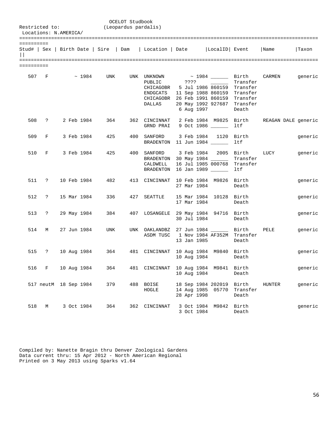|            | OCELOT Studbook<br>(Leopardus pardalis)<br>Restricted to:<br>Locations: N.AMERICA/ |  |                       |                 |  |                                                          |             |                                                                                                                                                                             |                   |        |                     |  |  |
|------------|------------------------------------------------------------------------------------|--|-----------------------|-----------------|--|----------------------------------------------------------|-------------|-----------------------------------------------------------------------------------------------------------------------------------------------------------------------------|-------------------|--------|---------------------|--|--|
| ========== |                                                                                    |  |                       |                 |  |                                                          |             | Stud#   Sex   Birth Date   Sire   Dam   Location   Date     LocalID   Event   Name                                                                                          |                   |        | Taxon               |  |  |
| ========== |                                                                                    |  |                       |                 |  |                                                          |             |                                                                                                                                                                             |                   |        |                     |  |  |
|            |                                                                                    |  | 507 F $\sim$ 1984     | UNK             |  | UNK UNKNOWN<br>PUBLIC<br>CHICAGOBR<br>ENDGCATS<br>DALLAS | 6 Aug 1997  | $\sim$ 1984 $\_\_$ Birth $\_\_$ CARMEN<br>5 Jul 1986 860159 Transfer<br>11 Sep 1988 860159 Transfer<br>CHICAGOBR 26 Feb 1991 860159 Transfer<br>20 May 1992 927687 Transfer | Transfer<br>Death |        | generic             |  |  |
|            |                                                                                    |  | 508 ? 2 Feb 1984      | 364             |  | 362 CINCINNAT<br>GRND PRAI                               |             | 2 Feb 1984 M9825 Birth<br>9 Oct 1986 _______ ltf                                                                                                                            |                   |        | REAGAN DALE generic |  |  |
| 509        | F                                                                                  |  | 3 Feb 1984            | 425             |  | 400 SANFORD                                              |             | 3 Feb 1984 1120 Birth<br>BRADENTON 11 Jun 1984 _______ ltf                                                                                                                  |                   |        | generic             |  |  |
| 510        |                                                                                    |  | F 3 Feb 1984          | 425             |  | 400 SANFORD<br>CALDWELL                                  |             | 3 Feb 1984 2005 Birth LUCY<br>BRADENTON 30 May 1984 ______<br>16 Jul 1985 000768 Transfer<br>BRADENTON 16 Jan 1989                                                          | Transfer<br>ltf   |        | generic             |  |  |
|            | 511 ?                                                                              |  | 10 Feb 1984           | 482             |  |                                                          | 27 Mar 1984 | 413 CINCINNAT 10 Feb 1984 M9826 Birth                                                                                                                                       | Death             |        | generic             |  |  |
|            | 512 ?                                                                              |  | 15 Mar 1984           | 336             |  | 427 SEATTLE                                              | 17 Mar 1984 | 15 Mar 1984 10128 Birth                                                                                                                                                     | Death             |        | generic             |  |  |
| 513        | $\ddot{?}$                                                                         |  | 29 May 1984           | 384             |  |                                                          |             | 407 LOSANGELE 29 May 1984 94716 Birth<br>30 Jul 1984                                                                                                                        | Death             |        | generic             |  |  |
| 514        | M                                                                                  |  | 27 Jun 1984           | UNK             |  |                                                          | 13 Jan 1985 | UNK OAKLANDBZ 27 Jun 1984 Birth<br>ASDM TUSC 1 Nov 1984 AF352M Transfer                                                                                                     | Death             | PELE   | generic             |  |  |
| 515        | $\mathbb{R}$                                                                       |  |                       | 10 Aug 1984 364 |  | 481 CINCINNAT                                            |             | 10 Aug 1984 M9840 Birth<br>10 Aug 1984                                                                                                                                      | Death             |        | generic             |  |  |
|            | 516 F                                                                              |  | 10 Aug 1984           | 364             |  |                                                          | 10 Aug 1984 | 481 CINCINNAT 10 Aug 1984 M9841 Birth                                                                                                                                       | Death             |        | generic             |  |  |
|            |                                                                                    |  | 517 neutM 18 Sep 1984 | 379             |  | 488 BOISE<br>HOGLE                                       | 28 Apr 1998 | 18 Sep 1984 202019 Birth<br>14 Aug 1985 05770                                                                                                                               | Transfer<br>Death | HUNTER | generic             |  |  |
| 518        | М                                                                                  |  | 3 Oct 1984            | 364             |  | 362 CINCINNAT                                            | 3 Oct 1984  | 3 Oct 1984 M9842                                                                                                                                                            | Birth<br>Death    |        | generic             |  |  |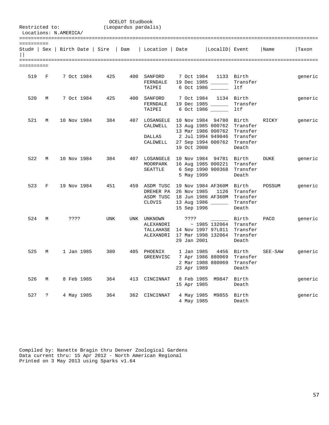|            | OCELOT Studbook<br>(Leopardus pardalis)<br>Restricted to:<br>Locations: N.AMERICA/ |             |            |                |  |                                   |                           |                                                                                                                                                                   |                                 |         |         |  |
|------------|------------------------------------------------------------------------------------|-------------|------------|----------------|--|-----------------------------------|---------------------------|-------------------------------------------------------------------------------------------------------------------------------------------------------------------|---------------------------------|---------|---------|--|
| ========== |                                                                                    |             |            |                |  |                                   |                           | Stud#   Sex   Birth Date   Sire   Dam   Location   Date   LocalID   Event                                                                                         |                                 | Name    | Taxon   |  |
| ========== |                                                                                    |             |            |                |  |                                   |                           |                                                                                                                                                                   |                                 |         |         |  |
| 519        | F                                                                                  |             |            | 7 Oct 1984 425 |  | 400 SANFORD<br>FERNDALE<br>TAIPEI |                           | 7 Oct 1984 1133 Birth<br>19 Dec 1985<br>6 Oct 1986                                                                                                                | Transfer<br>ltf                 |         | generic |  |
| 520        | M                                                                                  |             | 7 Oct 1984 | 425            |  | 400 SANFORD<br>FERNDALE<br>TAIPEI |                           | 7 Oct 1984 1134 Birth<br>19 Dec 1985<br>6 Oct 1986                                                                                                                | Transfer<br>ltf                 |         | generic |  |
| 521        | M                                                                                  | 10 Nov 1984 |            | 384            |  | CALDWELL<br>DALLAS<br>CALDWELL    | 19 Oct 2000               | 407 LOSANGELE 10 Nov 1984 94780 Birth<br>13 Aug 1985 000762 Transfer<br>13 Mar 1986 000762 Transfer<br>2 Jul 1994 949046  Transfer<br>27 Sep 1994 000762 Transfer | Death                           | RICKY   | generic |  |
| 522        | M                                                                                  | 10 Nov 1984 |            | 384            |  | MOORPARK                          | 5 May 1999                | 407 LOSANGELE 10 Nov 1984 94781 Birth<br>16 Aug 1985 000221 Transfer<br>SEATTLE 6 Sep 1990 900368 Transfer                                                        | Death                           | DUKE    | generic |  |
| 523        | F                                                                                  | 19 Nov 1984 |            | 451            |  | <b>CLOVIS</b>                     |                           | 459 ASDM TUSC 19 Nov 1984 AF360M Birth<br>DREHER PA 26 Nov 1985 1126 Transfer<br>ASDM TUSC 18 Jun 1986 AF360M Transfer<br>13 Aug 1986<br>15 Sep 1996              | Transfer<br>Death               | POSSUM  | generic |  |
| 524        | M                                                                                  | ????        |            | UNK            |  | UNK UNKNOWN<br>ALEXANDRI          | ? ? ? ?<br>29 Jan 2001    | <b>Birth</b><br>$\sim$ 1985 132064 Transfer<br>TALLAHASE 14 Nov 1997 97L011 Transfer<br>ALEXANDRI 17 Mar 1998 132064 Transfer                                     | Death                           | PACO    | generic |  |
| 525        | М                                                                                  |             | 1 Jan 1985 | 380            |  | 405 PHOENIX<br>GREENVISC          | 23 Apr 1989               | 1 Jan 1985<br>7 Apr 1986 880069 Transfer<br>2 Mar 1988 880069                                                                                                     | 4456 Birth<br>Transfer<br>Death | SEE-SAW | generic |  |
| 526        | М                                                                                  |             | 8 Feb 1985 | 364            |  | 413 CINCINNAT                     | 8 Feb 1985<br>15 Apr 1985 | M9847                                                                                                                                                             | Birth<br>Death                  |         | generic |  |
| 527        | $\ddot{\mathcal{E}}$                                                               |             | 4 May 1985 | 364            |  | 362 CINCINNAT                     | 4 May 1985<br>4 May 1985  | M9855                                                                                                                                                             | Birth<br>Death                  |         | generic |  |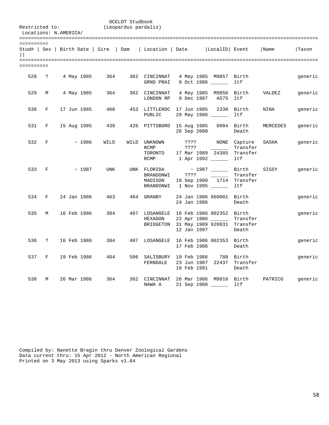| Restricted to:             |            | Locations: N.AMERICA/                 |            | OCELOT Studbook<br>(Leopardus pardalis) |                                                  |                                                                                                                                 |                                                                                       |                                             |          |         |
|----------------------------|------------|---------------------------------------|------------|-----------------------------------------|--------------------------------------------------|---------------------------------------------------------------------------------------------------------------------------------|---------------------------------------------------------------------------------------|---------------------------------------------|----------|---------|
| ==========<br>$\mathbf{L}$ |            | Stud#   Sex   Birth Date   Sire   Dam |            |                                         | Location   Date                                  |                                                                                                                                 | LocalID Event                                                                         |                                             | Name     | Taxon   |
| ==========                 |            |                                       |            |                                         |                                                  |                                                                                                                                 |                                                                                       |                                             |          |         |
| 528                        | $\ddot{?}$ | 4 May 1985                            | 364        |                                         | 362 CINCINNAT<br>GRND PRAI                       | $9$ Oct 1986 ______                                                                                                             | 4 May 1985 M9857 Birth                                                                | ltf                                         |          | generic |
| 529                        | М          | 4 May 1985                            | 364        |                                         | 362 CINCINNAT<br>LONDON RP                       |                                                                                                                                 | 4 May 1985 M9856 Birth<br>9 Dec 1987 A575 ltf                                         |                                             | VALDEZ   | generic |
| 530                        | F          | 17 Jun 1985                           | 460        |                                         | 453 LITTLEROC<br>PUBLIC                          | 17 Jun 1985 2330 Birth<br>29 May 1986 ______                                                                                    |                                                                                       | ltf                                         | NINA     | generic |
| 531                        | F          | 15 Aug 1985                           | 439        |                                         |                                                  | 426 PITTSBORO 15 Aug 1985<br>26 Sep 2000                                                                                        |                                                                                       | 0084 Birth<br>Death                         | MERCEDES | generic |
| 532                        | F          | ~1986                                 | WILD       |                                         | WILD UNKNOWN<br><b>RCMP</b><br>TORONTO<br>RCMP   | 7777<br>????<br>17 Mar 1989 24385<br>1 Apr 1992                                                                                 | $\mathcal{L}^{\text{max}}_{\text{max}}$ , and $\mathcal{L}^{\text{max}}_{\text{max}}$ | NONE Capture<br>Transfer<br>Transfer<br>ltf | SASHA    | generic |
| 533                        | F          | ~1987                                 | <b>UNK</b> |                                         | UNK FLORIDA<br>BRANDONWI<br>MADISON<br>BRANDONWI | ????<br>19 Sep 1990 1714 Transfer<br>1 Nov 1995 ______                                                                          | ~ 1987 _______ Birth                                                                  | Transfer<br><b>ltf</b>                      | SISSY    | generic |
| 534                        | F          | 24 Jan 1986                           | 463        |                                         | 464 GRANBY                                       | 24 Jan 1986 860001 Birth<br>24 Jan 1986                                                                                         |                                                                                       | Death                                       |          | generic |
| 535                        | M          | 16 Feb 1986                           | 384        |                                         | HEXAGON                                          | 407 LOSANGELE 16 Feb 1986 002352 Birth<br>22 Apr 1986 ________ Transfer<br>BRIDGETON 31 May 1989 920031 Transfer<br>12 Jan 1997 |                                                                                       | Death                                       |          | generic |
| 536                        | $\ddot{?}$ | 16 Feb 1986                           | 384        |                                         | 407 LOSANGELE                                    | 16 Feb 1986 002353 Birth<br>17 Feb 1986                                                                                         |                                                                                       | Death                                       |          | generic |
| 537                        | F          | 19 Feb 1986                           | 484        |                                         | FERNDALE                                         | 506 SALISBURY 19 Feb 1986<br>23 Jun 1987 22437 Transfer<br>19 Feb 1991                                                          |                                                                                       | 788 Birth<br>Death                          |          | generic |
| 538                        | M          | 26 Mar 1986                           | 364        |                                         | 362 CINCINNAT<br>NAWA A                          | 26 Mar 1986 M9916 Birth<br>21 Sep 1988 ______                                                                                   |                                                                                       | ltf                                         | PATRICO  | generic |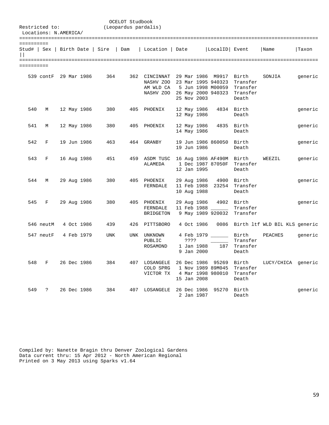| Restricted to:<br>Locations: N.AMERICA/ |                       |  |             |                                 | OCELOT Studbook<br>(Leopardus pardalis) |                                                                                                                             |                                  |                                               |                                                 |                                    |         |
|-----------------------------------------|-----------------------|--|-------------|---------------------------------|-----------------------------------------|-----------------------------------------------------------------------------------------------------------------------------|----------------------------------|-----------------------------------------------|-------------------------------------------------|------------------------------------|---------|
| ==========<br>$\mathbf{H}$              |                       |  |             | Stud#   Sex   Birth Date   Sire | Dam                                     | Location   Date                                                                                                             |                                  | LocalID Event                                 |                                                 | Name                               | Taxon   |
| ==========                              | 539 contF 29 Mar 1986 |  |             | 364                             |                                         | 362 CINCINNAT 29 Mar 1986 M9917 Birth<br>NASHV ZOO 23 Mar 1995 940323<br>AM WLD CA<br>NASHV ZOO 26 May 2000 940323 Transfer | 25 Nov 2003                      | 5 Jun 1998 M00059                             | Transfer<br>Transfer<br>Death                   | SONJIA                             | generic |
| 540                                     | М                     |  | 12 May 1986 | 380                             | 405                                     | PHOENIX                                                                                                                     | 12 May 1986<br>12 May 1986       |                                               | 4834 Birth<br>Death                             |                                    | generic |
| 541                                     | М                     |  | 12 May 1986 | 380                             | 405                                     | PHOENIX                                                                                                                     | 12 May 1986<br>14 May 1986       | 4835                                          | Birth<br>Death                                  |                                    | generic |
| 542                                     | $\mathbf{F}$          |  | 19 Jun 1986 | 463                             | 464                                     | GRANBY                                                                                                                      | 19 Jun 1986                      | 19 Jun 1986 860050 Birth                      | Death                                           |                                    | generic |
| 543                                     | F                     |  | 16 Aug 1986 | 451                             |                                         | 459 ASDM TUSC<br>ALAMEDA                                                                                                    | 12 Jan 1995                      | 16 Aug 1986 AF490M Birth<br>1 Dec 1987 87050F | Transfer<br>Death                               | WEEZIL                             | generic |
| 544                                     | М                     |  | 29 Aug 1986 | 380                             |                                         | 405 PHOENIX<br>FERNDALE                                                                                                     | 29 Aug 1986<br>10 Aug 1988       | 4900 Birth                                    | 11 Feb 1988 23254 Transfer<br>Death             |                                    | generic |
| 545                                     | F                     |  | 29 Aug 1986 | 380                             |                                         | 405 PHOENIX<br>FERNDALE<br>BRIDGETON                                                                                        | 29 Aug 1986                      | 11 Feb 1988 _____<br>9 May 1989 920032        | 4902 Birth<br>Transfer<br>Transfer              |                                    | generic |
|                                         | 546 neutM             |  | 4 Oct 1986  | 439                             |                                         | 426 PITTSBORO                                                                                                               | 4 Oct 1986                       |                                               |                                                 | 0086 Birth ltf WLD BIL KLS generic |         |
|                                         | 547 neutF             |  | 4 Feb 1979  | <b>UNK</b>                      | UNK                                     | UNKNOWN<br>PUBLIC<br>ROSAMOND                                                                                               | ????<br>1 Jan 1988<br>9 Jan 2000 | 4 Feb 1979 Birth<br>187                       | Transfer<br>Transfer<br>Death                   | PEACHES                            | generic |
| 548                                     | F                     |  | 26 Dec 1986 | 384                             |                                         | 407 LOSANGELE 26 Dec 1986 95269 Birth<br>COLO SPRG<br>VICTOR TX                                                             | 15 Jan 2008                      | 1 Nov 1989 89M045                             | Transfer<br>4 Mar 1998 980010 Transfer<br>Death | LUCY/CHICA generic                 |         |
| 549                                     | $\tilde{ }$           |  | 26 Dec 1986 | 384                             | 407                                     | LOSANGELE                                                                                                                   | 26 Dec 1986<br>2 Jan 1987        | 95270                                         | Birth<br>Death                                  |                                    | generic |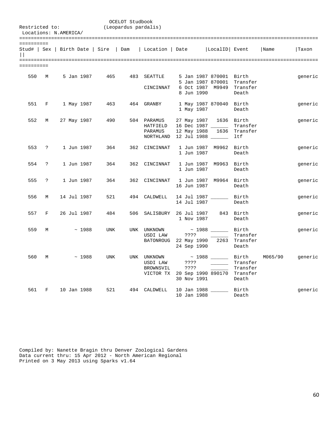|            | OCELOT Studbook<br>(Leopardus pardalis)<br>Restricted to:<br>Locations: N.AMERICA/ |             |             |                                              |     |                                                  |                             |                                                                                                 |                                    |         |         |  |
|------------|------------------------------------------------------------------------------------|-------------|-------------|----------------------------------------------|-----|--------------------------------------------------|-----------------------------|-------------------------------------------------------------------------------------------------|------------------------------------|---------|---------|--|
| ========== |                                                                                    |             |             |                                              |     |                                                  |                             | Stud#   Sex   Birth Date   Sire   Dam   Location   Date   LocalID   Event                       |                                    | Name    | Taxon   |  |
| ========== |                                                                                    |             |             |                                              |     |                                                  |                             |                                                                                                 |                                    |         |         |  |
| 550        | M                                                                                  |             |             | 5 Jan 1987         465         483   SEATTLE |     | CINCINNAT                                        |                             | 5 Jan 1987 870001 Birth<br>5 Jan 1987 870001 Transfer<br>6 Oct 1987 M9949 Transfer              |                                    |         | generic |  |
|            |                                                                                    |             |             |                                              |     |                                                  | 8 Jun 1990                  |                                                                                                 | Death                              |         |         |  |
| 551        | $F$ and $F$                                                                        |             | 1 May 1987  | 463                                          |     | 464 GRANBY                                       | 1 May 1987                  | 1 May 1987 870040 Birth                                                                         | Death                              |         | generic |  |
| 552        | M                                                                                  |             | 27 May 1987 | 490                                          |     | 504 PARAMUS<br>HATFIELD<br>PARAMUS<br>NORTHLAND  |                             | 27 May 1987 1636 Birth<br>16 Dec 1987 ______<br>12 May 1988 1636 Transfer<br>12 Jul 1988 ______ | Transfer<br>ltf                    |         | generic |  |
| 553        | $\ddot{?}$                                                                         |             | 1 Jun 1987  | 364                                          |     | 362 CINCINNAT                                    | 1 Jun 1987                  | 1 Jun 1987 M9962 Birth                                                                          | Death                              |         | generic |  |
| 554        | $\ddot{?}$                                                                         |             | 1 Jun 1987  | 364                                          |     | 362 CINCINNAT                                    | 1 Jun 1987                  | 1 Jun 1987 M9963 Birth                                                                          | Death                              |         | generic |  |
| 555        | $\ddot{?}$                                                                         |             | 1 Jun 1987  | 364                                          |     | 362 CINCINNAT                                    | 16 Jun 1987                 | 1 Jun 1987 M9964 Birth                                                                          | Death                              |         | generic |  |
| 556        | М                                                                                  | 14 Jul 1987 |             | 521                                          |     | 494 CALDWELL                                     | 14 Jul 1987                 | 14 Jul 1987 _______ Birth                                                                       | Death                              |         | generic |  |
| 557        | F                                                                                  | 26 Jul 1987 |             | 484                                          |     | 506 SALISBURY 26 Jul 1987                        | 1 Nov 1987                  |                                                                                                 | 843 Birth<br>Death                 |         | generic |  |
| 559        | М                                                                                  |             | ~1988       | <b>UNK</b>                                   |     | UNK UNKNOWN<br>USDI LAW<br>BATONROUG 22 May 1990 | ????<br>24 Sep 1990         | $\sim 1988$ _________ Birth                                                                     | Transfer<br>2263 Transfer<br>Death |         | generic |  |
| 560        | М                                                                                  |             | $\sim 1988$ | <b>UNK</b>                                   |     | UNK UNKNOWN<br>USDI LAW<br>BROWNSVIL             | ????<br>????<br>30 Nov 1991 | ~ 1988 _______ Birth<br>VICTOR TX 20 Sep 1990 890170 Transfer                                   | Transfer<br>Transfer<br>Death      | M065/90 | generic |  |
| 561        | F                                                                                  | 10 Jan 1988 |             | 521                                          | 494 | CALDWELL                                         | 10 Jan 1988                 | 10 Jan 1988 ________ Birth                                                                      | Death                              |         | generic |  |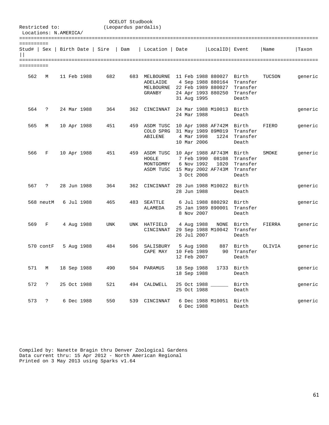| Restricted to:<br>Locations: N.AMERICA/       |                      |  |             |            | OCELOT Studbook<br>(Leopardus pardalis) |                                                  |                                          |                                                                                     |                                                    |        |         |
|-----------------------------------------------|----------------------|--|-------------|------------|-----------------------------------------|--------------------------------------------------|------------------------------------------|-------------------------------------------------------------------------------------|----------------------------------------------------|--------|---------|
| ==========<br>Stud#   Sex   Birth Date   Sire |                      |  |             |            | Dam                                     | Location   Date                                  |                                          | LocalID Event                                                                       |                                                    | Name   | Taxon   |
| =========<br>==========                       |                      |  |             |            |                                         |                                                  |                                          |                                                                                     |                                                    |        |         |
| 562                                           | М                    |  | 11 Feb 1988 | 682        | 683                                     | MELBOURNE<br>ADELAIDE<br>MELBOURNE<br>GRANBY     | 31 Aug 1995                              | 11 Feb 1988 880027<br>4 Sep 1988 880164<br>22 Feb 1989 880027<br>24 Apr 1993 880250 | Birth<br>Transfer<br>Transfer<br>Transfer<br>Death | TUCSON | generic |
| 564                                           | ?                    |  | 24 Mar 1988 | 364        | 362                                     | CINCINNAT                                        | 24 Mar 1988                              | 24 Mar 1988 M10013 Birth                                                            | Death                                              |        | generic |
| 565                                           | М                    |  | 10 Apr 1988 | 451        | 459                                     | ASDM TUSC<br>COLO SPRG<br>ABILENE                | 4 Mar 1998<br>10 Mar 2006                | 10 Apr 1988 AF742M Birth<br>31 May 1989 89M019<br>1224                              | Transfer<br>Transfer<br>Death                      | FIERO  | generic |
| 566                                           | F                    |  | 10 Apr 1988 | 451        |                                         | 459 ASDM TUSC<br>HOGLE<br>MONTGOMRY<br>ASDM TUSC | 6 Nov 1992<br>3 Oct 2008                 | 10 Apr 1988 AF743M Birth<br>7 Feb 1990 08108<br>1020<br>15 May 2002 AF743M          | Transfer<br>Transfer<br>Transfer<br>Death          | SMOKE  | generic |
| 567                                           | $\mathbf{P}$         |  | 28 Jun 1988 | 364        | 362                                     | CINCINNAT                                        | 28 Jun 1988                              | 28 Jun 1988 M10022                                                                  | Birth<br>Death                                     |        | generic |
|                                               | 568 neutM            |  | 6 Jul 1988  | 465        | 483                                     | SEATTLE<br>ALAMEDA                               | 8 Nov 2007                               | 6 Jul 1988 880292 Birth<br>25 Jan 1989 890001                                       | Transfer<br>Death                                  |        | generic |
| 569                                           | F                    |  | 4 Aug 1988  | <b>UNK</b> | UNK                                     | HATFIELD<br>CINCINNAT                            | 4 Aug 1988<br>26 Jul 2007                | NONE                                                                                | Birth<br>29 Sep 1988 M10042 Transfer<br>Death      | FIERRA | generic |
|                                               | 570 contF            |  | 5 Aug 1988  | 484        |                                         | 506 SALISBURY<br>CAPE MAY                        | 5 Aug 1988<br>10 Feb 1989<br>12 Feb 2007 | 90 -                                                                                | 887 Birth<br>Transfer<br>Death                     | OLIVIA | generic |
|                                               | 571 M                |  | 18 Sep 1988 | 490        |                                         | 504 PARAMUS                                      | 18 Sep 1988                              | 18 Sep 1988 1733 Birth                                                              | Death                                              |        | generic |
| 572                                           | $\ddot{ }$           |  | 25 Oct 1988 | 521        |                                         | 494 CALDWELL                                     | 25 Oct 1988 _____<br>25 Oct 1988         |                                                                                     | Birth<br>Death                                     |        | generic |
| 573                                           | $\ddot{\mathcal{E}}$ |  | 6 Dec 1988  | 550        |                                         | 539 CINCINNAT                                    | 6 Dec 1988                               | 6 Dec 1988 M10051 Birth                                                             | Death                                              |        | generic |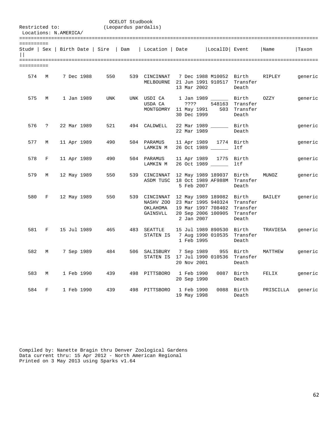| Restricted to:        |              | Locations: N.AMERICA/ |            |                                       | OCELOT Studbook<br>(Leopardus pardalis) |                                                 |                           |                                                                                                                             |                                            |               |         |
|-----------------------|--------------|-----------------------|------------|---------------------------------------|-----------------------------------------|-------------------------------------------------|---------------------------|-----------------------------------------------------------------------------------------------------------------------------|--------------------------------------------|---------------|---------|
| ==========<br>$\perp$ |              |                       |            | Stud#   Sex   Birth Date   Sire   Dam |                                         | Location   Date                                 |                           | LocalID Event                                                                                                               |                                            | Name          | Taxon   |
| ==========<br>574     | M            |                       | 7 Dec 1988 | 550                                   |                                         | 539 CINCINNAT<br>MELBOURNE                      | 13 Mar 2002               | 7 Dec 1988 M10052 Birth<br>21 Jun 1991 910517                                                                               | Transfer<br>Death                          | RIPLEY        | generic |
| 575                   | M            |                       | 1 Jan 1989 | <b>UNK</b>                            |                                         | UNK USDI CA<br>USDA CA<br>MONTGOMRY 11 May 1991 | ????<br>30 Dec 1999       | 1 Jan 1989 ______<br>548163                                                                                                 | Birth<br>Transfer<br>503 Transfer<br>Death | OZZY          | generic |
| 576                   | $\mathbf{P}$ | 22 Mar 1989           |            | 521                                   |                                         | 494 CALDWELL                                    | 22 Mar 1989               | 22 Mar 1989                                                                                                                 | Birth<br>Death                             |               | generic |
| 577                   | M            | 11 Apr 1989           |            | 490                                   |                                         | 504 PARAMUS<br>LAMKIN M                         |                           | 11 Apr 1989 1774 Birth<br>26 Oct 1989                                                                                       | ltf                                        |               | generic |
| 578                   | F            | 11 Apr 1989           |            | 490                                   |                                         | 504 PARAMUS<br>LAMKIN M                         | 11 Apr 1989               | 26 Oct 1989                                                                                                                 | 1775 Birth<br>ltf                          |               | generic |
| 579                   | М            | 12 May 1989           |            | 550                                   |                                         | 539 CINCINNAT<br>ASDM TUSC                      | 5 Feb 2007                | 12 May 1989 189037<br>18 Oct 1989 AF988M                                                                                    | Birth<br>Transfer<br>Death                 | MUNOZ         | generic |
| 580                   | $\mathbf F$  | 12 May 1989           |            | 550                                   |                                         | OKLAHOMA<br>GAINSVLL                            | 2 Jan 2007                | 539 CINCINNAT 12 May 1989 189082 Birth<br>NASHV ZOO 23 Mar 1995 940324<br>19 Mar 1997 708402<br>20 Sep 2006 100905 Transfer | Transfer<br>Transfer<br>Death              | <b>BAILEY</b> | generic |
| 581                   | F            | 15 Jul 1989           |            | 465                                   |                                         | 483 SEATTLE<br>STATEN IS                        | 1 Feb 1995                | 15 Jul 1989 890530 Birth<br>7 Aug 1990 010535                                                                               | Transfer<br>Death                          | TRAVIESA      | generic |
| 582                   | M            |                       | 7 Sep 1989 | 484                                   |                                         | 506 SALISBURY<br>STATEN IS                      | 7 Sep 1989<br>20 Nov 2001 | 17 Jul 1990 010536 Transfer                                                                                                 | 955 Birth<br>Death                         | MATTHEW       | generic |
| 583                   | M            |                       | 1 Feb 1990 | 439                                   | 498                                     | PITTSBORO                                       | 1 Feb 1990<br>20 Sep 1990 |                                                                                                                             | 0087 Birth<br>Death                        | FELIX         | generic |
| 584                   | F            |                       | 1 Feb 1990 | 439                                   | 498                                     | PITTSBORO                                       | 1 Feb 1990<br>19 May 1998 |                                                                                                                             | 0088 Birth<br>Death                        | PRISCILLA     | generic |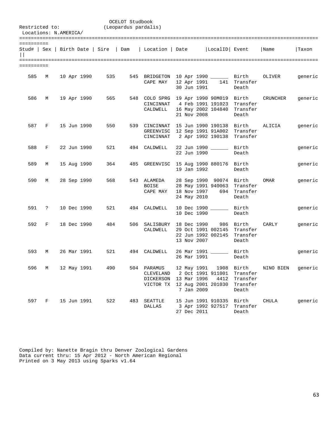| Restricted to:<br>Locations: N.AMERICA/ |       |  |                   |     | OCELOT Studbook<br>(Leopardus pardalis) |                                                                               |                                          |                                                 |                                                                                  |                                                 |         |
|-----------------------------------------|-------|--|-------------------|-----|-----------------------------------------|-------------------------------------------------------------------------------|------------------------------------------|-------------------------------------------------|----------------------------------------------------------------------------------|-------------------------------------------------|---------|
| ==========<br>$\Box$                    |       |  |                   |     |                                         | Stud#   Sex   Birth Date   Sire   Dam   Location   Date   LocalID   Event     |                                          |                                                 |                                                                                  | Name                                            | Taxon   |
| ==========                              |       |  |                   |     |                                         |                                                                               |                                          |                                                 |                                                                                  |                                                 |         |
| 585                                     | M     |  | 10 Apr 1990       | 535 |                                         | CAPE MAY                                                                      |                                          | 30 Jun 1991                                     | 12 Apr 1991 141 Transfer<br>Death                                                | 545 BRIDGETON 10 Apr 1990 _______ Birth OLIVER  | generic |
| 586                                     | M     |  | 19 Apr 1990       | 565 |                                         | CINCINNAT 4 Feb 1991 191023<br>CALDWELL 16 May 2002 104840 Transfer           | 21 Nov 2008                              |                                                 | Transfer<br>Death                                                                | 548 COLO SPRG 19 Apr 1990 90M019 Birth CRUNCHER | generic |
|                                         |       |  | 587 F 15 Jun 1990 | 550 |                                         | GREENVISC 12 Sep 1991 91A002 Transfer<br>CINCINNAT 2 Apr 1992 190138 Transfer |                                          |                                                 |                                                                                  | 539 CINCINNAT 15 Jun 1990 190138 Birth ALICIA   | generic |
| 588                                     | F     |  | 22 Jun 1990       | 521 |                                         | 494 CALDWELL                                                                  | 22 Jun 1990                              | 22 Jun 1990 Birth                               | Death                                                                            |                                                 | generic |
| 589                                     | M     |  | 15 Aug 1990       | 364 |                                         | 485 GREENVISC 15 Aug 1990 880176 Birth                                        | 19 Jan 1992                              |                                                 | Death                                                                            |                                                 | generic |
| 590                                     | M     |  | 28 Sep 1990       | 568 |                                         | 543 ALAMEDA<br>BOISE<br>CAPE MAY                                              | 18 Nov 1997                              | 24 May 2010                                     | 28 Sep 1990 90074 Birth<br>28 May 1991 940063 Transfer<br>694 Transfer<br>Death  | OMAR                                            | generic |
|                                         | 591 ? |  | 10 Dec 1990       | 521 |                                         | 494 CALDWELL                                                                  |                                          | 10 Dec 1990 _______ Birth<br>10 Dec 1990        | Death                                                                            |                                                 | generic |
| 592                                     | F     |  | 18 Dec 1990       | 484 |                                         | 506 SALISBURY 18 Dec 1990<br>CALDWELL                                         | 13 Nov 2007                              |                                                 | 986 Birth<br>29 Oct 1991 002145 Transfer<br>22 Jun 1992 002145 Transfer<br>Death | CARLY                                           | generic |
| 593                                     | M     |  | 26 Mar 1991       | 521 |                                         | 494 CALDWELL                                                                  | 26 Mar 1991                              | 26 Mar 1991 ________ Birth                      | Death                                                                            |                                                 | generic |
| 596                                     | М     |  | 12 May 1991       | 490 |                                         | 504 PARAMUS<br>CLEVELAND<br>DICKERSON<br>VICTOR TX                            | 12 May 1991<br>13 Mar 1996<br>7 Jan 2009 | 2 Oct 1991 911001<br>4412<br>12 Aug 2001 201030 | 1908 Birth<br>Transfer<br>Transfer<br>Transfer<br>Death                          | NINO BIEN                                       | generic |
| 597                                     | F     |  | 15 Jun 1991       | 522 | 483                                     | SEATTLE<br><b>DALLAS</b>                                                      | 27 Dec 2011                              | 15 Jun 1991 910335<br>3 Apr 1992 927517         | Birth<br>Transfer<br>Death                                                       | CHULA                                           | generic |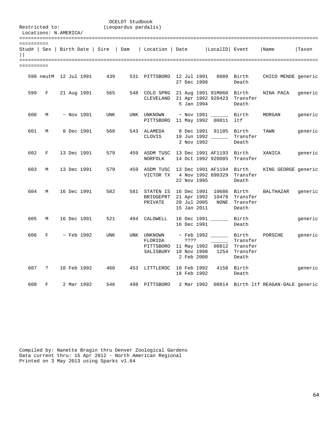|                             | Restricted to:<br>Locations: N.AMERICA/ |                  |                                       | OCELOT Studbook<br>(Leopardus pardalis) |                                                  |                                                          |                                                                                 |                                    |                                     |         |
|-----------------------------|-----------------------------------------|------------------|---------------------------------------|-----------------------------------------|--------------------------------------------------|----------------------------------------------------------|---------------------------------------------------------------------------------|------------------------------------|-------------------------------------|---------|
|                             |                                         |                  |                                       |                                         |                                                  |                                                          |                                                                                 |                                    |                                     |         |
| ==========<br>$\vert \vert$ |                                         |                  | Stud#   Sex   Birth Date   Sire   Dam |                                         | Location   Date                                  |                                                          | LocalID Event                                                                   |                                    | Name                                | Taxon   |
| ==========                  |                                         |                  |                                       |                                         |                                                  |                                                          |                                                                                 |                                    |                                     |         |
|                             |                                         |                  |                                       |                                         |                                                  |                                                          |                                                                                 |                                    |                                     |         |
|                             | 598 neutM 12 Jul 1991                   |                  | 439                                   |                                         | 531 PITTSBORO                                    | 12 Jul 1991<br>27 Dec 1998                               |                                                                                 | 0089 Birth<br>Death                | CHICO MENDE generic                 |         |
| 599                         | F                                       | 21 Aug 1991      | 565                                   |                                         |                                                  | 5 Jan 1994                                               | 548 COLO SPRG 21 Aug 1991 91M060 Birth<br>CLEVELAND 21 Apr 1992 920423 Transfer | Death                              | NINA PACA                           | generic |
| 600                         | M                                       | $~\sim$ Nov 1991 | <b>UNK</b>                            |                                         | UNK UNKNOWN                                      |                                                          | $~\sim$ Nov 1991 _____<br>PITTSBORO 11 May 1992 00811                           | Birth<br>ltf                       | MORGAN                              | generic |
| 601                         | М                                       | 8 Dec 1991       | 568                                   |                                         | 543 ALAMEDA<br>CLOVIS                            | 2 Nov 1992                                               | 8 Dec 1991 91105 Birth<br>19 Jun 1992                                           | Transfer<br>Death                  | TAWN                                | generic |
| 602                         | F                                       | 13 Dec 1991      | 579                                   |                                         | NORFOLK                                          |                                                          | 459 ASDM TUSC 13 Dec 1991 AF1193 Birth<br>14 Oct 1992 920085                    | Transfer                           | XANICA                              | generic |
| 603                         | М                                       | 13 Dec 1991      | 579                                   | 459                                     | ASDM TUSC<br>VICTOR TX                           | 22 Nov 1995                                              | 13 Dec 1991 AF1194<br>4 Nov 1992 890329                                         | Birth<br>Transfer<br>Death         | KING GEORGE generic                 |         |
| 604                         | М                                       | 16 Dec 1991      | 582                                   |                                         | 581 STATEN IS<br>BRIDGEPRT<br>PRIVATE            | 16 Dec 1991<br>21 Apr 1992<br>20 Jul 2005<br>15 Jan 2011 | 10686 Birth<br>10478<br>NONE                                                    | Transfer<br>Transfer<br>Death      | BALTHAZAR                           | generic |
| 605                         | М                                       | 16 Dec 1991      | 521                                   | 494                                     | CALDWELL                                         | 16 Dec 1991                                              | 16 Dec 1991 _____                                                               | Birth<br>Death                     |                                     | generic |
| 606                         | F                                       | $\sim$ Feb 1992  | <b>UNK</b>                            |                                         | UNK UNKNOWN<br>FLORIDA<br>PITTSBORO<br>SALISBURY | ????<br>10 Nov 1998<br>2 Feb 2000                        | $\sim$ Feb 1992 ________ Birth<br>11 May 1992 00812 Transfer                    | Transfer<br>1254 Transfer<br>Death | PORSCHE                             | generic |
| 607                         | $\ddot{ }$                              | 10 Feb 1992      | 460                                   |                                         | 453 LITTLEROC 10 Feb 1992                        | 18 Feb 1992                                              |                                                                                 | 4158 Birth<br>Death                |                                     | generic |
| 608                         | F                                       | 2 Mar 1992       | 546                                   |                                         | 498 PITTSBORO                                    | 2 Mar 1992                                               |                                                                                 |                                    | 00814 Birth ltf REAGAN-DALE generic |         |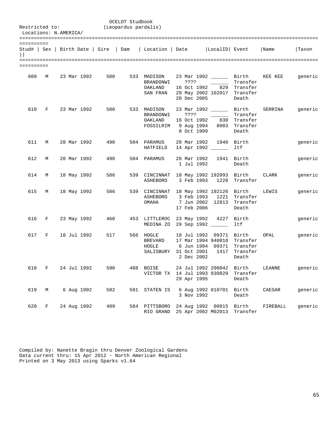|            |       | Restricted to:<br>Locations: N.AMERICA/ |             | (Leopardus pardalis) | OCELOT Studbook |                                                                 |                     |                                                                                                                                       |                   |          |         |
|------------|-------|-----------------------------------------|-------------|----------------------|-----------------|-----------------------------------------------------------------|---------------------|---------------------------------------------------------------------------------------------------------------------------------------|-------------------|----------|---------|
| ========== |       |                                         |             |                      |                 |                                                                 |                     | Stud#   Sex   Birth Date   Sire   Dam   Location   Date   LocalID   Event   Name                                                      |                   |          | Taxon   |
| ========== |       |                                         |             |                      |                 |                                                                 |                     |                                                                                                                                       |                   |          |         |
| 609        | M     |                                         |             |                      |                 | 23 Mar 1992 500 533 MADISON<br>BRANDONWI<br>OAKLAND<br>SAN FRAN | ????<br>20 Dec 2005 | 23 Mar 1992 ________ Birth KEE KEE<br>16 Oct 1992 829 Transfer<br>29 May 2002 102017 Transfer                                         | Transfer<br>Death |          | generic |
| 610        | F     |                                         | 23 Mar 1992 |                      |                 | 500 533 MADISON<br>BRANDONWI<br>OAKLAND                         | ????                | 23 Mar 1992 ________ Birth<br><u> 1980 - Jan Sara</u><br>16 Oct 1992 830 Transfer<br>FOSSILRIM 9 Aug 1994 8003 Transfer<br>8 Oct 1999 | Transfer<br>Death | SERRINA  | generic |
| 611        | M     |                                         | 28 Mar 1992 | 490                  |                 | 504 PARAMUS<br>HATFIELD                                         |                     | 28 Mar 1992 1940 Birth<br>14 Apr 1992 _______ 1tf                                                                                     |                   |          | generic |
| 612        | M     |                                         | 28 Mar 1992 | 490                  |                 | 504 PARAMUS                                                     | 1 Jul 1992          | 28 Mar 1992 1941 Birth                                                                                                                | Death             |          | generic |
| 614        | M     |                                         | 18 May 1992 | 586                  |                 |                                                                 |                     | 539 CINCINNAT 18 May 1992 192093 Birth CLARK<br>ASHEBORO 3 Feb 1993 1220 Transfer                                                     |                   |          | generic |
| 615        | M     |                                         | 18 May 1992 | 586 11               |                 | OMAHA                                                           | 17 Feb 2006         | 539 CINCINNAT 18 May 1992 192126 Birth<br>ASHEBORO 3 Feb 1993 1221 Transfer<br>7 Jun 2002 12813 Transfer                              | Death             | LEWIS    | generic |
|            | 616 F |                                         | 23 May 1992 | 460                  |                 |                                                                 |                     | 453 LITTLEROC 23 May 1992 4227 Birth<br>MEDINA ZO 29 Sep 1992                                                                         | ltf               |          | generic |
| 617        | F     |                                         | 18 Jul 1992 | 517                  |                 | 566 HOGLE<br><b>BREVARD</b><br>HOGLE                            | 2 Dec 2002          | 18 Jul 1992 09371 Birth<br>17 Mar 1994 940018 Transfer<br>6 Jun 1994 09371 Transfer<br>SALISBURY 31 Oct 2001 1417 Transfer            | Death             | OPAL     | generic |
|            | 618 F |                                         | 24 Jul 1992 | 590                  |                 | 488 BOISE                                                       | 29 Apr 1995         | 24 Jul 1992 200042 Birth<br>VICTOR TX 14 Jul 1993 930029                                                                              | Transfer<br>Death | LEANNE   | generic |
| 619        | М     |                                         | 6 Aug 1992  | 582                  |                 | 581 STATEN IS                                                   | 3 Nov 1992          | 6 Aug 1992 010701                                                                                                                     | Birth<br>Death    | CAESAR   | generic |
| 620        | F     |                                         | 24 Aug 1992 | 409                  |                 | RIO GRAND                                                       |                     | 584 PITTSBORO 24 Aug 1992 00815 Birth<br>25 Apr 2002 M02013                                                                           | Transfer          | FIREBALL | generic |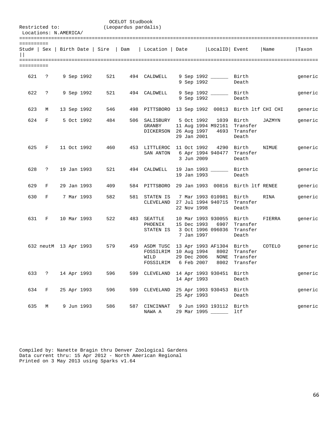| Restricted to:              |                     | Locations: N.AMERICA/ |                       |                                       | OCELOT Studbook<br>(Leopardus pardalis) |                                                 |                                          |                                                                   |                                 |        |         |
|-----------------------------|---------------------|-----------------------|-----------------------|---------------------------------------|-----------------------------------------|-------------------------------------------------|------------------------------------------|-------------------------------------------------------------------|---------------------------------|--------|---------|
|                             |                     |                       |                       |                                       |                                         |                                                 |                                          |                                                                   |                                 |        |         |
| ==========<br>$\vert \vert$ |                     |                       |                       | Stud#   Sex   Birth Date   Sire   Dam |                                         | Location   Date                                 |                                          | LocalID Event                                                     |                                 | Name   | Taxon   |
| ==========                  |                     |                       |                       |                                       |                                         |                                                 |                                          |                                                                   |                                 |        |         |
| 621                         | $\ddot{\mathbf{z}}$ |                       | 9 Sep 1992            | 521                                   | 494                                     | CALDWELL                                        |                                          | 9 Sep 1992 Birth<br>9 Sep 1992                                    | Death                           |        | generic |
| 622                         | $\ddot{ }$          |                       | 9 Sep 1992            | 521                                   | 494                                     | CALDWELL                                        |                                          | 9 Sep 1992 ________ Birth<br>9 Sep 1992                           | Death                           |        | generic |
| 623                         | M                   |                       | 13 Sep 1992           | 546                                   | 498                                     | PITTSBORO                                       |                                          | 13 Sep 1992 00813 Birth ltf CHI CHI                               |                                 |        | generic |
| 624                         | F                   |                       | 5 Oct 1992            | 484                                   |                                         | 506 SALISBURY<br><b>GRANBY</b><br>DICKERSON     | 5 Oct 1992<br>26 Aug 1997<br>29 Jan 2001 | 11 Aug 1994 M92161 Transfer<br>4693                               | 1039 Birth<br>Transfer<br>Death | JAZMYN | generic |
| 625                         | F                   |                       | 11 Oct 1992           | 460                                   | 453                                     | LITTLEROC<br>SAN ANTON                          | 11 Oct 1992<br>3 Jun 2009                | 4290<br>6 Apr 1994 940477                                         | Birth<br>Transfer<br>Death      | NIMUE  | generic |
| 628                         | $\ddot{ }$          |                       | 19 Jan 1993           | 521                                   | 494                                     | CALDWELL                                        | 19 Jan 1993                              | 19 Jan 1993                                                       | Birth<br>Death                  |        | generic |
| 629                         | F                   |                       | 29 Jan 1993           | 409                                   |                                         | 584 PITTSBORO                                   |                                          | 29 Jan 1993 00816 Birth ltf RENEE                                 |                                 |        | generic |
| 630                         | F                   |                       | 7 Mar 1993            | 582                                   |                                         | 581 STATEN IS<br>CLEVELAND                      | 22 Nov 1998                              | 7 Mar 1993 010981 Birth<br>27 Jul 1994 940715                     | Transfer<br>Death               | RINA   | generic |
| 631                         | F                   |                       | 10 Mar 1993           | 522                                   | 483                                     | SEATTLE<br>PHOENIX<br>STATEN IS                 | 15 Dec 1993<br>7 Jan 1997                | 10 Mar 1993 930055 Birth<br>6907<br>3 Oct 1996 096036 Transfer    | Transfer<br>Death               | FIERRA | generic |
|                             |                     |                       | 632 neutM 13 Apr 1993 | 579                                   |                                         | 459 ASDM TUSC<br>FOSSILRIM<br>WILD<br>FOSSILRIM | 10 Aug 1994<br>29 Dec 2006               | 13 Apr 1993 AF1304 Birth<br>NONE<br>6 Feb 2007 8002 Transfer      | 8002 Transfer<br>Transfer       | COTELO | generic |
|                             |                     |                       | 633 ? 14 Apr 1993     | 596                                   |                                         |                                                 | 14 Apr 1993                              | 599 CLEVELAND 14 Apr 1993 930451 Birth                            | Death                           |        | generic |
| 634                         |                     |                       | F 25 Apr 1993         | 596                                   |                                         |                                                 |                                          | 599 CLEVELAND 25 Apr 1993 930453 Birth<br>25 Apr 1993             | Death                           |        | generic |
| 635                         | M                   |                       | 9 Jun 1993            | 586                                   |                                         | NAWA A                                          |                                          | 587 CINCINNAT 9 Jun 1993 193112 Birth<br>29 Mar 1995 ________ ltf |                                 |        | generic |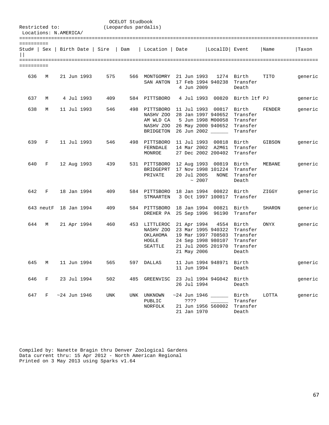| Restricted to:                       |           |  |                |     | OCELOT Studbook<br>(Leopardus pardalis) |                                                                   |                            |                                                                                   |                                                                                        |        |         |
|--------------------------------------|-----------|--|----------------|-----|-----------------------------------------|-------------------------------------------------------------------|----------------------------|-----------------------------------------------------------------------------------|----------------------------------------------------------------------------------------|--------|---------|
| Locations: N.AMERICA/                |           |  |                |     |                                         |                                                                   |                            |                                                                                   |                                                                                        |        |         |
|                                      |           |  |                |     |                                         |                                                                   |                            |                                                                                   |                                                                                        |        |         |
| ==========                           |           |  |                |     |                                         |                                                                   |                            |                                                                                   |                                                                                        |        |         |
| Stud#   Sex   Birth Date   Sire<br>Н |           |  |                |     | Dam                                     | Location   Date                                                   |                            | LocalID Event                                                                     |                                                                                        | Name   | Taxon   |
|                                      |           |  |                |     |                                         |                                                                   |                            |                                                                                   |                                                                                        |        |         |
| ==========                           |           |  |                |     |                                         |                                                                   |                            |                                                                                   |                                                                                        |        |         |
| 636                                  | M         |  | 21 Jun 1993    | 575 |                                         | 566 MONTGOMRY<br>SAN ANTON                                        | 21 Jun 1993<br>4 Jun 2009  | 17 Feb 1994 940238                                                                | 1274 Birth<br>Transfer<br>Death                                                        | TITO   | generic |
| 637                                  | M         |  | 4 Jul 1993     | 409 |                                         | 584 PITTSBORO                                                     | 4 Jul 1993                 | 00820                                                                             | Birth ltf PJ                                                                           |        | generic |
| 638                                  | M         |  | 11 Jul 1993    | 546 |                                         | 498 PITTSBORO<br>NASHV ZOO<br>AM WLD CA<br>NASHV ZOO<br>BRIDGETON |                            | 11 Jul 1993 00817 Birth<br>28 Jan 1997 940652<br>5 Jun 1998 M00058<br>26 Jun 2002 | Transfer<br>Transfer<br>26 May 2000 940652 Transfer<br>Transfer                        | FENDER | generic |
| 639                                  | F         |  | 11 Jul 1993    | 546 |                                         | 498 PITTSBORO<br>FERNDALE<br>MONROE                               | 11 Jul 1993                | 00818<br>14 Mar 2002 A2M61<br>27 Dec 2002 200402                                  | Birth<br>Transfer<br>Transfer                                                          | GIBSON | generic |
| 640                                  | F         |  | 12 Aug 1993    | 439 |                                         | 531 PITTSBORO<br>BRIDGEPRT<br>PRIVATE                             | 20 Jul 2005<br>~2007       | 12 Aug 1993 00819 Birth<br>17 Nov 1998 101224<br>NONE                             | Transfer<br>Transfer<br>Death                                                          | MEBANE | generic |
| 642                                  | F         |  | 18 Jan 1994    | 409 |                                         | 584 PITTSBORO<br>STMAARTEN                                        | 18 Jan 1994                | 00822<br>3 Oct 1997 100017                                                        | Birth<br>Transfer                                                                      | ZIGGY  | generic |
|                                      | 643 neutF |  | 18 Jan 1994    | 409 |                                         | 584 PITTSBORO<br>DREHER PA                                        | 25 Sep 1996                | 18 Jan 1994 00821 Birth<br>96190                                                  | Transfer                                                                               | SHARON | generic |
| 644                                  | M         |  | 21 Apr 1994    | 460 |                                         | 453 LITTLEROC<br>NASHV ZOO<br>OKLAHOMA<br>HOGLE<br>SEATTLE        | 21 Apr 1994<br>21 May 2006 | 23 Mar 1995 940322<br>24 Sep 1998 980107<br>21 Jul 2005 201970                    | 4554 Birth<br>Transfer<br>19 Mar 1997 708503 Transfer<br>Transfer<br>Transfer<br>Death | ONYX   | generic |
| 645                                  | M         |  | 11 Jun 1994    | 565 |                                         | 597 DALLAS                                                        | 11 Jun 1994                | 11 Jun 1994 948971                                                                | Birth<br>Death                                                                         |        | generic |
| 646                                  | F         |  | 23 Jul 1994    | 502 |                                         | 485 GREENVISC 23 Jul 1994 94G042 Birth                            | 26 Jul 1994                |                                                                                   | Death                                                                                  |        | generic |
| 647                                  |           |  | F ~24 Jun 1946 | UNK |                                         | UNK UNKNOWN<br>PUBLIC<br>NORFOLK                                  | ????<br>21 Jan 1970        | $~1946$ $~1946$                                                                   | Birth<br>Transfer<br>21 Jun 1956 560002 Transfer<br>Death                              | LOTTA  | generic |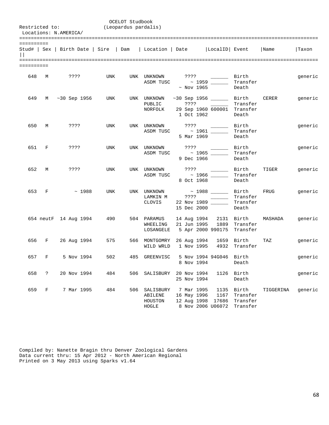OCELOT Studbook<br>(Leopardus pardal: (Leopardus pardal) (Leopardus pardalis) Locations: N.AMERICA/ ======================================================================================================= ========== Stud# | Sex | Birth Date | Sire | Dam | Location | Date |LocalID| Event |Name |Taxon  $||$ ======================================================================================================= ==========

| 648 | M     | 7.3.5.5               | <b>UNK</b> |     | UNK UNKNOWN                          | ????<br>Birth<br>$\text{ASDM TUSC}$ $\sim$ 1959<br>Transfer<br>$~\sim$ Nov 1965<br>Death                                                              | generic |
|-----|-------|-----------------------|------------|-----|--------------------------------------|-------------------------------------------------------------------------------------------------------------------------------------------------------|---------|
| 649 |       | M ~30 Sep 1956 UNK    |            |     | UNK UNKNOWN<br>PUBLIC<br>NORFOLK     | $\sim$ 30 Sep 1956 ________ Birth $CERER$<br>Transfer<br>????<br>the company of the company<br>29 Sep 1960 600001 Transfer<br>1 Oct 1962<br>Death     | generic |
|     | 650 M | ????                  | UNK        |     |                                      | Birth<br>ASDM TUSC ~ 1961 _______<br>Transfer<br>5 Mar 1969<br>Death                                                                                  | generic |
|     | 651 F | ? ? ? ?               | <b>UNK</b> |     |                                      | Birth<br>ASDM TUSC $\sim$ 1965 ______<br>Transfer<br>9 Dec 1966<br>Death                                                                              | generic |
|     | 652 M | ????                  | <b>UNK</b> |     |                                      | Birth<br>TIGER<br>ASDM TUSC $\sim$ 1966 ______<br>Transfer<br>8 Oct 1968<br>Death                                                                     | generic |
|     | 653 F | $\sim 1988$           | <b>UNK</b> |     | UNK UNKNOWN<br>CLOVIS                | ~ 1988 _______ Birth FRUG<br>LAMKIN M ????<br>Transfer<br>$\frac{1}{2}$ . The set of $\frac{1}{2}$<br>Transfer<br>22 Nov 1989<br>15 Dec 2000<br>Death | generic |
|     |       | 654 neutF 14 Aug 1994 | 490        |     | 504 PARAMUS<br>WHEELING<br>LOSANGELE | 14 Aug 1994 2131 Birth MASHADA<br>21 Jun 1995 1889 Transfer<br>5 Apr 2000 990175 Transfer                                                             | generic |
|     |       | 656 F 26 Aug 1994     | 575        |     | 566 MONTGOMRY<br>WILD WRLD           | 26 Aug 1994 1659 Birth<br>TAZ<br>1 Nov 1995 4932 Transfer                                                                                             | generic |
|     | 657 F | 5 Nov 1994            | 502        | 485 | GREENVISC                            | 5 Nov 1994 94G046 Birth<br>8 Nov 1994<br>Death                                                                                                        | generic |
|     | 658 ? | 20 Nov 1994           | 484        |     |                                      | 506 SALISBURY 20 Nov 1994<br>1126 Birth<br>25 Nov 1994<br>Death                                                                                       | generic |
| 659 | F     | 7 Mar 1995            | 484        |     | ABILENE<br>HOUSTON<br>HOGLE          | 506 SALISBURY 7 Mar 1995 1135 Birth<br>TIGGERINA<br>16 May 1996 1167 Transfer<br>12 Aug 1998 17686 Transfer<br>8 Nov 2006 U06072 Transfer             | generic |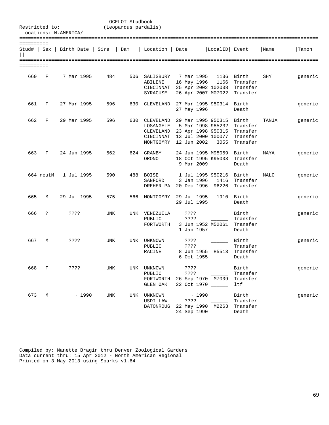| Restricted to:            |           | Locations: N.AMERICA/ |       |            | OCELOT Studbook<br>(Leopardus pardalis) |                                                                                  |                                                        |                                                          |                                                       |       |         |
|---------------------------|-----------|-----------------------|-------|------------|-----------------------------------------|----------------------------------------------------------------------------------|--------------------------------------------------------|----------------------------------------------------------|-------------------------------------------------------|-------|---------|
|                           |           |                       |       |            |                                         |                                                                                  |                                                        |                                                          |                                                       |       |         |
| ==========<br>Stud#   Sex |           | Birth Date   Sire     |       |            | Dam                                     | Location   Date                                                                  |                                                        | LocalID Event                                            |                                                       | Name  | Taxon   |
|                           |           |                       |       |            |                                         |                                                                                  |                                                        |                                                          |                                                       |       |         |
| ==========                |           |                       |       |            |                                         |                                                                                  |                                                        |                                                          |                                                       |       |         |
| 660                       | F         | 7 Mar 1995            |       | 484        | 506                                     | SALISBURY<br>ABILENE<br>CINCINNAT<br>SYRACUSE                                    | 7 Mar 1995<br>16 May 1996                              | 1136<br>1166<br>25 Apr 2002 102038<br>26 Apr 2007 M07022 | Birth<br>Transfer<br>Transfer<br>Transfer             | SHY   | generic |
| 661                       | F         | 27 Mar 1995           |       | 596        | 630                                     | CLEVELAND                                                                        | 27 May 1996                                            | 27 Mar 1995 950314 Birth                                 | Death                                                 |       | generic |
| 662                       | F         | 29 Mar 1995           |       | 596        | 630                                     | CLEVELAND<br>LOSANGELE<br>CLEVELAND 23 Apr 1998 950315<br>CINCINNAT<br>MONTGOMRY | 29 Mar 1995 950315<br>12 Jun 2002                      | 5 Mar 1998 985232<br>13 Jul 2000 100077<br>3055          | Birth<br>Transfer<br>Transfer<br>Transfer<br>Transfer | TANJA | generic |
| 663                       | F         | 24 Jun 1995           |       | 562        | 624                                     | GRANBY<br>ORONO                                                                  | 24 Jun 1995 M95059<br>18 Oct 1995 K95003<br>9 Mar 2009 |                                                          | Birth<br>Transfer<br>Death                            | MAYA  | generic |
|                           | 664 neutM | 1 Jul 1995            |       | 590        | 488                                     | BOISE<br>SANFORD<br>DREHER PA                                                    | 3 Jan 1996<br>20 Dec 1996                              | 1 Jul 1995 950216<br>1416<br>96226                       | Birth<br>Transfer<br>Transfer                         | MALO  | generic |
| 665                       | М         | 29 Jul 1995           |       | 575        | 566                                     | MONTGOMRY                                                                        | 29 Jul 1995<br>29 Jul 1995                             | 1910                                                     | Birth<br>Death                                        |       | generic |
| 666                       | S.        | ????                  |       | UNK        |                                         | UNK VENEZUELA<br>PUBLIC<br>FORTWORTH                                             | ????<br>????<br>1 Jan 1957                             | 3 Jun 1952 M52061                                        | Birth<br>Transfer<br>Transfer<br>Death                |       | generic |
| 667                       | М         | ????                  |       | <b>UNK</b> | UNK                                     | UNKNOWN<br>PUBLIC<br>RACINE                                                      | ????<br>????<br>8 Jun 1955<br>6 Oct 1955               | H5513                                                    | Birth<br>Transfer<br>Transfer<br>Death                |       | generic |
| 668                       | F         | ????                  |       | UNK        |                                         | UNK UNKNOWN<br>PUBLIC<br>FORTWORTH<br>GLEN OAK                                   | ????<br>????<br>26 Sep 1970 M7009<br>22 Oct 1970 _____ |                                                          | Birth<br>Transfer<br>Transfer<br>ltf                  |       | generic |
| 673                       | M         |                       | ~1990 | UNK        | UNK                                     | UNKNOWN<br>USDI LAW<br><b>BATONROUG</b>                                          | ????<br>22 May 1990 M2263<br>24 Sep 1990               | $\sim$ 1990                                              | Birth<br>Transfer<br>Transfer<br>Death                |       | generic |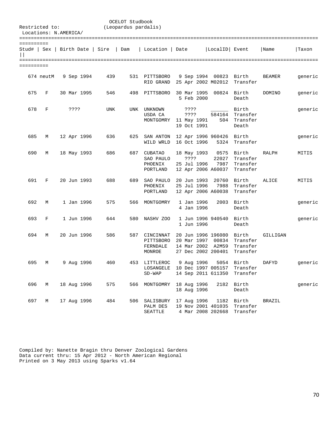| Restricted to:             |           | Locations: N.AMERICA/           | OCELOT Studbook<br>(Leopardus pardalis) |     |                                                    |                                                                                    |                       |                                           |               |         |
|----------------------------|-----------|---------------------------------|-----------------------------------------|-----|----------------------------------------------------|------------------------------------------------------------------------------------|-----------------------|-------------------------------------------|---------------|---------|
|                            |           |                                 |                                         |     |                                                    |                                                                                    |                       |                                           |               |         |
| ==========<br>$\mathbf{I}$ |           | Stud#   Sex   Birth Date   Sire | Dam                                     |     | Location                                           | Date                                                                               | LocalID Event         |                                           | Name          | Taxon   |
| ==========                 |           |                                 |                                         |     |                                                    |                                                                                    |                       |                                           |               |         |
|                            | 674 neutM | 9 Sep 1994                      | 439                                     | 531 | PITTSBORO<br>RIO GRAND                             | 9 Sep 1994 00823<br>25 Apr 2002 M02012                                             |                       | Birth<br>Transfer                         | <b>BEAMER</b> | generic |
| 675                        | F         | 30 Mar 1995                     | 546                                     | 498 | PITTSBORO                                          | 30 Mar 1995<br>5 Feb 2000                                                          | 00824 Birth           | Death                                     | DOMINO        | generic |
| 678                        | F         | ????                            | UNK                                     |     | UNK UNKNOWN<br>USDA CA<br>MONTGOMRY                | ????<br>????<br>11 May 1991<br>19 Oct 1991                                         | 584164<br>504         | Birth<br>Transfer<br>Transfer<br>Death    |               | generic |
| 685                        | М         | 12 Apr 1996                     | 636                                     | 625 | SAN ANTON<br>WILD WRLD                             | 12 Apr 1996 960426<br>16 Oct 1996                                                  |                       | Birth<br>5324 Transfer                    |               | generic |
| 690                        | М         | 18 May 1993                     | 686                                     | 687 | <b>CUBATAO</b><br>SAO PAULO<br>PHOENIX<br>PORTLAND | 18 May 1993<br>????<br>25 Jul 1996<br>12 Apr 2006 A60037                           | 0575<br>22027<br>7987 | Birth<br>Transfer<br>Transfer<br>Transfer | <b>RALPH</b>  | MITIS   |
| 691                        | F         | 20 Jun 1993                     | 688                                     | 689 | SAO PAULO<br>PHOENIX<br>PORTLAND                   | 20 Jun 1993<br>25 Jul 1996<br>12 Apr 2006 A60038                                   | 20760<br>7988         | Birth<br>Transfer<br>Transfer             | ALICE         | MITIS   |
| 692                        | М         | 1 Jan 1996                      | 575                                     | 566 | MONTGOMRY                                          | 1 Jan 1996<br>4 Jan 1996                                                           | 2003                  | Birth<br>Death                            |               | generic |
| 693                        | F         | 1 Jun 1996                      | 644                                     | 580 | NASHV ZOO                                          | 1 Jun 1996 940540<br>1 Jun 1996                                                    |                       | Birth<br>Death                            |               | generic |
| 694                        | М         | 20 Jun 1996                     | 586                                     | 587 | CINCINNAT<br>PITTSBORO<br>FERNDALE<br>MONROE       | 20 Jun 1996 196080 Birth<br>20 Mar 1997 00834<br>14 Mar 2002<br>27 Dec 2002 200401 | A2M59                 | Transfer<br>Transfer<br>Transfer          | GILLIGAN      |         |
| 695                        | М         | 9 Aug 1996                      | 460                                     | 453 | LITTLEROC<br>LOSANGELE<br>$SD-WAP$                 | 9 Aug 1996<br>10 Dec 1997 005157<br>14 Sep 2011 611350                             | 5054                  | Birth<br>Transfer<br>Transfer             | DAFYD         | generic |
| 696                        | М         | 18 Aug 1996                     | 575                                     | 566 | MONTGOMRY                                          | 18 Aug 1996<br>18 Aug 1996                                                         | 2182                  | Birth<br>Death                            |               | generic |
| 697                        | М         | 17 Aug 1996                     | 484                                     | 506 | SALISBURY<br>PALM DES<br><b>SEATTLE</b>            | 17 Aug 1996<br>19 Nov 2001 401035<br>4 Mar 2008 202668                             | 1182                  | Birth<br>Transfer<br>Transfer             | <b>BRAZIL</b> |         |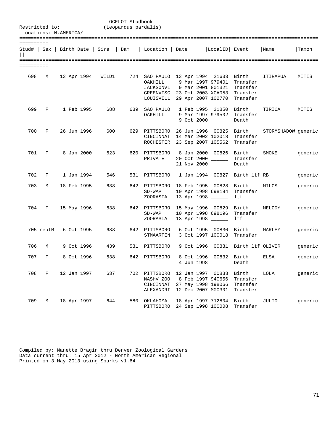|            | OCELOT Studbook<br>Restricted to:<br>(Leopardus pardalis)<br>Locations: N.AMERICA/ |  |  |             |       |     |                                                      |             |                                                                                                                                                                            |                                           |                     |         |  |
|------------|------------------------------------------------------------------------------------|--|--|-------------|-------|-----|------------------------------------------------------|-------------|----------------------------------------------------------------------------------------------------------------------------------------------------------------------------|-------------------------------------------|---------------------|---------|--|
| ========== |                                                                                    |  |  |             |       |     |                                                      |             | Stud#   Sex   Birth Date   Sire   Dam   Location   Date   LocalID   Event                                                                                                  |                                           | Name                | Taxon   |  |
| ========== |                                                                                    |  |  |             |       |     |                                                      |             |                                                                                                                                                                            |                                           |                     |         |  |
| 698        | М                                                                                  |  |  | 13 Apr 1994 | WILD1 |     | OAKHILL<br>JACKSONVL                                 |             | 724 SAO PAULO 13 Apr 1994 21633 Birth<br>9 Mar 1997 979401<br>9 Mar 2001 801321 Transfer<br>GREENVISC 23 Oct 2003 XCA053 Transfer<br>LOUISVILL 29 Apr 2007 102770 Transfer | Transfer                                  | ITIRAPUA            | MITIS   |  |
| 699        | F                                                                                  |  |  | 1 Feb 1995  | 688   | 689 | SAO PAULO<br>OAKHILL                                 | 9 Oct 2000  | 1 Feb 1995 21850<br>9 Mar 1997 979502                                                                                                                                      | Birth<br>Transfer<br>Death                | TIRICA              | MITIS   |  |
| 700        | F                                                                                  |  |  | 26 Jun 1996 | 600   |     | 629 PITTSBORO<br>CINCINNAT                           |             | 26 Jun 1996 00825 Birth<br>14 Mar 2002 102018<br>ROCHESTER 23 Sep 2007 105562 Transfer                                                                                     | Transfer                                  | STORMSHADOW generic |         |  |
| 701        | F                                                                                  |  |  | 8 Jan 2000  | 623   |     | 620 PITTSBORO<br>PRIVATE                             | 21 Nov 2000 | 8 Jan 2000 00826 Birth<br>20 Oct 2000 _____                                                                                                                                | Transfer<br>Death                         | SMOKE               | generic |  |
| 702        | F                                                                                  |  |  | 1 Jan 1994  | 546   |     | 531 PITTSBORO                                        |             | 1 Jan 1994 00827 Birth 1tf RB                                                                                                                                              |                                           |                     | generic |  |
| 703        | М                                                                                  |  |  | 18 Feb 1995 | 638   |     | 642 PITTSBORO<br>$SD-WAP$<br>ZOORASIA                |             | 18 Feb 1995 00828 Birth<br>10 Apr 1998 698194<br>13 Apr 1998 _____                                                                                                         | Transfer<br>ltf                           | MILOS               | generic |  |
| 704        | F                                                                                  |  |  | 15 May 1996 | 638   |     | 642 PITTSBORO<br>$SD-WAP$<br>ZOORASIA                |             | 15 May 1996 00829 Birth<br>10 Apr 1998 698196<br>13 Apr 1998 _____                                                                                                         | Transfer<br>ltf                           | MELODY              | generic |  |
|            | 705 neutM                                                                          |  |  | 6 Oct 1995  | 638   |     | 642 PITTSBORO<br>STMAARTEN                           |             | 6 Oct 1995 00830 Birth<br>3 Oct 1997 100018                                                                                                                                | Transfer                                  | MARLEY              | generic |  |
| 706        | M                                                                                  |  |  | 9 Oct 1996  | 439   | 531 | PITTSBORO                                            | 9 Oct 1996  |                                                                                                                                                                            | 00831 Birth ltf OLIVER                    |                     | generic |  |
| 707        | F                                                                                  |  |  | 8 Oct 1996  | 638   | 642 | PITTSBORO                                            | 4 Jun 1998  | 8 Oct 1996                                                                                                                                                                 | 00832 Birth<br>Death                      | ELSA                | generic |  |
| 708        | $_{\rm F}$                                                                         |  |  | 12 Jan 1997 | 637   |     | 702 PITTSBORO<br>NASHV ZOO<br>CINCINNAT<br>ALEXANDRI |             | 12 Jan 1997 00833<br>8 Feb 1997 940656<br>27 May 1998 198066<br>12 Dec 2007 M00301                                                                                         | Birth<br>Transfer<br>Transfer<br>Transfer | LOLA                | generic |  |
| 709        | М                                                                                  |  |  | 18 Apr 1997 | 644   | 580 | OKLAHOMA<br>PITTSBORO                                |             | 18 Apr 1997 712804<br>24 Sep 1998 100008                                                                                                                                   | Birth<br>Transfer                         | JULIO               | generic |  |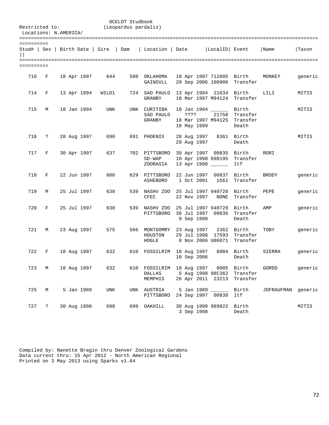| Restricted to:<br>Locations: N.AMERICA/ |                      |  |             |                                       | OCELOT Studbook<br>(Leopardus pardalis) |                                       |                            |                                                                                |                                        |                    |         |
|-----------------------------------------|----------------------|--|-------------|---------------------------------------|-----------------------------------------|---------------------------------------|----------------------------|--------------------------------------------------------------------------------|----------------------------------------|--------------------|---------|
| ==========                              |                      |  |             | Stud#   Sex   Birth Date   Sire   Dam |                                         | Location   Date                       |                            | LocalID  Event                                                                 |                                        | Name               | Taxon   |
| ==========                              |                      |  |             |                                       |                                         |                                       |                            |                                                                                |                                        |                    |         |
| 710                                     | F                    |  | 18 Apr 1997 | 644                                   |                                         | 580 OKLAHOMA<br>GAINSVLL              |                            | 18 Apr 1997 712805 Birth<br>20 Sep 2006 100906                                 | Transfer                               | MONKEY             | generic |
| 714                                     | F                    |  | 13 Apr 1994 | WILD1                                 |                                         | 724 SAO PAULO<br>GRANBY               |                            | 13 Apr 1994 21634 Birth<br>18 Mar 1997 M94124 Transfer                         |                                        | LILI               | MITIS   |
| 715                                     | М                    |  | 18 Jan 1994 | UNK                                   |                                         | UNK CURITIBA<br>SAO PAULO<br>GRANBY   | ????<br>18 May 1999        | 18 Jan 1994 <u>_______</u><br>21750<br>18 Mar 1997 M94125                      | Birth<br>Transfer<br>Transfer<br>Death |                    | MITIS   |
| 716                                     | ?                    |  | 28 Aug 1997 | 690                                   |                                         | 691 PHOENIX                           | 28 Aug 1997<br>29 Aug 1997 |                                                                                | 8361 Birth<br>Death                    |                    | MITIS   |
| 717                                     | F                    |  | 30 Apr 1997 | 637                                   |                                         | 702 PITTSBORO<br>$SD-WAP$<br>ZOORASIA |                            | 30 Apr 1997 00835<br>10 Apr 1998 698195<br>13 Apr 1998 _____                   | Birth<br>Transfer<br>ltf               | RORI               |         |
| 718                                     | F                    |  | 22 Jun 1997 | 600                                   |                                         | 629 PITTSBORO<br>ASHEBORO             | 1 Oct 2001                 | 22 Jun 1997 00837<br>1561                                                      | Birth<br>Transfer                      | <b>BRODY</b>       | generic |
| 719                                     | М                    |  | 25 Jul 1997 | 638                                   |                                         | 539 NASHV ZOO<br>CFEC                 | 22 Nov 1997                | 25 Jul 1997 940728<br>NONE                                                     | Birth<br>Transfer                      | PEPE               | generic |
| 720                                     | F                    |  | 25 Jul 1997 | 638                                   | 539                                     | NASHV ZOO<br>PITTSBORO                | 9 Sep 1998                 | 25 Jul 1997 940729<br>30 Jul 1997 00836                                        | Birth<br>Transfer<br>Death             | AMP                | generic |
| 721                                     | М                    |  | 23 Aug 1997 | 575                                   |                                         | 566 MONTGOMRY<br>HOUSTON<br>HOGLE     | 23 Aug 1997                | 29 Jul 1998 17593<br>8 Nov 2006 U06071                                         | 2362 Birth<br>Transfer<br>Transfer     | TOBY               | generic |
| 722                                     | F                    |  | 18 Aug 1997 | 632                                   | 610                                     | FOSSILRIM 18 Aug 1997                 | 10 Sep 2006                |                                                                                | 8004 Birth<br>Death                    | SIERRA             | generic |
| 723                                     | М                    |  | 18 Aug 1997 | 632                                   |                                         | <b>DALLAS</b><br>MEMPHIS              |                            | 610 FOSSILRIM 18 Aug 1997 8005 Birth<br>5 Aug 1998 98C362<br>26 Apr 2011 23213 | Transfer<br>Transfer                   | GORDO              | generic |
| 725                                     | М                    |  | 5 Jan 1989  | UNK                                   | UNK                                     | AUSTRIA<br>PITTSBORO                  |                            | 5 Jan 1989 _____<br>24 Sep 1997 00838                                          | Birth<br>ltf                           | JOFRAUFMAN generic |         |
| 727                                     | $\ddot{\phantom{0}}$ |  | 30 Aug 1998 | 698                                   | 699                                     | OAKHILL                               | 3 Sep 1998                 | 30 Aug 1998 989822                                                             | Birth<br>Death                         |                    | MITIS   |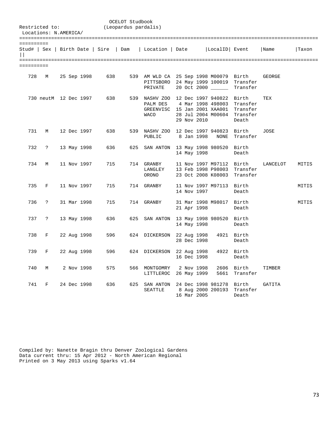| Restricted to: | Locations: N.AMERICA/ |                       |                                       | OCELOT Studbook<br>(Leopardus pardalis) |                                                                                                              |             |                                                                      |                                           |          |       |
|----------------|-----------------------|-----------------------|---------------------------------------|-----------------------------------------|--------------------------------------------------------------------------------------------------------------|-------------|----------------------------------------------------------------------|-------------------------------------------|----------|-------|
| ==========     |                       |                       | Stud#   Sex   Birth Date   Sire   Dam |                                         | Location   Date                                                                                              |             | LocalID Event                                                        |                                           | Name     | Taxon |
| ==========     |                       |                       |                                       |                                         |                                                                                                              |             |                                                                      |                                           |          |       |
| 728            | М                     | 25 Sep 1998           | 638                                   |                                         | 539 AM WLD CA 25 Sep 1998 M00079 Birth<br>PITTSBORO 24 May 1999 100019<br>PRIVATE                            |             | 20 Oct 2000                                                          | Transfer<br>Transfer                      | GEORGE   |       |
|                |                       | 730 neutM 12 Dec 1997 | 638                                   |                                         | 539 NASHV ZOO 12 Dec 1997 940822 Birth<br>PALM DES 4 Mar 1998 498003<br>GREENVISC 15 Jan 2001 XAA001<br>WACO | 29 Nov 2010 | 28 Jul 2004 M00604                                                   | Transfer<br>Transfer<br>Transfer<br>Death | TEX      |       |
| 731            | М                     | 12 Dec 1997           | 638                                   |                                         | 539 NASHV ZOO 12 Dec 1997 940823<br>PUBLIC                                                                   |             | 8 Jan 1998 NONE                                                      | Birth<br>Transfer                         | JOSE     |       |
| 732            | $\ddot{?}$            | 13 May 1998           | 636                                   | 625                                     | SAN ANTON 13 May 1998 980520                                                                                 | 14 May 1998 |                                                                      | Birth<br>Death                            |          |       |
| 734            | М                     | 11 Nov 1997           | 715                                   |                                         | 714 GRANBY<br>LANGLEY<br>ORONO                                                                               |             | 11 Nov 1997 M97112 Birth<br>13 Feb 1998 P98003<br>23 Oct 2008 K08003 | Transfer<br>Transfer                      | LANCELOT | MITIS |
| 735            | F                     | 11 Nov 1997           | 715                                   |                                         | 714 GRANBY                                                                                                   | 14 Nov 1997 | 11 Nov 1997 M97113 Birth                                             | Death                                     |          | MITIS |
| 736            | $\ddot{ }$            | 31 Mar 1998           | 715                                   |                                         | 714 GRANBY                                                                                                   | 21 Apr 1998 | 31 Mar 1998 M98017 Birth                                             | Death                                     |          | MITIS |
| 737            | $\ddot{\mathbf{z}}$   | 13 May 1998           | 636                                   | 625                                     | SAN ANTON 13 May 1998 980520 Birth                                                                           | 14 May 1998 |                                                                      | Death                                     |          |       |
| 738            | F                     | 22 Aug 1998           | 596                                   |                                         | 624 DICKERSON 22 Aug 1998                                                                                    | 28 Dec 1998 |                                                                      | 4921 Birth<br>Death                       |          |       |
| 739            | F                     | 22 Aug 1998           | 596                                   |                                         | 624 DICKERSON 22 Aug 1998                                                                                    | 16 Dec 1998 |                                                                      | 4922 Birth<br>Death                       |          |       |
| 740            | М                     | 2 Nov 1998            | 575                                   |                                         | 566 MONTGOMRY<br>LITTLEROC 26 May 1999                                                                       | 2 Nov 1998  | 5661                                                                 | 2606 Birth<br>Transfer                    | TIMBER   |       |
| 741            | F                     | 24 Dec 1998           | 636                                   |                                         | 625 SAN ANTON 24 Dec 1998 981278 Birth<br>SEATTLE                                                            | 16 Mar 2005 | 8 Aug 2000 200193                                                    | Transfer<br>Death                         | GATITA   |       |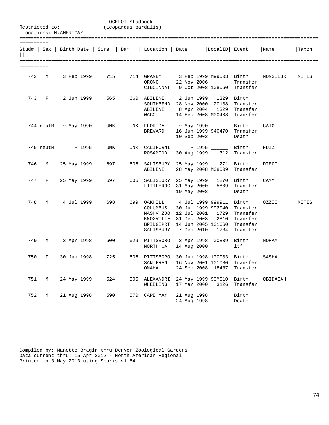|            |       | Locations: N.AMERICA/ |             | Restricted to: (Leopardus pardalis) | OCELOT Studbook |                                                                                                                                                                     |             |                                         |                                                          |              |       |
|------------|-------|-----------------------|-------------|-------------------------------------|-----------------|---------------------------------------------------------------------------------------------------------------------------------------------------------------------|-------------|-----------------------------------------|----------------------------------------------------------|--------------|-------|
|            |       |                       |             |                                     |                 |                                                                                                                                                                     |             |                                         |                                                          |              |       |
| ========== |       |                       |             |                                     |                 | Stud#   Sex   Birth Date   Sire   Dam   Location   Date   LocalID   Event   Name                                                                                    |             |                                         |                                                          |              | Taxon |
| ========== |       |                       |             |                                     |                 |                                                                                                                                                                     |             |                                         |                                                          |              |       |
|            |       | 742 M 3 Feb 1999      |             | 715                                 |                 | 714 GRANBY 3 Feb 1999 M99003 Birth<br>ORONO 22 Nov 2006 ________ Transfer<br>CINCINNAT 9 Oct 2008 108060 Transfer                                                   |             |                                         |                                                          | MONSIEUR     | MITIS |
|            |       | 743 F 2 Jun 1999      |             | 565                                 |                 | 660 ABILENE 2 Jun 1999 1329<br>SOUTHBEND 28 Nov 2000 20108<br>ABILENE 8 Apr 2004 1329 Transfer<br>WACO 14 Feb 2008 M00408 Transfer                                  |             |                                         | Birth<br>Transfer                                        |              |       |
|            |       | 744 neutM ~ May 1990  |             | UNK                                 |                 | UNK FLORIDA ~ May 1990 _______ Birth<br>BREVARD 16 Jun 1999 940470 Transfer                                                                                         |             | 10 Sep 2002                             | Death                                                    | CATO         |       |
|            |       | 745 neutM ~ 1995      |             | UNK                                 |                 | UNK $CALIFORNI$ ~ 1995 ______ Birth<br>ROSAMOND                                                                                                                     |             |                                         | 30 Aug 1999 312 Transfer                                 | FUZZ         |       |
|            | 746 M |                       | 25 May 1999 | 697 — 10                            |                 | 606 SALISBURY 25 May 1999 1271 Birth<br>ABILENE                                                                                                                     |             |                                         | 28 May 2008 M08009 Transfer                              | <b>DIEGO</b> |       |
|            |       | 747 F 25 May 1999     |             | 697                                 |                 | 606 SALISBURY 25 May 1999 1270 Birth<br>LITTLEROC 31 May 2000                                                                                                       |             | 19 May 2008                             | 5809 Transfer<br>Death                                   | CAMY         |       |
| 748        |       | M 4 Jul 1999          |             | 698 — 10                            |                 | 699 OAKHILL 4 Jul 1999 999911 Birth<br>COLUMBUS<br>NASHV ZOO 12 Jul 2001 1729<br>KNOXVILLE 31 Dec 2003<br>BRIDGEPRT 14 Jun 2005 101660<br>SALISBURY 7 Dec 2010 1734 |             | 30 Jul 1999 992040<br>2810              | Transfer<br>Transfer<br>Transfer<br>Transfer<br>Transfer | OZZIE        | MITIS |
| 749        | M     |                       | 3 Apr 1998  | 600                                 |                 | 629 PITTSBORO 3 Apr 1998 00839 Birth<br>NORTH CA                                                                                                                    |             | 14 Aug 2000 _____                       | ltf                                                      | MORAY        |       |
| 750        | F     |                       | 30 Jun 1998 | 725 — 12                            |                 | 606 PITTSBORO 30 Jun 1998 100003 Birth<br>SAN FRAN<br>OMAHA                                                                                                         |             | 16 Nov 2001 101080<br>24 Sep 2008 18437 | Transfer<br>Transfer                                     | SASHA        |       |
| 751        | М     |                       | 24 May 1999 | 524                                 | 506             | ALEXANDRI<br>WHEELING                                                                                                                                               | 17 Mar 2000 | 24 May 1999 99M010<br>3126              | Birth<br>Transfer                                        | OBIDAIAH     |       |
| 752        | М     |                       | 21 Aug 1998 | 590                                 | 570             | CAPE MAY                                                                                                                                                            | 24 Aug 1998 | 21 Aug 1998                             | Birth<br>Death                                           |              |       |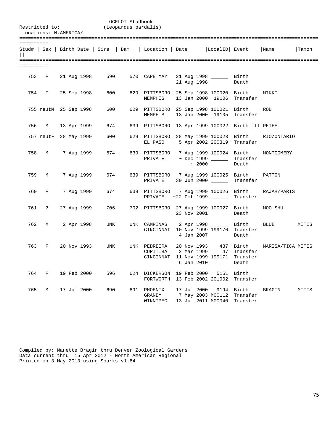| Restricted to:<br>Locations: N.AMERICA/ |       |  |                       | (Leopardus pardalis) | OCELOT Studbook |                                                                                          |  |                           |                                                 |                                              |                   |       |
|-----------------------------------------|-------|--|-----------------------|----------------------|-----------------|------------------------------------------------------------------------------------------|--|---------------------------|-------------------------------------------------|----------------------------------------------|-------------------|-------|
| ==========                              |       |  |                       |                      |                 | Stud#   Sex   Birth Date   Sire   Dam   Location   Date   LocalID   Event   Name         |  |                           |                                                 |                                              |                   | Taxon |
| ==========                              |       |  |                       |                      |                 |                                                                                          |  |                           |                                                 |                                              |                   |       |
|                                         |       |  | 753 F 21 Aug 1998     | 590                  |                 | 570 CAPE MAY                                                                             |  |                           | 21 Aug 1998 ________ Birth<br>21 Aug 1998       | Death                                        |                   |       |
|                                         |       |  | 754 F 25 Sep 1998     | 600 00               |                 | 629 PITTSBORO 25 Sep 1998 100020 Birth<br>MEMPHIS                                        |  |                           |                                                 | 13 Jan 2000 19106 Transfer                   | MIKKI             |       |
|                                         |       |  | 755 neutM 25 Sep 1998 | 600 — 100            |                 | 629 PITTSBORO 25 Sep 1998 100021 Birth<br>MEMPHIS                                        |  |                           |                                                 | 13 Jan 2000 19105 Transfer                   | ROB               |       |
|                                         |       |  | 756 M 13 Apr 1999     | 674                  |                 | 639 PITTSBORO 13 Apr 1999 100022 Birth ltf PETEE                                         |  |                           |                                                 |                                              |                   |       |
|                                         |       |  | 757 neutF 28 May 1999 | 600                  |                 | 629 PITTSBORO 28 May 1999 100023 Birth<br>EL PASO 5 Apr 2002 200319 Transfer             |  |                           |                                                 |                                              | RIO/ONTARIO       |       |
|                                         |       |  | 758 M 7 Aug 1999      | 674                  |                 | 639 PITTSBORO<br>PRIVATE                                                                 |  | $\sim 2000$               | ~ Dec 1999 _____                                | 7 Aug 1999 100024 Birth<br>Transfer<br>Death | MONTGOMERY        |       |
|                                         | 759 M |  | 7 Aug 1999            | 674                  |                 | 639 PITTSBORO 7 Aug 1999 100025 Birth<br>PRIVATE                                         |  |                           |                                                 | 30 Jun 2000 _______ Transfer                 | PATTON            |       |
|                                         |       |  | 760 F 7 Aug 1999      | 674                  |                 | 639 PITTSBORO 7 Aug 1999 100026 Birth<br>PRIVATE ~22 Oct 1999 _______ Transfer           |  |                           |                                                 |                                              | RAJAH/PARIS       |       |
|                                         |       |  | 761 ? 27 Aug 1999     | 706 70               |                 | 702 PITTSBORO 27 Aug 1999 100027 Birth                                                   |  |                           | 23 Nov 2001                                     | Death                                        | MOO SHU           |       |
|                                         |       |  | 762 M 2 Apr 1998      | UNK                  |                 | UNK CAMPINAS 2 Apr 1998 _______ Birth<br>CINCINNAT 10 Nov 1999 199170 Transfer           |  | 4 Jan 2007                |                                                 | Death                                        | <b>BLUE</b>       | MITIS |
| 763                                     | F     |  | 20 Nov 1993           | UNK                  |                 | UNK PEDREIRA<br>CURITIBA 2 Mar 1999 47 Transfer<br>CINCINNAT 11 Nov 1999 199171 Transfer |  | 20 Nov 1993<br>6 Jan 2010 |                                                 | 487 Birth<br>Death                           | MARISA/TICA MITIS |       |
| 764                                     | F     |  | 19 Feb 2000           | 596                  |                 | 624 DICKERSON<br>FORTWORTH                                                               |  | 19 Feb 2000               | 5151<br>13 Feb 2002 201002                      | Birth<br>Transfer                            |                   |       |
| 765                                     | М     |  | 17 Jul 2000           | 690                  |                 | 691 PHOENIX<br>GRANBY<br>WINNIPEG                                                        |  | 17 Jul 2000               | 9194<br>7 May 2003 M00112<br>13 Jul 2011 M00040 | Birth<br>Transfer<br>Transfer                | BRAGIN            | MITIS |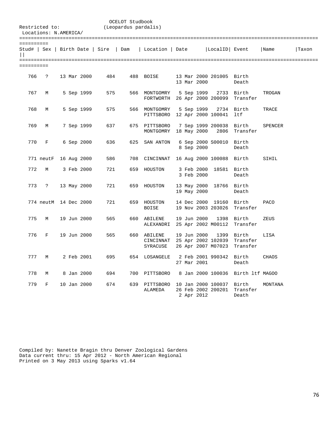| Restricted to:<br>Locations: N.AMERICA/ |                       |  |             |                                       | OCELOT Studbook<br>(Leopardus pardalis) |                                               |  |             |                                                  |                                   |              |       |
|-----------------------------------------|-----------------------|--|-------------|---------------------------------------|-----------------------------------------|-----------------------------------------------|--|-------------|--------------------------------------------------|-----------------------------------|--------------|-------|
| ==========                              |                       |  |             | Stud#   Sex   Birth Date   Sire   Dam |                                         | Location   Date                               |  |             | LocalID Event                                    |                                   | Name         | Taxon |
| ==========                              |                       |  |             |                                       |                                         |                                               |  |             |                                                  |                                   |              |       |
| 766                                     | $\ddot{ }$            |  | 13 Mar 2000 | 484                                   |                                         | 488 BOISE                                     |  | 13 Mar 2000 | 13 Mar 2000 201005 Birth                         | Death                             |              |       |
| 767                                     | М                     |  | 5 Sep 1999  | 575                                   |                                         | 566 MONTGOMRY<br>FORTWORTH 26 Apr 2000 200099 |  | 5 Sep 1999  | 2733                                             | Birth<br>Transfer                 | TROGAN       |       |
| 768                                     | M                     |  | 5 Sep 1999  | 575                                   |                                         | 566 MONTGOMRY<br>PITTSBORO 12 Apr 2000 100041 |  | 5 Sep 1999  |                                                  | 2734 Birth<br>ltf                 | TRACE        |       |
| 769                                     | М                     |  | 7 Sep 1999  | 637                                   |                                         | 675 PITTSBORO<br>MONTGOMRY 18 May 2000        |  |             | 7 Sep 1999 200038<br>2806                        | Birth<br>Transfer                 | SPENCER      |       |
| 770                                     | F                     |  | 6 Sep 2000  | 636                                   | 625                                     | SAN ANTON                                     |  | 8 Sep 2000  | 6 Sep 2000 S00010                                | Birth<br>Death                    |              |       |
|                                         | 771 neutF 16 Aug 2000 |  |             | 586                                   | 708                                     | CINCINNAT 16 Aug 2000 100088                  |  |             |                                                  | Birth                             | SIHIL        |       |
| 772                                     | М                     |  | 3 Feb 2000  | 721                                   | 659                                     | HOUSTON                                       |  | 3 Feb 2000  | 3 Feb 2000 18581 Birth                           | Death                             |              |       |
| 773                                     | ?                     |  | 13 May 2000 | 721                                   | 659                                     | HOUSTON                                       |  | 19 May 2000 | 13 May 2000 18766                                | Birth<br>Death                    |              |       |
|                                         | 774 neutM 14 Dec 2000 |  |             | 721                                   |                                         | 659 HOUSTON<br><b>BOISE</b>                   |  |             | 14 Dec 2000 19160<br>19 Nov 2003 203026          | Birth<br>Transfer                 | <b>PACO</b>  |       |
| 775                                     | М                     |  | 19 Jun 2000 | 565                                   |                                         | 660 ABILENE<br>ALEXANDRI 25 Apr 2002 M00112   |  | 19 Jun 2000 | 1398                                             | Birth<br>Transfer                 | ZEUS         |       |
| 776                                     | F                     |  | 19 Jun 2000 | 565                                   |                                         | 660 ABILENE<br>CINCINNAT<br>SYRACUSE          |  | 19 Jun 2000 | 1399<br>25 Apr 2002 102039<br>26 Apr 2007 M07023 | Birth<br>Transfer<br>Transfer     | LISA         |       |
| 777                                     | М                     |  | 2 Feb 2001  | 695                                   |                                         | 654 LOSANGELE                                 |  | 27 Mar 2001 | 2 Feb 2001 990342                                | Birth<br>Death                    | <b>CHAOS</b> |       |
| 778                                     | М                     |  | 8 Jan 2000  | 694                                   |                                         | 700 PITTSBORO                                 |  |             |                                                  | 8 Jan 2000 100036 Birth 1tf MAGOO |              |       |
| 779                                     | F                     |  | 10 Jan 2000 | 674                                   | 639                                     | PITTSBORO<br>ALAMEDA                          |  | 2 Apr 2012  | 10 Jan 2000 100037<br>26 Feb 2002 200201         | Birth<br>Transfer<br>Death        | MONTANA      |       |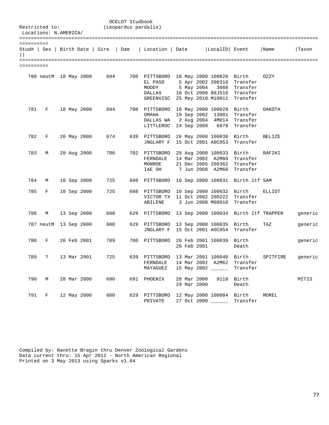|                 | Restricted to:<br>Locations: N.AMERICA/ |  |             |                                       | OCELOT Studbook<br>(Leopardus pardalis) |                                                                                                               |                                        |                                                |                                                                                       |                                                    |         |
|-----------------|-----------------------------------------|--|-------------|---------------------------------------|-----------------------------------------|---------------------------------------------------------------------------------------------------------------|----------------------------------------|------------------------------------------------|---------------------------------------------------------------------------------------|----------------------------------------------------|---------|
| ==========<br>П |                                         |  |             | Stud#   Sex   Birth Date   Sire   Dam |                                         | Location   Date                                                                                               |                                        | LocalID  Event                                 |                                                                                       | Name                                               | Taxon   |
| ==========      |                                         |  |             |                                       |                                         |                                                                                                               |                                        |                                                |                                                                                       |                                                    |         |
|                 |                                         |  |             | 780 neutM 18 May 2000 694             |                                         | 700 PITTSBORO 18 May 2000 100028 Birth<br>EL PASO<br>MOODY<br>DALLAS<br>GREENVISC 25 May 2010 M10011 Transfer |                                        |                                                | 5 Apr 2002 200318 Transfer<br>5 May 2004 3088 Transfer<br>10 Oct 2008 08J516 Transfer | OZZY                                               |         |
| 781             | F                                       |  | 18 May 2000 | 694                                   |                                         | 700 PITTSBORO<br>OMAHA<br>DALLAS WA 2 Aug 2004 4M014 Transfer<br>LITTLEROC                                    |                                        | 18 May 2000 100029 Birth                       | 19 Sep 2002 13001 Transfer<br>24 Sep 2009 6878 Transfer                               | DAKOTA                                             |         |
| 782             | F                                       |  | 26 May 2000 | 674                                   |                                         | 639 PITTSBORO 26 May 2000 100030 Birth<br>JNGLARY F 15 Oct 2001 A0C053 Transfer                               |                                        |                                                |                                                                                       | <b>BELIZE</b>                                      |         |
| 783             | М                                       |  | 28 Aug 2000 | 706                                   |                                         | 702 PITTSBORO<br>FERNDALE<br>MONROE<br>IAE OH 7 Jun 2008 A2M60                                                |                                        | 28 Aug 2000 100033 Birth<br>21 Dec 2005 200362 | 14 Mar 2002 A2M60 Transfer<br>Transfer<br>Transfer                                    | RAFIKI                                             |         |
| 784             | М                                       |  | 10 Sep 2000 | 725                                   |                                         | 608 PITTSBORO 10 Sep 2000 100031 Birth ltf SAM                                                                |                                        |                                                |                                                                                       |                                                    |         |
| 785             | F                                       |  | 10 Sep 2000 | 725                                   |                                         | 608 PITTSBORO<br>VICTOR TX 11 Oct 2002 200222 Transfer<br>ABILENE                                             |                                        | 10 Sep 2000 100032 Birth                       | 3 Jun 2008 M08010 Transfer                                                            | ELLIOT                                             |         |
| 786             | $M_{\odot}$                             |  | 13 Sep 2000 | 600                                   |                                         |                                                                                                               |                                        |                                                |                                                                                       | 629 PITTSBORO 13 Sep 2000 100034 Birth ltf TRAPPER | generic |
|                 | 787 neutM 13 Sep 2000                   |  |             | 600                                   | 629                                     | PITTSBORO<br>JNGLARY F 15 Oct 2001 A0C054 Transfer                                                            |                                        | 13 Sep 2000 100035 Birth                       |                                                                                       | TAZ                                                | generic |
| 788             | F                                       |  | 26 Feb 2001 | 709                                   |                                         | 700 PITTSBORO 26 Feb 2001 100039 Birth                                                                        | 26 Feb 2001                            |                                                | Death                                                                                 |                                                    | generic |
| 789             | ?                                       |  | 13 Mar 2001 | 725                                   |                                         | 639 PITTSBORO<br>FERNDALE<br>MAYAGUEZ                                                                         | 14 Mar 2002 A2M62<br>15 May 2002 _____ |                                                | 13 Mar 2001 100040 Birth<br>Transfer<br>Transfer                                      | SPITFIRE                                           | generic |
| 790             | M                                       |  | 28 Mar 2000 | 690                                   |                                         | 691 PHOENIX                                                                                                   | 28 Mar 2000<br>29 Mar 2000             | 9118                                           | Birth<br>Death                                                                        |                                                    | MITIS   |
| 791             | F                                       |  | 12 May 2000 | 600                                   |                                         | 629 PITTSBORO<br>PRIVATE                                                                                      | 27 Oct 2000 _____                      | 12 May 2000 100084 Birth                       | Transfer                                                                              | MOREL                                              |         |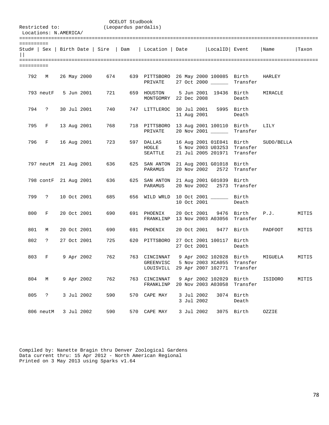| Restricted to:<br>Locations: N.AMERICA/ |                      |  |                       | (Leopardus pardalis)      | OCELOT Studbook |                                                                                  |  |                          |                                         |                                                           |                                               |       |
|-----------------------------------------|----------------------|--|-----------------------|---------------------------|-----------------|----------------------------------------------------------------------------------|--|--------------------------|-----------------------------------------|-----------------------------------------------------------|-----------------------------------------------|-------|
| ==========                              |                      |  |                       |                           |                 | Stud#   Sex   Birth Date   Sire   Dam   Location   Date   LocalID   Event   Name |  |                          |                                         |                                                           |                                               | Taxon |
| ==========                              |                      |  |                       |                           |                 |                                                                                  |  |                          |                                         |                                                           |                                               |       |
|                                         |                      |  |                       | 792 M 26 May 2000 674     |                 | 639 PITTSBORO 26 May 2000 100085 Birth<br>PRIVATE 27 Oct 2000 _______ Transfer   |  |                          |                                         |                                                           | HARLEY                                        |       |
|                                         |                      |  | 793 neutF 5 Jun 2001  | 721                       |                 | 659 HOUSTON 5 Jun 2001 19436 Birth<br>MONTGOMRY 22 Dec 2008                      |  |                          |                                         | Death                                                     | MIRACLE                                       |       |
|                                         | 794 ?                |  | 30 Jul 2001           | 740                       |                 | 747 LITTLEROC 30 Jul 2001 5995 Birth                                             |  |                          | 11 Aug 2001                             | Death                                                     |                                               |       |
|                                         | 795 F                |  | 13 Aug 2001           | 768 —                     |                 | 718 PITTSBORO 13 Aug 2001 100110 Birth<br>PRIVATE                                |  |                          | 20 Nov 2001 _____                       | Transfer                                                  | LILY                                          |       |
|                                         |                      |  | 796 F 16 Aug 2001     | 723                       |                 | 597 DALLAS 16 Aug 2001 01E041 Birth<br>HOGLE<br>SEATTLE                          |  |                          |                                         | 5 Nov 2003 U03253 Transfer<br>21 Jul 2005 201971 Transfer | SUDO/BELLA                                    |       |
|                                         |                      |  |                       | 797 neutM 21 Aug 2001 636 |                 | 625 SAN ANTON 21 Aug 2001 G01018 Birth<br>PARAMUS                                |  |                          |                                         | 20 Nov 2002 2572 Transfer                                 |                                               |       |
|                                         |                      |  | 798 contF 21 Aug 2001 | 636                       |                 | 625 SAN ANTON 21 Aug 2001 G01039 Birth<br>PARAMUS                                |  |                          |                                         | 20 Nov 2002 2573 Transfer                                 |                                               |       |
|                                         | 799 ?                |  | 10 Oct 2001           | 685 — 1                   |                 | 656 WILD WRLD 10 Oct 2001 _______ Birth                                          |  | 10 Oct 2001              |                                         | Death                                                     |                                               |       |
| 800                                     | $F$ and $F$          |  | 20 Oct 2001           | 690                       |                 | 691 PHOENIX<br>FRANKLINP 13 Nov 2003 A03056 Transfer                             |  | 20 Oct 2001              |                                         | 9476 Birth                                                | P.J.                                          | MITIS |
| 801                                     | M                    |  | 20 Oct 2001           | 690                       |                 | 691 PHOENIX                                                                      |  |                          |                                         | 20 Oct 2001 9477 Birth                                    | PADFOOT                                       | MITIS |
| 802                                     | $\ddot{?}$           |  | 27 Oct 2001           | 725                       |                 | 620 PITTSBORO 27 Oct 2001 100117 Birth                                           |  |                          | 27 Oct 2001                             | Death                                                     |                                               |       |
| 803                                     |                      |  | F 9 Apr 2002          | 762                       |                 | GREENVISC<br>LOUISVILL                                                           |  |                          | 5 Nov 2003 XCA055<br>29 Apr 2007 102771 | Transfer<br>Transfer                                      | 763 CINCINNAT 9 Apr 2002 102028 Birth MIGUELA | MITIS |
| 804                                     | М                    |  | 9 Apr 2002            | 762                       | 763             | CINCINNAT<br>FRANKLINP                                                           |  |                          | 9 Apr 2002 102029<br>20 Nov 2003 A03058 | Birth<br>Transfer                                         | ISIDORO                                       | MITIS |
| 805                                     | $\ddot{\phantom{0}}$ |  | 3 Jul 2002            | 590                       | 570             | CAPE MAY                                                                         |  | 3 Jul 2002<br>3 Jul 2002 | 3074                                    | Birth<br>Death                                            |                                               |       |
|                                         | 806 neutM            |  | 3 Jul 2002            | 590                       | 570             | CAPE MAY                                                                         |  | 3 Jul 2002               |                                         | 3075 Birth                                                | OZZIE                                         |       |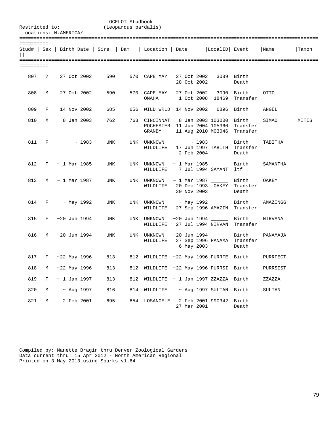| Restricted to:<br>Locations: N.AMERICA/ |             |  |                         |                        | OCELOT Studbook<br>(Leopardus pardalis) |                                                                                     |  |             |                         |                                         |          |       |
|-----------------------------------------|-------------|--|-------------------------|------------------------|-----------------------------------------|-------------------------------------------------------------------------------------|--|-------------|-------------------------|-----------------------------------------|----------|-------|
| ==========                              |             |  |                         |                        |                                         | Stud#   Sex   Birth Date   Sire   Dam   Location   Date   LocalID   Event   Name    |  |             |                         |                                         |          | Taxon |
| ==========                              |             |  |                         |                        |                                         |                                                                                     |  |             |                         |                                         |          |       |
|                                         |             |  | 807 ? 27 Oct 2002       | 590                    |                                         | 570 CAPE MAY 27 Oct 2002                                                            |  |             | 28 Oct 2002             | 3089 Birth<br>Death                     |          |       |
| 808                                     | M           |  | 27 Oct 2002             | 590                    |                                         | 570 CAPE MAY 27 Oct 2002<br>OMAHA 1 Oct 2008 18469                                  |  |             |                         | 3090 Birth<br>Transfer                  | OTTO     |       |
| 809                                     | $F$ and $F$ |  | 14 Nov 2002             | 685                    |                                         | 656 WILD WRLD 14 Nov 2002                                                           |  |             |                         | 6896 Birth                              | ANGEL    |       |
| 810                                     |             |  | M 8 Jan 2003            | 762                    |                                         | 763 CINCINNAT - 8 Jan 2003 103000 - Birth<br>ROCHESTER 11 Jun 2004 105360<br>GRANBY |  |             |                         | Transfer<br>11 Aug 2010 M03046 Transfer | SIMAO    | MITIS |
|                                         | 811 F       |  | $\sim 1983$             | UNK                    |                                         | UNK UNKNOWN $\sim$ 1983 Birth<br>WILDLIFE                                           |  |             | 2 Feb 2004              | 17 Jun 1997 TABITH Transfer<br>Death    | TABITHA  |       |
|                                         |             |  | 812 F $\sim$ 1 Mar 1985 | UNK                    |                                         | UNK UNKNOWN $\sim$ 1 Mar 1985 $\_\_\_\_\_\_\_$ Birth<br>WILDLIFE 7 Jul 1994 SAMANT  |  |             |                         | ltf                                     | SAMANTHA |       |
| 813                                     |             |  | $M \sim 1$ Mar 1987     | UNK                    |                                         | UNK UNKNOWN $\sim$ 1 Mar 1987 ________ Birth<br>WILDLIFE 20 Dec 1993 OAKEY Transfer |  |             | 20 Nov 2003             | Death                                   | OAKEY    |       |
|                                         |             |  | $814$ F ~ May 1992      | UNK                    |                                         | UNK UNKNOWN ~ May 1992 ________ Birth<br>WILDLIFE 27 Sep 1996 AMAZIN                |  |             |                         | Transfer                                | AMAZINGG |       |
|                                         |             |  | 815 F ~20 Jun 1994      | UNK                    |                                         | UNK UNKNOWN<br>WILDLIFE 27 Jul 1994 NIRVAN                                          |  |             |                         | ~20 Jun 1994 _______ Birth<br>Transfer  | NIRVANA  |       |
| 816                                     |             |  | M ~20 Jun 1994          | UNK                    |                                         | UNK UNKNOWN ~20 Jun 1994 _______ Birth<br>WILDLIFE 27 Sep 1996 PANAMA Transfer      |  |             | 6 May 2003              | Death                                   | PANAMAJA |       |
|                                         |             |  |                         | 817 F ~22 May 1996 813 |                                         | 812 WILDLIFE ~22 May 1996 PURRFE Birth PURRFECT                                     |  |             |                         |                                         |          |       |
| 818                                     | М           |  | $~22$ May 1996          | 813                    |                                         | 812 WILDLIFE ~22 May 1996 PURRSI Birth                                              |  |             |                         |                                         | PURRSIST |       |
| 819                                     | F           |  | $\sim$ 1 Jan 1997       | 813                    | 812                                     | WILDLIFE $\sim$ 1 Jan 1997 ZZAZZA Birth                                             |  |             |                         |                                         | ZZAZZA   |       |
| 820                                     | М           |  | $~\sim$ Aug 1997        | 816                    | 814                                     | WILDLIFE                                                                            |  |             | ~ Aug 1997 SULTAN Birth |                                         | SULTAN   |       |
| 821                                     | М           |  | 2 Feb 2001              | 695                    | 654                                     | LOSANGELE                                                                           |  | 27 Mar 2001 | 2 Feb 2001 990342       | Birth<br>Death                          |          |       |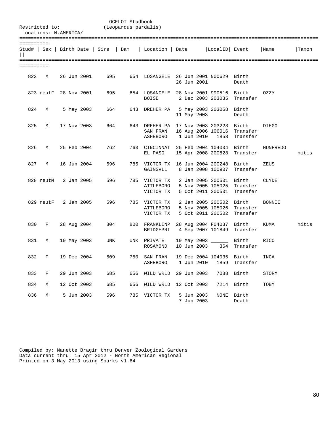| Restricted to: | Locations: N.AMERICA/ |  |             |     | OCELOT Studbook<br>(Leopardus pardalis) |                                                                           |  |                          |                                                                   |                               |          |       |
|----------------|-----------------------|--|-------------|-----|-----------------------------------------|---------------------------------------------------------------------------|--|--------------------------|-------------------------------------------------------------------|-------------------------------|----------|-------|
| ==========     |                       |  |             |     |                                         | Stud#   Sex   Birth Date   Sire   Dam   Location   Date   LocalID   Event |  |                          |                                                                   |                               | Name     | Taxon |
| ==========     |                       |  |             |     |                                         |                                                                           |  |                          |                                                                   |                               |          |       |
| 822            | М                     |  | 26 Jun 2001 | 695 |                                         | 654 LOSANGELE 26 Jun 2001 N00629 Birth                                    |  | 26 Jun 2001              |                                                                   | Death                         |          |       |
|                | 823 neutF 28 Nov 2001 |  |             | 695 |                                         | 654 LOSANGELE 28 Nov 2001 990516<br>BOISE                                 |  |                          | 2 Dec 2003 203035                                                 | Birth<br>Transfer             | OZZY     |       |
| 824            | М                     |  | 5 May 2003  | 664 | 643                                     | DREHER PA                                                                 |  | 11 May 2003              | 5 May 2003 203058 Birth                                           | Death                         |          |       |
| 825            | M                     |  | 17 Nov 2003 | 664 |                                         | 643 DREHER PA 17 Nov 2003 203223 Birth<br>SAN FRAN<br>ASHEBORO            |  | 1 Jun 2010               | 16 Aug 2006 106016<br>1858                                        | Transfer<br>Transfer          | DIEGO    |       |
| 826            | M                     |  | 25 Feb 2004 | 762 |                                         | 763 CINCINNAT 25 Feb 2004 104004 Birth<br>EL PASO                         |  |                          | 15 Apr 2008 200828                                                | Transfer                      | HUNFREDO | mitis |
| 827            | М                     |  | 16 Jun 2004 | 596 |                                         | 785 VICTOR TX 16 Jun 2004 200248<br>GAINSVLL                              |  |                          | 8 Jan 2008 100907                                                 | Birth<br>Transfer             | ZEUS     |       |
|                | 828 neutM             |  | 2 Jan 2005  | 596 |                                         | 785 VICTOR TX<br>ATTLEBORO<br>VICTOR TX                                   |  |                          | 2 Jan 2005 200501 Birth<br>5 Nov 2005 105025<br>5 Oct 2011 200501 | Transfer<br>Transfer          | CLYDE    |       |
|                | 829 neutF 2 Jan 2005  |  |             | 596 |                                         | 785 VICTOR TX<br>ATTLEBORO<br>VICTOR TX                                   |  |                          | 2 Jan 2005 200502<br>5 Nov 2005 105026<br>5 Oct 2011 200502       | Birth<br>Transfer<br>Transfer | BONNIE   |       |
| 830            | $F$ and $F$           |  | 28 Aug 2004 | 804 |                                         | 800 FRANKLINP<br>BRIDGEPRT                                                |  |                          | 28 Aug 2004 F04037 Birth<br>4 Sep 2007 101849                     | Transfer                      | KUMA     | mitis |
| 831            | М                     |  | 19 May 2003 | UNK |                                         | UNK PRIVATE<br>ROSAMOND                                                   |  | 10 Jun 2003              | 19 May 2003 _______ Birth<br>364                                  | Transfer                      | RICO     |       |
| 832            | F                     |  | 19 Dec 2004 | 609 |                                         | 750 SAN FRAN<br>ASHEBORO                                                  |  | 1 Jun 2010               | 19 Dec 2004 104035<br>1859                                        | Birth<br>Transfer             | INCA     |       |
| 833            | F                     |  | 29 Jun 2003 | 685 | 656                                     | WILD WRLD                                                                 |  | 29 Jun 2003              | 7088                                                              | Birth                         | STORM    |       |
| 834            | М                     |  | 12 Oct 2003 | 685 | 656                                     | WILD WRLD                                                                 |  | 12 Oct 2003              | 7214                                                              | Birth                         | TOBY     |       |
| 836            | М                     |  | 5 Jun 2003  | 596 | 785                                     | VICTOR TX                                                                 |  | 5 Jun 2003<br>7 Jun 2003 | NONE                                                              | Birth<br>Death                |          |       |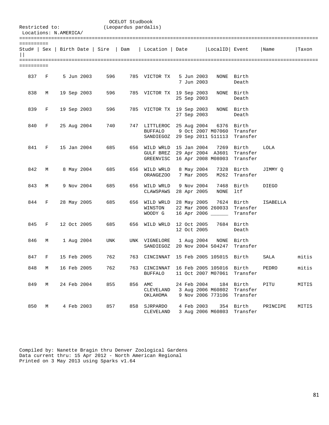| Restricted to:<br>Locations: N.AMERICA/ |   |  |             |                                       | OCELOT Studbook<br>(Leopardus pardalis) |                                                                                          |  |                            |                                                  |                                         |          |       |
|-----------------------------------------|---|--|-------------|---------------------------------------|-----------------------------------------|------------------------------------------------------------------------------------------|--|----------------------------|--------------------------------------------------|-----------------------------------------|----------|-------|
| ==========                              |   |  |             | Stud#   Sex   Birth Date   Sire   Dam |                                         | Location   Date   LocalID   Event                                                        |  |                            |                                                  |                                         | Name     | Taxon |
| ==========                              |   |  |             |                                       |                                         |                                                                                          |  |                            |                                                  |                                         |          |       |
| 837                                     | F |  | 5 Jun 2003  | 596                                   |                                         | 785 VICTOR TX                                                                            |  | 5 Jun 2003<br>7 Jun 2003   |                                                  | NONE Birth<br>Death                     |          |       |
| 838                                     | М |  | 19 Sep 2003 | 596 1                                 |                                         | 785 VICTOR TX 19 Sep 2003                                                                |  | 25 Sep 2003                | NONE                                             | Birth<br>Death                          |          |       |
| 839                                     | F |  | 19 Sep 2003 | 596                                   |                                         | 785 VICTOR TX 19 Sep 2003                                                                |  | 27 Sep 2003                | NONE                                             | Birth<br>Death                          |          |       |
| 840                                     | F |  | 25 Aug 2004 | 740                                   |                                         | 747 LITTLEROC 25 Aug 2004<br><b>BUFFALO</b><br>SANDIEGOZ 29 Sep 2011 511113              |  |                            | 6376<br>9 Oct 2007 M07060                        | Birth<br>Transfer<br>Transfer           |          |       |
| 841                                     | F |  | 15 Jan 2004 | 685                                   |                                         | 656 WILD WRLD 15 Jan 2004<br>GULF BREZ 29 Apr 2004 A3601<br>GREENVISC 16 Apr 2008 M08003 |  |                            | 7269                                             | Birth<br>Transfer<br>Transfer           | LOLA     |       |
| 842                                     | М |  | 8 May 2004  | 685                                   |                                         | 656 WILD WRLD<br>ORANGEZ00                                                               |  | 8 May 2004<br>7 Mar 2005   | 7328<br>M262                                     | Birth<br>Transfer                       | JIMMY Q  |       |
| 843                                     | М |  | 9 Nov 2004  | 685                                   |                                         | 656 WILD WRLD<br>CLAWSPAWS                                                               |  | 9 Nov 2004<br>28 Apr 2005  | 7468<br>NONE                                     | Birth<br>ltf                            | DIEGO    |       |
| 844                                     | F |  | 28 May 2005 | 685                                   |                                         | 656 WILD WRLD 28 May 2005<br>WINSTON<br>WOODY G                                          |  |                            | 7624<br>22 Mar 2006 260033<br>16 Apr 2006 ______ | Birth<br>Transfer<br>Transfer           | ISABELLA |       |
| 845                                     | F |  | 12 Oct 2005 | 685                                   | 656                                     | WILD WRLD                                                                                |  | 12 Oct 2005<br>12 Oct 2005 |                                                  | 7684 Birth<br>Death                     |          |       |
| 846                                     | М |  | 1 Aug 2004  | UNK                                   |                                         | UNK VIGNELORE<br>SANDIEGOZ 20 Nov 2004 504247                                            |  | 1 Aug 2004                 | NONE                                             | Birth<br>Transfer                       |          |       |
| 847                                     | F |  | 15 Feb 2005 | 762                                   |                                         | 763 CINCINNAT                                                                            |  |                            | 15 Feb 2005 105015 Birth                         |                                         | SALA     | mitis |
| 848                                     | М |  | 16 Feb 2005 | 762                                   |                                         | 763 CINCINNAT 16 Feb 2005 105016 Birth<br><b>BUFFALO</b>                                 |  |                            | 11 Oct 2007 M07061                               | Transfer                                | PEDRO    | mitis |
| 849                                     | М |  | 24 Feb 2004 | 855                                   |                                         | 856 AMC<br>CLEVELAND 3 Aug 2006 M60802<br>OKLAHOMA                                       |  | 24 Feb 2004                | 9 Nov 2006 773106                                | 184 Birth<br>Transfer<br>Transfer       | PITU     | MITIS |
| 850                                     | M |  | 4 Feb 2003  | 857                                   |                                         | 858 SJRPARDO<br>CLEVELAND                                                                |  | 4 Feb 2003                 |                                                  | 354 Birth<br>3 Aug 2006 M60803 Transfer | PRINCIPE | MITIS |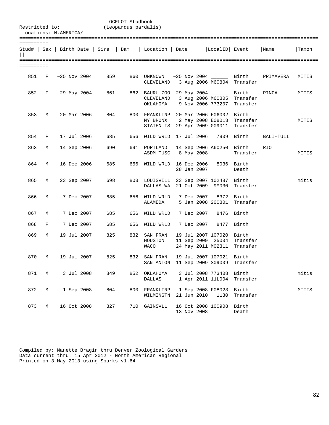| Locations: N.AMERICA/ |       |  |                    | Restricted to: (Leopardus pardalis) | OCELOT Studbook |                                                                                                               |  |             |                                              |                                                           |                                                                                  |       |
|-----------------------|-------|--|--------------------|-------------------------------------|-----------------|---------------------------------------------------------------------------------------------------------------|--|-------------|----------------------------------------------|-----------------------------------------------------------|----------------------------------------------------------------------------------|-------|
| ==========            |       |  |                    |                                     |                 |                                                                                                               |  |             |                                              |                                                           | Stud#   Sex   Birth Date   Sire   Dam   Location   Date   LocalID   Event   Name | Taxon |
| ==========            |       |  |                    |                                     |                 |                                                                                                               |  |             |                                              |                                                           |                                                                                  |       |
|                       |       |  | 851 F ~25 Nov 2004 | 859                                 |                 | CLEVELAND 3 Aug 2006 M60804 Transfer                                                                          |  |             |                                              |                                                           | 860 UNKNOWN ~25 Nov 2004 _______ Birth PRIMAVERA                                 | MITIS |
|                       |       |  | 852 F 29 May 2004  | 861 — 1                             |                 | 862 BAURU ZOO 29 May 2004 _______ Birth<br>CLEVELAND 3 Aug 2006 M60805 Transfer<br>OKLAHOMA 9 Nov 2006 773207 |  |             |                                              | Transfer                                                  | PINGA                                                                            | MITIS |
| 853                   | M     |  | 20 Mar 2006        | 804                                 |                 | 800 FRANKLINP 20 Mar 2006 F06002 Birth<br>NY BRONX 2 May 2008 E08013<br>STATEN IS 29 Apr 2009 009011 Transfer |  |             |                                              | Transfer                                                  |                                                                                  | MITIS |
|                       | 854 F |  | 17 Jul 2006        | 685                                 |                 | 656 WILD WRLD 17 Jul 2006 7909 Birth                                                                          |  |             |                                              |                                                           | BALI-TULI                                                                        |       |
| 863                   | M     |  | 14 Sep 2006        | 690                                 |                 | 691 PORTLAND<br>ASDM TUSC 8 May 2008                                                                          |  |             |                                              | 14 Sep 2006 A60250 Birth<br>Transfer                      | RIO                                                                              | MITIS |
| 864                   | M     |  | 16 Dec 2006        | 685                                 |                 | 656 WILD WRLD 16 Dec 2006 8036 Birth                                                                          |  |             | 28 Jan 2007                                  | Death                                                     |                                                                                  |       |
| 865                   | M     |  | 23 Sep 2007        | 698                                 |                 | 803 LOUISVILL 23 Sep 2007 102487 Birth<br>DALLAS WA 21 Oct 2009 9M030                                         |  |             |                                              | Transfer                                                  |                                                                                  | mitis |
| 866                   | M     |  | 7 Dec 2007         | 685                                 |                 | 656 WILD WRLD 7 Dec 2007 8372 Birth<br>ALAMEDA                                                                |  |             |                                              | 5 Jan 2008 200801 Transfer                                |                                                                                  |       |
| 867                   | M     |  | 7 Dec 2007         | 685                                 |                 | 656 WILD WRLD                                                                                                 |  |             | 7 Dec 2007 8476 Birth                        |                                                           |                                                                                  |       |
| 868                   | F     |  | 7 Dec 2007         | 685                                 |                 | 656 WILD WRLD                                                                                                 |  |             | 7 Dec 2007 8477 Birth                        |                                                           |                                                                                  |       |
| 869                   | M     |  | 19 Jul 2007        | 825                                 |                 | 832 SAN FRAN<br>HOUSTON<br><b>WACO</b>                                                                        |  |             | 19 Jul 2007 107020 Birth                     | 11 Sep 2009 25034 Transfer<br>24 May 2011 M02311 Transfer |                                                                                  |       |
| 870                   | M     |  | 19 Jul 2007        | 825                                 |                 | 832 SAN FRAN<br>SAN ANTON 11 Sep 2009 S09009                                                                  |  |             | 19 Jul 2007 107021 Birth                     | Transfer                                                  |                                                                                  |       |
| 871                   | М     |  | 3 Jul 2008         | 849                                 | 852             | OKLAHOMA<br>DALLAS                                                                                            |  |             | 3 Jul 2008 773408 Birth<br>1 Apr 2011 11L004 | Transfer                                                  |                                                                                  | mitis |
| 872                   | М     |  | 1 Sep 2008         | 804                                 |                 | 800 FRANKLINP<br>WILMINGTN                                                                                    |  |             | 1 Sep 2008 F08023 Birth<br>21 Jun 2010 1130  | Transfer                                                  |                                                                                  | MITIS |
| 873                   | М     |  | 16 Oct 2008        | 827                                 |                 | 710 GAINSVLL                                                                                                  |  | 13 Nov 2008 | 16 Oct 2008 100908 Birth                     | Death                                                     |                                                                                  |       |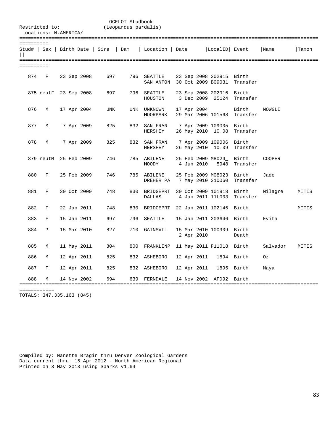| Restricted to: | Locations: N.AMERICA/ |  |             |                                       | OCELOT Studbook<br>(Leopardus pardalis) |                                                      |  |            |                                                 |                   |          |       |
|----------------|-----------------------|--|-------------|---------------------------------------|-----------------------------------------|------------------------------------------------------|--|------------|-------------------------------------------------|-------------------|----------|-------|
| ==========     |                       |  |             | Stud#   Sex   Birth Date   Sire   Dam |                                         | Location   Date                                      |  |            | LocalID Event                                   |                   | Name     | Taxon |
| ==========     |                       |  |             |                                       |                                         |                                                      |  |            |                                                 |                   |          |       |
| 874            | F                     |  | 23 Sep 2008 | 697                                   |                                         | 796 SEATTLE<br>SAN ANTON 30 Oct 2009 B09031 Transfer |  |            | 23 Sep 2008 202915 Birth                        |                   |          |       |
|                | 875 neutF 23 Sep 2008 |  |             | 697                                   |                                         | 796 SEATTLE<br>HOUSTON                               |  |            | 23 Sep 2008 202916 Birth<br>3 Dec 2009 25124    | Transfer          |          |       |
| 876            | М                     |  | 17 Apr 2004 | <b>UNK</b>                            |                                         | UNK UNKNOWN<br>MOORPARK                              |  |            | 17 Apr 2004 _______ Birth<br>29 Mar 2006 101568 | Transfer          | MOWGLI   |       |
| 877            | М                     |  | 7 Apr 2009  | 825                                   |                                         | 832 SAN FRAN<br>HERSHEY                              |  |            | 7 Apr 2009 109005 Birth<br>26 May 2010 10.08    | Transfer          |          |       |
| 878            | М                     |  | 7 Apr 2009  | 825                                   |                                         | 832 SAN FRAN<br>HERSHEY                              |  |            | 7 Apr 2009 109006<br>26 May 2010 10.09          | Birth<br>Transfer |          |       |
|                | 879 neutM 25 Feb 2009 |  |             | 746                                   |                                         | 785 ABILENE<br>MOODY                                 |  | 4 Jun 2010 | 25 Feb 2009 M8024_<br>5948                      | Birth<br>Transfer | COOPER   |       |
| 880            | $\mathbf{F}$          |  | 25 Feb 2009 | 746                                   |                                         | 785 ABILENE<br>DREHER PA                             |  |            | 25 Feb 2009 M08023<br>7 May 2010 210060         | Birth<br>Transfer | Jade     |       |
| 881            | F                     |  | 30 Oct 2009 | 748                                   |                                         | 830 BRIDGEPRT<br>DALLAS                              |  |            | 30 Oct 2009 101918<br>4 Jan 2011 11L003         | Birth<br>Transfer | Milagre  | MITIS |
| 882            | F                     |  | 22 Jan 2011 | 748                                   |                                         | 830 BRIDGEPRT 22 Jan 2011 102145                     |  |            |                                                 | Birth             |          | MITIS |
| 883            | F                     |  | 15 Jan 2011 | 697                                   | 796                                     | SEATTLE                                              |  |            | 15 Jan 2011 203646 Birth                        |                   | Evita    |       |
| 884            | $\mathbf{P}$          |  | 15 Mar 2010 | 827                                   |                                         | 710 GAINSVLL                                         |  | 2 Apr 2010 | 15 Mar 2010 100909                              | Birth<br>Death    |          |       |
| 885            | М                     |  | 11 May 2011 | 804                                   |                                         | 800 FRANKLINP 11 May 2011 F11018 Birth               |  |            |                                                 |                   | Salvador | MITIS |
| 886            | М                     |  | 12 Apr 2011 | 825                                   |                                         | 832 ASHEBORO                                         |  |            | 12 Apr 2011 1894 Birth                          |                   | Oz       |       |
| 887            | F                     |  | 12 Apr 2011 | 825                                   |                                         | 832 ASHEBORO                                         |  |            | 12 Apr 2011 1895 Birth                          |                   | Maya     |       |
| 888            | М                     |  | 14 Nov 2002 | 694                                   |                                         | 639 FERNDALE                                         |  |            | 14 Nov 2002 AFD92 Birth                         |                   |          |       |
| ============   |                       |  |             |                                       |                                         |                                                      |  |            |                                                 |                   |          |       |

TOTALS: 347.335.163 (845)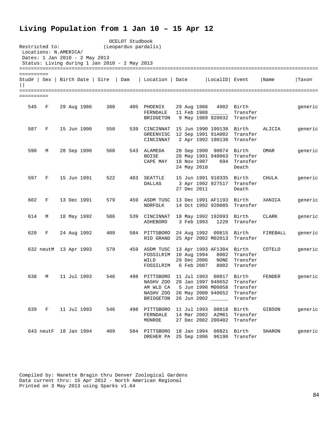## **Living Population from 1 Jan 10 – 15 Apr 12**

| Restricted to:<br>Locations: N.AMERICA/         |   |                       |                                               | OCELOT Studbook<br>(Leopardus pardalis) |                                                                                              |                                          |                                                              |                                                      |               |         |
|-------------------------------------------------|---|-----------------------|-----------------------------------------------|-----------------------------------------|----------------------------------------------------------------------------------------------|------------------------------------------|--------------------------------------------------------------|------------------------------------------------------|---------------|---------|
| Dates: 1 Jan 2010 - 2 May 2013                  |   |                       | Status: Living during 1 Jan 2010 - 2 May 2013 |                                         |                                                                                              |                                          |                                                              |                                                      |               |         |
| ==========                                      |   |                       |                                               |                                         |                                                                                              |                                          |                                                              |                                                      |               |         |
| Stud#   Sex   Birth Date   Sire<br>$\mathbf{I}$ |   |                       |                                               | Dam                                     | Location   Date                                                                              |                                          | LocalID Event                                                |                                                      | Name          | Taxon   |
| ==========                                      |   |                       |                                               |                                         |                                                                                              |                                          |                                                              |                                                      |               |         |
| 545                                             | F | 29 Aug 1986           | 380                                           |                                         | 405 PHOENIX<br>FERNDALE<br>BRIDGETON                                                         | 29 Aug 1986                              | 11 Feb 1988 _____                                            | 4902 Birth<br>Transfer<br>9 May 1989 920032 Transfer |               | generic |
| 587                                             | F | 15 Jun 1990           | 550                                           |                                         | 539 CINCINNAT<br>GREENVISC<br>CINCINNAT                                                      |                                          | 15 Jun 1990 190138 Birth<br>2 Apr 1992 190138                | 12 Sep 1991 91A002 Transfer<br>Transfer              | ALICIA        | generic |
| 590                                             | М | 28 Sep 1990           | 568                                           |                                         | 543 ALAMEDA<br><b>BOISE</b><br>CAPE MAY                                                      | 18 Nov 1997<br>24 May 2010               | 28 Sep 1990 90074 Birth<br>28 May 1991 940063                | Transfer<br>694 Transfer<br>Death                    | OMAR          | generic |
| 597                                             | F | 15 Jun 1991           | 522                                           | 483                                     | SEATTLE<br><b>DALLAS</b>                                                                     | 27 Dec 2011                              | 15 Jun 1991 910335<br>3 Apr 1992 927517                      | Birth<br>Transfer<br>Death                           | CHULA         | generic |
| 602                                             | F | 13 Dec 1991           | 579                                           |                                         | 459 ASDM TUSC<br>NORFOLK                                                                     |                                          | 13 Dec 1991 AF1193 Birth                                     | 14 Oct 1992 920085 Transfer                          | XANICA        | generic |
| 614                                             | М | 18 May 1992           | 586                                           |                                         | 539 CINCINNAT<br>ASHEBORO                                                                    | 3 Feb 1993                               | 18 May 1992 192093<br>1220                                   | Birth<br>Transfer                                    | CLARK         | generic |
| 620                                             | F | 24 Aug 1992           | 409                                           |                                         | 584 PITTSBORO<br>RIO GRAND                                                                   |                                          | 24 Aug 1992 00815 Birth<br>25 Apr 2002 M02013                | Transfer                                             | FIREBALL      | generic |
|                                                 |   | 632 neutM 13 Apr 1993 | 579                                           |                                         | 459 ASDM TUSC<br>FOSSILRIM<br>WILD<br>FOSSILRIM                                              | 10 Aug 1994<br>29 Dec 2006<br>6 Feb 2007 | 13 Apr 1993 AF1304 Birth<br>8002<br>NONE<br>8002             | Transfer<br>Transfer<br>Transfer                     | COTELO        | generic |
| 638                                             | M | 11 Jul 1993           | 546                                           | 498                                     | PITTSBORO<br>NASHV ZOO<br>AM WLD CA<br>NASHV ZOO 26 May 2000 940652<br>BRIDGETON 26 Jun 2002 | 11 Jul 1993<br>28 Jan 1997 940652        | 00817 Birth<br>5 Jun 1998 M00058                             | Transfer<br>Transfer<br>Transfer<br>Transfer         | <b>FENDER</b> | generic |
| 639 F                                           |   | 11 Jul 1993           | 546                                           |                                         | 498 PITTSBORO<br>FERNDALE<br>MONROE                                                          |                                          | 11 Jul 1993 00818<br>14 Mar 2002 A2M61<br>27 Dec 2002 200402 | Birth<br>Transfer<br>Transfer                        | GIBSON        | generic |
|                                                 |   | 643 neutF 18 Jan 1994 | 409                                           |                                         | 584 PITTSBORO 18 Jan 1994 00821 Birth<br>DREHER PA 25 Sep 1996 96190                         |                                          |                                                              | Transfer                                             | SHARON        | generic |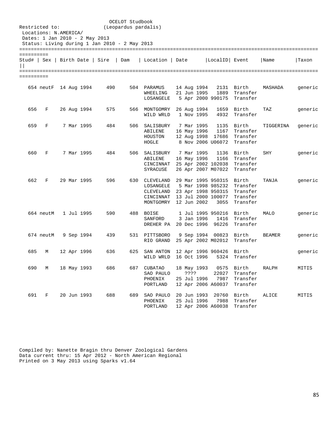|                     | Restricted to:<br>Locations: N.AMERICA/<br>Dates: 1 Jan 2010 - 2 May 2013 |  |                   |     | OCELOT Studbook<br>(Leopardus pardalis)<br>Status: Living during 1 Jan 2010 - 2 May 2013 |                                                                   |      |      |                            |                                                                                                   |                                                      |           |         |  |  |  |
|---------------------|---------------------------------------------------------------------------|--|-------------------|-----|------------------------------------------------------------------------------------------|-------------------------------------------------------------------|------|------|----------------------------|---------------------------------------------------------------------------------------------------|------------------------------------------------------|-----------|---------|--|--|--|
|                     |                                                                           |  |                   |     |                                                                                          |                                                                   |      |      |                            |                                                                                                   |                                                      |           |         |  |  |  |
| ==========<br>Stud# | Sex                                                                       |  | Birth Date   Sire |     | Dam                                                                                      | Location                                                          | Date |      |                            | LocalID Event                                                                                     |                                                      | Name      | Taxon   |  |  |  |
| ==========          |                                                                           |  |                   |     |                                                                                          |                                                                   |      |      |                            |                                                                                                   |                                                      |           |         |  |  |  |
|                     | 654 neutF 14 Aug 1994                                                     |  |                   | 490 |                                                                                          | 504 PARAMUS<br>WHEELING<br>LOSANGELE                              |      |      | 14 Aug 1994<br>21 Jun 1995 | 1889                                                                                              | 2131 Birth<br>Transfer<br>5 Apr 2000 990175 Transfer | MASHADA   | generic |  |  |  |
| 656                 | F                                                                         |  | 26 Aug 1994       | 575 |                                                                                          | 566 MONTGOMRY<br>WILD WRLD                                        |      |      | 26 Aug 1994<br>1 Nov 1995  | 4932                                                                                              | 1659 Birth<br>Transfer                               | TAZ       | generic |  |  |  |
| 659                 | F                                                                         |  | 7 Mar 1995        | 484 |                                                                                          | 506 SALISBURY<br>ABILENE<br>HOUSTON<br>HOGLE                      |      |      | 7 Mar 1995<br>16 May 1996  | 1167<br>12 Aug 1998 17686<br>8 Nov 2006 U06072                                                    | 1135 Birth<br>Transfer<br>Transfer<br>Transfer       | TIGGERINA | generic |  |  |  |
| 660                 | F                                                                         |  | 7 Mar 1995        | 484 |                                                                                          | 506 SALISBURY<br>ABILENE<br>CINCINNAT<br>SYRACUSE                 |      |      | 7 Mar 1995<br>16 May 1996  | 1136<br>1166<br>25 Apr 2002 102038<br>26 Apr 2007 M07022                                          | Birth<br>Transfer<br>Transfer<br>Transfer            | SHY       | generic |  |  |  |
| 662                 | F                                                                         |  | 29 Mar 1995       | 596 |                                                                                          | 630 CLEVELAND<br>LOSANGELE<br>CLEVELAND<br>CINCINNAT<br>MONTGOMRY |      |      | 12 Jun 2002                | 29 Mar 1995 950315 Birth<br>5 Mar 1998 985232<br>23 Apr 1998 950315<br>13 Jul 2000 100077<br>3055 | Transfer<br>Transfer<br>Transfer<br>Transfer         | TANJA     | generic |  |  |  |
|                     | 664 neutM                                                                 |  | 1 Jul 1995        | 590 | 488                                                                                      | BOISE<br>SANFORD<br>DREHER PA                                     |      |      | 3 Jan 1996<br>20 Dec 1996  | 1 Jul 1995 950216<br>96226                                                                        | Birth<br>1416 Transfer<br>Transfer                   | MALO      | generic |  |  |  |
|                     | 674 neutM                                                                 |  | 9 Sep 1994        | 439 |                                                                                          | 531 PITTSBORO<br>RIO GRAND                                        |      |      |                            | 9 Sep 1994 00823 Birth                                                                            | 25 Apr 2002 M02012 Transfer                          | BEAMER    | generic |  |  |  |
| 685                 | М                                                                         |  | 12 Apr 1996       | 636 | 625                                                                                      | SAN ANTON<br>WILD WRLD                                            |      |      | 16 Oct 1996                | 12 Apr 1996 960426<br>5324                                                                        | Birth<br>Transfer                                    |           | generic |  |  |  |
| 690                 | М                                                                         |  | 18 May 1993       | 686 | 687                                                                                      | <b>CUBATAO</b><br>SAO PAULO<br>${\tt PHOENIX}$<br>PORTLAND        |      | ???? | 18 May 1993<br>25 Jul 1996 | 22027<br>7987<br>12 Apr 2006 A60037                                                               | 0575 Birth<br>Transfer<br>Transfer<br>Transfer       | RALPH     | MITIS   |  |  |  |
| 691                 | F                                                                         |  | 20 Jun 1993       | 688 | 689                                                                                      | SAO PAULO<br>PHOENIX<br>PORTLAND                                  |      |      | 20 Jun 1993<br>25 Jul 1996 | 20760<br>7988<br>12 Apr 2006 A60038                                                               | Birth<br>Transfer<br>Transfer                        | ALICE     | MITIS   |  |  |  |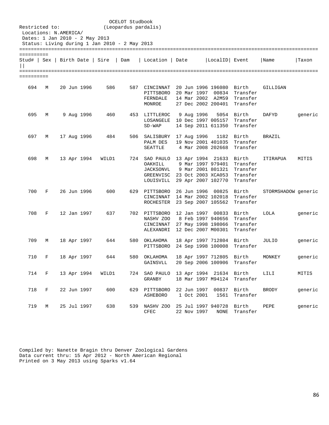| Restricted to:                                |              | Locations: N.AMERICA/<br>Dates: 1 Jan 2010 - 2 May 2013 |            |                                               | OCELOT Studbook<br>(Leopardus pardalis) |                                                                                |                                   |                                                                                         |                                                    |                     |         |
|-----------------------------------------------|--------------|---------------------------------------------------------|------------|-----------------------------------------------|-----------------------------------------|--------------------------------------------------------------------------------|-----------------------------------|-----------------------------------------------------------------------------------------|----------------------------------------------------|---------------------|---------|
|                                               |              |                                                         |            | Status: Living during 1 Jan 2010 - 2 May 2013 |                                         |                                                                                |                                   |                                                                                         |                                                    |                     |         |
| ==========<br>Stud#   Sex   Birth Date   Sire |              |                                                         |            |                                               | Dam                                     | Location   Date                                                                |                                   | LocalID Event                                                                           |                                                    | Name                | Taxon   |
| ==========                                    |              |                                                         |            |                                               |                                         |                                                                                |                                   |                                                                                         |                                                    |                     |         |
| 694                                           | М            | 20 Jun 1996                                             |            | 586                                           | 587                                     | CINCINNAT<br>PITTSBORO<br>FERNDALE<br>MONROE                                   |                                   | 20 Jun 1996 196080 Birth<br>14 Mar 2002 A2M59<br>27 Dec 2002 200401                     | 20 Mar 1997 00834 Transfer<br>Transfer<br>Transfer | GILLIGAN            |         |
| 695                                           | М            |                                                         | 9 Aug 1996 | 460                                           | 453                                     | LITTLEROC<br>LOSANGELE<br>$SD-WAP$                                             | 9 Aug 1996                        | 10 Dec 1997 005157<br>14 Sep 2011 611350                                                | 5054 Birth<br>Transfer<br>Transfer                 | DAFYD               | generic |
| 697                                           | М            | 17 Aug 1996                                             |            | 484                                           | 506                                     | SALISBURY<br>PALM DES<br>SEATTLE                                               | 17 Aug 1996                       | 1182<br>19 Nov 2001 401035<br>4 Mar 2008 202668                                         | Birth<br>Transfer<br>Transfer                      | <b>BRAZIL</b>       |         |
| 698                                           | М            | 13 Apr 1994                                             |            | WILD1                                         | 724                                     | SAO PAULO<br>OAKHILL<br>JACKSONVL<br>GREENVISC 23 Oct 2003 XCA053<br>LOUISVILL |                                   | 13 Apr 1994 21633 Birth<br>9 Mar 1997 979401<br>9 Mar 2001 801321<br>29 Apr 2007 102770 | Transfer<br>Transfer<br>Transfer<br>Transfer       | ITIRAPUA            | MITIS   |
| 700                                           | F            | 26 Jun 1996                                             |            | 600                                           | 629                                     | PITTSBORO<br>CINCINNAT<br>ROCHESTER                                            | 26 Jun 1996                       | 00825<br>14 Mar 2002 102018<br>23 Sep 2007 105562                                       | Birth<br>Transfer<br>Transfer                      | STORMSHADOW generic |         |
| 708                                           | F            | 12 Jan 1997                                             |            | 637                                           | 702                                     | PITTSBORO<br>NASHV ZOO 8 Feb 1997 940656<br>CINCINNAT<br>ALEXANDRI             |                                   | 12 Jan 1997 00833<br>27 May 1998 198066<br>12 Dec 2007 M00301                           | Birth<br>Transfer<br>Transfer<br>Transfer          | LOLA                | generic |
| 709                                           | М            | 18 Apr 1997                                             |            | 644                                           | 580                                     | ОКLАНОМА<br>PITTSBORO                                                          |                                   | 18 Apr 1997 712804 Birth                                                                | 24 Sep 1998 100008 Transfer                        | JULIO               | generic |
| 710                                           | F            | 18 Apr 1997                                             |            | 644                                           | 580                                     | OKLAHOMA<br>GAINSVLL                                                           |                                   | 18 Apr 1997 712805 Birth                                                                | 20 Sep 2006 100906 Transfer                        | MONKEY              | qeneric |
| 714                                           | $\mathbf{F}$ | 13 Apr 1994                                             |            | WILD1                                         |                                         | 724 SAO PAULO<br>GRANBY                                                        |                                   | 13 Apr 1994 21634 Birth                                                                 | 18 Mar 1997 M94124 Transfer                        | LILI                | MITIS   |
| 718                                           | F            | 22 Jun 1997                                             |            | 600                                           |                                         | 629 PITTSBORO 22 Jun 1997 00837 Birth<br>ASHEBORO                              | 1 Oct 2001                        | 1561                                                                                    | Transfer                                           | <b>BRODY</b>        | generic |
| 719                                           | М            | 25 Jul 1997                                             |            | 638                                           | 539                                     | NASHV ZOO<br>CFEC                                                              | 25 Jul 1997 940728<br>22 Nov 1997 | NONE                                                                                    | Birth<br>Transfer                                  | PEPE                | generic |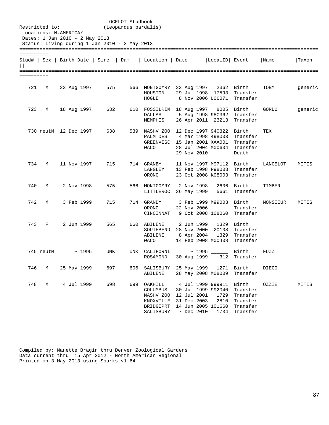| Restricted to:              |           | Locations: N.AMERICA/ | Dates: 1 Jan 2010 - 2 May 2013 | Status: Living during 1 Jan 2010 - 2 May 2013 | OCELOT Studbook<br>(Leopardus pardalis) |                                                                                                                              |                                          |                                                                                       |                                                                                          |              |         |
|-----------------------------|-----------|-----------------------|--------------------------------|-----------------------------------------------|-----------------------------------------|------------------------------------------------------------------------------------------------------------------------------|------------------------------------------|---------------------------------------------------------------------------------------|------------------------------------------------------------------------------------------|--------------|---------|
|                             |           |                       |                                |                                               |                                         |                                                                                                                              |                                          |                                                                                       |                                                                                          |              |         |
| ==========<br>$\vert \vert$ |           |                       |                                | Stud#   Sex   Birth Date   Sire   Dam         |                                         | Location   Date                                                                                                              |                                          | LocalID Event                                                                         |                                                                                          | Name         | Taxon   |
| ==========                  |           |                       |                                |                                               |                                         |                                                                                                                              |                                          |                                                                                       |                                                                                          |              |         |
| 721                         | M         |                       | 23 Aug 1997                    | 575                                           |                                         | 566 MONTGOMRY 23 Aug 1997 2362 Birth<br>HOUSTON<br>HOGLE                                                                     |                                          |                                                                                       | 29 Jul 1998 17593 Transfer<br>8 Nov 2006 U06071 Transfer                                 | TOBY         | generic |
| 723                         | М         |                       | 18 Aug 1997                    | 632                                           |                                         | 610 FOSSILRIM 18 Aug 1997<br>DALLAS<br>MEMPHIS                                                                               |                                          |                                                                                       | 8005 Birth<br>5 Aug 1998 98C362 Transfer<br>26 Apr 2011 23213 Transfer                   | GORDO        | generic |
|                             |           |                       | 730 neutM 12 Dec 1997          | 638                                           |                                         | 539 NASHV ZOO 12 Dec 1997 940822 Birth<br>PALM DES 4 Mar 1998 498003 Transfer<br>GREENVISC 15 Jan 2001 XAA001<br><b>WACO</b> | 29 Nov 2010                              |                                                                                       | Transfer<br>28 Jul 2004 M00604 Transfer<br>Death                                         | TEX          |         |
| 734                         | M         |                       | 11 Nov 1997                    | 715                                           |                                         | 714 GRANBY<br>LANGLEY<br>ORONO                                                                                               |                                          | 11 Nov 1997 M97112 Birth                                                              | 13 Feb 1998 P98003 Transfer<br>23 Oct 2008 K08003 Transfer                               | LANCELOT     | MITIS   |
| 740                         | М         |                       | 2 Nov 1998                     | 575                                           |                                         | 566 MONTGOMRY<br>LITTLEROC                                                                                                   | 2 Nov 1998<br>26 May 1999                |                                                                                       | 2606 Birth<br>5661 Transfer                                                              | TIMBER       |         |
| 742                         | M         |                       | 3 Feb 1999                     | 715                                           |                                         | 714 GRANBY<br>ORONO<br>CINCINNAT                                                                                             |                                          | 3 Feb 1999 M99003 Birth<br>22 Nov 2006 _____                                          | Transfer<br>9 Oct 2008 108060 Transfer                                                   | MONSIEUR     | MITIS   |
| 743                         | F         |                       | 2 Jun 1999                     | 565                                           |                                         | 660 ABILENE<br>SOUTHBEND<br>ABILENE<br><b>WACO</b>                                                                           | 2 Jun 1999<br>8 Apr 2004                 |                                                                                       | 1329 Birth<br>28 Nov 2000 20108 Transfer<br>1329 Transfer<br>14 Feb 2008 M00408 Transfer |              |         |
|                             | 745 neutM |                       | ~1995                          | UNK                                           |                                         | UNK CALIFORNI<br>ROSAMOND                                                                                                    | 30 Aug 1999                              | $\sim$ 1995 ______<br>312                                                             | Birth<br>Transfer                                                                        | FUZZ         |         |
| 746                         | М         |                       | 25 May 1999                    | 697                                           | 606                                     | SALISBURY<br>ABILENE                                                                                                         | 25 May 1999<br>28 May 2008 M08009        | 1271                                                                                  | Birth<br>Transfer                                                                        | <b>DIEGO</b> |         |
| 748                         | М         |                       | 4 Jul 1999                     | 698                                           | 699                                     | OAKHILL<br>COLUMBUS<br>NASHV ZOO<br>KNOXVILLE<br>BRIDGEPRT<br>SALISBURY                                                      | 12 Jul 2001<br>31 Dec 2003<br>7 Dec 2010 | 4 Jul 1999 999911<br>30 Jul 1999 992040<br>1729<br>2810<br>14 Jun 2005 101660<br>1734 | Birth<br>Transfer<br>Transfer<br>Transfer<br>Transfer<br>Transfer                        | OZZIE        | MITIS   |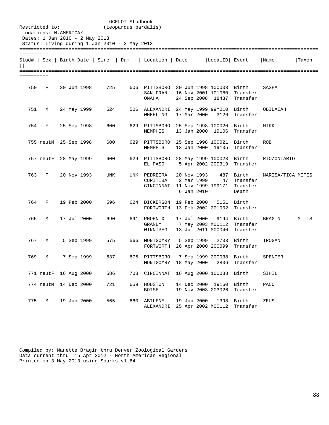| Restricted to: | Locations: N.AMERICA/<br>Dates: 1 Jan 2010 - 2 May 2013 |  |             |                                               | OCELOT Studbook<br>(Leopardus pardalis) |                                                           |                                         |                                               |                                                           |                   |       |
|----------------|---------------------------------------------------------|--|-------------|-----------------------------------------------|-----------------------------------------|-----------------------------------------------------------|-----------------------------------------|-----------------------------------------------|-----------------------------------------------------------|-------------------|-------|
|                |                                                         |  |             | Status: Living during 1 Jan 2010 - 2 May 2013 |                                         |                                                           |                                         |                                               |                                                           |                   |       |
| ==========     |                                                         |  |             | Stud#   Sex   Birth Date   Sire   Dam         |                                         | Location   Date                                           |                                         | LocalID Event                                 |                                                           | Name              | Taxon |
| ==========     |                                                         |  |             |                                               |                                         |                                                           |                                         |                                               |                                                           |                   |       |
| 750            | F                                                       |  | 30 Jun 1998 | 725                                           |                                         | 606 PITTSBORO 30 Jun 1998 100003<br>SAN FRAN<br>OMAHA     |                                         | 16 Nov 2001 101080<br>24 Sep 2008 18437       | Birth<br>Transfer<br>Transfer                             | SASHA             |       |
| 751            | М                                                       |  | 24 May 1999 | 524                                           |                                         | 506 ALEXANDRI 24 May 1999 99M010<br>WHEELING              | 17 Mar 2000                             | 3126                                          | Birth<br>Transfer                                         | OBIDAIAH          |       |
| 754            | F                                                       |  | 25 Sep 1998 | 600                                           |                                         | 629 PITTSBORO<br>MEMPHIS                                  |                                         | 25 Sep 1998 100020<br>13 Jan 2000 19106       | Birth<br>Transfer                                         | MIKKI             |       |
|                | 755 neutM 25 Sep 1998                                   |  |             | 600                                           |                                         | 629 PITTSBORO<br>MEMPHIS                                  |                                         | 25 Sep 1998 100021 Birth<br>13 Jan 2000 19105 | Transfer                                                  | <b>ROB</b>        |       |
|                | 757 neutF 28 May 1999                                   |  |             | 600                                           |                                         | 629 PITTSBORO<br>EL PASO                                  |                                         | 28 May 1999 100023 Birth<br>5 Apr 2002 200319 | Transfer                                                  | RIO/ONTARIO       |       |
| 763            | F                                                       |  | 20 Nov 1993 | UNK                                           |                                         | UNK PEDREIRA<br>CURITIBA<br>CINCINNAT                     | 20 Nov 1993<br>2 Mar 1999<br>6 Jan 2010 | 487<br>47                                     | Birth<br>Transfer<br>11 Nov 1999 199171 Transfer<br>Death | MARISA/TICA MITIS |       |
| 764            | F                                                       |  | 19 Feb 2000 | 596                                           |                                         | 624 DICKERSON 19 Feb 2000<br>FORTWORTH 13 Feb 2002 201002 |                                         | 5151                                          | Birth<br>Transfer                                         |                   |       |
| 765            | М                                                       |  | 17 Jul 2000 | 690                                           |                                         | 691 PHOENIX<br>GRANBY<br>WINNIPEG                         | 17 Jul 2000                             | 7 May 2003 M00112<br>13 Jul 2011 M00040       | 9194 Birth<br>Transfer<br>Transfer                        | BRAGIN            | MITIS |
| 767            | M                                                       |  | 5 Sep 1999  | 575                                           |                                         | 566 MONTGOMRY<br>FORTWORTH                                | 5 Sep 1999                              | 26 Apr 2000 200099                            | 2733 Birth<br>Transfer                                    | TROGAN            |       |
| 769            | М                                                       |  | 7 Sep 1999  | 637                                           |                                         | 675 PITTSBORO<br>MONTGOMRY                                | 18 May 2000                             | 7 Sep 1999 200038<br>2806                     | Birth<br>Transfer                                         | SPENCER           |       |
|                | 771 neutF 16 Aug 2000                                   |  |             | 586                                           | 708                                     | CINCINNAT                                                 |                                         | 16 Aug 2000 100088                            | Birth                                                     | SIHIL             |       |
|                | 774 neutM 14 Dec 2000                                   |  |             | 721                                           | 659                                     | HOUSTON<br><b>BOISE</b>                                   | 14 Dec 2000 19160<br>19 Nov 2003 203026 |                                               | Birth<br>Transfer                                         | <b>PACO</b>       |       |
| 775            | $M_{\odot}$                                             |  | 19 Jun 2000 | 565                                           | 660                                     | ABILENE<br>ALEXANDRI                                      | 19 Jun 2000                             | 1398<br>25 Apr 2002 M00112                    | Birth<br>Transfer                                         | ZEUS              |       |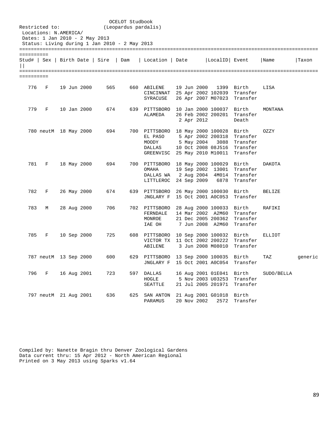| Restricted to:  | Locations: N.AMERICA/<br>Dates: 1 Jan 2010 - 2 May 2013 |  |             | OCELOT Studbook<br>(Leopardus pardalis)<br>Status: Living during 1 Jan 2010 - 2 May 2013 |     |                                                                                                               |             |            |                                                                   |                                                                                       |               |         |
|-----------------|---------------------------------------------------------|--|-------------|------------------------------------------------------------------------------------------|-----|---------------------------------------------------------------------------------------------------------------|-------------|------------|-------------------------------------------------------------------|---------------------------------------------------------------------------------------|---------------|---------|
|                 |                                                         |  |             |                                                                                          |     |                                                                                                               |             |            |                                                                   |                                                                                       |               |         |
| ==========<br>П |                                                         |  |             | Stud#   Sex   Birth Date   Sire  <br>Dam                                                 |     | Location   Date                                                                                               |             |            | LocalID Event                                                     |                                                                                       | Name          | Taxon   |
| ==========      |                                                         |  |             |                                                                                          |     |                                                                                                               |             |            |                                                                   |                                                                                       |               |         |
| 776             | F                                                       |  | 19 Jun 2000 | 565                                                                                      |     | 660 ABILENE<br>CINCINNAT 25 Apr 2002 102039 Transfer<br>SYRACUSE                                              | 19 Jun 2000 |            |                                                                   | 1399 Birth<br>26 Apr 2007 M07023 Transfer                                             | LISA          |         |
| 779             | F                                                       |  | 10 Jan 2000 | 674                                                                                      |     | 639 PITTSBORO<br>ALAMEDA                                                                                      |             | 2 Apr 2012 | 10 Jan 2000 100037 Birth                                          | 26 Feb 2002 200201 Transfer<br>Death                                                  | MONTANA       |         |
|                 | 780 neutM 18 May 2000                                   |  |             | 694                                                                                      |     | 700 PITTSBORO 18 May 2000 100028 Birth<br>EL PASO<br>MOODY<br>DALLAS<br>GREENVISC 25 May 2010 M10011 Transfer |             |            |                                                                   | 5 Apr 2002 200318 Transfer<br>5 May 2004 3088 Transfer<br>10 Oct 2008 08J516 Transfer | OZZY          |         |
| 781             | F                                                       |  | 18 May 2000 | 694                                                                                      |     | 700 PITTSBORO<br>OMAHA<br>DALLAS WA 2 Aug 2004 4M014 Transfer<br>LITTLEROC 24 Sep 2009 6878                   |             |            | 18 May 2000 100029 Birth                                          | 19 Sep 2002 13001 Transfer<br>Transfer                                                | DAKOTA        |         |
| 782             | F                                                       |  | 26 May 2000 | 674                                                                                      |     | 639 PITTSBORO<br>JNGLARY F                                                                                    |             |            | 26 May 2000 100030 Birth                                          | 15 Oct 2001 A0C053 Transfer                                                           | <b>BELIZE</b> |         |
| 783             | М                                                       |  | 28 Aug 2000 | 706                                                                                      |     | 702 PITTSBORO<br>FERNDALE<br>MONROE<br>IAE OH                                                                 |             |            | 28 Aug 2000 100033 Birth<br>14 Mar 2002 A2M60<br>7 Jun 2008 A2M60 | Transfer<br>21 Dec 2005 200362 Transfer<br>Transfer                                   | RAFIKI        |         |
| 785             | F                                                       |  | 10 Sep 2000 | 725                                                                                      |     | 608 PITTSBORO 10 Sep 2000 100032 Birth<br>VICTOR TX 11 Oct 2002 200222 Transfer<br>ABILENE                    |             |            |                                                                   | 3 Jun 2008 M08010 Transfer                                                            | ELLIOT        |         |
|                 | 787 neutM 13 Sep 2000                                   |  |             | 600                                                                                      |     | 629 PITTSBORO 13 Sep 2000 100035 Birth<br>JNGLARY F                                                           |             |            | 15 Oct 2001 A0C054                                                | Transfer                                                                              | TAZ           | generic |
| 796             | F                                                       |  | 16 Aug 2001 | 723                                                                                      | 597 | DALLAS<br>HOGLE<br>SEATTLE                                                                                    |             |            | 16 Aug 2001 01E041<br>5 Nov 2003 U03253<br>21 Jul 2005 201971     | Birth<br>Transfer<br>Transfer                                                         | SUDO/BELLA    |         |
|                 | 797 neutM 21 Aug 2001                                   |  |             | 636                                                                                      | 625 | SAN ANTON<br>PARAMUS                                                                                          | 20 Nov 2002 |            | 21 Aug 2001 G01018<br>2572                                        | Birth<br>Transfer                                                                     |               |         |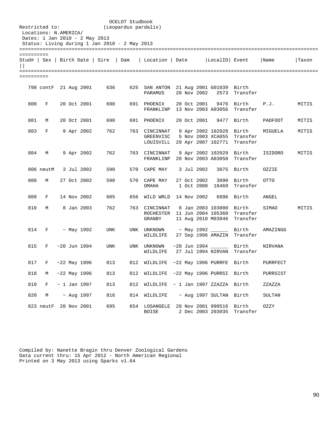| Restricted to: | Locations: N.AMERICA/<br>Dates: 1 Jan 2010 - 2 May 2013 |  |                   | Status: Living during 1 Jan 2010 - 2 May 2013 | OCELOT Studbook<br>(Leopardus pardalis) |                                                                             |  |             |                                              |                               |                |       |
|----------------|---------------------------------------------------------|--|-------------------|-----------------------------------------------|-----------------------------------------|-----------------------------------------------------------------------------|--|-------------|----------------------------------------------|-------------------------------|----------------|-------|
| ==========     |                                                         |  |                   |                                               |                                         | Stud#   Sex   Birth Date   Sire   Dam   Location   Date     LocalID   Event |  |             |                                              |                               | Name           | Taxon |
| ==========     |                                                         |  |                   |                                               |                                         |                                                                             |  |             |                                              |                               |                |       |
|                | 798 contF 21 Aug 2001                                   |  |                   | 636                                           |                                         | 625 SAN ANTON 21 Aug 2001 G01039 Birth<br>PARAMUS                           |  |             |                                              | 20 Nov 2002 2573 Transfer     |                |       |
| 800            | F                                                       |  | 20 Oct 2001       | 690                                           |                                         | 691 PHOENIX<br>FRANKLINP 13 Nov 2003 A03056 Transfer                        |  | 20 Oct 2001 | 9476                                         | Birth                         | P.J.           | MITIS |
|                | 801 M                                                   |  | 20 Oct 2001       | 690                                           |                                         | 691 PHOENIX                                                                 |  |             | 20 Oct 2001 9477 Birth                       |                               | PADFOOT        | MITIS |
| 803            | $F$ and $F$                                             |  | 9 Apr 2002        | 762                                           |                                         | 763 CINCINNAT<br>GREENVISC<br>LOUISVILL 29 Apr 2007 102771                  |  |             | 9 Apr 2002 102028 Birth<br>5 Nov 2003 XCA055 | Transfer<br>Transfer          | MIGUELA        | MITIS |
| 804            | M                                                       |  | 9 Apr 2002        | 762                                           |                                         | 763 CINCINNAT<br>FRANKLINP 20 Nov 2003 A03058                               |  |             | 9 Apr 2002 102029 Birth                      | Transfer                      | ISIDORO        | MITIS |
|                | 806 neutM 3 Jul 2002                                    |  |                   | 590                                           |                                         | 570 CAPE MAY                                                                |  | 3 Jul 2002  |                                              | 3075 Birth                    | OZZIE          |       |
| 808            | М                                                       |  | 27 Oct 2002       | 590                                           |                                         | 570 CAPE MAY<br>OMAHA                                                       |  | 27 Oct 2002 | 1 Oct 2008 18469                             | 3090 Birth<br>Transfer        | OTTO           |       |
| 809            | F                                                       |  | 14 Nov 2002       | 685                                           |                                         | 656 WILD WRLD 14 Nov 2002                                                   |  |             |                                              | 6896 Birth                    | ANGEL          |       |
| 810            | M                                                       |  | 8 Jan 2003        | 762                                           |                                         | 763 CINCINNAT<br>ROCHESTER 11 Jun 2004 105360<br>GRANBY                     |  |             | 8 Jan 2003 103000<br>11 Aug 2010 M03046      | Birth<br>Transfer<br>Transfer | SIMAO          | MITIS |
|                | 814 F                                                   |  | ~ May 1992        | UNK                                           |                                         | UNK UNKNOWN<br>WILDLIFE                                                     |  |             | $\sim$ May 1992 $\qquad$ Birth               | 27 Sep 1996 AMAZIN Transfer   | AMAZINGG       |       |
| 815            | $F$ and $F$                                             |  | ~1994             | <b>UNK</b>                                    |                                         | UNK UNKNOWN<br>WILDLIFE                                                     |  |             | $~1994$ $~100$<br>27 Jul 1994 NIRVAN         | Birth<br>Transfer             | <b>NIRVANA</b> |       |
| 817            | F                                                       |  | $~22$ May 1996    | 813                                           | 812                                     | WILDLIFE ~22 May 1996 PURRFE Birth                                          |  |             |                                              |                               | PURRFECT       |       |
| 818            | М                                                       |  | $~22$ May 1996    | 813                                           | 812                                     | WILDLIFE ~22 May 1996 PURRSI Birth                                          |  |             |                                              |                               | PURRSIST       |       |
| 819            | F                                                       |  | $\sim$ 1 Jan 1997 | 813                                           | 812                                     | WILDLIFE ~ 1 Jan 1997 ZZAZZA Birth                                          |  |             |                                              |                               | ZZAZZA         |       |
| 820            | М                                                       |  | $~\sim$ Aug 1997  | 816                                           | 814                                     | WILDLIFE                                                                    |  |             | ~ Aug 1997 SULTAN Birth                      |                               | SULTAN         |       |
|                | 823 neutF                                               |  | 28 Nov 2001       | 695                                           | 654                                     | LOSANGELE<br>BOISE                                                          |  |             | 28 Nov 2001 990516<br>2 Dec 2003 203035      | Birth<br>Transfer             | OZZY           |       |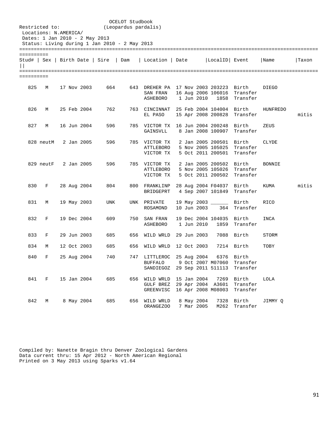| Restricted to:<br>Dates: 1 Jan 2010 - 2 May 2013 | Locations: N.AMERICA/ |  |             | (Leopardus pardalis)                          | OCELOT Studbook |                                                                                |  |                          |                                                                   |                                         |              |       |
|--------------------------------------------------|-----------------------|--|-------------|-----------------------------------------------|-----------------|--------------------------------------------------------------------------------|--|--------------------------|-------------------------------------------------------------------|-----------------------------------------|--------------|-------|
|                                                  |                       |  |             | Status: Living during 1 Jan 2010 - 2 May 2013 |                 |                                                                                |  |                          |                                                                   |                                         |              |       |
| ==========                                       |                       |  |             |                                               |                 |                                                                                |  |                          |                                                                   |                                         |              |       |
|                                                  |                       |  |             |                                               |                 | Stud#   Sex   Birth Date   Sire   Dam   Location   Date   LocalID   Event      |  |                          |                                                                   |                                         | Name         | Taxon |
| ==========                                       |                       |  |             |                                               |                 |                                                                                |  |                          |                                                                   |                                         |              |       |
| 825                                              | M                     |  | 17 Nov 2003 | 664                                           |                 | 643 DREHER PA 17 Nov 2003 203223 Birth<br>SAN FRAN<br>ASHEBORO 1 Jun 2010 1858 |  |                          |                                                                   | 16 Aug 2006 106016 Transfer<br>Transfer | <b>DIEGO</b> |       |
| 826                                              | М                     |  | 25 Feb 2004 | 762                                           |                 | 763 CINCINNAT 25 Feb 2004 104004 Birth<br>EL PASO                              |  |                          | 15 Apr 2008 200828                                                | Transfer                                | HUNFREDO     | mitis |
|                                                  | 827 M                 |  | 16 Jun 2004 | 596                                           |                 | 785 VICTOR TX 16 Jun 2004 200248<br>GAINSVLL                                   |  |                          | 8 Jan 2008 100907                                                 | Birth<br>Transfer                       | ZEUS         |       |
|                                                  | 828 neutM             |  | 2 Jan 2005  | 596                                           |                 | 785 VICTOR TX<br>ATTLEBORO<br>VICTOR TX                                        |  |                          | 2 Jan 2005 200501 Birth<br>5 Oct 2011 200501                      | 5 Nov 2005 105025 Transfer<br>Transfer  | CLYDE        |       |
|                                                  | 829 neutF 2 Jan 2005  |  |             | 596                                           |                 | 785 VICTOR TX<br>ATTLEBORO<br>VICTOR TX                                        |  |                          | 2 Jan 2005 200502 Birth<br>5 Nov 2005 105026<br>5 Oct 2011 200502 | Transfer<br>Transfer                    | BONNIE       |       |
| 830                                              | F                     |  | 28 Aug 2004 | 804                                           |                 | 800 FRANKLINP 28 Aug 2004 F04037 Birth<br>BRIDGEPRT 4 Sep 2007 101849          |  |                          |                                                                   | Transfer                                | KUMA         | mitis |
| 831                                              | М                     |  | 19 May 2003 | UNK                                           |                 | UNK PRIVATE<br>ROSAMOND                                                        |  | 10 Jun 2003              | 19 May 2003 _______ Birth                                         | 364 Transfer                            | RICO         |       |
| 832                                              | F                     |  | 19 Dec 2004 | 609                                           |                 | 750 SAN FRAN<br>ASHEBORO                                                       |  | 1 Jun 2010               | 19 Dec 2004 104035 Birth<br>1859                                  | Transfer                                | <b>INCA</b>  |       |
| 833                                              | F                     |  | 29 Jun 2003 | 685                                           |                 | 656 WILD WRLD 29 Jun 2003                                                      |  |                          |                                                                   | 7088 Birth                              | STORM        |       |
| 834                                              | М                     |  | 12 Oct 2003 | 685                                           |                 | 656 WILD WRLD 12 Oct 2003                                                      |  |                          |                                                                   | 7214 Birth                              | TOBY         |       |
| 840                                              | F                     |  | 25 Aug 2004 | 740                                           |                 | 747 LITTLEROC 25 Aug 2004<br><b>BUFFALO</b><br>SANDIEGOZ                       |  |                          | 9 Oct 2007 M07060<br>29 Sep 2011 511113                           | 6376 Birth<br>Transfer<br>Transfer      |              |       |
| 841                                              | F                     |  | 15 Jan 2004 | 685                                           | 656             | WILD WRLD<br>GULF BREZ<br>GREENVISC                                            |  | 15 Jan 2004              | 7269<br>29 Apr 2004 A3601<br>16 Apr 2008 M08003                   | Birth<br>Transfer<br>Transfer           | LOLA         |       |
| 842                                              | М                     |  | 8 May 2004  | 685                                           | 656             | WILD WRLD<br>ORANGEZOO                                                         |  | 8 May 2004<br>7 Mar 2005 | 7328<br>M262                                                      | Birth<br>Transfer                       | JIMMY Q      |       |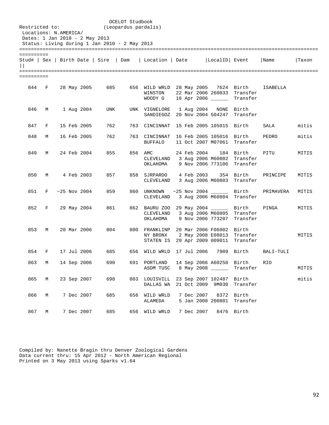| Restricted to:<br>Locations: N.AMERICA/<br>Dates: 1 Jan 2010 - 2 May 2013 |   |  |                | Status: Living during 1 Jan 2010 - 2 May 2013 | OCELOT Studbook<br>(Leopardus pardalis) |                                                      |  |             |                                                               |                               |            |       |
|---------------------------------------------------------------------------|---|--|----------------|-----------------------------------------------|-----------------------------------------|------------------------------------------------------|--|-------------|---------------------------------------------------------------|-------------------------------|------------|-------|
| ==========                                                                |   |  |                | Stud#   Sex   Birth Date   Sire   Dam         |                                         | Location   Date   LocalID   Event                    |  |             |                                                               |                               | Name       | Taxon |
| ==========                                                                |   |  |                |                                               |                                         |                                                      |  |             |                                                               |                               |            |       |
| 844                                                                       | F |  | 28 May 2005    | 685                                           |                                         | 656 WILD WRLD 28 May 2005 7624<br>WINSTON<br>WOODY G |  |             | 22 Mar 2006 260033<br>16 Apr 2006 ______                      | Birth<br>Transfer<br>Transfer | ISABELLA   |       |
| 846                                                                       | M |  | 1 Aug 2004     | UNK                                           |                                         | UNK VIGNELORE<br>SANDIEGOZ                           |  | 1 Aug 2004  | NONE<br>20 Nov 2004 504247                                    | Birth<br>Transfer             |            |       |
| 847                                                                       | F |  | 15 Feb 2005    | 762                                           |                                         | 763 CINCINNAT                                        |  |             | 15 Feb 2005 105015                                            | Birth                         | SALA       | mitis |
| 848                                                                       | М |  | 16 Feb 2005    | 762                                           |                                         | 763 CINCINNAT<br>BUFFALO                             |  |             | 16 Feb 2005 105016<br>11 Oct 2007 M07061                      | Birth<br>Transfer             | PEDRO      | mitis |
| 849                                                                       | M |  | 24 Feb 2004    | 855                                           | 856 AMC                                 | CLEVELAND<br>ОКLАНОМА                                |  | 24 Feb 2004 | 184<br>3 Aug 2006 M60802<br>9 Nov 2006 773106                 | Birth<br>Transfer<br>Transfer | PITU       | MITIS |
| 850                                                                       | М |  | 4 Feb 2003     | 857                                           | 858                                     | SJRPARDO<br>CLEVELAND                                |  | 4 Feb 2003  | 354<br>3 Aug 2006 M60803                                      | Birth<br>Transfer             | PRINCIPE   | MITIS |
| 851                                                                       | F |  | $~25$ Nov 2004 | 859                                           |                                         | 860 UNKNOWN<br>CLEVELAND                             |  |             | 3 Aug 2006 M60804                                             | Birth<br>Transfer             | PRIMAVERA  | MITIS |
| 852                                                                       | F |  | 29 May 2004    | 861                                           |                                         | 862 BAURU ZOO<br>CLEVELAND<br>OKLAHOMA               |  |             | 29 May 2004 ______<br>3 Aug 2006 M60805<br>9 Nov 2006 773207  | Birth<br>Transfer<br>Transfer | PINGA      | MITIS |
| 853                                                                       | М |  | 20 Mar 2006    | 804                                           |                                         | 800 FRANKLINP<br>NY BRONX<br>STATEN IS               |  |             | 20 Mar 2006 F06002<br>2 May 2008 E08013<br>29 Apr 2009 009011 | Birth<br>Transfer<br>Transfer |            | MITIS |
| 854                                                                       | F |  | 17 Jul 2006    | 685                                           | 656                                     | WILD WRLD                                            |  | 17 Jul 2006 | 7909                                                          | Birth                         | BALI-TULI  |       |
| 863                                                                       | М |  | 14 Sep 2006    | 690                                           |                                         | 691 PORTLAND<br>ASDM TUSC                            |  |             | 14 Sep 2006 A60250 Birth<br>8 May 2008                        | Transfer                      | <b>RIO</b> | MITIS |
| 865                                                                       | М |  | 23 Sep 2007    | 698                                           |                                         | 803 LOUISVILL<br>DALLAS WA                           |  |             | 23 Sep 2007 102487<br>21 Oct 2009 9M030                       | Birth<br>Transfer             |            | mitis |
| 866                                                                       | М |  | 7 Dec 2007     | 685                                           |                                         | 656 WILD WRLD<br>ALAMEDA                             |  |             | 7 Dec 2007 8372<br>5 Jan 2008 200801                          | Birth<br>Transfer             |            |       |
| 867                                                                       | М |  | 7 Dec 2007     | 685                                           |                                         | 656 WILD WRLD                                        |  | 7 Dec 2007  |                                                               | 8476 Birth                    |            |       |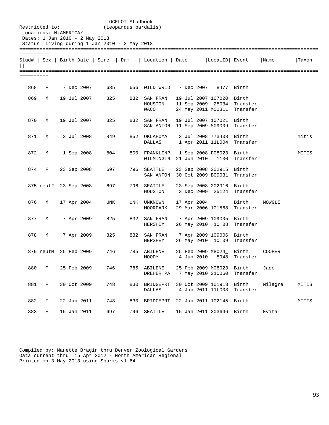| Restricted to: | Locations: N.AMERICA/<br>Dates: 1 Jan 2010 - 2 May 2013 |  |             |                                               | OCELOT Studbook<br>(Leopardus pardalis) |                                          |  |             |                                                               |                               |         |       |
|----------------|---------------------------------------------------------|--|-------------|-----------------------------------------------|-----------------------------------------|------------------------------------------|--|-------------|---------------------------------------------------------------|-------------------------------|---------|-------|
|                |                                                         |  |             | Status: Living during 1 Jan 2010 - 2 May 2013 |                                         |                                          |  |             |                                                               |                               |         |       |
| ==========     |                                                         |  |             |                                               |                                         |                                          |  |             |                                                               |                               |         |       |
| $\vert \vert$  |                                                         |  |             | Stud#   Sex   Birth Date   Sire   Dam         |                                         | Location   Date   LocalID   Event        |  |             |                                                               |                               | Name    | Taxon |
| ==========     |                                                         |  |             |                                               |                                         |                                          |  |             |                                                               |                               |         |       |
| 868            | F                                                       |  | 7 Dec 2007  | 685                                           |                                         | 656 WILD WRLD                            |  |             | 7 Dec 2007 8477 Birth                                         |                               |         |       |
| 869            | M                                                       |  | 19 Jul 2007 | 825                                           | 832                                     | SAN FRAN<br>HOUSTON<br>WACO              |  |             | 19 Jul 2007 107020<br>11 Sep 2009 25034<br>24 May 2011 M02311 | Birth<br>Transfer<br>Transfer |         |       |
| 870            | M                                                       |  | 19 Jul 2007 | 825                                           | 832                                     | SAN FRAN<br>SAN ANTON 11 Sep 2009 S09009 |  |             | 19 Jul 2007 107021                                            | Birth<br>Transfer             |         |       |
| 871            | M                                                       |  | 3 Jul 2008  | 849                                           |                                         | 852 OKLAHOMA<br>DALLAS                   |  |             | 3 Jul 2008 773408<br>1 Apr 2011 11L004                        | Birth<br>Transfer             |         | mitis |
| 872            | М                                                       |  | 1 Sep 2008  | 804                                           |                                         | 800 FRANKLINP<br>WILMINGTN               |  | 21 Jun 2010 | 1 Sep 2008 F08023<br>1130                                     | Birth<br>Transfer             |         | MITIS |
| 874            | F                                                       |  | 23 Sep 2008 | 697                                           |                                         | 796 SEATTLE<br>SAN ANTON                 |  |             | 23 Sep 2008 202915<br>30 Oct 2009 B09031                      | Birth<br>Transfer             |         |       |
|                | 875 neutF 23 Sep 2008                                   |  |             | 697                                           |                                         | 796 SEATTLE<br>HOUSTON                   |  |             | 23 Sep 2008 202916<br>3 Dec 2009 25124                        | Birth<br>Transfer             |         |       |
| 876            | M                                                       |  | 17 Apr 2004 | UNK                                           |                                         | UNK UNKNOWN<br>MOORPARK                  |  |             | 17 Apr 2004 _______ Birth<br>29 Mar 2006 101568               | Transfer                      | MOWGLI  |       |
| 877            | М                                                       |  | 7 Apr 2009  | 825                                           |                                         | 832 SAN FRAN<br>HERSHEY                  |  |             | 7 Apr 2009 109005<br>26 May 2010 10.08                        | Birth<br>Transfer             |         |       |
| 878            | М                                                       |  | 7 Apr 2009  | 825                                           |                                         | 832 SAN FRAN<br>HERSHEY                  |  |             | 7 Apr 2009 109006 Birth<br>26 May 2010 10.09                  | Transfer                      |         |       |
|                | 879 neutM 25 Feb 2009                                   |  |             | 746                                           |                                         | 785 ABILENE<br>MOODY                     |  | 4 Jun 2010  | 25 Feb 2009 M8024_<br>5948                                    | Birth<br>Transfer             | COOPER  |       |
| 880            | F                                                       |  | 25 Feb 2009 | 746                                           |                                         | 785 ABILENE<br>DREHER PA                 |  |             | 25 Feb 2009 M08023<br>7 May 2010 210060                       | Birth<br>Transfer             | Jade    |       |
| 881            | $\mathbf F$                                             |  | 30 Oct 2009 | 748                                           | 830                                     | BRIDGEPRT<br><b>DALLAS</b>               |  |             | 30 Oct 2009 101918<br>4 Jan 2011 11L003                       | Birth<br>Transfer             | Milagre | MITIS |
| 882            | F                                                       |  | 22 Jan 2011 | 748                                           | 830                                     | BRIDGEPRT                                |  |             | 22 Jan 2011 102145                                            | Birth                         |         | MITIS |
| 883            | F                                                       |  | 15 Jan 2011 | 697                                           | 796                                     | SEATTLE                                  |  |             | 15 Jan 2011 203646 Birth                                      |                               | Evita   |       |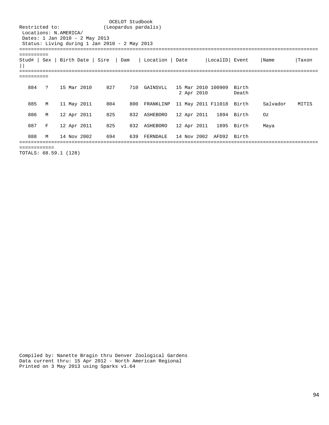OCELOT Studbook<br>Restricted to: (Leopardus pardal: (Leopardus pardalis) Locations: N.AMERICA/ Dates: 1 Jan 2010 - 2 May 2013 Status: Living during 1 Jan 2010 - 2 May 2013 ======================================================================================================= ========== Stud# | Sex | Birth Date | Sire | Dam | Location | Date |LocalID| Event |Name |Taxon  $||$ ======================================================================================================= ========== 884 ? 15 Mar 2010 827 710 GAINSVLL 15 Mar 2010 100909 Birth 2 Apr 2010 Death 885 M 11 May 2011 804 800 FRANKLINP 11 May 2011 F11018 Birth Salvador MITIS 886 M 12 Apr 2011 825 832 ASHEBORO 12 Apr 2011 1894 Birth Oz 887 F 12 Apr 2011 825 832 ASHEBORO 12 Apr 2011 1895 Birth Maya 888 M 14 Nov 2002 694 639 FERNDALE 14 Nov 2002 AFD92 Birth ======================================================================================================= ============ TOTALS: 68.59.1 (128)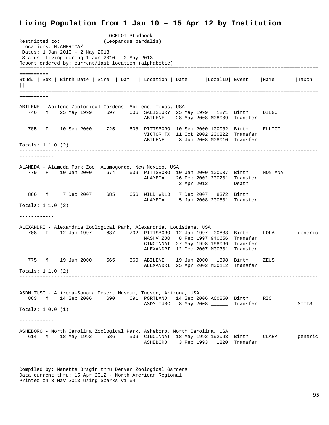## **Living Population from 1 Jan 10 – 15 Apr 12 by Institution**

OCELOT Studbook<br>Restricted to: (Leopardus pardal) (Leopardus pardalis) Locations: N.AMERICA/ Dates: 1 Jan 2010 - 2 May 2013 Status: Living during 1 Jan 2010 - 2 May 2013 Report ordered by: current/last location (alphabetic) ======================================================================================================= ========== Stud# | Sex | Birth Date | Sire | Dam | Location | Date |LocalID| Event |Name |Taxon  $||$ ======================================================================================================= ========== ABILENE - Abilene Zoological Gardens, Abilene, Texas, USA 746 M 25 May 1999 697 606 SALISBURY 25 May 1999 1271 Birth DIEGO ABILENE 28 May 2008 M08009 Transfer 785 F 10 Sep 2000 725 608 PITTSBORO 10 Sep 2000 100032 Birth ELLIOT VICTOR TX 11 Oct 2002 200222 Transfer ABILENE 3 Jun 2008 M08010 Transfer Totals: 1.1.0 (2) ------------------------------------------------------------------------------------------------------- ------------ ALAMEDA - Alameda Park Zoo, Alamogordo, New Mexico, USA 779 F 10 Jan 2000 674 639 PITTSBORO 10 Jan 2000 100037 Birth MONTANA ALAMEDA 26 Feb 2002 200201 Transfer 2 Apr 2012 Death 866 M 7 Dec 2007 685 656 WILD WRLD 7 Dec 2007 8372 Birth ALAMEDA 5 Jan 2008 200801 Transfer Totals: 1.1.0 (2) ------------------------------------------------------------------------------------------------------- ------------ ALEXANDRI - Alexandria Zoological Park, Alexandria, Louisiana, USA 708 F 12 Jan 1997 637 702 PITTSBORO 12 Jan 1997 00833 Birth LOLA generic NASHV ZOO 8 Feb 1997 940656 Transfer CINCINNAT 27 May 1998 198066 Transfer ALEXANDRI 12 Dec 2007 M00301 Transfer 775 M 19 Jun 2000 565 660 ABILENE 19 Jun 2000 1398 Birth ZEUS ALEXANDRI 25 Apr 2002 M00112 Transfer  $Totals: 1 1 0 (2)$ ------------------------------------------------------------------------------------------------------- ------------ ASDM TUSC - Arizona-Sonora Desert Museum, Tucson, Arizona, USA 863 M 14 Sep 2006 690 691 PORTLAND 14 Sep 2006 A60250 Birth RIO ASDM TUSC 8 May 2008 \_\_\_\_\_\_\_ Transfer MITIS Totals: 1.0.0 (1) ------------------------------------------------------------------------------------------------------- ------------ ASHEBORO - North Carolina Zoological Park, Asheboro, North Carolina, USA 614 M 18 May 1992 586 539 CINCINNAT 18 May 1992 192093 Birth CLARK generic ASHEBORO 3 Feb 1993 1220 Transfer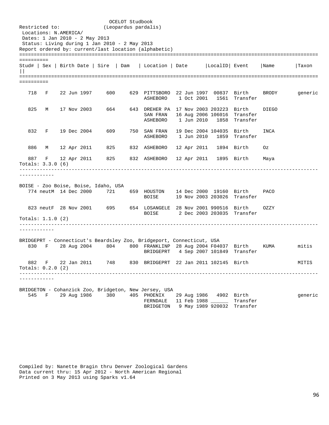OCELOT Studbook<br>Restricted to: (Leopardus pardal: (Leopardus pardalis) Locations: N.AMERICA/ Dates: 1 Jan 2010 - 2 May 2013 Status: Living during 1 Jan 2010 - 2 May 2013 Report ordered by: current/last location (alphabetic) ======================================================================================================= ========== Stud# | Sex | Birth Date | Sire | Dam | Location | Date |LocalID| Event |Name |Taxon  $||$ ======================================================================================================= ========== 718 F 22 Jun 1997 600 629 PITTSBORO 22 Jun 1997 00837 Birth BRODY generic ASHEBORO 1 Oct 2001 1561 Transfer 825 M 17 Nov 2003 664 643 DREHER PA 17 Nov 2003 203223 Birth DIEGO SAN FRAN 16 Aug 2006 106016 Transfer ASHEBORO 1 Jun 2010 1858 Transfer 832 F 19 Dec 2004 609 750 SAN FRAN 19 Dec 2004 104035 Birth INCA ASHEBORO 1 Jun 2010 1859 Transfer 886 M 12 Apr 2011 825 832 ASHEBORO 12 Apr 2011 1894 Birth Oz 887 F 12 Apr 2011 825 832 ASHEBORO 12 Apr 2011 1895 Birth Maya Totals: 3.3.0 (6) ------------------------------------------------------------------------------------------------------- ------------ BOISE - Zoo Boise, Boise, Idaho, USA 774 neutM 14 Dec 2000 721 659 HOUSTON 14 Dec 2000 19160 Birth PACO 19 Nov 2003 203026 Transfer 823 neutF 28 Nov 2001 695 654 LOSANGELE 28 Nov 2001 990516 Birth OZZY BOISE 2 Dec 2003 203035 Transfer Totals: 1.1.0 (2) ------------------------------------------------------------------------------------------------------- ------------ BRIDGEPRT - Connecticut's Beardsley Zoo, Bridgeport, Connecticut, USA 830 F 28 Aug 2004 804 800 FRANKLINP 28 Aug 2004 F04037 Birth KUMA mitis BRIDGEPRT 4 Sep 2007 101849 Transfer 882 F 22 Jan 2011 748 830 BRIDGEPRT 22 Jan 2011 102145 Birth MITIS Totals: 0.2.0 (2) ------------------------------------------------------------------------------------------------------- ------------ BRIDGETON - Cohanzick Zoo, Bridgeton, New Jersey, USA 545 F 29 Aug 1986 380 405 PHOENIX 29 Aug 1986 4902 Birth generic FERNDALE 11 Feb 1988 BRIDGETON 9 May 1989 920032 Transfer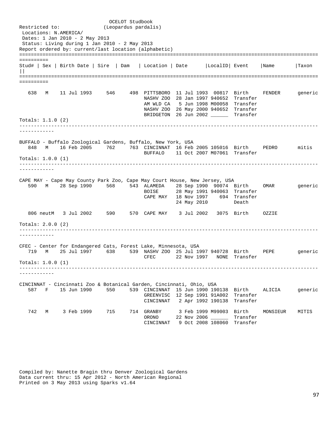OCELOT Studbook<br>Restricted to: (Leopardus pardal: (Leopardus pardalis) Locations: N.AMERICA/ Dates: 1 Jan 2010 - 2 May 2013 Status: Living during 1 Jan 2010 - 2 May 2013 Report ordered by: current/last location (alphabetic) ======================================================================================================= ========== Stud# | Sex | Birth Date | Sire | Dam | Location | Date |LocalID| Event |Name |Taxon  $||$ ======================================================================================================= ========== 638 M 11 Jul 1993 546 498 PITTSBORO 11 Jul 1993 00817 Birth FENDER generic NASHV ZOO 28 Jan 1997 940652 Transfer AM WLD CA 5 Jun 1998 M00058 Transfer NASHV ZOO 26 May 2000 940652 Transfer BRIDGETON 26 Jun 2002 \_\_\_\_\_\_ Transfer Totals: 1.1.0 (2) ------------------------------------------------------------------------------------------------------- ------------ BUFFALO - Buffalo Zoological Gardens, Buffalo, New York, USA 848 M 16 Feb 2005 762 763 CINCINNAT 16 Feb 2005 105016 Birth PEDRO mitis BUFFALO 11 Oct 2007 M07061 Transfer Totals: 1.0.0 (1) ------------------------------------------------------------------------------------------------------- ------------ CAPE MAY - Cape May County Park Zoo, Cape May Court House, New Jersey, USA 590 M 28 Sep 1990 568 543 ALAMEDA 28 Sep 1990 90074 Birth OMAR generic 28 May 1991 940063 Transfer CAPE MAY 18 Nov 1997 694 Transfer<br>24 May 2010 Death 24 May 2010 806 neutM 3 Jul 2002 590 570 CAPE MAY 3 Jul 2002 3075 Birth OZZIE Totals: 2.0.0 (2) ------------------------------------------------------------------------------------------------------- ------------ CFEC - Center for Endangered Cats, Forest Lake, Minnesota, USA 719 M 25 Jul 1997 638 539 NASHV ZOO 25 Jul 1997 940728 Birth PEPE generic CFEC 22 Nov 1997 NONE Transfer Totals: 1.0.0 (1) ------------------------------------------------------------------------------------------------------- ------------ CINCINNAT - Cincinnati Zoo & Botanical Garden, Cincinnati, Ohio, USA 587 F 15 Jun 1990 550 539 CINCINNAT 15 Jun 1990 190138 Birth ALICIA generic GREENVISC 12 Sep 1991 91A002 Transfer CINCINNAT 2 Apr 1992 190138 Transfer 742 M 3 Feb 1999 715 714 GRANBY 3 Feb 1999 M99003 Birth MONSIEUR MITIS ORONO 22 Nov 2006 \_\_\_\_\_\_ Transfer CINCINNAT 9 Oct 2008 108060 Transfer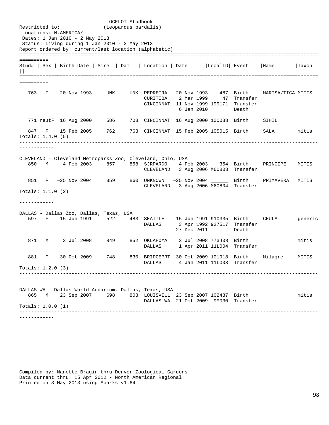OCELOT Studbook<br>Restricted to: (Leopardus pardal: (Leopardus pardalis) Locations: N.AMERICA/ Dates: 1 Jan 2010 - 2 May 2013 Status: Living during 1 Jan 2010 - 2 May 2013 Report ordered by: current/last location (alphabetic) ======================================================================================================= ========== Stud# | Sex | Birth Date | Sire | Dam | Location | Date |LocalID| Event |Name |Taxon  $||$ ======================================================================================================= ========== 763 F 20 Nov 1993 UNK UNK PEDREIRA 20 Nov 1993 487 Birth MARISA/TICA MITIS CURITIBA 2 Mar 1999 47 Transfer CINCINNAT 11 Nov 1999 199171 Transfer 6 Jan 2010 771 neutF 16 Aug 2000 586 708 CINCINNAT 16 Aug 2000 100088 Birth SIHIL 847 F 15 Feb 2005 762 763 CINCINNAT 15 Feb 2005 105015 Birth SALA mitis Totals: 1.4.0 (5) ------------------------------------------------------------------------------------------------------- ------------ CLEVELAND - Cleveland Metroparks Zoo, Cleveland, Ohio, USA 850 M 4 Feb 2003 857 858 SJRPARDO 4 Feb 2003 354 Birth PRINCIPE MITIS CLEVELAND 3 Aug 2006 M60803 Transfer 851 F ~25 Nov 2004 859 860 UNKNOWN ~25 Nov 2004 \_\_\_\_\_\_ Birth PRIMAVERA MITIS CLEVELAND 3 Aug 2006 M60804 Transfer Totals: 1.1.0 (2) ------------------------------------------------------------------------------------------------------- ------------ DALLAS - Dallas Zoo, Dallas, Texas, USA 597 F 15 Jun 1991 522 483 SEATTLE 15 Jun 1991 910335 Birth CHULA generic 3 Apr 1992 927517 Transfer 27 Dec 2011 Death 871 M 3 Jul 2008 849 852 OKLAHOMA 3 Jul 2008 773408 Birth mitis DALLAS 1 Apr 2011 11L004 Transfer 881 F 30 Oct 2009 748 830 BRIDGEPRT 30 Oct 2009 101918 Birth Milagre MITIS DALLAS 4 Jan 2011 11L003 Transfer Totals: 1.2.0 (3) ------------------------------------------------------------------------------------------------------- ------------ DALLAS WA - Dallas World Aquarium, Dallas, Texas, USA 865 M 23 Sep 2007 698 803 LOUISVILL 23 Sep 2007 102487 Birth mitis DALLAS WA 21 Oct 2009 9M030 Transfer Totals: 1.0.0 (1) ------------------------------------------------------------------------------------------------------- ------------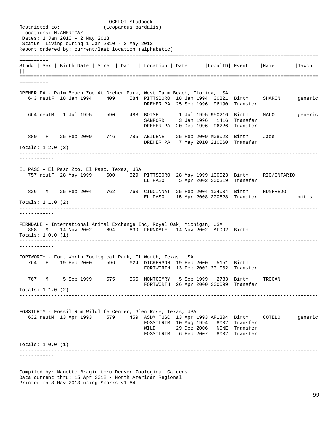OCELOT Studbook<br>Restricted to: (Leopardus pardal: (Leopardus pardalis) Locations: N.AMERICA/ Dates: 1 Jan 2010 - 2 May 2013 Status: Living during 1 Jan 2010 - 2 May 2013 Report ordered by: current/last location (alphabetic) ======================================================================================================= ========== Stud# | Sex | Birth Date | Sire | Dam | Location | Date |LocalID| Event |Name |Taxon  $||$ ======================================================================================================= ========== DREHER PA - Palm Beach Zoo At Dreher Park, West Palm Beach, Florida, USA 643 neutF 18 Jan 1994 409 584 PITTSBORO 18 Jan 1994 00821 Birth SHARON generic DREHER PA 25 Sep 1996 96190 Transfer 664 neutM 1 Jul 1995 590 488 BOISE 1 Jul 1995 950216 Birth MALO generic SANFORD 3 Jan 1996 1416 Transfer DREHER PA 20 Dec 1996 96226 Transfer 880 F 25 Feb 2009 746 785 ABILENE 25 Feb 2009 M08023 Birth Jade DREHER PA 7 May 2010 210060 Transfer Totals: 1.2.0 (3) ------------------------------------------------------------------------------------------------------- ------------ EL PASO - El Paso Zoo, El Paso, Texas, USA 757 neutF 28 May 1999 600 629 PITTSBORO 28 May 1999 100023 Birth RIO/ONTARIO EL PASO 5 Apr 2002 200319 Transfer 826 M 25 Feb 2004 762 763 CINCINNAT 25 Feb 2004 104004 Birth HUNFREDO EL PASO 15 Apr 2008 200828 Transfer mitis Totals: 1.1.0 (2) ------------------------------------------------------------------------------------------------------- ------------ FERNDALE - International Animal Exchange Inc, Royal Oak, Michigan, USA 888 M 14 Nov 2002 694 639 FERNDALE 14 Nov 2002 AFD92 Birth Totals: 1.0.0 (1) ------------------------------------------------------------------------------------------------------- ------------ FORTWORTH - Fort Worth Zoological Park, Ft Worth, Texas, USA 764 F 19 Feb 2000 596 624 DICKERSON 19 Feb 2000 5151 Birth FORTWORTH 13 Feb 2002 201002 Transfer 767 M 5 Sep 1999 575 566 MONTGOMRY 5 Sep 1999 2733 Birth TROGAN FORTWORTH 26 Apr 2000 200099 Transfer Totals: 1.1.0 (2) ------------------------------------------------------------------------------------------------------- ------------ FOSSILRIM - Fossil Rim Wildlife Center, Glen Rose, Texas, USA 632 neutM 13 Apr 1993 579 459 ASDM TUSC 13 Apr 1993 AF1304 Birth COTELO generic FOSSILRIM 10 Aug 1994 8002 Transfer WILD 29 Dec 2006 NONE Transfer FOSSILRIM 6 Feb 2007 8002 Transfer Totals: 1.0.0 (1) ------------------------------------------------------------------------------------------------------- ------------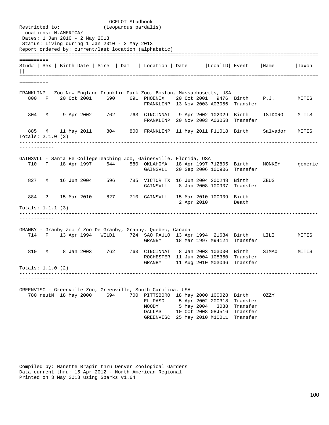OCELOT Studbook<br>Restricted to: (Leopardus pardal: (Leopardus pardalis) Locations: N.AMERICA/ Dates: 1 Jan 2010 - 2 May 2013 Status: Living during 1 Jan 2010 - 2 May 2013 Report ordered by: current/last location (alphabetic) ======================================================================================================= ========== Stud# | Sex | Birth Date | Sire | Dam | Location | Date |LocalID| Event |Name |Taxon  $||$ ======================================================================================================= ========== FRANKLINP - Zoo New England Franklin Park Zoo, Boston, Massachusetts, USA 800 F 20 Oct 2001 690 691 PHOENIX 20 Oct 2001 9476 Birth P.J. MITIS FRANKLINP 13 Nov 2003 A03056 Transfer 804 M 9 Apr 2002 762 763 CINCINNAT 9 Apr 2002 102029 Birth ISIDORO MITIS FRANKLINP 20 Nov 2003 A03058 Transfer 885 M 11 May 2011 804 800 FRANKLINP 11 May 2011 F11018 Birth Salvador MITIS Totals: 2.1.0 (3) ------------------------------------------------------------------------------------------------------- ------------ GAINSVLL - Santa Fe CollegeTeaching Zoo, Gainesville, Florida, USA 710 F 18 Apr 1997 644 580 OKLAHOMA 18 Apr 1997 712805 Birth MONKEY generic GAINSVLL 20 Sep 2006 100906 Transfer 827 M 16 Jun 2004 596 785 VICTOR TX 16 Jun 2004 200248 Birth ZEUS GAINSVLL 8 Jan 2008 100907 Transfer 884 ? 15 Mar 2010 827 710 GAINSVLL 15 Mar 2010 100909 Birth 2 Apr 2010 Totals: 1.1.1 (3) ------------------------------------------------------------------------------------------------------- ------------ GRANBY - Granby Zoo / Zoo De Granby, Granby, Quebec, Canada 714 F 13 Apr 1994 WILD1 724 SAO PAULO 13 Apr 1994 21634 Birth LILI MITIS GRANBY 18 Mar 1997 M94124 Transfer 810 M 8 Jan 2003 762 763 CINCINNAT 8 Jan 2003 103000 Birth SIMAO MITIS ROCHESTER 11 Jun 2004 105360 Transfer GRANBY 11 Aug 2010 M03046 Transfer Totals: 1.1.0 (2) ------------------------------------------------------------------------------------------------------- ------------ GREENVISC - Greenville Zoo, Greenville, South Carolina, USA 780 neutM 18 May 2000 694 700 PITTSBORO 18 May 2000 100028 Birth OZZY EL PASO 5 Apr 2002 200318 Transfer MOODY 5 May 2004 3088 Transfer DALLAS 10 Oct 2008 08J516 Transfer GREENVISC 25 May 2010 M10011 Transfer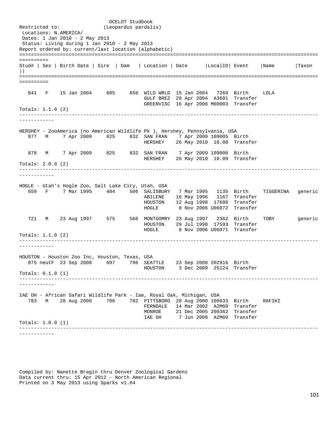OCELOT Studbook<br>Restricted to: (Leopardus pardal: (Leopardus pardalis) Locations: N.AMERICA/ Dates: 1 Jan 2010 - 2 May 2013 Status: Living during 1 Jan 2010 - 2 May 2013 Report ordered by: current/last location (alphabetic) ======================================================================================================= ========== Stud# | Sex | Birth Date | Sire | Dam | Location | Date |LocalID| Event |Name |Taxon  $||$ ======================================================================================================= ========== 841 F 15 Jan 2004 685 656 WILD WRLD 15 Jan 2004 7269 Birth LOLA GULF BREZ 29 Apr 2004 A3601 Transfer GREENVISC 16 Apr 2008 M08003 Transfer Totals: 1.1.0 (2) ------------------------------------------------------------------------------------------------------- ------------ HERSHEY - ZooAmerica (no American Wildlife Pk ), Hershey, Pennsylvania, USA 877 M 7 Apr 2009 825 832 SAN FRAN 7 Apr 2009 109005 Birth HERSHEY 26 May 2010 10.08 Transfer 878 M 7 Apr 2009 825 832 SAN FRAN 7 Apr 2009 109006 Birth HERSHEY 26 May 2010 10.09 Transfer Totals: 2.0.0 (2) ------------------------------------------------------------------------------------------------------- ------------ HOGLE - Utah's Hogle Zoo, Salt Lake City, Utah, USA 659 F 7 Mar 1995 484 506 SALISBURY 7 Mar 1995 1135 Birth TIGGERINA generic ABILENE 16 May 1996 1167 Transfer HOUSTON 12 Aug 1998 17686 Transfer 8 Nov 2006 U06072 Transfer 721 M 23 Aug 1997 575 566 MONTGOMRY 23 Aug 1997 2362 Birth TOBY generic HOUSTON 29 Jul 1998 17593 Transfer HOGLE 8 Nov 2006 U06071 Transfer Totals: 1.1.0 (2) ------------------------------------------------------------------------------------------------------- ------------ HOUSTON - Houston Zoo Inc, Houston, Texas, USA 875 neutF 23 Sep 2008 697 796 SEATTLE 23 Sep 2008 202916 Birth HOUSTON 3 Dec 2009 25124 Transfer Totals: 0.1.0 (1) ------------------------------------------------------------------------------------------------------- ------------ IAE OH - African Safari Wildlife Park - Iae, Royal Oak, Michigan, USA 783 M 28 Aug 2000 706 702 PITTSBORO 28 Aug 2000 100033 Birth RAFIKI FERNDALE 14 Mar 2002 A2M60 Transfer MONROE 21 Dec 2005 200362 Transfer 7 Jun 2008 A2M60 Transfer Totals: 1.0.0 (1) ------------------------------------------------------------------------------------------------------- ------------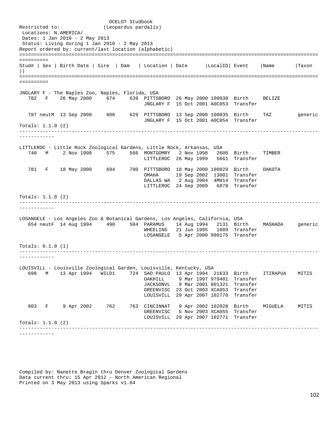OCELOT Studbook<br>Restricted to: (Leopardus pardal: (Leopardus pardalis) Locations: N.AMERICA/ Dates: 1 Jan 2010 - 2 May 2013 Status: Living during 1 Jan 2010 - 2 May 2013 Report ordered by: current/last location (alphabetic) ======================================================================================================= ========== Stud# | Sex | Birth Date | Sire | Dam | Location | Date |LocalID| Event |Name |Taxon  $||$ ======================================================================================================= ========== JNGLARY F - The Naples Zoo, Naples, Florida, USA 782 F 26 May 2000 674 639 PITTSBORO 26 May 2000 100030 Birth BELIZE JNGLARY F 15 Oct 2001 A0C053 Transfer 787 neutM 13 Sep 2000 600 629 PITTSBORO 13 Sep 2000 100035 Birth TAZ generic JNGLARY F 15 Oct 2001 A0C054 Transfer Totals: 1.1.0 (2) ------------------------------------------------------------------------------------------------------- ------------ LITTLEROC - Little Rock Zoological Gardens, Little Rock, Arkansas, USA 740 M 2 Nov 1998 575 566 MONTGOMRY 2 Nov 1998 2606 Birth TIMBER LITTLEROC 26 May 1999 5661 Transfer 781 F 18 May 2000 694 700 PITTSBORO 18 May 2000 100029 Birth DAKOTA 19 Sep 2002 13001 Transfer DALLAS WA 2 Aug 2004 4M014 Transfer LITTLEROC 24 Sep 2009 6878 Transfer Totals: 1.1.0 (2) ------------------------------------------------------------------------------------------------------- ------------ LOSANGELE - Los Angeles Zoo & Botanical Gardens, Los Angeles, California, USA 654 neutF 14 Aug 1994 490 504 PARAMUS 14 Aug 1994 2131 Birth MASHADA generic WHEELING 21 Jun 1995 1889 Transfer LOSANGELE 5 Apr 2000 990175 Transfer Totals: 0.1.0 (1) ------------------------------------------------------------------------------------------------------- ------------ LOUISVILL - Louisville Zoological Garden, Louisville, Kentucky, USA 698 M 13 Apr 1994 WILD1 724 SAO PAULO 13 Apr 1994 21633 Birth ITIRAPUA MITIS OAKHILL 9 Mar 1997 979401 Transfer JACKSONVL 9 Mar 2001 801321 Transfer GREENVISC 23 Oct 2003 XCA053 Transfer LOUISVILL 29 Apr 2007 102770 Transfer 803 F 9 Apr 2002 762 763 CINCINNAT 9 Apr 2002 102028 Birth MIGUELA MITIS GREENVISC 5 Nov 2003 XCA055 Transfer LOUISVILL 29 Apr 2007 102771 Transfer Totals: 1.1.0 (2) ------------------------------------------------------------------------------------------------------- ------------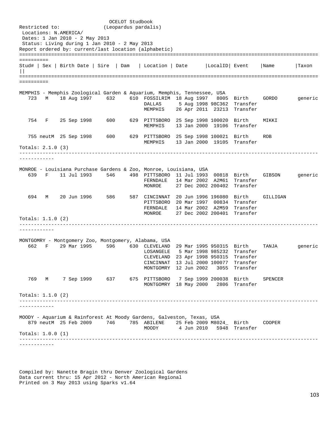OCELOT Studbook<br>Restricted to: (Leopardus pardal: (Leopardus pardalis) Locations: N.AMERICA/ Dates: 1 Jan 2010 - 2 May 2013 Status: Living during 1 Jan 2010 - 2 May 2013 Report ordered by: current/last location (alphabetic) ======================================================================================================= ========== Stud# | Sex | Birth Date | Sire | Dam | Location | Date |LocalID| Event |Name |Taxon  $||$ ======================================================================================================= ========== MEMPHIS - Memphis Zoological Garden & Aquarium, Memphis, Tennessee, USA 723 M 18 Aug 1997 632 610 FOSSILRIM 18 Aug 1997 8005 Birth GORDO generic DALLAS 5 Aug 1998 98C362 Transfer MEMPHIS 26 Apr 2011 23213 Transfer 754 F 25 Sep 1998 600 629 PITTSBORO 25 Sep 1998 100020 Birth MIKKI MEMPHIS 13 Jan 2000 19106 Transfer 755 neutM 25 Sep 1998 600 629 PITTSBORO 25 Sep 1998 100021 Birth ROB MEMPHIS 13 Jan 2000 19105 Transfer Totals: 2.1.0 (3) ------------------------------------------------------------------------------------------------------- ------------ MONROE - Louisiana Purchase Gardens & Zoo, Monroe, Louisiana, USA 639 F 11 Jul 1993 546 498 PITTSBORO 11 Jul 1993 00818 Birth GIBSON generic FERNDALE 14 Mar 2002 A2M61 Transfer<br>MONROE 27 Dec 2002 200402 Transfer 27 Dec 2002 200402 Transfer 694 M 20 Jun 1996 586 587 CINCINNAT 20 Jun 1996 196080 Birth GILLIGAN PITTSBORO 20 Mar 1997 00834 Transfer FERNDALE 14 Mar 2002 A2M59 Transfer MONROE 27 Dec 2002 200401 Transfer Totals: 1.1.0 (2) ------------------------------------------------------------------------------------------------------- ------------ MONTGOMRY - Montgomery Zoo, Montgomery, Alabama, USA 662 F 29 Mar 1995 596 630 CLEVELAND 29 Mar 1995 950315 Birth TANJA generic LOSANGELE 5 Mar 1998 985232 Transfer CLEVELAND 23 Apr 1998 950315 Transfer CINCINNAT 13 Jul 2000 100077 Transfer MONTGOMRY 12 Jun 2002 3055 Transfer 769 M 7 Sep 1999 637 675 PITTSBORO 7 Sep 1999 200038 Birth SPENCER MONTGOMRY 18 May 2000 2806 Transfer Totals: 1.1.0 (2) ------------------------------------------------------------------------------------------------------- ------------ MOODY - Aquarium & Rainforest At Moody Gardens, Galveston, Texas, USA 879 neutM 25 Feb 2009 746 785 ABILENE 25 Feb 2009 M8024 Birth COOPER<br>MOODY 4 Jun 2010 5948 Transfer 4 Jun 2010 5948 Transfer Totals: 1.0.0 (1) ------------------------------------------------------------------------------------------------------- ------------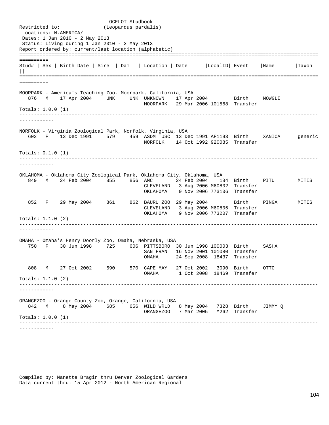OCELOT Studbook<br>Restricted to: (Leopardus pardal: (Leopardus pardalis) Locations: N.AMERICA/ Dates: 1 Jan 2010 - 2 May 2013 Status: Living during 1 Jan 2010 - 2 May 2013 Report ordered by: current/last location (alphabetic) ======================================================================================================= ========== Stud# | Sex | Birth Date | Sire | Dam | Location | Date |LocalID| Event |Name |Taxon  $||$ ======================================================================================================= ========== MOORPARK - America's Teaching Zoo, Moorpark, California, USA 876 M 17 Apr 2004 UNK UNK UNKNOWN 17 Apr 2004 \_\_\_\_\_\_ Birth MOWGLI MOORPARK 29 Mar 2006 101568 Transfer Totals: 1.0.0 (1) ------------------------------------------------------------------------------------------------------- ------------ NORFOLK - Virginia Zoological Park, Norfolk, Virginia, USA 602 F 13 Dec 1991 579 459 ASDM TUSC 13 Dec 1991 AF1193 Birth XANICA generic NORFOLK 14 Oct 1992 920085 Transfer Totals: 0.1.0 (1) ------------------------------------------------------------------------------------------------------- ------------ OKLAHOMA - Oklahoma City Zoological Park, Oklahoma City, Oklahoma, USA 849 M 24 Feb 2004 855 856 AMC 24 Feb 2004 184 Birth PITU MITIS CLEVELAND 3 Aug 2006 M60802 Transfer OKLAHOMA 9 Nov 2006 773106 Transfer 852 F 29 May 2004 861 862 BAURU ZOO 29 May 2004 \_\_\_\_\_\_ Birth PINGA MITIS CLEVELAND 3 Aug 2006 M60805 Transfer OKLAHOMA 9 Nov 2006 773207 Transfer Totals: 1.1.0 (2) ------------------------------------------------------------------------------------------------------- ------------ OMAHA - Omaha's Henry Doorly Zoo, Omaha, Nebraska, USA 750 F 30 Jun 1998 725 606 PITTSBORO 30 Jun 1998 100003 Birth SASHA SAN FRAN 16 Nov 2001 101080 Transfer 24 Sep 2008 18437 Transfer 808 M 27 Oct 2002 590 570 CAPE MAY 27 Oct 2002 3090 Birth OTTO OMAHA 1 Oct 2008 18469 Transfer Totals: 1.1.0 (2) ------------------------------------------------------------------------------------------------------- ------------ ORANGEZOO - Orange County Zoo, Orange, California, USA 842 M 8 May 2004 685 656 WILD WRLD 8 May 2004 7328 Birth JIMMY Q ORANGEZOO 7 Mar 2005 M262 Transfer Totals: 1.0.0 (1) ------------------------------------------------------------------------------------------------------- ------------

Compiled by: Nanette Bragin thru Denver Zoological Gardens Data current thru: 15 Apr 2012 - North American Regional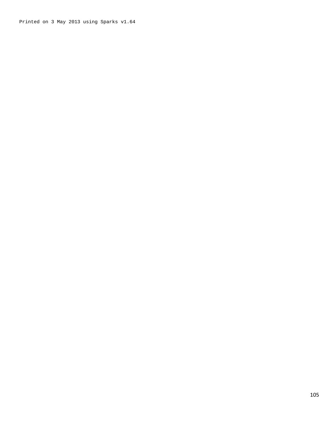Printed on 3 May 2013 using Sparks v1.64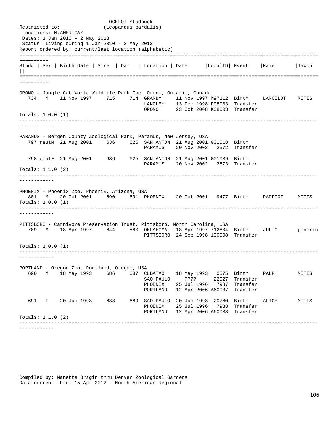OCELOT Studbook<br>Restricted to: (Leopardus pardal: (Leopardus pardalis) Locations: N.AMERICA/ Dates: 1 Jan 2010 - 2 May 2013 Status: Living during 1 Jan 2010 - 2 May 2013 Report ordered by: current/last location (alphabetic) ======================================================================================================= ========== Stud# | Sex | Birth Date | Sire | Dam | Location | Date |LocalID| Event |Name |Taxon  $||$ ======================================================================================================= ========== ORONO - Jungle Cat World Wildlife Park Inc, Orono, Ontario, Canada 734 M 11 Nov 1997 715 714 GRANBY 11 Nov 1997 M97112 Birth LANCELOT MITIS LANGLEY 13 Feb 1998 P98003 Transfer ORONO 23 Oct 2008 K08003 Transfer Totals: 1.0.0 (1) ------------------------------------------------------------------------------------------------------- ------------ PARAMUS - Bergen County Zoological Park, Paramus, New Jersey, USA 797 neutM 21 Aug 2001 636 625 SAN ANTON 21 Aug 2001 G01018 Birth PARAMUS 20 Nov 2002 2572 Transfer 798 contF 21 Aug 2001 636 625 SAN ANTON 21 Aug 2001 G01039 Birth PARAMUS 20 Nov 2002 2573 Transfer Totals: 1.1.0 (2) ------------------------------------------------------------------------------------------------------- ------------ PHOENIX - Phoenix Zoo, Phoenix, Arizona, USA 801 M 20 Oct 2001 690 691 PHOENIX 20 Oct 2001 9477 Birth PADFOOT MITIS Totals: 1.0.0 (1) ------------------------------------------------------------------------------------------------------- ------------ PITTSBORO - Carnivore Preservation Trust, Pittsboro, North Carolina, USA 709 M 18 Apr 1997 644 580 OKLAHOMA 18 Apr 1997 712804 Birth JULIO generic PITTSBORO 24 Sep 1998 100008 Transfer Totals: 1.0.0 (1) ------------------------------------------------------------------------------------------------------- ------------ PORTLAND - Oregon Zoo, Portland, Oregon, USA 690 M 18 May 1993 686 687 CUBATAO 18 May 1993 0575 Birth RALPH MITIS SAO PAULO ???? PHOENIX 25 Jul 1996 7987 Transfer PORTLAND 12 Apr 2006 A60037 Transfer 691 F 20 Jun 1993 688 689 SAO PAULO 20 Jun 1993 20760 Birth ALICE MITIS PHOENIX 25 Jul 1996 7988 Transfer PORTLAND 12 Apr 2006 A60038 Transfer Totals: 1.1.0 (2) ------------------------------------------------------------------------------------------------------- ------------

Compiled by: Nanette Bragin thru Denver Zoological Gardens Data current thru: 15 Apr 2012 - North American Regional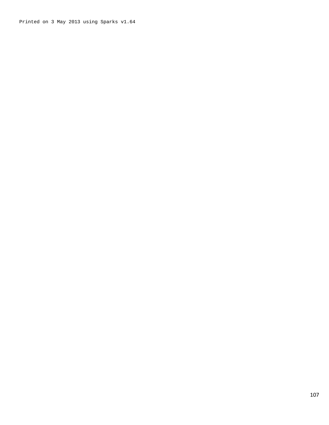Printed on 3 May 2013 using Sparks v1.64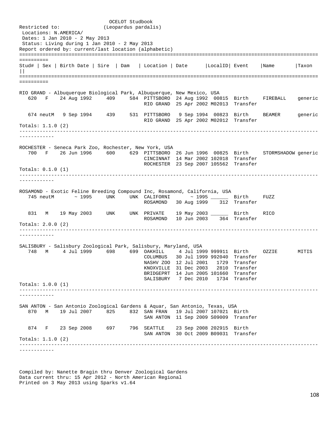OCELOT Studbook<br>Restricted to: (Leopardus pardal: (Leopardus pardalis) Locations: N.AMERICA/ Dates: 1 Jan 2010 - 2 May 2013 Status: Living during 1 Jan 2010 - 2 May 2013 Report ordered by: current/last location (alphabetic) ======================================================================================================= ========== Stud# | Sex | Birth Date | Sire | Dam | Location | Date |LocalID| Event |Name |Taxon  $||$ ======================================================================================================= ========== RIO GRAND - Albuquerque Biological Park, Albuquerque, New Mexico, USA 620 F 24 Aug 1992 409 584 PITTSBORO 24 Aug 1992 00815 Birth FIREBALL generic RIO GRAND 25 Apr 2002 M02013 Transfer 674 neutM 9 Sep 1994 439 531 PITTSBORO 9 Sep 1994 00823 Birth BEAMER generic RIO GRAND 25 Apr 2002 M02012 Transfer Totals: 1.1.0 (2) ------------------------------------------------------------------------------------------------------- ------------ ROCHESTER - Seneca Park Zoo, Rochester, New York, USA 700 F 26 Jun 1996 600 629 PITTSBORO 26 Jun 1996 00825 Birth STORMSHADOW generic CINCINNAT 14 Mar 2002 102018 Transfer ROCHESTER 23 Sep 2007 105562 Transfer Totals: 0.1.0 (1) ------------------------------------------------------------------------------------------------------- ------------ ROSAMOND - Exotic Feline Breeding Compound Inc, Rosamond, California, USA 745 neutM ~ 1995 UNK UNK CALIFORNI ~ 1995 \_\_\_\_\_\_ Birth FUZZ ROSAMOND 30 Aug 1999 312 Transfer 831 M 19 May 2003 UNK UNK PRIVATE 19 May 2003 \_\_\_\_\_\_ Birth RICO ROSAMOND 10 Jun 2003 364 Transfer Totals: 2.0.0 (2) ------------------------------------------------------------------------------------------------------- ------------ SALISBURY - Salisbury Zoological Park, Salisbury, Maryland, USA 748 M 4 Jul 1999 698 699 OAKHILL 4 Jul 1999 999911 Birth OZZIE MITIS COLUMBUS 30 Jul 1999 992040 Transfer NASHV ZOO 12 Jul 2001 1729 Transfer KNOXVILLE 31 Dec 2003 2810 Transfer BRIDGEPRT 14 Jun 2005 101660 Transfer SALISBURY 7 Dec 2010 1734 Transfer Totals: 1.0.0 (1) ------------------------------------------------------------------------------------------------------- ------------ SAN ANTON - San Antonio Zoological Gardens & Aquar, San Antonio, Texas, USA 870 M 19 Jul 2007 825 832 SAN FRAN 19 Jul 2007 107021 Birth SAN ANTON 11 Sep 2009 S09009 Transfer 874 F 23 Sep 2008 697 796 SEATTLE 23 Sep 2008 202915 Birth SAN ANTON 30 Oct 2009 B09031 Transfer Totals: 1.1.0 (2) ------------------------------------------------------------------------------------------------------- ------------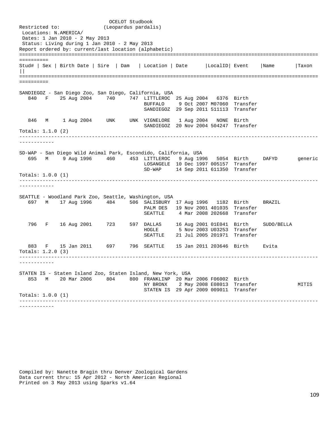OCELOT Studbook<br>Restricted to: (Leopardus pardal: (Leopardus pardalis) Locations: N.AMERICA/ Dates: 1 Jan 2010 - 2 May 2013 Status: Living during 1 Jan 2010 - 2 May 2013 Report ordered by: current/last location (alphabetic) ======================================================================================================= ========== Stud# | Sex | Birth Date | Sire | Dam | Location | Date |LocalID| Event |Name |Taxon  $||$ ======================================================================================================= ========== SANDIEGOZ - San Diego Zoo, San Diego, California, USA 840 F 25 Aug 2004 740 747 LITTLEROC 25 Aug 2004 6376 Birth BUFFALO 9 Oct 2007 M07060 Transfer SANDIEGOZ 29 Sep 2011 511113 Transfer 846 M 1 Aug 2004 UNK UNK VIGNELORE 1 Aug 2004 NONE Birth SANDIEGOZ 20 Nov 2004 504247 Transfer Totals: 1.1.0 (2) ------------------------------------------------------------------------------------------------------- ------------ SD-WAP - San Diego Wild Animal Park, Escondido, California, USA 695 M 9 Aug 1996 460 453 LITTLEROC 9 Aug 1996 5054 Birth DAFYD generic LOSANGELE 10 Dec 1997 005157 Transfer SD-WAP 14 Sep 2011 611350 Transfer Totals: 1.0.0 (1) ------------------------------------------------------------------------------------------------------- ------------ SEATTLE - Woodland Park Zoo, Seattle, Washington, USA 697 M 17 Aug 1996 484 506 SALISBURY 17 Aug 1996 1182 Birth BRAZIL PALM DES 19 Nov 2001 401035 Transfer SEATTLE 4 Mar 2008 202668 Transfer 796 F 16 Aug 2001 723 597 DALLAS 16 Aug 2001 01E041 Birth SUDO/BELLA HOGLE 5 Nov 2003 U03253 Transfer SEATTLE 21 Jul 2005 201971 Transfer 883 F 15 Jan 2011 697 796 SEATTLE 15 Jan 2011 203646 Birth Evita Totals: 1.2.0 (3) ------------------------------------------------------------------------------------------------------- ------------ STATEN IS - Staten Island Zoo, Staten Island, New York, USA 853 M 20 Mar 2006 804 800 FRANKLINP 20 Mar 2006 F06002 Birth NY BRONX 2 May 2008 E08013 Transfer MITIS STATEN IS 29 Apr 2009 009011 Transfer Totals: 1.0.0 (1) ------------------------------------------------------------------------------------------------------- ------------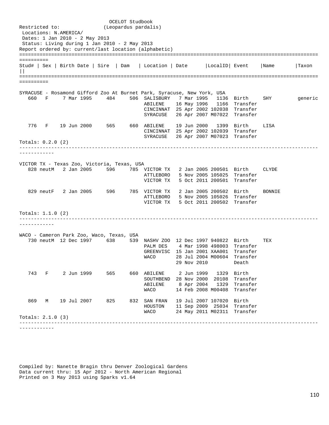OCELOT Studbook<br>Restricted to: (Leopardus pardal: (Leopardus pardalis) Locations: N.AMERICA/ Dates: 1 Jan 2010 - 2 May 2013 Status: Living during 1 Jan 2010 - 2 May 2013 Report ordered by: current/last location (alphabetic) ======================================================================================================= ========== Stud# | Sex | Birth Date | Sire | Dam | Location | Date |LocalID| Event |Name |Taxon  $||$ ======================================================================================================= ========== SYRACUSE - Rosamond Gifford Zoo At Burnet Park, Syracuse, New York, USA 660 F 7 Mar 1995 484 506 SALISBURY 7 Mar 1995 1136 Birth SHY generic ABILENE 16 May 1996 1166 Transfer CINCINNAT 25 Apr 2002 102038 Transfer SYRACUSE 26 Apr 2007 M07022 Transfer 776 F 19 Jun 2000 565 660 ABILENE 19 Jun 2000 1399 Birth LISA CINCINNAT 25 Apr 2002 102039 Transfer SYRACUSE 26 Apr 2007 M07023 Transfer Totals: 0.2.0 (2) ------------------------------------------------------------------------------------------------------- ------------ VICTOR TX - Texas Zoo, Victoria, Texas, USA 828 neutM 2 Jan 2005 596 785 VICTOR TX 2 Jan 2005 200501 Birth CLYDE ATTLEBORO 5 Nov 2005 105025 Transfer VICTOR TX 5 Oct 2011 200501 Transfer 829 neutF 2 Jan 2005 596 785 VICTOR TX 2 Jan 2005 200502 Birth BONNIE ATTLEBORO 5 Nov 2005 105026 Transfer VICTOR TX 5 Oct 2011 200502 Transfer Totals: 1.1.0 (2) ------------------------------------------------------------------------------------------------------- ------------ WACO - Cameron Park Zoo, Waco, Texas, USA 730 neutM 12 Dec 1997 638 539 NASHV ZOO 12 Dec 1997 940822 Birth TEX 4 Mar 1998 498003 Transfer GREENVISC 15 Jan 2001 XAA001 Transfer WACO 28 Jul 2004 M00604 Transfer 29 Nov 2010 743 F 2 Jun 1999 565 660 ABILENE 2 Jun 1999 1329 Birth SOUTHBEND 28 Nov 2000 20108 Transfer ABILENE 8 Apr 2004 1329 Transfer<br>WACO 14 Feb 2008 M00408 Transfer 14 Feb 2008 M00408 Transfer 869 M 19 Jul 2007 825 832 SAN FRAN 19 Jul 2007 107020 Birth HOUSTON 11 Sep 2009 25034 Transfer 24 May 2011 M02311 Transfer Totals: 2.1.0 (3) ------------------------------------------------------------------------------------------------------- ------------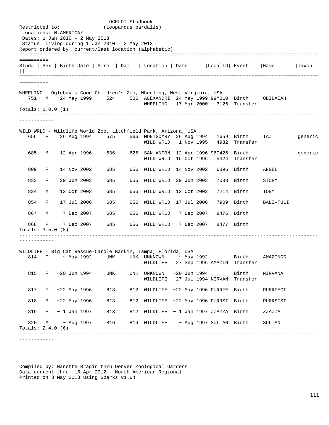|                                                                           |                  |            | OCELOT Studbook                                                 |     |                                                    |  |            |               |                           |           |         |
|---------------------------------------------------------------------------|------------------|------------|-----------------------------------------------------------------|-----|----------------------------------------------------|--|------------|---------------|---------------------------|-----------|---------|
| Restricted to:<br>Locations: N.AMERICA/                                   |                  |            | (Leopardus pardalis)                                            |     |                                                    |  |            |               |                           |           |         |
| Dates: 1 Jan 2010 - 2 May 2013                                            |                  |            |                                                                 |     |                                                    |  |            |               |                           |           |         |
| Report ordered by: current/last location (alphabetic)                     |                  |            | Status: Living during 1 Jan 2010 - 2 May 2013                   |     |                                                    |  |            |               |                           |           |         |
|                                                                           |                  |            |                                                                 |     |                                                    |  |            |               |                           |           |         |
| ==========                                                                |                  |            |                                                                 |     |                                                    |  |            |               |                           |           |         |
| Stud#   Sex   Birth Date   Sire   Dam                                     |                  |            |                                                                 |     | Location   Date                                    |  |            | LocalID Event |                           | Name      | Taxon   |
|                                                                           |                  |            |                                                                 |     |                                                    |  |            |               |                           |           |         |
| ==========                                                                |                  |            |                                                                 |     |                                                    |  |            |               |                           |           |         |
| WHEELING - Oglebay's Good Children's Zoo, Wheeling, West Virginia, USA    |                  |            |                                                                 |     |                                                    |  |            |               |                           |           |         |
| 751<br>M                                                                  | 24 May 1999      |            | 524                                                             |     | 506 ALEXANDRI 24 May 1999 99M010 Birth<br>WHEELING |  |            |               | 17 Mar 2000 3126 Transfer | OBIDAIAH  |         |
| Totals: $1.0.0$ (1)                                                       |                  |            |                                                                 |     |                                                    |  |            |               |                           |           |         |
| ----------                                                                |                  |            |                                                                 |     |                                                    |  |            |               |                           |           |         |
|                                                                           |                  |            |                                                                 |     |                                                    |  |            |               |                           |           |         |
| WILD WRLD - Wildlife World Zoo, Litchfield Park, Arizona, USA<br>656<br>F | 26 Aug 1994      |            | 575                                                             |     | 566 MONTGOMRY 26 Aug 1994 1659 Birth               |  |            |               |                           | TAZ       | generic |
|                                                                           |                  |            |                                                                 |     | WILD WRLD 1 Nov 1995                               |  |            |               | 4932 Transfer             |           |         |
| 685<br>М                                                                  | 12 Apr 1996      |            | 636                                                             |     | 625 SAN ANTON 12 Apr 1996 960426 Birth             |  |            |               |                           |           | generic |
|                                                                           |                  |            |                                                                 |     | WILD WRLD 16 Oct 1996                              |  |            |               | 5324 Transfer             |           |         |
| 809<br>F                                                                  | 14 Nov 2002      |            | 685                                                             |     | 656 WILD WRLD 14 Nov 2002                          |  |            |               | 6896 Birth                | ANGEL     |         |
|                                                                           |                  |            |                                                                 |     |                                                    |  |            |               |                           |           |         |
| 833<br>F                                                                  | 29 Jun 2003      |            | 685                                                             | 656 | WILD WRLD 29 Jun 2003                              |  |            |               | 7088 Birth                | STORM     |         |
| 834<br>М                                                                  | 12 Oct 2003      |            | 685                                                             |     | 656 WILD WRLD 12 Oct 2003                          |  |            |               | 7214 Birth                | TOBY      |         |
| 854<br>F                                                                  | 17 Jul 2006      |            | 685                                                             |     | 656 WILD WRLD 17 Jul 2006                          |  |            |               | 7909 Birth                | BALI-TULI |         |
|                                                                           |                  |            |                                                                 |     |                                                    |  |            |               |                           |           |         |
| 867<br>M                                                                  | 7 Dec 2007       |            | 685                                                             |     | 656 WILD WRLD                                      |  | 7 Dec 2007 |               | 8476 Birth                |           |         |
| 868<br>F                                                                  |                  | 7 Dec 2007 | 685                                                             |     | 656 WILD WRLD                                      |  | 7 Dec 2007 |               | 8477 Birth                |           |         |
| Totals: $3.5.0$ (8)                                                       |                  |            |                                                                 |     |                                                    |  |            |               |                           |           |         |
|                                                                           |                  |            |                                                                 |     |                                                    |  |            |               |                           |           |         |
|                                                                           |                  |            |                                                                 |     |                                                    |  |            |               |                           |           |         |
| WILDLIFE - Big Cat Rescue-Carole Baskin, Tampa, Florida, USA<br>814<br>F  | $~\sim$ May 1992 |            | UNK                                                             |     | UNK UNKNOWN                                        |  |            |               | ~ May 1992 ________ Birth | AMAZINGG  |         |
|                                                                           |                  |            |                                                                 |     | WILDLIFE 27 Sep 1996 AMAZIN Transfer               |  |            |               |                           |           |         |
| 815                                                                       | F ~20 Jun 1994   |            | UNK                                                             |     | UNK UNKNOWN                                        |  |            |               | $\sim$ 20 Jun 1994 Birth  | NIRVANA   |         |
|                                                                           |                  |            |                                                                 |     | WILDLIFE 27 Jul 1994 NIRVAN Transfer               |  |            |               |                           |           |         |
| 817                                                                       | F ~22 May 1996   |            | 813                                                             |     | 812 WILDLIFE ~22 May 1996 PURRFE Birth PURRFECT    |  |            |               |                           |           |         |
|                                                                           |                  |            |                                                                 |     |                                                    |  |            |               |                           |           |         |
| 818<br>M                                                                  | ~22 May 1996     |            | 813                                                             |     | 812 WILDLIFE ~22 May 1996 PURRSI Birth             |  |            |               |                           | PURRSIST  |         |
| 819                                                                       |                  |            | $F \sim 1$ Jan 1997 813                                         |     | 812 WILDLIFE ~ 1 Jan 1997 ZZAZZA Birth             |  |            |               |                           | ZZAZZA    |         |
| 820                                                                       |                  |            | M $\sim$ Aug 1997 816 814 WILDLIFE $\sim$ Aug 1997 SULTAN Birth |     |                                                    |  |            |               |                           | SULTAN    |         |
| Totals: $2.4.0$ (6)                                                       |                  |            |                                                                 |     |                                                    |  |            |               |                           |           |         |
|                                                                           |                  |            | -----------------------------------                             |     |                                                    |  |            |               |                           |           |         |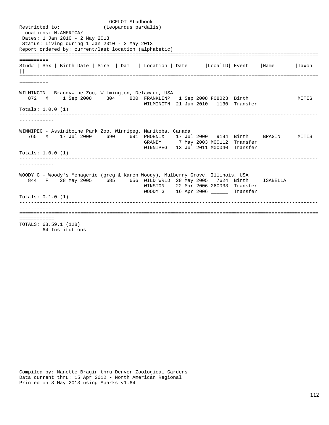OCELOT Studbook<br>Restricted to: (Leopardus pardal: (Leopardus pardalis) Locations: N.AMERICA/ Dates: 1 Jan 2010 - 2 May 2013 Status: Living during 1 Jan 2010 - 2 May 2013 Report ordered by: current/last location (alphabetic) ======================================================================================================= ========== Stud# | Sex | Birth Date | Sire | Dam | Location | Date |LocalID| Event |Name |Taxon  $||$ ======================================================================================================= ========== WILMINGTN - Brandywine Zoo, Wilmington, Delaware, USA 872 M 1 Sep 2008 804 800 FRANKLINP 1 Sep 2008 F08023 Birth MITIS WILMINGTN 21 Jun 2010 1130 Transfer Totals: 1.0.0 (1) ------------------------------------------------------------------------------------------------------- ------------ WINNIPEG - Assiniboine Park Zoo, Winnipeg, Manitoba, Canada 765 M 17 Jul 2000 690 691 PHOENIX 17 Jul 2000 9194 Birth BRAGIN MITIS 7 May 2003 M00112 Transfer WINNIPEG 13 Jul 2011 M00040 Transfer Totals: 1.0.0 (1) ------------------------------------------------------------------------------------------------------- ------------ WOODY G - Woody's Menagerie (greg & Karen Woody), Mulberry Grove, Illinois, USA 844 F 28 May 2005 685 656 WILD WRLD 28 May 2005 7624 Birth ISABELLA WINSTON 22 Mar 2006 260033 Transfer WOODY G 16 Apr 2006 \_\_\_\_\_\_ Transfer Totals: 0.1.0 (1) ------------------------------------------------------------------------------------------------------- ------------ ======================================================================================================= ============ TOTALS: 68.59.1 (128) 64 Institutions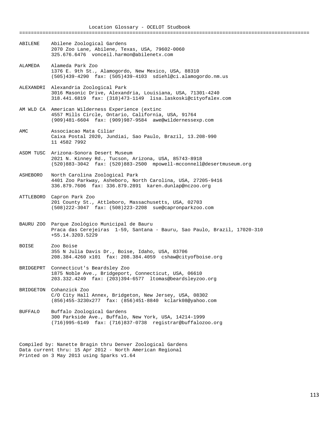Location Glossary - OCELOT Studbook ==================================================================================================== ABILENE Abilene Zoological Gardens 2070 Zoo Lane, Abilene, Texas, USA, 79602-0060 325.676.6476 vonceil.harmon@abilenetx.com ALAMEDA Alameda Park Zoo 1376 E. 9th St., Alamogordo, New Mexico, USA, 88310 (505)439-4290 fax: (505)439-4103 sdiehl@ci.alamogordo.nm.us ALEXANDRI Alexandria Zoological Park 3016 Masonic Drive, Alexandria, Louisiana, USA, 71301-4240 318.441.6819 fax: (318)473-1149 lisa.laskoski@cityofalex.com

AM WLD CA American Wilderness Experience (extinc 4557 Mills Circle, Ontario, California, USA, 91764 (909)481-6604 fax: (909)987-9584 awe@wildernessexp.com

AMC Associacao Mata Ciliar Caixa Postal 2020, Jundiai, Sao Paulo, Brazil, 13.208-990 11 4582 7992

ASDM TUSC Arizona-Sonora Desert Museum 2021 N. Kinney Rd., Tucson, Arizona, USA, 85743-8918 (520)883-3042 fax: (520)883-2500 mpowell-mcconnell@desertmuseum.org

ASHEBORO North Carolina Zoological Park 4401 Zoo Parkway, Asheboro, North Carolina, USA, 27205-9416 336.879.7606 fax: 336.879.2891 karen.dunlap@nczoo.org

- ATTLEBORO Capron Park Zoo 201 County St., Attleboro, Massachusetts, USA, 02703 (508)222-3047 fax: (508)223-2208 sue@capronparkzoo.com
- BAURU ZOO Parque Zoológico Municipal de Bauru Praca das Cerejeiras 1-59, Santana - Bauru, Sao Paulo, Brazil, 17020-310 +55.14.3203.5229
- BOISE Zoo Boise 355 N Julia Davis Dr., Boise, Idaho, USA, 83706 208.384.4260 x101 fax: 208.384.4059 cshaw@cityofboise.org
- BRIDGEPRT Connecticut's Beardsley Zoo 1875 Noble Ave., Bridgeport, Connecticut, USA, 06610 203.332.4249 fax: (203)394-6577 ltomas@beardsleyzoo.org
- BRIDGETON Cohanzick Zoo C/O City Hall Annex, Bridgeton, New Jersey, USA, 08302 (856)455-3230x277 fax: (856)451-8840 kclark08@yahoo.com
- BUFFALO Buffalo Zoological Gardens 300 Parkside Ave., Buffalo, New York, USA, 14214-1999 (716)995-6149 fax: (716)837-0738 registrar@buffalozoo.org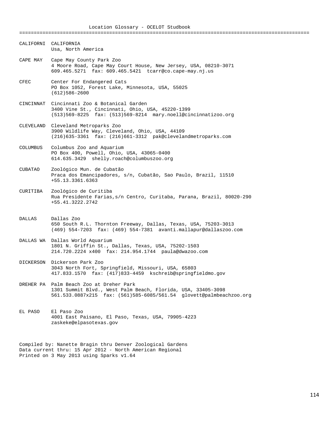====================================================================================================

- CALIFORNI CALIFORNIA Usa, North America
- CAPE MAY Cape May County Park Zoo 4 Moore Road, Cape May Court House, New Jersey, USA, 08210-3071 609.465.5271 fax: 609.465.5421 tcarr@co.cape-may.nj.us
- CFEC Center For Endangered Cats PO Box 1052, Forest Lake, Minnesota, USA, 55025 (612)586-2600
- CINCINNAT Cincinnati Zoo & Botanical Garden 3400 Vine St., Cincinnati, Ohio, USA, 45220-1399 (513)569-8225 fax: (513)569-8214 mary.noell@cincinnatizoo.org
- CLEVELAND Cleveland Metroparks Zoo 3900 Wildlife Way, Cleveland, Ohio, USA, 44109 (216)635-3361 fax: (216)661-3312 pak@clevelandmetroparks.com
- COLUMBUS Columbus Zoo and Aquarium PO Box 400, Powell, Ohio, USA, 43065-0400 614.635.3429 shelly.roach@columbuszoo.org
- CUBATAO Zoológico Mun. de Cubatão Praca dos Emancipadores, s/n, Cubatão, Sao Paulo, Brazil, 11510 +55.13.3361.6363
- CURITIBA Zoológico de Curitiba Rua Presidente Farias,s/n Centro, Curitaba, Parana, Brazil, 80020-290 +55.41.3222.2742
- DALLAS Dallas Zoo 650 South R.L. Thornton Freeway, Dallas, Texas, USA, 75203-3013 (469) 554-7203 fax: (469) 554-7381 avanti.mallapur@dallaszoo.com
- DALLAS WA Dallas World Aquarium 1801 N. Griffin St., Dallas, Texas, USA, 75202-1503 214.720.2224 x400 fax: 214.954.1744 paula@dwazoo.com
- DICKERSON Dickerson Park Zoo 3043 North Fort, Springfield, Missouri, USA, 65803 417.833.1570 fax: (417)833-4459 kschreib@springfieldmo.gov
- DREHER PA Palm Beach Zoo at Dreher Park 1301 Summit Blvd., West Palm Beach, Florida, USA, 33405-3098 561.533.0887x215 fax: (561)585-6085/561.54 glovett@palmbeachzoo.org
- EL PASO El Paso Zoo 4001 East Paisano, El Paso, Texas, USA, 79905-4223 zaskeke@elpasotexas.gov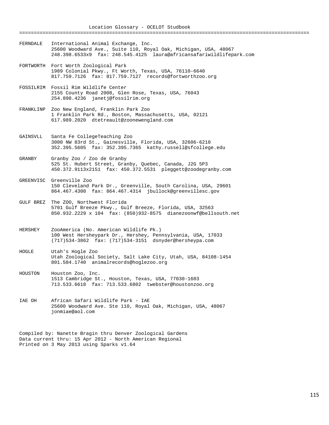Location Glossary - OCELOT Studbook ==================================================================================================== FERNDALE International Animal Exchange, Inc. 25600 Woodward Ave., Suite 110, Royal Oak, Michigan, USA, 48067 248.398.6533x9 fax: 248.545.4125 laura@africansafariwildlifepark.com FORTWORTH Fort Worth Zoological Park 1989 Colonial Pkwy., Ft Worth, Texas, USA, 76110-6640 817.759.7126 fax: 817.759.7127 records@fortworthzoo.org FOSSILRIM Fossil Rim Wildlife Center 2155 County Road 2008, Glen Rose, Texas, USA, 76043

FRANKLINP Zoo New England, Franklin Park Zoo 1 Franklin Park Rd., Boston, Massachusetts, USA, 02121 617.989.2020 dtetreault@zoonewengland.com

254.898.4236 janetj@fossilrim.org

- GAINSVLL Santa Fe CollegeTeaching Zoo 3000 NW 83rd St., Gainesville, Florida, USA, 32606-6210 352.395.5605 fax: 352.395.7365 kathy.russell@sfcollege.edu
- GRANBY Granby Zoo / Zoo de Granby 525 St. Hubert Street, Granby, Quebec, Canada, J2G 5P3 450.372.9113x2151 fax: 450.372.5531 pleggett@zoodegranby.com
- GREENVISC Greenville Zoo 150 Cleveland Park Dr., Greenville, South Carolina, USA, 29601 864.467.4300 fax: 864.467.4314 jbullock@greenvillesc.gov
- GULF BREZ The ZOO, Northwest Florida 5701 Gulf Breeze Pkwy., Gulf Breeze, Florida, USA, 32563 850.932.2229 x 104 fax: (850)932-8575 dianezoonwf@bellsouth.net
- HERSHEY ZooAmerica (No. American Wildlife Pk.) 100 West Hersheypark Dr., Hershey, Pennsylvania, USA, 17033 (717)534-3862 fax: (717)534-3151 dsnyder@hersheypa.com
- HOGLE Utah's Hogle Zoo Utah Zoological Society, Salt Lake City, Utah, USA, 84108-1454 801.584.1740 animalrecords@hoglezoo.org
- HOUSTON Houston Zoo, Inc. 1513 Cambridge St., Houston, Texas, USA, 77030-1603 713.533.6618 fax: 713.533.6802 twebster@houstonzoo.org
- IAE OH African Safari Wildlife Park IAE 25600 Woodward Ave. Ste 110, Royal Oak, Michigan, USA, 48067 jonmiae@aol.com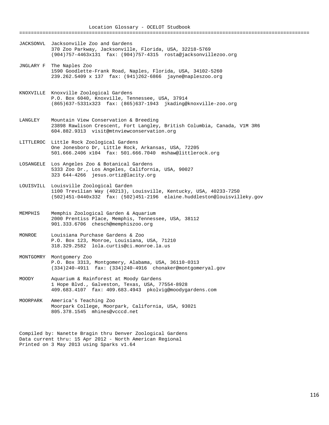==================================================================================================== JACKSONVL Jacksonville Zoo and Gardens 370 Zoo Parkway, Jacksonville, Florida, USA, 32218-5769 (904)757-4463x131 fax: (904)757-4315 rosta@jacksonvillezoo.org JNGLARY F The Naples Zoo 1590 Goodlette-Frank Road, Naples, Florida, USA, 34102-5260 239.262.5409 x 137 fax: (941)262-6866 jayne@napleszoo.org KNOXVILLE Knoxville Zoological Gardens P.O. Box 6040, Knoxville, Tennessee, USA, 37914 (865)637-5331x323 fax: (865)637-1943 jkading@knoxville-zoo.org LANGLEY Mountain View Conservation & Breeding 23898 Rawlison Crescent, Fort Langley, British Columbia, Canada, V1M 3R6 604.882.9313 visit@mtnviewconservation.org LITTLEROC Little Rock Zoological Gardens One Jonesboro Dr, Little Rock, Arkansas, USA, 72205 501.666.2406 x104 fax: 501.666.7040 mshaw@littlerock.org LOSANGELE Los Angeles Zoo & Botanical Gardens 5333 Zoo Dr., Los Angeles, California, USA, 90027 323 644-4266 jesus.ortiz@lacity.org LOUISVILL Louisville Zoological Garden 1100 Trevilian Way (40213), Louisville, Kentucky, USA, 40233-7250 (502)451-0440x332 fax: (502)451-2196 elaine.huddleston@louisvilleky.gov MEMPHIS Memphis Zoological Garden & Aquarium 2000 Prentiss Place, Memphis, Tennessee, USA, 38112 901.333.6706 chesch@memphiszoo.org MONROE Louisiana Purchase Gardens & Zoo P.O. Box 123, Monroe, Louisiana, USA, 71210 318.329.2582 lola.curtis@ci.monroe.la.us MONTGOMRY Montgomery Zoo P.O. Box 3313, Montgomery, Alabama, USA, 36110-0313 (334)240-4911 fax: (334)240-4916 chonaker@montgomeryal.gov MOODY Aquarium & Rainforest at Moody Gardens 1 Hope Blvd., Galveston, Texas, USA, 77554-8928 409.683.4107 fax: 409.683.4943 pkolvig@moodygardens.com MOORPARK America's Teaching Zoo Moorpark College, Moorpark, California, USA, 93021 805.378.1545 mhines@vcccd.net Compiled by: Nanette Bragin thru Denver Zoological Gardens Data current thru: 15 Apr 2012 - North American Regional Printed on 3 May 2013 using Sparks v1.64

Location Glossary - OCELOT Studbook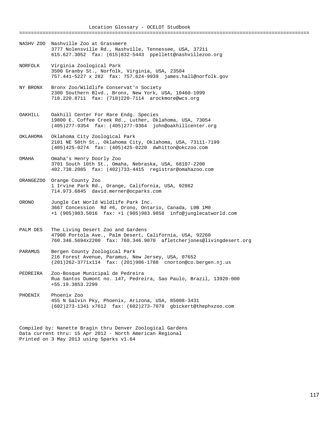- NASHV ZOO Nashville Zoo at Grassmere 3777 Nolensville Rd., Nashville, Tennessee, USA, 37211 615.627.3052 fax: (615)832-5443 ppellett@nashvillezoo.org
- NORFOLK Virginia Zoological Park 3500 Granby St., Norfolk, Virginia, USA, 23504 757.441-5227 x 282 fax: 757.624-9939 james.hall@norfolk.gov
- NY BRONX Bronx Zoo/Wildlife Conservat'n Society 2300 Southern Blvd., Bronx, New York, USA, 10460-1099 718.220.8711 fax: (718)220-7114 arockmore@wcs.org
- OAKHILL Oakhill Center For Rare Endg. Species 19800 E. Coffee Creek Rd., Luther, Oklahoma, USA, 73054 (405)277-9354 fax: (405)277-9364 john@oakhillcenter.org
- OKLAHOMA Oklahoma City Zoological Park 2101 NE 50th St., Oklahoma City, Oklahoma, USA, 73111-7199 (405)425-0274 fax: (405)425-0220 dwhitton@okczoo.com
- OMAHA Omaha's Henry Doorly Zoo 3701 South 10th St., Omaha, Nebraska, USA, 68107-2200 402.738.2085 fax: (402)733-4415 registrar@omahazoo.com
- ORANGEZOO Orange County Zoo 1 Irvine Park Rd., Orange, California, USA, 92862 714.973.6845 david.merner@ocparks.com
- ORONO Jungle Cat World Wildlife Park Inc. 3667 Concession Rd #6, Orono, Ontario, Canada, L0B 1M0 +1 (905)983.5016 fax: +1 (905)983.9858 info@junglecatworld.com
- PALM DES The Living Desert Zoo and Gardens 47900 Portola Ave., Palm Desert, California, USA, 92260 760.346.5694x2200 fax: 760.346.9070 afletcherjones@livingdesert.org
- PARAMUS Bergen County Zoological Park 216 Forest Avenue, Paramus, New Jersey, USA, 07652 (201)262-3771x114 fax: (201)986-1788 cnorton@co.bergen.nj.us
- PEDREIRA Zoo-Bosque Municipal de Pedreira Rua Santos Dumont no. 147, Pedreira, Sao Paulo, Brazil, 13920-000 +55.19.3853.2299
- PHOENIX Phoenix Zoo 455 N Galvin Pky, Phoenix, Arizona, USA, 85008-3431 (602)273-1341 x7612 fax: (602)273-7078 gbickert@thephxzoo.com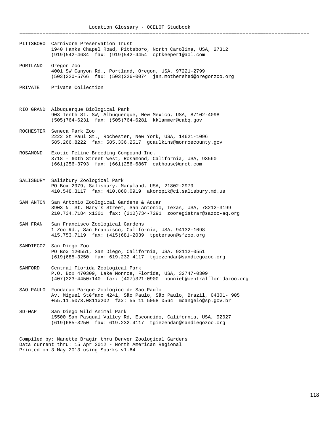Location Glossary - OCELOT Studbook ==================================================================================================== PITTSBORO Carnivore Preservation Trust 1940 Hanks Chapel Road, Pittsboro, North Carolina, USA, 27312 (919)542-4684 fax: (919)542-4454 cptkeeper1@aol.com PORTLAND Oregon Zoo 4001 SW Canyon Rd., Portland, Oregon, USA, 97221-2799 (503)220-5766 fax: (503)226-0074 jan.mothershed@oregonzoo.org PRIVATE Private Collection RIO GRAND Albuquerque Biological Park 903 Tenth St. SW, Albuquerque, New Mexico, USA, 87102-4098 (505)764-6231 fax: (505)764-6281 kklammer@cabq.gov ROCHESTER Seneca Park Zoo 2222 St Paul St., Rochester, New York, USA, 14621-1096 585.266.8222 fax: 585.336.2517 gcaulkins@monroecounty.gov ROSAMOND Exotic Feline Breeding Compound Inc. 3718 - 60th Street West, Rosamond, California, USA, 93560 (661)256-3793 fax: (661)256-6867 cathouse@qnet.com SALISBURY Salisbury Zoological Park PO Box 2979, Salisbury, Maryland, USA, 21802-2979 410.548.3117 fax: 410.860.0919 akonopik@ci.salisbury.md.us SAN ANTON San Antonio Zoological Gardens & Aquar 3903 N. St. Mary's Street, San Antonio, Texas, USA, 78212-3199 210.734.7184 x1301 fax: (210)734-7291 zooregistrar@sazoo-aq.org SAN FRAN San Francisco Zoological Gardens 1 Zoo Rd., San Francisco, California, USA, 94132-1098 415.753.7119 fax: (415)681-2039 tpeterson@sfzoo.org SANDIEGOZ San Diego Zoo PO Box 120551, San Diego, California, USA, 92112-0551 (619)685-3250 fax: 619.232.4117 tgiezendan@sandiegozoo.org SANFORD Central Florida Zoological Park P.O. Box 470309, Lake Monroe, Florida, USA, 32747-0309 (407)323-4450x140 fax: (407)321-0900 bonnieb@centralfloridazoo.org SAO PAULO Fundacao Parque Zoologico de Sao Paulo Av. Miguel Stéfano 4241, São Paulo, São Paulo, Brazil, 04301- 905 +55.11.5073.0811x202 fax: 55 11 5058 0564 mcangelo@sp.gov.br SD-WAP San Diego Wild Animal Park 15500 San Pasqual Valley Rd, Escondido, California, USA, 92027 (619)685-3250 fax: 619.232.4117 tgiezendan@sandiegozoo.org Compiled by: Nanette Bragin thru Denver Zoological Gardens Data current thru: 15 Apr 2012 - North American Regional Printed on 3 May 2013 using Sparks v1.64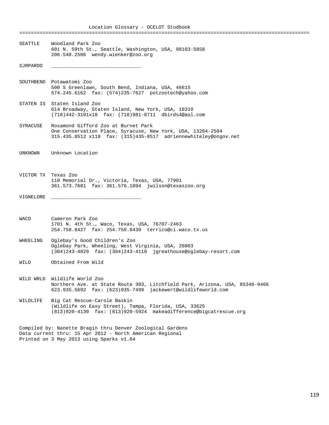Location Glossary - OCELOT Studbook ==================================================================================================== SEATTLE Woodland Park Zoo 601 N. 59th St., Seattle, Washington, USA, 98103-5858 206.548.2506 wendy.wienker@zoo.org  $SJRPPARDO$ SOUTHBEND Potawatomi Zoo 500 S Greenlawn, South Bend, Indiana, USA, 46615 574.245.6162 fax: (574)235-7627 potzootech@yahoo.com STATEN IS Staten Island Zoo 614 Broadway, Staten Island, New York, USA, 10310 (718)442-3101x18 fax: (718)981-8711 dbirds4@aol.com SYRACUSE Rosamond Gifford Zoo at Burnet Park One Conservation Place, Syracuse, New York, USA, 13204-2504 315.435.8512 x119 fax: (315)435-8517 adriennewhiteley@ongov.net UNKNOWN Unknown Location VICTOR TX Texas Zoo 110 Memorial Dr., Victoria, Texas, USA, 77901 361.573.7681 fax: 361.576.1094 jwilson@texaszoo.org VIGNELORE \_\_\_\_\_\_\_\_\_\_\_\_\_\_\_\_\_\_\_\_\_\_\_\_\_\_\_\_\_\_\_ WACO Cameron Park Zoo 1701 N. 4th St., Waco, Texas, USA, 76707-2463 254.750.8427 fax: 254.750.8430 terrico@ci.waco.tx.us WHEELING Oglebay's Good Children's Zoo Oglebay Park, Wheeling, West Virginia, USA, 26003 (304)243-4029 fax: (304)243-4110 jgreathouse@oglebay-resort.com WILD Obtained From Wild WILD WRLD Wildlife World Zoo Northern Ave. at State Route 303, Litchfield Park, Arizona, USA, 85340-9466 623.935.5692 fax: (623)935-7499 jackewert@wildlifeworld.com WILDLIFE Big Cat Rescue-Carole Baskin (Wildlife on Easy Street), Tampa, Florida, USA, 33625 (813)920-4130 fax: (813)920-5924 makeadifference@bigcatrescue.org Compiled by: Nanette Bragin thru Denver Zoological Gardens Data current thru: 15 Apr 2012 - North American Regional Printed on 3 May 2013 using Sparks v1.64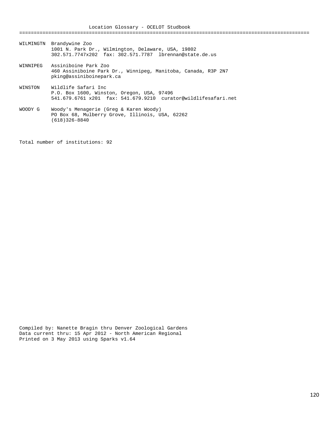Location Glossary - OCELOT Studbook ==================================================================================================== WILMINGTN Brandywine Zoo 1001 N. Park Dr., Wilmington, Delaware, USA, 19802 302.571.7747x202 fax: 302.571.7787 lbrennan@state.de.us WINNIPEG Assiniboine Park Zoo 460 Assiniboine Park Dr., Winnipeg, Manitoba, Canada, R3P 2N7 pking@assiniboinepark.ca WINSTON Wildlife Safari Inc P.O. Box 1600, Winston, Oregon, USA, 97496 541.679.6761 x201 fax: 541.679.9210 curator@wildlifesafari.net WOODY G Woody's Menagerie (Greg & Karen Woody) PO Box 68, Mulberry Grove, Illinois, USA, 62262 (618)326-8840

Total number of institutions: 92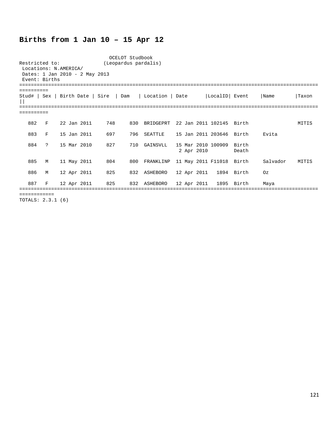## **Births from 1 Jan 10 – 15 Apr 12**

| Restricted to:<br>Event: Births |               | Locations: N.AMERICA/<br>Dates: 1 Jan 2010 - 2 May 2013 | OCELOT Studbook<br>(Leopardus pardalis) |     |                                                                           |            |                           |       |          |       |
|---------------------------------|---------------|---------------------------------------------------------|-----------------------------------------|-----|---------------------------------------------------------------------------|------------|---------------------------|-------|----------|-------|
| ==========                      |               |                                                         |                                         |     | Stud#   Sex   Birth Date   Sire   Dam   Location   Date   LocalID   Event |            |                           |       | Name     | Taxon |
|                                 |               |                                                         |                                         |     |                                                                           |            |                           |       |          |       |
| 882                             | F             | 22 Jan 2011                                             | 748                                     | 830 | BRIDGEPRT 22 Jan 2011 102145 Birth                                        |            |                           |       |          | MITIS |
| 883                             | F             | 15 Jan 2011                                             | 697                                     | 796 | SEATTLE                                                                   |            | 15 Jan 2011 203646  Birth |       | Evita    |       |
| 884                             | $\mathcal{P}$ | 15 Mar 2010                                             | 827                                     | 710 | GAINSVLL                                                                  | 2 Apr 2010 | 15 Mar 2010 100909 Birth  | Death |          |       |
| 885                             | M             | 11 May 2011                                             | 804                                     | 800 | FRANKLINP 11 May 2011 F11018 Birth                                        |            |                           |       | Salvador | MITIS |
| 886                             | M             | 12 Apr 2011                                             | 825                                     |     | 832 ASHEBORO 12 Apr 2011 1894 Birth                                       |            |                           |       | Oz       |       |
| 887                             | F             |                                                         | 12 Apr 2011 825                         | 832 | ASHEBORO 12 Apr 2011 1895 Birth                                           |            |                           |       | Maya     |       |
|                                 |               |                                                         |                                         |     |                                                                           |            |                           |       |          |       |

TOTALS: 2.3.1 (6)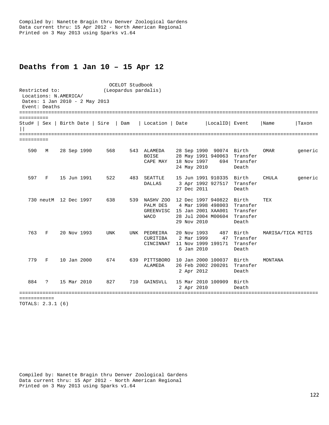## **Deaths from 1 Jan 10 – 15 Apr 12**

OCELOT Studbook<br>(Leopardus pardal) (Leopardus pardal) (Leopardus pardalis) Locations: N.AMERICA/ Dates: 1 Jan 2010 - 2 May 2013 Event: Deaths ======================================================================================================= ========== Stud# | Sex | Birth Date | Sire | Dam | Location | Date |LocalID| Event |Name |Taxon  $||$ ======================================================================================================= ========== 590 M 28 Sep 1990 568 543 ALAMEDA 28 Sep 1990 90074 Birth OMAR generic BOISE 28 May 1991 940063 Transfer CAPE MAY 18 Nov 1997 694 Transfer 24 May 2010 Death 597 F 15 Jun 1991 522 483 SEATTLE 15 Jun 1991 910335 Birth CHULA generic 3 Apr 1992 927517 Transfer<br>27 Dec 2011 Death 27 Dec 2011 Death 730 neutM 12 Dec 1997 638 539 NASHV ZOO 12 Dec 1997 940822 Birth TEX 4 Mar 1998 498003 Transfer GREENVISC 15 Jan 2001 XAA001 Transfer<br>WACO 28 Jul 2004 M00604 Transfer 28 Jul 2004 M00604 Transfer<br>29 Nov 2010 Death 29 Nov 2010 763 F 20 Nov 1993 UNK UNK PEDREIRA 20 Nov 1993 487 Birth MARISA/TICA MITIS CURITIBA 2 Mar 1999 47 Transfer CINCINNAT 11 Nov 1999 199171 Transfer 6 Jan 2010 Death 779 F 10 Jan 2000 674 639 PITTSBORO 10 Jan 2000 100037 Birth MONTANA 26 Feb 2002 200201 Transfer<br>2 Apr 2012 Death 2 Apr 2012 884 ? 15 Mar 2010 827 710 GAINSVLL 15 Mar 2010 100909 Birth 2 Apr 2010 ======================================================================================================= ============

TOTALS: 2.3.1 (6)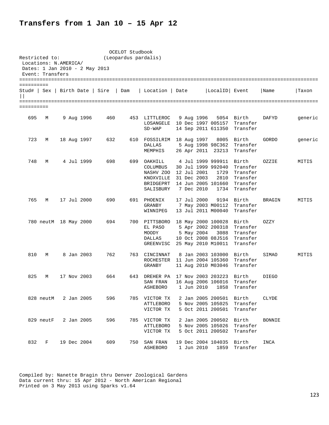## **Transfers from 1 Jan 10 – 15 Apr 12**

| Restricted to: | Locations: N.AMERICA/<br>Event: Transfers | Dates: 1 Jan 2010 - 2 May 2013  |     | OCELOT Studbook<br>(Leopardus pardalis) |                                                                                         |                                  |                                                                                                   |                                                          |               |         |
|----------------|-------------------------------------------|---------------------------------|-----|-----------------------------------------|-----------------------------------------------------------------------------------------|----------------------------------|---------------------------------------------------------------------------------------------------|----------------------------------------------------------|---------------|---------|
|                |                                           |                                 |     |                                         |                                                                                         |                                  |                                                                                                   |                                                          |               |         |
| ==========     |                                           | Stud#   Sex   Birth Date   Sire |     | Dam                                     | Location   Date                                                                         |                                  | LocalID Event                                                                                     |                                                          | Name          | Taxon   |
| ==========     |                                           |                                 |     |                                         |                                                                                         |                                  |                                                                                                   |                                                          |               |         |
| 695            | М                                         | 9 Aug 1996                      | 460 |                                         | 453 LITTLEROC<br>LOSANGELE 10 Dec 1997 005157<br>$SD-WAP$                               | 9 Aug 1996                       |                                                                                                   | 5054 Birth<br>Transfer<br>14 Sep 2011 611350 Transfer    | <b>DAFYD</b>  | generic |
| 723            | М                                         | 18 Aug 1997                     | 632 |                                         | 610 FOSSILRIM<br>DALLAS<br>MEMPHIS                                                      | 18 Aug 1997                      | 26 Apr 2011 23213                                                                                 | 8005 Birth<br>5 Aug 1998 98C362 Transfer<br>Transfer     | GORDO         | generic |
| 748            | M                                         | 4 Jul 1999                      | 698 |                                         | 699 OAKHILL<br>COLUMBUS<br>NASHV ZOO<br>KNOXVILLE 31 Dec 2003<br>BRIDGEPRT<br>SALISBURY | 12 Jul 2001<br>7 Dec 2010        | 4 Jul 1999 999911 Birth<br>30 Jul 1999 992040<br>1729<br>2810<br>14 Jun 2005 101660<br>1734       | Transfer<br>Transfer<br>Transfer<br>Transfer<br>Transfer | OZZIE         | MITIS   |
| 765            | М                                         | 17 Jul 2000                     | 690 |                                         | 691 PHOENIX<br>GRANBY<br>WINNIPEG                                                       | 17 Jul 2000                      | 13 Jul 2011 M00040                                                                                | 9194 Birth<br>7 May 2003 M00112 Transfer<br>Transfer     | <b>BRAGIN</b> | MITIS   |
|                |                                           | 780 neutM 18 May 2000           | 694 |                                         | 700 PITTSBORO<br>EL PASO<br>MOODY<br>DALLAS<br>GREENVISC                                | 5 May 2004                       | 18 May 2000 100028 Birth<br>5 Apr 2002 200318<br>3088<br>10 Oct 2008 08J516<br>25 May 2010 M10011 | Transfer<br>Transfer<br>Transfer<br>Transfer             | OZZY          |         |
| 810            | М                                         | 8 Jan 2003                      | 762 |                                         | 763 CINCINNAT<br>ROCHESTER<br>GRANBY                                                    |                                  | 8 Jan 2003 103000 Birth<br>11 Jun 2004 105360<br>11 Aug 2010 M03046                               | Transfer<br>Transfer                                     | SIMAO         | MITIS   |
| 825            | М                                         | 17 Nov 2003                     | 664 | 643                                     | DREHER PA 17 Nov 2003 203223 Birth<br>SAN FRAN<br>ASHEBORO                              | 1 Jun 2010                       | 16 Aug 2006 106016<br>1858                                                                        | Transfer<br>Transfer                                     | <b>DIEGO</b>  |         |
|                | 828 neutM                                 | 2 Jan 2005                      | 596 |                                         | 785 VICTOR TX<br>ATTLEBORO<br>VICTOR TX                                                 |                                  | 2 Jan 2005 200501 Birth                                                                           | 5 Nov 2005 105025 Transfer<br>5 Oct 2011 200501 Transfer | CLYDE         |         |
|                | 829 neutF                                 | 2 Jan 2005                      | 596 |                                         | 785 VICTOR TX<br><b>ATTLEBORO</b><br>VICTOR TX                                          |                                  | 2 Jan 2005 200502<br>5 Nov 2005 105026<br>5 Oct 2011 200502                                       | Birth<br>Transfer<br>Transfer                            | <b>BONNIE</b> |         |
| 832            | F                                         | 19 Dec 2004                     | 609 |                                         | 750 SAN FRAN<br><b>ASHEBORO</b>                                                         | 19 Dec 2004 104035<br>1 Jun 2010 | 1859                                                                                              | Birth<br>Transfer                                        | INCA          |         |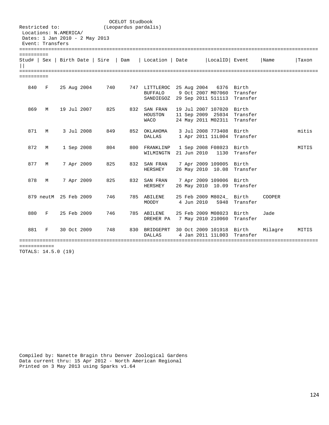| Restricted to:                                                              |                       |        |             |                                       | OCELOT Studbook<br>(Leopardus pardalis) |                                                                               |  |            |                                  |                                                           |               |       |
|-----------------------------------------------------------------------------|-----------------------|--------|-------------|---------------------------------------|-----------------------------------------|-------------------------------------------------------------------------------|--|------------|----------------------------------|-----------------------------------------------------------|---------------|-------|
| Locations: N.AMERICA/<br>Dates: 1 Jan 2010 - 2 May 2013<br>Event: Transfers |                       |        |             |                                       |                                         |                                                                               |  |            |                                  |                                                           |               |       |
| ==========                                                                  |                       |        |             |                                       |                                         |                                                                               |  |            |                                  |                                                           |               |       |
| =========                                                                   |                       |        |             | Stud#   Sex   Birth Date   Sire   Dam |                                         | Location   Date   LocalID   Event                                             |  |            |                                  |                                                           | Name          | Taxon |
| ==========                                                                  |                       |        |             |                                       |                                         |                                                                               |  |            |                                  |                                                           |               |       |
| 840                                                                         | F                     |        | 25 Aug 2004 | 740                                   |                                         | 747 LITTLEROC 25 Aug 2004<br>BUFFALO<br>SANDIEGOZ 29 Sep 2011 511113 Transfer |  |            |                                  | 6376 Birth<br>9 Oct 2007 M07060 Transfer                  |               |       |
| 869                                                                         | М                     |        | 19 Jul 2007 | 825                                   |                                         | 832 SAN FRAN<br>HOUSTON<br><b>WACO</b>                                        |  |            | 19 Jul 2007 107020 Birth         | 11 Sep 2009 25034 Transfer<br>24 May 2011 M02311 Transfer |               |       |
| 871                                                                         | M                     |        | 3 Jul 2008  | 849                                   |                                         | 852 OKLAHOMA<br>DALLAS                                                        |  |            | 3 Jul 2008 773408 Birth          | 1 Apr 2011 11L004 Transfer                                |               | mitis |
| 872                                                                         | M                     |        | 1 Sep 2008  | 804                                   |                                         | 800 FRANKLINP<br>WILMINGTN 21 Jun 2010 1130                                   |  |            | 1 Sep 2008 F08023 Birth          | Transfer                                                  |               | MITIS |
| 877                                                                         | M                     |        | 7 Apr 2009  | 825                                   |                                         | 832 SAN FRAN<br>HERSHEY                                                       |  |            | 7 Apr 2009 109005 Birth          | 26 May 2010 10.08 Transfer                                |               |       |
| 878                                                                         | M                     |        | 7 Apr 2009  | 825                                   |                                         | 832 SAN FRAN<br>HERSHEY                                                       |  |            | 7 Apr 2009 109006 Birth          | 26 May 2010 10.09 Transfer                                |               |       |
|                                                                             | 879 neutM 25 Feb 2009 |        |             | 746                                   |                                         | 785 ABILENE<br>MOODY                                                          |  | 4 Jun 2010 | 25 Feb 2009 M8024_ Birth<br>5948 | Transfer                                                  | <b>COOPER</b> |       |
| 880                                                                         | F                     |        | 25 Feb 2009 | 746                                   |                                         | 785 ABILENE<br>DREHER PA                                                      |  |            | 25 Feb 2009 M08023 Birth         | 7 May 2010 210060 Transfer                                | Jade          |       |
| 881                                                                         | F                     |        | 30 Oct 2009 | 748                                   |                                         | 830 BRIDGEPRT 30 Oct 2009 101918 Birth<br><b>DALLAS</b>                       |  |            | 4 Jan 2011 11L003                | Transfer                                                  | Milagre       | MITIS |
| ===========                                                                 |                       | 0.1901 |             |                                       |                                         |                                                                               |  |            |                                  |                                                           |               |       |

TOTALS: 14.5.0 (19)